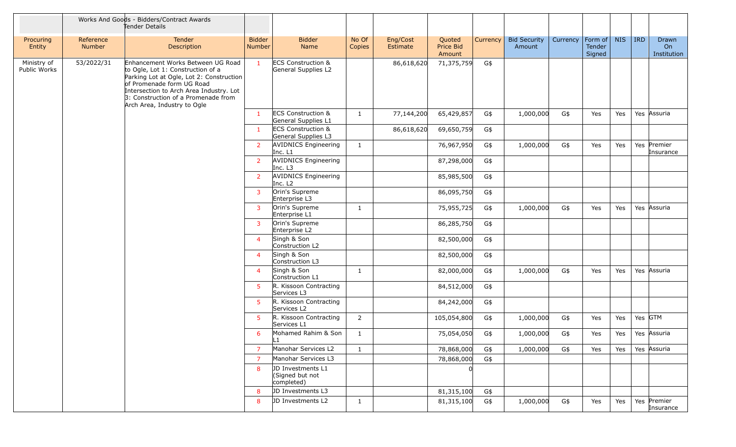|                             |                     | Works And Goods - Bidders/Contract Awards<br>Tender Details                                                                                                                                                                                                      |                         |                                                      |                 |                      |                               |          |                               |          |                             |            |            |                            |
|-----------------------------|---------------------|------------------------------------------------------------------------------------------------------------------------------------------------------------------------------------------------------------------------------------------------------------------|-------------------------|------------------------------------------------------|-----------------|----------------------|-------------------------------|----------|-------------------------------|----------|-----------------------------|------------|------------|----------------------------|
| Procuring<br>Entity         | Reference<br>Number | Tender<br>Description                                                                                                                                                                                                                                            | <b>Bidder</b><br>Number | <b>Bidder</b><br>Name                                | No Of<br>Copies | Eng/Cost<br>Estimate | Quoted<br>Price Bid<br>Amount | Currency | <b>Bid Security</b><br>Amount | Currency | Form of<br>Tender<br>Signed | <b>NIS</b> | <b>IRD</b> | Drawn<br>On<br>Institution |
| Ministry of<br>Public Works | 53/2022/31          | Enhancement Works Between UG Road<br>to Ogle, Lot 1: Construction of a<br>Parking Lot at Ogle, Lot 2: Construction<br>of Promenade form UG Road<br>Intersection to Arch Area Industry. Lot<br>3: Construction of a Promenade from<br>Arch Area, Industry to Ogle | $\mathbf{1}$            | <b>ECS Construction &amp;</b><br>General Supplies L2 |                 | 86,618,620           | 71,375,759                    | G\$      |                               |          |                             |            |            |                            |
|                             |                     |                                                                                                                                                                                                                                                                  | $\mathbf{1}$            | <b>ECS Construction &amp;</b><br>General Supplies L1 | $\mathbf{1}$    | 77,144,200           | 65,429,857                    | G\$      | 1,000,000                     | G\$      | Yes                         | Yes        |            | Yes Assuria                |
|                             |                     |                                                                                                                                                                                                                                                                  | $\mathbf{1}$            | <b>ECS Construction &amp;</b><br>General Supplies L3 |                 | 86,618,620           | 69,650,759                    | G\$      |                               |          |                             |            |            |                            |
|                             |                     |                                                                                                                                                                                                                                                                  | $\overline{2}$          | <b>AVIDNICS Engineering</b><br>Inc. L1               | $\mathbf{1}$    |                      | 76,967,950                    | G\$      | 1,000,000                     | G\$      | Yes                         | Yes        |            | Yes Premier<br>Insurance   |
|                             |                     |                                                                                                                                                                                                                                                                  | $\overline{2}$          | <b>AVIDNICS Engineering</b><br>Inc. L3               |                 |                      | 87,298,000                    | G\$      |                               |          |                             |            |            |                            |
|                             |                     |                                                                                                                                                                                                                                                                  | $\overline{2}$          | <b>AVIDNICS Engineering</b><br>Inc. L <sub>2</sub>   |                 |                      | 85,985,500                    | G\$      |                               |          |                             |            |            |                            |
|                             |                     |                                                                                                                                                                                                                                                                  | 3                       | Orin's Supreme<br>Enterprise L3                      |                 |                      | 86,095,750                    | G\$      |                               |          |                             |            |            |                            |
|                             |                     |                                                                                                                                                                                                                                                                  | $\mathbf{3}$            | Orin's Supreme<br>Enterprise L1                      | 1               |                      | 75,955,725                    | G\$      | 1,000,000                     | G\$      | Yes                         | Yes        | Yes        | Assuria                    |
|                             |                     |                                                                                                                                                                                                                                                                  | 3                       | Orin's Supreme<br>Enterprise L2                      |                 |                      | 86,285,750                    | G\$      |                               |          |                             |            |            |                            |
|                             |                     |                                                                                                                                                                                                                                                                  | $\overline{4}$          | Singh & Son<br>Construction L2                       |                 |                      | 82,500,000                    | G\$      |                               |          |                             |            |            |                            |
|                             |                     |                                                                                                                                                                                                                                                                  | $\overline{4}$          | Singh & Son<br>Construction L3                       |                 |                      | 82,500,000                    | G\$      |                               |          |                             |            |            |                            |
|                             |                     |                                                                                                                                                                                                                                                                  | $\overline{4}$          | Singh & Son<br>Construction L1                       | 1               |                      | 82,000,000                    | G\$      | 1,000,000                     | G\$      | Yes                         | Yes        |            | Yes Assuria                |
|                             |                     |                                                                                                                                                                                                                                                                  | 5                       | R. Kissoon Contracting<br>Services L3                |                 |                      | 84,512,000                    | G\$      |                               |          |                             |            |            |                            |
|                             |                     |                                                                                                                                                                                                                                                                  | 5                       | R. Kissoon Contracting<br>Services L2                |                 |                      | 84,242,000                    | G\$      |                               |          |                             |            |            |                            |
|                             |                     |                                                                                                                                                                                                                                                                  | 5                       | R. Kissoon Contracting<br>Services L1                | $\overline{2}$  |                      | 105,054,800                   | G\$      | 1,000,000                     | G\$      | Yes                         | Yes        | Yes GTM    |                            |
|                             |                     |                                                                                                                                                                                                                                                                  | 6                       | Mohamed Rahim & Son<br>L1                            | $\mathbf{1}$    |                      | 75,054,050                    | G\$      | 1,000,000                     | G\$      | Yes                         | Yes        |            | Yes Assuria                |
|                             |                     |                                                                                                                                                                                                                                                                  | $\overline{7}$          | Manohar Services L2                                  | $\mathbf{1}$    |                      | 78,868,000                    | G\$      | 1,000,000                     | G\$      | Yes                         | Yes        |            | Yes Assuria                |
|                             |                     |                                                                                                                                                                                                                                                                  | $\overline{7}$          | Manohar Services L3                                  |                 |                      | 78,868,000                    | G\$      |                               |          |                             |            |            |                            |
|                             |                     |                                                                                                                                                                                                                                                                  | 8                       | JD Investments L1<br>(Signed but not<br>completed)   |                 |                      |                               |          |                               |          |                             |            |            |                            |
|                             |                     |                                                                                                                                                                                                                                                                  | 8                       | JD Investments L3                                    |                 |                      | 81,315,100                    | G\$      |                               |          |                             |            |            |                            |
|                             |                     |                                                                                                                                                                                                                                                                  | 8                       | <b>JD Investments L2</b>                             | $\mathbf{1}$    |                      | 81,315,100                    | G\$      | 1,000,000                     | G\$      | Yes                         | Yes        |            | Yes Premier<br>Insurance   |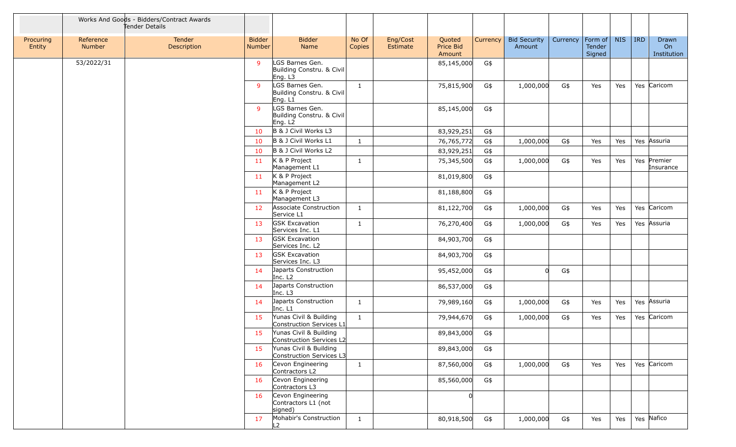|                     |                     | Works And Goods - Bidders/Contract Awards<br>Tender Details |                                |                                                         |                 |                      |                               |          |                               |          |                             |            |            |                            |
|---------------------|---------------------|-------------------------------------------------------------|--------------------------------|---------------------------------------------------------|-----------------|----------------------|-------------------------------|----------|-------------------------------|----------|-----------------------------|------------|------------|----------------------------|
| Procuring<br>Entity | Reference<br>Number | Tender<br>Description                                       | <b>Bidder</b><br><b>Number</b> | <b>Bidder</b><br>Name                                   | No Of<br>Copies | Eng/Cost<br>Estimate | Quoted<br>Price Bid<br>Amount | Currency | <b>Bid Security</b><br>Amount | Currency | Form of<br>Tender<br>Signed | <b>NIS</b> | <b>IRD</b> | Drawn<br>On<br>Institution |
|                     | 53/2022/31          |                                                             | 9                              | LGS Barnes Gen.<br>Building Constru. & Civil<br>Eng. L3 |                 |                      | 85,145,000                    | G\$      |                               |          |                             |            |            |                            |
|                     |                     |                                                             | $\mathsf{q}$                   | LGS Barnes Gen.<br>Building Constru. & Civil<br>Eng. L1 | $\mathbf{1}$    |                      | 75,815,900                    | G\$      | 1,000,000                     | G\$      | Yes                         | Yes        |            | Yes Caricom                |
|                     |                     |                                                             | $\mathsf{q}$                   | LGS Barnes Gen.<br>Building Constru. & Civil<br>Eng. L2 |                 |                      | 85,145,000                    | G\$      |                               |          |                             |            |            |                            |
|                     |                     |                                                             | 10                             | B & J Civil Works L3                                    |                 |                      | 83,929,251                    | G\$      |                               |          |                             |            |            |                            |
|                     |                     |                                                             | 10                             | B & J Civil Works L1                                    | $\mathbf{1}$    |                      | 76,765,772                    | G\$      | 1,000,000                     | G\$      | Yes                         | Yes        |            | Yes Assuria                |
|                     |                     |                                                             | 10                             | B & J Civil Works L2                                    |                 |                      | 83,929,251                    | G\$      |                               |          |                             |            |            |                            |
|                     |                     |                                                             | 11                             | K & P Project<br>Management L1                          | $\mathbf{1}$    |                      | 75,345,500                    | G\$      | 1,000,000                     | G\$      | Yes                         | Yes        |            | Yes Premier<br>Insurance   |
|                     |                     |                                                             | 11                             | K & P Project<br>Management L2                          |                 |                      | 81,019,800                    | G\$      |                               |          |                             |            |            |                            |
|                     |                     |                                                             | 11                             | K & P Project<br>Management L3                          |                 |                      | 81,188,800                    | G\$      |                               |          |                             |            |            |                            |
|                     |                     |                                                             | 12                             | Associate Construction<br>Service L1                    | $\mathbf{1}$    |                      | 81,122,700                    | G\$      | 1,000,000                     | G\$      | Yes                         | Yes        |            | Yes Caricom                |
|                     |                     |                                                             | 13                             | <b>GSK Excavation</b><br>Services Inc. L1               | $\mathbf{1}$    |                      | 76,270,400                    | G\$      | 1,000,000                     | G\$      | Yes                         | Yes        |            | Yes Assuria                |
|                     |                     |                                                             | 13                             | <b>GSK Excavation</b><br>Services Inc. L2               |                 |                      | 84,903,700                    | G\$      |                               |          |                             |            |            |                            |
|                     |                     |                                                             | 13                             | <b>GSK Excavation</b><br>Services Inc. L3               |                 |                      | 84,903,700                    | G\$      |                               |          |                             |            |            |                            |
|                     |                     |                                                             | 14                             | Japarts Construction<br>Inc. L <sub>2</sub>             |                 |                      | 95,452,000                    | G\$      | 0                             | G\$      |                             |            |            |                            |
|                     |                     |                                                             | 14                             | Japarts Construction<br>Inc. L3                         |                 |                      | 86,537,000                    | G\$      |                               |          |                             |            |            |                            |
|                     |                     |                                                             | 14                             | Japarts Construction<br>Inc. L1                         | $\mathbf{1}$    |                      | 79,989,160                    | G\$      | 1,000,000                     | G\$      | Yes                         | Yes        |            | Yes Assuria                |
|                     |                     |                                                             | 15                             | Yunas Civil & Building<br>Construction Services L1      | $\mathbf{1}$    |                      | 79,944,670                    | G\$      | 1,000,000                     | G\$      | Yes                         | Yes        |            | Yes Caricom                |
|                     |                     |                                                             | 15                             | Yunas Civil & Building<br>Construction Services L2      |                 |                      | 89,843,000                    | G\$      |                               |          |                             |            |            |                            |
|                     |                     |                                                             | 15                             | Yunas Civil & Building<br>Construction Services L3      |                 |                      | 89,843,000                    | G\$      |                               |          |                             |            |            |                            |
|                     |                     |                                                             | 16                             | Cevon Engineering<br>Contractors L2                     | $\mathbf{1}$    |                      | 87,560,000                    | G\$      | 1,000,000                     | G\$      | Yes                         | Yes        |            | Yes Caricom                |
|                     |                     |                                                             | 16                             | Cevon Engineering<br>Contractors L3                     |                 |                      | 85,560,000                    | G\$      |                               |          |                             |            |            |                            |
|                     |                     |                                                             | 16                             | Cevon Engineering<br>Contractors L1 (not<br>signed)     |                 |                      | <sup>0</sup>                  |          |                               |          |                             |            |            |                            |
|                     |                     |                                                             | 17                             | Mohabir's Construction<br>L2                            | $\mathbf{1}$    |                      | 80,918,500                    | G\$      | 1,000,000                     | G\$      | Yes                         | Yes        |            | Yes Nafico                 |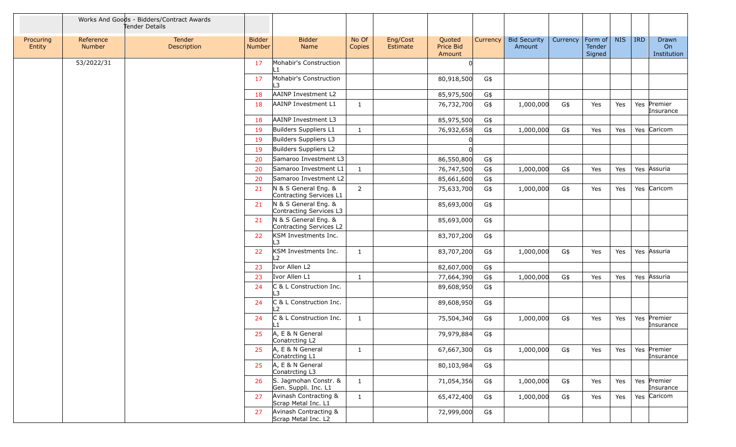|                     |                     | Works And Goods - Bidders/Contract Awards<br>Tender Details |                         |                                                 |                 |                      |                               |          |                               |          |                             |            |            |                            |
|---------------------|---------------------|-------------------------------------------------------------|-------------------------|-------------------------------------------------|-----------------|----------------------|-------------------------------|----------|-------------------------------|----------|-----------------------------|------------|------------|----------------------------|
| Procuring<br>Entity | Reference<br>Number | Tender<br>Description                                       | <b>Bidder</b><br>Number | <b>Bidder</b><br>Name                           | No Of<br>Copies | Eng/Cost<br>Estimate | Quoted<br>Price Bid<br>Amount | Currency | <b>Bid Security</b><br>Amount | Currency | Form of<br>Tender<br>Signed | <b>NIS</b> | <b>IRD</b> | Drawn<br>On<br>Institution |
|                     | 53/2022/31          |                                                             | 17                      | Mohabir's Construction<br>∣ 1                   |                 |                      | <sup>n</sup>                  |          |                               |          |                             |            |            |                            |
|                     |                     |                                                             | 17                      | Mohabir's Construction<br>$\overline{3}$        |                 |                      | 80,918,500                    | G\$      |                               |          |                             |            |            |                            |
|                     |                     |                                                             | 18                      | AAINP Investment L2                             |                 |                      | 85,975,500                    | G\$      |                               |          |                             |            |            |                            |
|                     |                     |                                                             | 18                      | AAINP Investment L1                             | $\mathbf{1}$    |                      | 76,732,700                    | G\$      | 1,000,000                     | G\$      | Yes                         | Yes        |            | Yes Premier<br>Insurance   |
|                     |                     |                                                             | 18                      | AAINP Investment L3                             |                 |                      | 85,975,500                    | G\$      |                               |          |                             |            |            |                            |
|                     |                     |                                                             | 19                      | Builders Suppliers L1                           | $\mathbf{1}$    |                      | 76,932,658                    | G\$      | 1,000,000                     | G\$      | Yes                         | Yes        |            | Yes Caricom                |
|                     |                     |                                                             | 19                      | Builders Suppliers L3                           |                 |                      |                               |          |                               |          |                             |            |            |                            |
|                     |                     |                                                             | 19                      | Builders Suppliers L2                           |                 |                      |                               |          |                               |          |                             |            |            |                            |
|                     |                     |                                                             | 20                      | Samaroo Investment L3                           |                 |                      | 86,550,800                    | G\$      |                               |          |                             |            |            |                            |
|                     |                     |                                                             | 20                      | Samaroo Investment L1                           | $\mathbf{1}$    |                      | 76,747,500                    | G\$      | 1,000,000                     | G\$      | Yes                         | Yes        |            | Yes Assuria                |
|                     |                     |                                                             | 20                      | Samaroo Investment L2                           |                 |                      | 85,661,600                    | G\$      |                               |          |                             |            |            |                            |
|                     |                     |                                                             | 21                      | N & S General Eng. &<br>Contracting Services L1 | $\overline{2}$  |                      | 75,633,700                    | G\$      | 1,000,000                     | G\$      | Yes                         | Yes        |            | Yes Caricom                |
|                     |                     |                                                             | 21                      | N & S General Eng. &<br>Contracting Services L3 |                 |                      | 85,693,000                    | G\$      |                               |          |                             |            |            |                            |
|                     |                     |                                                             | 21                      | N & S General Eng. &<br>Contracting Services L2 |                 |                      | 85,693,000                    | G\$      |                               |          |                             |            |            |                            |
|                     |                     |                                                             | 22                      | KSM Investments Inc.<br>L3                      |                 |                      | 83,707,200                    | G\$      |                               |          |                             |            |            |                            |
|                     |                     |                                                             | 22                      | KSM Investments Inc.<br>L2                      | $\mathbf{1}$    |                      | 83,707,200                    | G\$      | 1,000,000                     | G\$      | Yes                         | Yes        |            | Yes Assuria                |
|                     |                     |                                                             | 23                      | Ivor Allen L2                                   |                 |                      | 82,607,000                    | G\$      |                               |          |                             |            |            |                            |
|                     |                     |                                                             | 23                      | Ivor Allen L1                                   | $\mathbf{1}$    |                      | 77,664,390                    | G\$      | 1,000,000                     | G\$      | Yes                         | Yes        |            | Yes Assuria                |
|                     |                     |                                                             | 24                      | C & L Construction Inc.<br>L3                   |                 |                      | 89,608,950                    | G\$      |                               |          |                             |            |            |                            |
|                     |                     |                                                             | 24                      | C & L Construction Inc.<br>$\overline{2}$       |                 |                      | 89,608,950                    | G\$      |                               |          |                             |            |            |                            |
|                     |                     |                                                             | 24                      | C & L Construction Inc.                         | $\mathbf{1}$    |                      | 75,504,340                    | G\$      | 1,000,000                     | G\$      | Yes                         | Yes        |            | Yes Premier<br>Insurance   |
|                     |                     |                                                             | 25                      | A, E & N General<br>Conatrcting L2              |                 |                      | 79,979,884                    | G\$      |                               |          |                             |            |            |                            |
|                     |                     |                                                             | 25                      | A, E & N General<br>Conatrcting L1              | $\mathbf{1}$    |                      | 67,667,300                    | G\$      | 1,000,000                     | G\$      | Yes                         | Yes        |            | Yes Premier<br>Insurance   |
|                     |                     |                                                             | 25                      | A, E & N General<br>Conatrcting L3              |                 |                      | 80,103,984                    | G\$      |                               |          |                             |            |            |                            |
|                     |                     |                                                             | 26                      | S. Jagmohan Constr. &<br>Gen. Suppli. Inc. L1   | $\mathbf{1}$    |                      | 71,054,356                    | G\$      | 1,000,000                     | G\$      | Yes                         | Yes        |            | Yes Premier<br>Insurance   |
|                     |                     |                                                             | 27                      | Avinash Contracting &<br>Scrap Metal Inc. L1    | $\mathbf{1}$    |                      | 65,472,400                    | G\$      | 1,000,000                     | G\$      | Yes                         | Yes        |            | Yes Caricom                |
|                     |                     |                                                             | 27                      | Avinash Contracting &<br>Scrap Metal Inc. L2    |                 |                      | 72,999,000                    | G\$      |                               |          |                             |            |            |                            |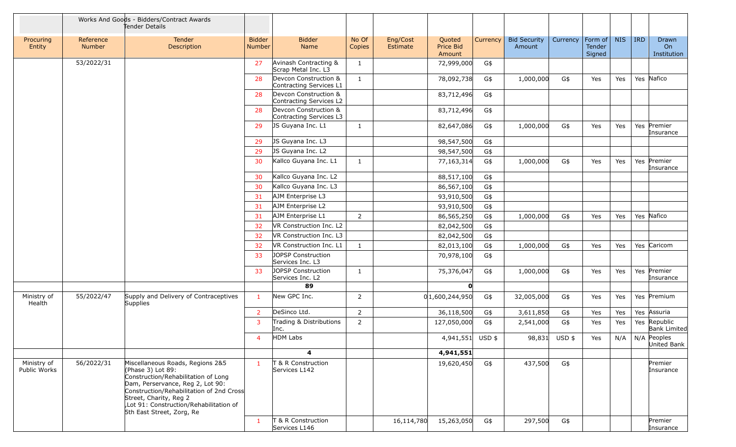|                             |                     | Works And Goods - Bidders/Contract Awards<br>Tender Details                                                                                                                                                                                                                   |                                |                                                  |                 |                      |                               |          |                               |          |                             |            |            |                              |
|-----------------------------|---------------------|-------------------------------------------------------------------------------------------------------------------------------------------------------------------------------------------------------------------------------------------------------------------------------|--------------------------------|--------------------------------------------------|-----------------|----------------------|-------------------------------|----------|-------------------------------|----------|-----------------------------|------------|------------|------------------------------|
| Procuring<br>Entity         | Reference<br>Number | <b>Tender</b><br>Description                                                                                                                                                                                                                                                  | <b>Bidder</b><br><b>Number</b> | <b>Bidder</b><br>Name                            | No Of<br>Copies | Eng/Cost<br>Estimate | Quoted<br>Price Bid<br>Amount | Currency | <b>Bid Security</b><br>Amount | Currency | Form of<br>Tender<br>Signed | <b>NIS</b> | <b>IRD</b> | Drawn<br>On<br>Institution   |
|                             | 53/2022/31          |                                                                                                                                                                                                                                                                               | 27                             | Avinash Contracting &<br>Scrap Metal Inc. L3     | $\mathbf{1}$    |                      | 72,999,000                    | G\$      |                               |          |                             |            |            |                              |
|                             |                     |                                                                                                                                                                                                                                                                               | 28                             | Devcon Construction &<br>Contracting Services L1 | $\mathbf{1}$    |                      | 78,092,738                    | G\$      | 1,000,000                     | G\$      | Yes                         | Yes        |            | Yes Nafico                   |
|                             |                     |                                                                                                                                                                                                                                                                               | 28                             | Devcon Construction &<br>Contracting Services L2 |                 |                      | 83,712,496                    | G\$      |                               |          |                             |            |            |                              |
|                             |                     |                                                                                                                                                                                                                                                                               | 28                             | Devcon Construction &<br>Contracting Services L3 |                 |                      | 83,712,496                    | G\$      |                               |          |                             |            |            |                              |
|                             |                     |                                                                                                                                                                                                                                                                               | 29                             | JS Guyana Inc. L1                                | $\mathbf{1}$    |                      | 82,647,086                    | G\$      | 1,000,000                     | G\$      | Yes                         | Yes        |            | Yes Premier<br>Insurance     |
|                             |                     |                                                                                                                                                                                                                                                                               | 29                             | JS Guyana Inc. L3                                |                 |                      | 98,547,500                    | G\$      |                               |          |                             |            |            |                              |
|                             |                     |                                                                                                                                                                                                                                                                               | 29                             | JS Guyana Inc. L2                                |                 |                      | 98,547,500                    | G\$      |                               |          |                             |            |            |                              |
|                             |                     |                                                                                                                                                                                                                                                                               | 30                             | Kallco Guyana Inc. L1                            | $\mathbf{1}$    |                      | 77,163,314                    | G\$      | 1,000,000                     | G\$      | Yes                         | Yes        |            | Yes Premier<br>Insurance     |
|                             |                     |                                                                                                                                                                                                                                                                               | 30                             | Kallco Guyana Inc. L2                            |                 |                      | 88,517,100                    | G\$      |                               |          |                             |            |            |                              |
|                             |                     |                                                                                                                                                                                                                                                                               | 30                             | Kallco Guyana Inc. L3                            |                 |                      | 86,567,100                    | G\$      |                               |          |                             |            |            |                              |
|                             |                     |                                                                                                                                                                                                                                                                               | 31                             | AJM Enterprise L3                                |                 |                      | 93,910,500                    | G\$      |                               |          |                             |            |            |                              |
|                             |                     |                                                                                                                                                                                                                                                                               | 31                             | AJM Enterprise L2                                |                 |                      | 93,910,500                    | G\$      |                               |          |                             |            |            |                              |
|                             |                     |                                                                                                                                                                                                                                                                               | 31                             | AJM Enterprise L1                                | 2               |                      | 86,565,250                    | G\$      | 1,000,000                     | G\$      | Yes                         | Yes        |            | Yes Nafico                   |
|                             |                     |                                                                                                                                                                                                                                                                               | 32                             | VR Construction Inc. L2                          |                 |                      | 82,042,500                    | G\$      |                               |          |                             |            |            |                              |
|                             |                     |                                                                                                                                                                                                                                                                               | 32                             | VR Construction Inc. L3                          |                 |                      | 82,042,500                    | G\$      |                               |          |                             |            |            |                              |
|                             |                     |                                                                                                                                                                                                                                                                               | 32                             | VR Construction Inc. L1                          | $\mathbf{1}$    |                      | 82,013,100                    | G\$      | 1,000,000                     | G\$      | Yes                         | Yes        |            | Yes Caricom                  |
|                             |                     |                                                                                                                                                                                                                                                                               | 33                             | JOPSP Construction<br>Services Inc. L3           |                 |                      | 70,978,100                    | G\$      |                               |          |                             |            |            |                              |
|                             |                     |                                                                                                                                                                                                                                                                               | 33                             | JOPSP Construction<br>Services Inc. L2           | 1               |                      | 75,376,047                    | G\$      | 1,000,000                     | G\$      | Yes                         | Yes        |            | Yes Premier<br>Insurance     |
|                             |                     |                                                                                                                                                                                                                                                                               |                                | 89                                               |                 |                      | O                             |          |                               |          |                             |            |            |                              |
| Ministry of<br>Health       | 55/2022/47          | Supply and Delivery of Contraceptives<br>Supplies                                                                                                                                                                                                                             | $\mathbf{1}$                   | New GPC Inc.                                     | $\overline{2}$  |                      | 0 1,600,244,950               | G\$      | 32,005,000                    | G\$      | Yes                         | Yes        |            | Yes Premium                  |
|                             |                     |                                                                                                                                                                                                                                                                               | 2                              | DeSinco Ltd.                                     | $\overline{2}$  |                      | 36,118,500                    | G\$      | 3,611,850                     | G\$      | Yes                         | Yes        |            | Yes Assuria                  |
|                             |                     |                                                                                                                                                                                                                                                                               | 3                              | Trading & Distributions<br>Inc.                  | $\overline{2}$  |                      | 127,050,000                   | G\$      | 2,541,000                     | G\$      | Yes                         | Yes        |            | Yes Republic<br>Bank Limited |
|                             |                     |                                                                                                                                                                                                                                                                               | $\overline{4}$                 | HDM Labs                                         |                 |                      | 4,941,551 USD \$              |          | 98,831                        | USD \$   | Yes                         | N/A        |            | N/A Peoples<br>United Bank   |
|                             |                     |                                                                                                                                                                                                                                                                               |                                | $\overline{\mathbf{4}}$                          |                 |                      | 4,941,551                     |          |                               |          |                             |            |            |                              |
| Ministry of<br>Public Works | 56/2022/31          | Miscellaneous Roads, Regions 2&5<br>(Phase 3) Lot 89:<br>Construction/Rehabilitation of Long<br>Dam, Perservance, Reg 2, Lot 90:<br>Construction/Rehabilitation of 2nd Cross<br>Street, Charity, Reg 2<br>Lot 91: Construction/Rehabilitation of<br>5th East Street, Zorg, Re | $\mathbf{1}$                   | T & R Construction<br>Services L142              |                 |                      | 19,620,450                    | G\$      | 437,500                       | G\$      |                             |            |            | Premier<br>Insurance         |
|                             |                     |                                                                                                                                                                                                                                                                               | 1                              | T & R Construction<br>Services L146              |                 | 16,114,780           | 15,263,050                    | G\$      | 297,500                       | G\$      |                             |            |            | Premier<br>Insurance         |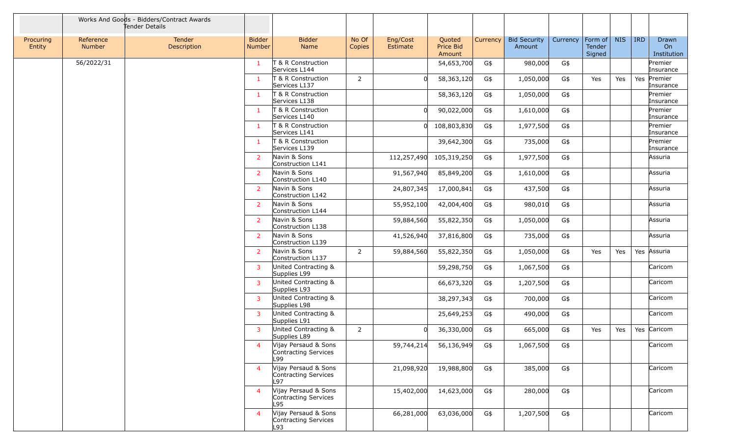|                     |                     | Works And Goods - Bidders/Contract Awards<br>Tender Details |                         |                                                     |                 |                      |                               |          |                               |          |                             |            |            |                            |
|---------------------|---------------------|-------------------------------------------------------------|-------------------------|-----------------------------------------------------|-----------------|----------------------|-------------------------------|----------|-------------------------------|----------|-----------------------------|------------|------------|----------------------------|
| Procuring<br>Entity | Reference<br>Number | Tender<br>Description                                       | <b>Bidder</b><br>Number | <b>Bidder</b><br>Name                               | No Of<br>Copies | Eng/Cost<br>Estimate | Quoted<br>Price Bid<br>Amount | Currency | <b>Bid Security</b><br>Amount | Currency | Form of<br>Tender<br>Signed | <b>NIS</b> | <b>IRD</b> | Drawn<br>On<br>Institution |
|                     | 56/2022/31          |                                                             | $\mathbf{1}$            | T & R Construction<br>Services L144                 |                 |                      | 54,653,700                    | G\$      | 980,000                       | G\$      |                             |            |            | Premier<br>Insurance       |
|                     |                     |                                                             | $\mathbf{1}$            | T & R Construction<br>Services L137                 | $\overline{2}$  |                      | 58,363,120                    | G\$      | 1,050,000                     | G\$      | Yes                         | Yes        |            | Yes Premier<br>Insurance   |
|                     |                     |                                                             | $\mathbf{1}$            | T & R Construction<br>Services L138                 |                 |                      | 58,363,120                    | G\$      | 1,050,000                     | G\$      |                             |            |            | Premier<br>Insurance       |
|                     |                     |                                                             | $\mathbf{1}$            | T & R Construction<br>Services L140                 |                 |                      | 90,022,000                    | G\$      | 1,610,000                     | G\$      |                             |            |            | Premier<br>Insurance       |
|                     |                     |                                                             | $\mathbf{1}$            | T & R Construction<br>Services L141                 |                 | $\Omega$             | 108,803,830                   | G\$      | 1,977,500                     | G\$      |                             |            |            | Premier<br>Insurance       |
|                     |                     |                                                             | $\mathbf{1}$            | T & R Construction<br>Services L139                 |                 |                      | 39,642,300                    | G\$      | 735,000                       | G\$      |                             |            |            | Premier<br>Insurance       |
|                     |                     |                                                             | $\overline{2}$          | Navin & Sons<br>Construction L141                   |                 | 112,257,490          | 105,319,250                   | G\$      | 1,977,500                     | G\$      |                             |            |            | Assuria                    |
|                     |                     |                                                             | $\overline{2}$          | Navin & Sons<br>Construction L140                   |                 | 91,567,940           | 85,849,200                    | G\$      | 1,610,000                     | G\$      |                             |            |            | Assuria                    |
|                     |                     |                                                             | $\overline{2}$          | Navin & Sons<br>Construction L142                   |                 | 24,807,345           | 17,000,841                    | G\$      | 437,500                       | G\$      |                             |            |            | Assuria                    |
|                     |                     |                                                             | $\overline{2}$          | Navin & Sons<br>Construction L144                   |                 | 55,952,100           | 42,004,400                    | G\$      | 980,010                       | G\$      |                             |            |            | Assuria                    |
|                     |                     |                                                             | $\overline{2}$          | Navin & Sons<br>Construction L138                   |                 | 59,884,560           | 55,822,350                    | G\$      | 1,050,000                     | G\$      |                             |            |            | Assuria                    |
|                     |                     |                                                             | $\overline{2}$          | Navin & Sons<br>Construction L139                   |                 | 41,526,940           | 37,816,800                    | G\$      | 735,000                       | G\$      |                             |            |            | Assuria                    |
|                     |                     |                                                             | $\overline{2}$          | Navin & Sons<br>Construction L137                   | $\overline{2}$  | 59,884,560           | 55,822,350                    | G\$      | 1,050,000                     | G\$      | Yes                         | Yes        |            | Yes Assuria                |
|                     |                     |                                                             | $\mathbf{3}$            | United Contracting &<br>Supplies L99                |                 |                      | 59,298,750                    | G\$      | 1,067,500                     | G\$      |                             |            |            | Caricom                    |
|                     |                     |                                                             | $\overline{3}$          | United Contracting &<br>Supplies L93                |                 |                      | 66,673,320                    | G\$      | 1,207,500                     | G\$      |                             |            |            | Caricom                    |
|                     |                     |                                                             | 3                       | United Contracting &<br>Supplies L98                |                 |                      | 38,297,343                    | G\$      | 700,000                       | G\$      |                             |            |            | Caricom                    |
|                     |                     |                                                             | 3                       | United Contracting &<br>Supplies L91                |                 |                      | 25,649,253                    | G\$      | 490,000                       | G\$      |                             |            |            | Caricom                    |
|                     |                     |                                                             | 3                       | United Contracting &<br>Supplies L89                | $\overline{2}$  | $\Omega$             | 36,330,000                    | G\$      | 665,000                       | G\$      | Yes                         | Yes        |            | Yes Caricom                |
|                     |                     |                                                             | $\overline{4}$          | Vijay Persaud & Sons<br>Contracting Services<br>L99 |                 | 59,744,214           | 56,136,949                    | G\$      | 1,067,500                     | G\$      |                             |            |            | Caricom                    |
|                     |                     |                                                             | $\overline{4}$          | Vijay Persaud & Sons<br>Contracting Services<br>L97 |                 | 21,098,920           | 19,988,800                    | G\$      | 385,000                       | G\$      |                             |            |            | Caricom                    |
|                     |                     |                                                             | $\overline{4}$          | Vijay Persaud & Sons<br>Contracting Services<br>L95 |                 | 15,402,000           | 14,623,000                    | G\$      | 280,000                       | G\$      |                             |            |            | Caricom                    |
|                     |                     |                                                             | $\overline{4}$          | Vijay Persaud & Sons<br>Contracting Services<br>L93 |                 | 66,281,000           | 63,036,000                    | G\$      | 1,207,500                     | G\$      |                             |            |            | Caricom                    |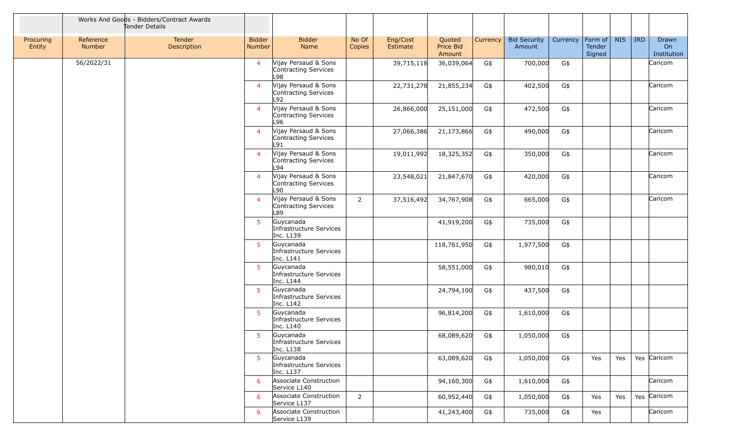|                     |                     | Works And Goods - Bidders/Contract Awards<br>Tender Details |                         |                                                      |                 |                      |                               |          |                               |          |                             |            |            |                            |
|---------------------|---------------------|-------------------------------------------------------------|-------------------------|------------------------------------------------------|-----------------|----------------------|-------------------------------|----------|-------------------------------|----------|-----------------------------|------------|------------|----------------------------|
| Procuring<br>Entity | Reference<br>Number | Tender<br><b>Description</b>                                | <b>Bidder</b><br>Number | <b>Bidder</b><br>Name                                | No Of<br>Copies | Eng/Cost<br>Estimate | Quoted<br>Price Bid<br>Amount | Currency | <b>Bid Security</b><br>Amount | Currency | Form of<br>Tender<br>Signed | <b>NIS</b> | <b>IRD</b> | Drawn<br>On<br>Institution |
|                     | 56/2022/31          |                                                             | $\overline{4}$          | Vijay Persaud & Sons<br>Contracting Services<br>L98  |                 | 39,715,118           | 36,039,064                    | G\$      | 700,000                       | G\$      |                             |            |            | Caricom                    |
|                     |                     |                                                             | $\overline{4}$          | Vijay Persaud & Sons<br>Contracting Services<br>L92  |                 | 22,731,278           | 21,855,234                    | G\$      | 402,500                       | G\$      |                             |            |            | Caricom                    |
|                     |                     |                                                             | $\overline{4}$          | Vijay Persaud & Sons<br>Contracting Services<br>L96. |                 | 26,866,000           | 25,151,000                    | G\$      | 472,500                       | G\$      |                             |            |            | Caricom                    |
|                     |                     |                                                             | $\overline{4}$          | Vijay Persaud & Sons<br>Contracting Services<br>L91  |                 | 27,066,386           | 21,173,866                    | G\$      | 490,000                       | G\$      |                             |            |            | Caricom                    |
|                     |                     |                                                             | $\overline{4}$          | Vijay Persaud & Sons<br>Contracting Services<br>L94  |                 | 19,011,992           | 18,325,352                    | G\$      | 350,000                       | G\$      |                             |            |            | Caricom                    |
|                     |                     |                                                             | $\overline{4}$          | Vijay Persaud & Sons<br>Contracting Services<br>L90  |                 | 23,548,021           | 21,847,670                    | G\$      | 420,000                       | G\$      |                             |            |            | Caricom                    |
|                     |                     |                                                             | $\overline{4}$          | Vijay Persaud & Sons<br>Contracting Services<br>L89  | $2^{\circ}$     | 37,516,492           | 34,767,908                    | G\$      | 665,000                       | G\$      |                             |            |            | Caricom                    |
|                     |                     |                                                             | 5 <sup>1</sup>          | Guycanada<br>Infrastructure Services<br>Inc. L139    |                 |                      | 41,919,200                    | G\$      | 735,000                       | G\$      |                             |            |            |                            |
|                     |                     |                                                             | 5 <sup>1</sup>          | Guycanada<br>Infrastructure Services<br>Inc. L141    |                 |                      | 118,761,950                   | G\$      | 1,977,500                     | G\$      |                             |            |            |                            |
|                     |                     |                                                             | 5 <sup>5</sup>          | Guycanada<br>Infrastructure Services<br>Inc. L144    |                 |                      | 58,551,000                    | G\$      | 980,010                       | G\$      |                             |            |            |                            |
|                     |                     |                                                             | 5 <sup>1</sup>          | Guycanada<br>Infrastructure Services<br>Inc. L142    |                 |                      | 24,794,100                    | G\$      | 437,500                       | G\$      |                             |            |            |                            |
|                     |                     |                                                             | 5 <sup>5</sup>          | Guycanada<br>Infrastructure Services<br>Inc. L140    |                 |                      | 96,814,200                    | G\$      | 1,610,000                     | G\$      |                             |            |            |                            |
|                     |                     |                                                             | 5                       | Guycanada<br>Infrastructure Services<br>Inc. L138    |                 |                      | 68,089,620                    | G\$      | 1,050,000                     | G\$      |                             |            |            |                            |
|                     |                     |                                                             | 5 <sup>1</sup>          | Guycanada<br>Infrastructure Services<br>Inc. L137    |                 |                      | 63,089,620                    | G\$      | 1,050,000                     | G\$      | Yes                         | Yes        |            | Yes Caricom                |
|                     |                     |                                                             | 6                       | Associate Construction<br>Service L140               |                 |                      | 94,160,300                    | G\$      | 1,610,000                     | G\$      |                             |            |            | Caricom                    |
|                     |                     |                                                             | 6                       | Associate Construction<br>Service L137               | $2^{\circ}$     |                      | 60,952,440                    | G\$      | 1,050,000                     | G\$      | Yes                         | Yes        |            | Yes Caricom                |
|                     |                     |                                                             | 6                       | Associate Construction<br>Service L139               |                 |                      | 41,243,400                    | G\$      | 735,000                       | G\$      | Yes                         |            |            | Caricom                    |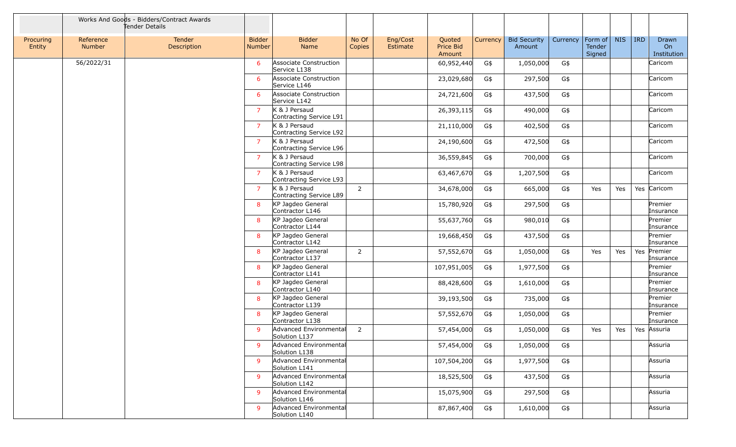|                     |                            | Works And Goods - Bidders/Contract Awards<br>Tender Details |                                |                                          |                 |                      |                               |          |                               |          |                                     |            |            |                            |
|---------------------|----------------------------|-------------------------------------------------------------|--------------------------------|------------------------------------------|-----------------|----------------------|-------------------------------|----------|-------------------------------|----------|-------------------------------------|------------|------------|----------------------------|
| Procuring<br>Entity | Reference<br><b>Number</b> | Tender<br>Description                                       | <b>Bidder</b><br><b>Number</b> | <b>Bidder</b><br>Name                    | No Of<br>Copies | Eng/Cost<br>Estimate | Quoted<br>Price Bid<br>Amount | Currency | <b>Bid Security</b><br>Amount | Currency | Form of $\vert$<br>Tender<br>Signed | <b>NIS</b> | <b>IRD</b> | Drawn<br>On<br>Institution |
|                     | 56/2022/31                 |                                                             | 6                              | Associate Construction<br>Service L138   |                 |                      | 60,952,440                    | G\$      | 1,050,000                     | G\$      |                                     |            |            | Caricom                    |
|                     |                            |                                                             | 6                              | Associate Construction<br>Service L146   |                 |                      | 23,029,680                    | G\$      | 297,500                       | G\$      |                                     |            |            | Caricom                    |
|                     |                            |                                                             | -6                             | Associate Construction<br>Service L142   |                 |                      | 24,721,600                    | G\$      | 437,500                       | G\$      |                                     |            |            | Caricom                    |
|                     |                            |                                                             | $\overline{7}$                 | K & J Persaud<br>Contracting Service L91 |                 |                      | 26,393,115                    | G\$      | 490,000                       | G\$      |                                     |            |            | Caricom                    |
|                     |                            |                                                             | $\overline{7}$                 | K & J Persaud<br>Contracting Service L92 |                 |                      | 21,110,000                    | G\$      | 402,500                       | G\$      |                                     |            |            | Caricom                    |
|                     |                            |                                                             | $\overline{7}$                 | K & J Persaud<br>Contracting Service L96 |                 |                      | 24,190,600                    | G\$      | 472,500                       | G\$      |                                     |            |            | Caricom                    |
|                     |                            |                                                             | $\overline{7}$                 | K & J Persaud<br>Contracting Service L98 |                 |                      | 36,559,845                    | G\$      | 700,000                       | G\$      |                                     |            |            | Caricom                    |
|                     |                            |                                                             | $\overline{7}$                 | K & J Persaud<br>Contracting Service L93 |                 |                      | 63,467,670                    | G\$      | 1,207,500                     | G\$      |                                     |            |            | Caricom                    |
|                     |                            |                                                             | $\overline{7}$                 | K & J Persaud<br>Contracting Service L89 | $\overline{2}$  |                      | 34,678,000                    | G\$      | 665,000                       | G\$      | Yes                                 | Yes        |            | Yes Caricom                |
|                     |                            |                                                             | 8                              | KP Jagdeo General<br>Contractor L146     |                 |                      | 15,780,920                    | G\$      | 297,500                       | G\$      |                                     |            |            | Premier<br>Insurance       |
|                     |                            |                                                             | 8                              | KP Jagdeo General<br>Contractor L144     |                 |                      | 55,637,760                    | G\$      | 980,010                       | G\$      |                                     |            |            | Premier<br>Insurance       |
|                     |                            |                                                             | 8                              | KP Jagdeo General<br>Contractor L142     |                 |                      | 19,668,450                    | G\$      | 437,500                       | G\$      |                                     |            |            | Premier<br>Insurance       |
|                     |                            |                                                             | 8                              | KP Jagdeo General<br>Contractor L137     | $\overline{2}$  |                      | 57,552,670                    | G\$      | 1,050,000                     | G\$      | Yes                                 | Yes        | Yes        | Premier<br>Insurance       |
|                     |                            |                                                             | 8                              | KP Jagdeo General<br>Contractor L141     |                 |                      | 107,951,005                   | G\$      | 1,977,500                     | G\$      |                                     |            |            | Premier<br>Insurance       |
|                     |                            |                                                             | 8                              | KP Jagdeo General<br>Contractor L140     |                 |                      | 88,428,600                    | G\$      | 1,610,000                     | G\$      |                                     |            |            | Premier<br>Insurance       |
|                     |                            |                                                             | 8                              | KP Jagdeo General<br>Contractor L139     |                 |                      | 39,193,500                    | G\$      | 735,000                       | G\$      |                                     |            |            | Premier<br>Insurance       |
|                     |                            |                                                             | 8                              | KP Jagdeo General<br>Contractor L138     |                 |                      | 57,552,670                    | G\$      | 1,050,000                     | G\$      |                                     |            |            | Premier<br>Insurance       |
|                     |                            |                                                             | $\mathbf{q}$                   | Advanced Environmental<br>Solution L137  | 2               |                      | 57,454,000                    | G\$      | 1,050,000                     | G\$      | Yes                                 | Yes        |            | Yes Assuria                |
|                     |                            |                                                             | 9                              | Advanced Environmental<br>Solution L138  |                 |                      | 57,454,000                    | G\$      | 1,050,000                     | G\$      |                                     |            |            | Assuria                    |
|                     |                            |                                                             | 9                              | Advanced Environmental<br>Solution L141  |                 |                      | 107,504,200                   | G\$      | 1,977,500                     | G\$      |                                     |            |            | Assuria                    |
|                     |                            |                                                             | -9                             | Advanced Environmental<br>Solution L142  |                 |                      | 18,525,500                    | G\$      | 437,500                       | G\$      |                                     |            |            | Assuria                    |
|                     |                            |                                                             | $\mathsf{q}$                   | Advanced Environmental<br>Solution L146  |                 |                      | 15,075,900                    | G\$      | 297,500                       | G\$      |                                     |            |            | Assuria                    |
|                     |                            |                                                             | 9                              | Advanced Environmental<br>Solution L140  |                 |                      | 87,867,400                    | G\$      | 1,610,000                     | G\$      |                                     |            |            | Assuria                    |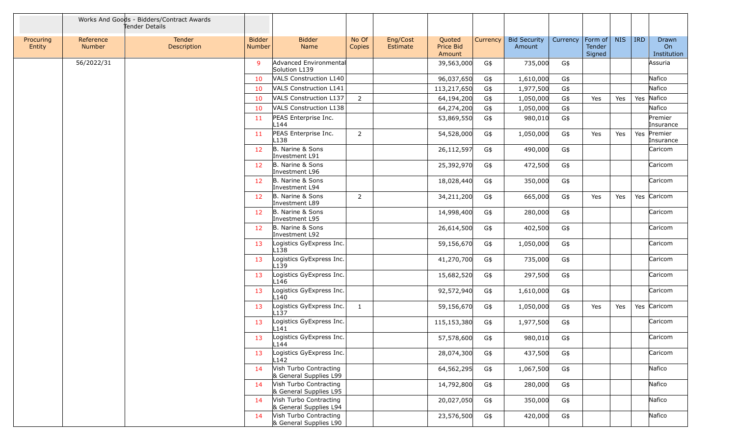|                     |                            | Works And Goods - Bidders/Contract Awards<br>Tender Details |                                |                                                  |                 |                      |                               |          |                               |          |                                     |            |            |                            |
|---------------------|----------------------------|-------------------------------------------------------------|--------------------------------|--------------------------------------------------|-----------------|----------------------|-------------------------------|----------|-------------------------------|----------|-------------------------------------|------------|------------|----------------------------|
| Procuring<br>Entity | Reference<br><b>Number</b> | Tender<br>Description                                       | <b>Bidder</b><br><b>Number</b> | <b>Bidder</b><br>Name                            | No Of<br>Copies | Eng/Cost<br>Estimate | Quoted<br>Price Bid<br>Amount | Currency | <b>Bid Security</b><br>Amount | Currency | Form of $\vert$<br>Tender<br>Signed | <b>NIS</b> | <b>IRD</b> | Drawn<br>On<br>Institution |
|                     | 56/2022/31                 |                                                             | 9                              | Advanced Environmental<br>Solution L139          |                 |                      | 39,563,000                    | G\$      | 735,000                       | G\$      |                                     |            |            | Assuria                    |
|                     |                            |                                                             | 10                             | VALS Construction L140                           |                 |                      | 96,037,650                    | G\$      | 1,610,000                     | G\$      |                                     |            |            | Nafico                     |
|                     |                            |                                                             | 10                             | <b>VALS Construction L141</b>                    |                 |                      | 113,217,650                   | G\$      | 1,977,500                     | G\$      |                                     |            |            | Nafico                     |
|                     |                            |                                                             | 10                             | VALS Construction L137                           | $\overline{2}$  |                      | 64,194,200                    | G\$      | 1,050,000                     | G\$      | Yes                                 | Yes        | Yes        | Nafico                     |
|                     |                            |                                                             | 10                             | VALS Construction L138                           |                 |                      | 64,274,200                    | G\$      | 1,050,000                     | G\$      |                                     |            |            | Nafico                     |
|                     |                            |                                                             | 11                             | PEAS Enterprise Inc.<br>L144                     |                 |                      | 53,869,550                    | G\$      | 980,010                       | G\$      |                                     |            |            | Premier<br>Insurance       |
|                     |                            |                                                             | 11                             | PEAS Enterprise Inc.<br>L <sub>138</sub>         | $\overline{2}$  |                      | 54,528,000                    | G\$      | 1,050,000                     | G\$      | Yes                                 | Yes        | Yes        | Premier<br>Insurance       |
|                     |                            |                                                             | 12                             | B. Narine & Sons<br>Investment L91               |                 |                      | 26,112,597                    | G\$      | 490,000                       | G\$      |                                     |            |            | Caricom                    |
|                     |                            |                                                             | 12                             | B. Narine & Sons<br>Investment L96               |                 |                      | 25,392,970                    | G\$      | 472,500                       | G\$      |                                     |            |            | Caricom                    |
|                     |                            |                                                             | 12                             | B. Narine & Sons<br>Investment L94               |                 |                      | 18,028,440                    | G\$      | 350,000                       | G\$      |                                     |            |            | Caricom                    |
|                     |                            |                                                             | 12 <sup>2</sup>                | B. Narine & Sons<br>Investment L89               | $\overline{2}$  |                      | 34,211,200                    | G\$      | 665,000                       | G\$      | Yes                                 | Yes        |            | Yes Caricom                |
|                     |                            |                                                             | 12                             | B. Narine & Sons<br>Investment L95               |                 |                      | 14,998,400                    | G\$      | 280,000                       | G\$      |                                     |            |            | Caricom                    |
|                     |                            |                                                             | 12                             | B. Narine & Sons<br>Investment L92               |                 |                      | 26,614,500                    | G\$      | 402,500                       | G\$      |                                     |            |            | Caricom                    |
|                     |                            |                                                             | 13                             | Logistics GyExpress Inc.<br>L138                 |                 |                      | 59,156,670                    | G\$      | 1,050,000                     | G\$      |                                     |            |            | Caricom                    |
|                     |                            |                                                             | 13                             | Logistics GyExpress Inc.<br>L <sub>139</sub>     |                 |                      | 41,270,700                    | G\$      | 735,000                       | G\$      |                                     |            |            | Caricom                    |
|                     |                            |                                                             | 13                             | Logistics GyExpress Inc.<br>L146                 |                 |                      | 15,682,520                    | G\$      | 297,500                       | G\$      |                                     |            |            | Caricom                    |
|                     |                            |                                                             | 13                             | Logistics GyExpress Inc.<br>L140                 |                 |                      | 92,572,940                    | G\$      | 1,610,000                     | G\$      |                                     |            |            | Caricom                    |
|                     |                            |                                                             | 13                             | Logistics GyExpress Inc.<br>L <sub>137</sub>     | $\mathbf{1}$    |                      | 59,156,670                    | G\$      | 1,050,000                     | G\$      | Yes                                 | Yes        |            | Yes Caricom                |
|                     |                            |                                                             | 13                             | Logistics GyExpress Inc.<br>L141                 |                 |                      | 115,153,380                   | G\$      | 1,977,500                     | G\$      |                                     |            |            | Caricom                    |
|                     |                            |                                                             | 13                             | Logistics GyExpress Inc.<br>L144                 |                 |                      | 57,578,600                    | G\$      | 980,010                       | G\$      |                                     |            |            | Caricom                    |
|                     |                            |                                                             | 13                             | Logistics GyExpress Inc.<br>L142                 |                 |                      | 28,074,300                    | G\$      | 437,500                       | G\$      |                                     |            |            | Caricom                    |
|                     |                            |                                                             | 14                             | Vish Turbo Contracting<br>& General Supplies L99 |                 |                      | 64,562,295                    | G\$      | 1,067,500                     | G\$      |                                     |            |            | Nafico                     |
|                     |                            |                                                             | 14                             | Vish Turbo Contracting<br>& General Supplies L95 |                 |                      | 14,792,800                    | G\$      | 280,000                       | G\$      |                                     |            |            | Nafico                     |
|                     |                            |                                                             | 14                             | Vish Turbo Contracting<br>& General Supplies L94 |                 |                      | 20,027,050                    | G\$      | 350,000                       | G\$      |                                     |            |            | Nafico                     |
|                     |                            |                                                             | 14                             | Vish Turbo Contracting<br>& General Supplies L90 |                 |                      | 23,576,500                    | G\$      | 420,000                       | G\$      |                                     |            |            | Nafico                     |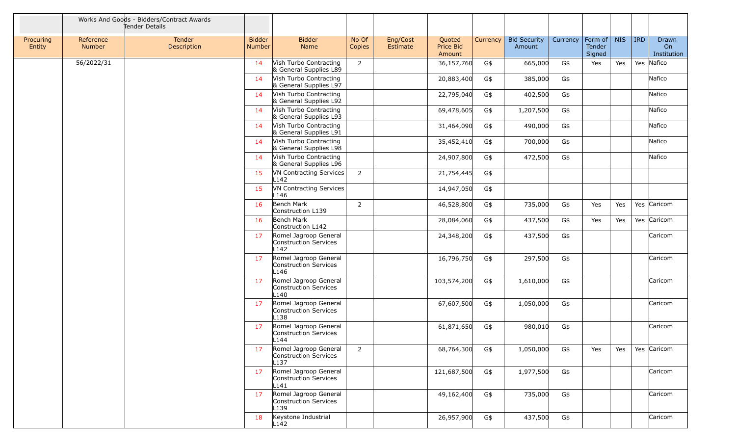|                     |                     | Works And Goods - Bidders/Contract Awards<br>Tender Details |                         |                                                                    |                 |                      |                               |          |                               |          |                             |            |            |                            |
|---------------------|---------------------|-------------------------------------------------------------|-------------------------|--------------------------------------------------------------------|-----------------|----------------------|-------------------------------|----------|-------------------------------|----------|-----------------------------|------------|------------|----------------------------|
| Procuring<br>Entity | Reference<br>Number | Tender<br>Description                                       | <b>Bidder</b><br>Number | <b>Bidder</b><br>Name                                              | No Of<br>Copies | Eng/Cost<br>Estimate | Quoted<br>Price Bid<br>Amount | Currency | <b>Bid Security</b><br>Amount | Currency | Form of<br>Tender<br>Signed | <b>NIS</b> | <b>IRD</b> | Drawn<br>On<br>Institution |
|                     | 56/2022/31          |                                                             | 14                      | Vish Turbo Contracting<br>& General Supplies L89                   | 2               |                      | 36,157,760                    | G\$      | 665,000                       | G\$      | Yes                         | Yes        |            | Yes Nafico                 |
|                     |                     |                                                             | 14                      | Vish Turbo Contracting<br>& General Supplies L97                   |                 |                      | 20,883,400                    | G\$      | 385,000                       | G\$      |                             |            |            | Nafico                     |
|                     |                     |                                                             | 14                      | Vish Turbo Contracting<br>& General Supplies L92                   |                 |                      | 22,795,040                    | G\$      | 402,500                       | G\$      |                             |            |            | Nafico                     |
|                     |                     |                                                             | 14                      | Vish Turbo Contracting<br>& General Supplies L93                   |                 |                      | 69,478,605                    | G\$      | 1,207,500                     | G\$      |                             |            |            | Nafico                     |
|                     |                     |                                                             | 14                      | Vish Turbo Contracting<br>& General Supplies L91                   |                 |                      | 31,464,090                    | G\$      | 490,000                       | G\$      |                             |            |            | Nafico                     |
|                     |                     |                                                             | 14                      | Vish Turbo Contracting<br>& General Supplies L98                   |                 |                      | 35,452,410                    | G\$      | 700,000                       | G\$      |                             |            |            | Nafico                     |
|                     |                     |                                                             | 14                      | Vish Turbo Contracting<br>& General Supplies L96                   |                 |                      | 24,907,800                    | G\$      | 472,500                       | G\$      |                             |            |            | Nafico                     |
|                     |                     |                                                             | 15                      | VN Contracting Services<br>L <sub>142</sub>                        | $\overline{2}$  |                      | 21,754,445                    | G\$      |                               |          |                             |            |            |                            |
|                     |                     |                                                             | 15                      | VN Contracting Services<br>L146                                    |                 |                      | 14,947,050                    | G\$      |                               |          |                             |            |            |                            |
|                     |                     |                                                             | 16                      | Bench Mark<br>Construction L139                                    | $\overline{2}$  |                      | 46,528,800                    | G\$      | 735,000                       | G\$      | Yes                         | Yes        |            | Yes Caricom                |
|                     |                     |                                                             | 16                      | Bench Mark<br>Construction L142                                    |                 |                      | 28,084,060                    | G\$      | 437,500                       | G\$      | Yes                         | Yes        |            | Yes Caricom                |
|                     |                     |                                                             | 17                      | Romel Jagroop General<br>Construction Services<br>L <sub>142</sub> |                 |                      | 24,348,200                    | G\$      | 437,500                       | G\$      |                             |            |            | Caricom                    |
|                     |                     |                                                             | 17                      | Romel Jagroop General<br>Construction Services<br>L146             |                 |                      | 16,796,750                    | G\$      | 297,500                       | G\$      |                             |            |            | Caricom                    |
|                     |                     |                                                             | 17                      | Romel Jagroop General<br>Construction Services<br>L <sub>140</sub> |                 |                      | 103,574,200                   | G\$      | 1,610,000                     | G\$      |                             |            |            | Caricom                    |
|                     |                     |                                                             | 17                      | Romel Jagroop General<br>Construction Services<br>L138             |                 |                      | 67,607,500                    | G\$      | 1,050,000                     | G\$      |                             |            |            | Caricom                    |
|                     |                     |                                                             | 17                      | Romel Jagroop General<br>Construction Services<br>L144             |                 |                      | 61,871,650                    | G\$      | 980,010                       | G\$      |                             |            |            | Caricom                    |
|                     |                     |                                                             | 17                      | Romel Jagroop General<br>Construction Services<br>L137             | $\overline{2}$  |                      | 68,764,300                    | G\$      | 1,050,000                     | G\$      | Yes                         | Yes        |            | Yes Caricom                |
|                     |                     |                                                             | 17                      | Romel Jagroop General<br>Construction Services<br>L141             |                 |                      | 121,687,500                   | G\$      | 1,977,500                     | G\$      |                             |            |            | Caricom                    |
|                     |                     |                                                             | 17                      | Romel Jagroop General<br>Construction Services<br>L139             |                 |                      | 49,162,400                    | G\$      | 735,000                       | G\$      |                             |            |            | Caricom                    |
|                     |                     |                                                             | 18                      | Keystone Industrial<br>L142                                        |                 |                      | 26,957,900                    | G\$      | 437,500                       | G\$      |                             |            |            | Caricom                    |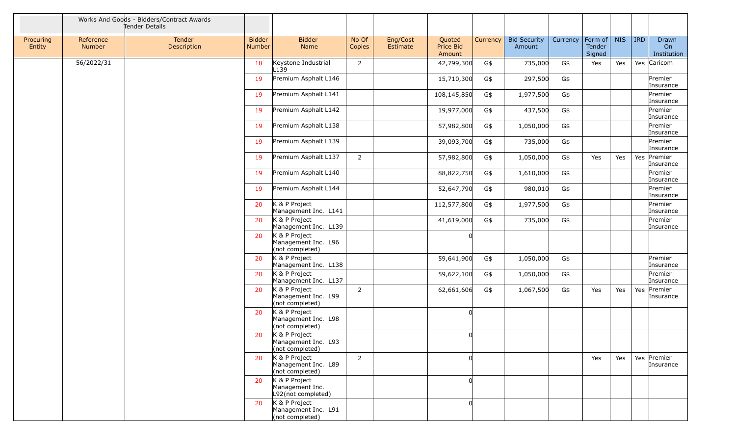|                     |                     | Works And Goods - Bidders/Contract Awards<br>Tender Details |                         |                                                         |                 |                      |                               |          |                               |          |                             |            |     |                            |
|---------------------|---------------------|-------------------------------------------------------------|-------------------------|---------------------------------------------------------|-----------------|----------------------|-------------------------------|----------|-------------------------------|----------|-----------------------------|------------|-----|----------------------------|
| Procuring<br>Entity | Reference<br>Number | Tender<br>Description                                       | <b>Bidder</b><br>Number | <b>Bidder</b><br>Name                                   | No Of<br>Copies | Eng/Cost<br>Estimate | Quoted<br>Price Bid<br>Amount | Currency | <b>Bid Security</b><br>Amount | Currency | Form of<br>Tender<br>Signed | <b>NIS</b> | IRD | Drawn<br>On<br>Institution |
|                     | 56/2022/31          |                                                             | 18                      | Keystone Industrial<br>L <sub>139</sub>                 | $\overline{2}$  |                      | 42,799,300                    | G\$      | 735,000                       | G\$      | Yes                         | Yes        |     | Yes Caricom                |
|                     |                     |                                                             | 19                      | Premium Asphalt L146                                    |                 |                      | 15,710,300                    | G\$      | 297,500                       | G\$      |                             |            |     | Premier<br>Insurance       |
|                     |                     |                                                             | 19                      | Premium Asphalt L141                                    |                 |                      | 108,145,850                   | G\$      | 1,977,500                     | G\$      |                             |            |     | Premier<br>Insurance       |
|                     |                     |                                                             | 19                      | Premium Asphalt L142                                    |                 |                      | 19,977,000                    | G\$      | 437,500                       | G\$      |                             |            |     | Premier<br>Insurance       |
|                     |                     |                                                             | 19                      | Premium Asphalt L138                                    |                 |                      | 57,982,800                    | G\$      | 1,050,000                     | G\$      |                             |            |     | Premier<br>Insurance       |
|                     |                     |                                                             | 19                      | Premium Asphalt L139                                    |                 |                      | 39,093,700                    | G\$      | 735,000                       | G\$      |                             |            |     | Premier<br>Insurance       |
|                     |                     |                                                             | 19                      | Premium Asphalt L137                                    | $\overline{2}$  |                      | 57,982,800                    | G\$      | 1,050,000                     | G\$      | Yes                         | Yes        |     | Yes Premier<br>Insurance   |
|                     |                     |                                                             | 19                      | Premium Asphalt L140                                    |                 |                      | 88,822,750                    | G\$      | 1,610,000                     | G\$      |                             |            |     | Premier<br>Insurance       |
|                     |                     |                                                             | 19                      | Premium Asphalt L144                                    |                 |                      | 52,647,790                    | G\$      | 980,010                       | G\$      |                             |            |     | Premier<br>Insurance       |
|                     |                     |                                                             | 20                      | K & P Project<br>Management Inc. L141                   |                 |                      | 112,577,800                   | G\$      | 1,977,500                     | G\$      |                             |            |     | Premier<br>Insurance       |
|                     |                     |                                                             | 20                      | K & P Project<br>Management Inc. L139                   |                 |                      | 41,619,000                    | G\$      | 735,000                       | G\$      |                             |            |     | Premier<br>Insurance       |
|                     |                     |                                                             | 20                      | K & P Project<br>Management Inc. L96<br>(not completed) |                 |                      | <sup>0</sup>                  |          |                               |          |                             |            |     |                            |
|                     |                     |                                                             | 20                      | K & P Project<br>Management Inc. L138                   |                 |                      | 59,641,900                    | G\$      | 1,050,000                     | G\$      |                             |            |     | Premier<br>Insurance       |
|                     |                     |                                                             | 20                      | K & P Project<br>Management Inc. L137                   |                 |                      | 59,622,100                    | G\$      | 1,050,000                     | G\$      |                             |            |     | Premier<br>Insurance       |
|                     |                     |                                                             | 20                      | K & P Project<br>Management Inc. L99<br>(not completed) | $\overline{2}$  |                      | 62,661,606                    | G\$      | 1,067,500                     | G\$      | Yes                         | Yes        | Yes | Premier<br>Insurance       |
|                     |                     |                                                             | 20                      | K & P Project<br>Management Inc. L98<br>(not completed) |                 |                      | 0                             |          |                               |          |                             |            |     |                            |
|                     |                     |                                                             | 20                      | K & P Project<br>Management Inc. L93<br>(not completed) |                 |                      | <sup>0</sup>                  |          |                               |          |                             |            |     |                            |
|                     |                     |                                                             | 20                      | K & P Project<br>Management Inc. L89<br>(not completed) | $2^{\circ}$     |                      | <sup>n</sup>                  |          |                               |          | Yes                         | Yes        |     | Yes Premier<br>Insurance   |
|                     |                     |                                                             | 20                      | K & P Project<br>Management Inc.<br>L92(not completed)  |                 |                      | 0l                            |          |                               |          |                             |            |     |                            |
|                     |                     |                                                             | 20                      | K & P Project<br>Management Inc. L91<br>(not completed) |                 |                      | $\Omega$                      |          |                               |          |                             |            |     |                            |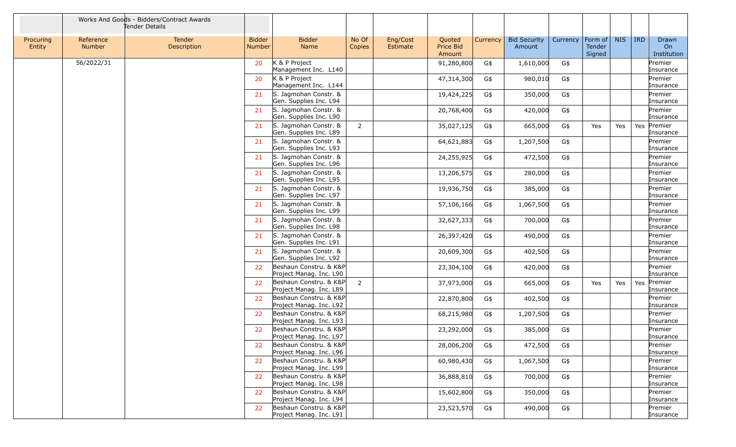|                     |                            | Works And Goods - Bidders/Contract Awards<br>Tender Details |                         |                                                   |                 |                      |                               |          |                               |          |                                            |            |            |                                        |
|---------------------|----------------------------|-------------------------------------------------------------|-------------------------|---------------------------------------------------|-----------------|----------------------|-------------------------------|----------|-------------------------------|----------|--------------------------------------------|------------|------------|----------------------------------------|
| Procuring<br>Entity | Reference<br><b>Number</b> | Tender<br>Description                                       | <b>Bidder</b><br>Number | <b>Bidder</b><br>Name                             | No Of<br>Copies | Eng/Cost<br>Estimate | Quoted<br>Price Bid<br>Amount | Currency | <b>Bid Security</b><br>Amount | Currency | $ $ Form of $ $<br><b>Tender</b><br>Signed | <b>NIS</b> | <b>IRD</b> | Drawn<br>O <sub>n</sub><br>Institution |
|                     | 56/2022/31                 |                                                             | 20                      | K & P Project<br>Management Inc. L140             |                 |                      | 91,280,800                    | G\$      | 1,610,000                     | G\$      |                                            |            |            | Premier<br>Insurance                   |
|                     |                            |                                                             | 20                      | K & P Project<br>Management Inc. L144             |                 |                      | 47,314,300                    | G\$      | 980,010                       | G\$      |                                            |            |            | Premier<br>Insurance                   |
|                     |                            |                                                             | 21                      | S. Jagmohan Constr. &<br>Gen. Supplies Inc. L94   |                 |                      | 19,424,225                    | G\$      | 350,000                       | G\$      |                                            |            |            | Premier<br>Insurance                   |
|                     |                            |                                                             | 21                      | S. Jagmohan Constr. &<br>Gen. Supplies Inc. L90   |                 |                      | 20,768,400                    | G\$      | 420,000                       | G\$      |                                            |            |            | Premier<br>Insurance                   |
|                     |                            |                                                             | 21                      | S. Jagmohan Constr. &<br>Gen. Supplies Inc. L89   | $\overline{2}$  |                      | 35,027,125                    | G\$      | 665,000                       | G\$      | Yes                                        | Yes        | Yes        | Premier<br>Insurance                   |
|                     |                            |                                                             | 21                      | S. Jagmohan Constr. &<br>Gen. Supplies Inc. L93   |                 |                      | 64,621,883                    | G\$      | 1,207,500                     | G\$      |                                            |            |            | Premier<br>Insurance                   |
|                     |                            |                                                             | 21                      | S. Jagmohan Constr. &<br>Gen. Supplies Inc. L96   |                 |                      | 24,255,925                    | G\$      | 472,500                       | G\$      |                                            |            |            | Premier<br>Insurance                   |
|                     |                            |                                                             | 21                      | S. Jagmohan Constr. &<br>Gen. Supplies Inc. L95   |                 |                      | 13,206,575                    | G\$      | 280,000                       | G\$      |                                            |            |            | Premier<br>Insurance                   |
|                     |                            |                                                             | 21                      | S. Jagmohan Constr. &<br>Gen. Supplies Inc. L97   |                 |                      | 19,936,750                    | G\$      | 385,000                       | G\$      |                                            |            |            | Premier<br>Insurance                   |
|                     |                            |                                                             | 21                      | S. Jagmohan Constr. &<br>Gen. Supplies Inc. L99   |                 |                      | 57,106,166                    | G\$      | 1,067,500                     | G\$      |                                            |            |            | Premier<br>Insurance                   |
|                     |                            |                                                             | 21                      | S. Jagmohan Constr. &<br>Gen. Supplies Inc. L98   |                 |                      | 32,627,333                    | G\$      | 700,000                       | G\$      |                                            |            |            | Premier<br>Insurance                   |
|                     |                            |                                                             | 21                      | S. Jagmohan Constr. &<br>Gen. Supplies Inc. L91   |                 |                      | 26,397,420                    | G\$      | 490,000                       | G\$      |                                            |            |            | Premier<br>Insurance                   |
|                     |                            |                                                             | 21                      | S. Jagmohan Constr. &<br>Gen. Supplies Inc. L92   |                 |                      | 20,609,300                    | G\$      | 402,500                       | G\$      |                                            |            |            | Premier<br>Insurance                   |
|                     |                            |                                                             | 22                      | Beshaun Constru. & K&P<br>Project Manag. Inc. L90 |                 |                      | 23,304,100                    | G\$      | 420,000                       | G\$      |                                            |            |            | Premier<br>Insurance                   |
|                     |                            |                                                             | 22                      | Beshaun Constru. & K&P<br>Project Manag. Inc. L89 | $\overline{2}$  |                      | 37,973,000                    | G\$      | 665,000                       | G\$      | Yes                                        | Yes        | Yes        | Premier<br>Insurance                   |
|                     |                            |                                                             | 22                      | Beshaun Constru. & K&P<br>Project Manag. Inc. L92 |                 |                      | 22,870,800                    | G\$      | 402,500                       | G\$      |                                            |            |            | Premier<br>Insurance                   |
|                     |                            |                                                             | 22                      | Beshaun Constru. & K&P<br>Project Manag. Inc. L93 |                 |                      | 68,215,980                    | G\$      | 1,207,500                     | G\$      |                                            |            |            | Premier<br>Insurance                   |
|                     |                            |                                                             | 22                      | Beshaun Constru. & K&P<br>Project Manag. Inc. L97 |                 |                      | 23,292,000                    | G\$      | 385,000                       | G\$      |                                            |            |            | Premier<br>Insurance                   |
|                     |                            |                                                             | 22                      | Beshaun Constru. & K&P<br>Project Manag. Inc. L96 |                 |                      | 28,006,200                    | G\$      | 472,500                       | G\$      |                                            |            |            | Premier<br>Insurance                   |
|                     |                            |                                                             | 22                      | Beshaun Constru. & K&P<br>Project Manag. Inc. L99 |                 |                      | 60,980,430                    | G\$      | 1,067,500                     | G\$      |                                            |            |            | Premier<br>Insurance                   |
|                     |                            |                                                             | 22                      | Beshaun Constru. & K&P<br>Project Manag. Inc. L98 |                 |                      | 36,888,810                    | G\$      | 700,000                       | G\$      |                                            |            |            | Premier<br>Insurance                   |
|                     |                            |                                                             | 22                      | Beshaun Constru. & K&P<br>Project Manag. Inc. L94 |                 |                      | 15,602,800                    | G\$      | 350,000                       | G\$      |                                            |            |            | Premier<br>Insurance                   |
|                     |                            |                                                             | 22                      | Beshaun Constru. & K&P<br>Project Manag. Inc. L91 |                 |                      | 23,523,570                    | G\$      | 490,000                       | G\$      |                                            |            |            | Premier<br>Insurance                   |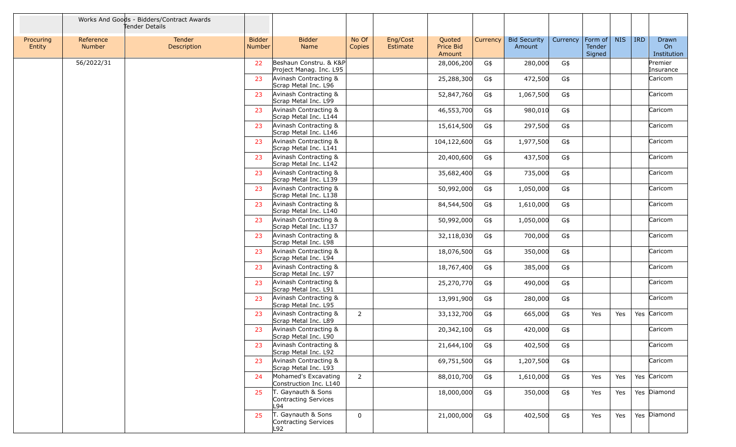|                     |                     | Works And Goods - Bidders/Contract Awards<br>Tender Details |                         |                                                   |                 |                      |                               |          |                               |          |                             |            |            |                            |
|---------------------|---------------------|-------------------------------------------------------------|-------------------------|---------------------------------------------------|-----------------|----------------------|-------------------------------|----------|-------------------------------|----------|-----------------------------|------------|------------|----------------------------|
| Procuring<br>Entity | Reference<br>Number | Tender<br>Description                                       | <b>Bidder</b><br>Number | <b>Bidder</b><br>Name                             | No Of<br>Copies | Eng/Cost<br>Estimate | Quoted<br>Price Bid<br>Amount | Currency | <b>Bid Security</b><br>Amount | Currency | Form of<br>Tender<br>Signed | <b>NIS</b> | <b>IRD</b> | Drawn<br>On<br>Institution |
|                     | 56/2022/31          |                                                             | 22                      | Beshaun Constru. & K&P<br>Project Manag. Inc. L95 |                 |                      | 28,006,200                    | G\$      | 280,000                       | G\$      |                             |            |            | Premier<br>Insurance       |
|                     |                     |                                                             | 23                      | Avinash Contracting &<br>Scrap Metal Inc. L96     |                 |                      | 25,288,300                    | G\$      | 472,500                       | G\$      |                             |            |            | Caricom                    |
|                     |                     |                                                             | 23                      | Avinash Contracting &<br>Scrap Metal Inc. L99     |                 |                      | 52,847,760                    | G\$      | 1,067,500                     | G\$      |                             |            |            | Caricom                    |
|                     |                     |                                                             | 23                      | Avinash Contracting &<br>Scrap Metal Inc. L144    |                 |                      | 46,553,700                    | G\$      | 980,010                       | G\$      |                             |            |            | Caricom                    |
|                     |                     |                                                             | 23                      | Avinash Contracting &<br>Scrap Metal Inc. L146    |                 |                      | 15,614,500                    | G\$      | 297,500                       | G\$      |                             |            |            | Caricom                    |
|                     |                     |                                                             | 23                      | Avinash Contracting &<br>Scrap Metal Inc. L141    |                 |                      | 104,122,600                   | G\$      | 1,977,500                     | G\$      |                             |            |            | Caricom                    |
|                     |                     |                                                             | 23                      | Avinash Contracting &<br>Scrap Metal Inc. L142    |                 |                      | 20,400,600                    | G\$      | 437,500                       | G\$      |                             |            |            | Caricom                    |
|                     |                     |                                                             | 23                      | Avinash Contracting &<br>Scrap Metal Inc. L139    |                 |                      | 35,682,400                    | G\$      | 735,000                       | G\$      |                             |            |            | Caricom                    |
|                     |                     |                                                             | 23                      | Avinash Contracting &<br>Scrap Metal Inc. L138    |                 |                      | 50,992,000                    | G\$      | 1,050,000                     | G\$      |                             |            |            | Caricom                    |
|                     |                     |                                                             | 23                      | Avinash Contracting &<br>Scrap Metal Inc. L140    |                 |                      | 84,544,500                    | G\$      | 1,610,000                     | G\$      |                             |            |            | Caricom                    |
|                     |                     |                                                             | 23                      | Avinash Contracting &<br>Scrap Metal Inc. L137    |                 |                      | 50,992,000                    | G\$      | 1,050,000                     | G\$      |                             |            |            | Caricom                    |
|                     |                     |                                                             | 23                      | Avinash Contracting &<br>Scrap Metal Inc. L98     |                 |                      | 32,118,030                    | G\$      | 700,000                       | G\$      |                             |            |            | Caricom                    |
|                     |                     |                                                             | 23                      | Avinash Contracting &<br>Scrap Metal Inc. L94     |                 |                      | 18,076,500                    | G\$      | 350,000                       | G\$      |                             |            |            | Caricom                    |
|                     |                     |                                                             | 23                      | Avinash Contracting &<br>Scrap Metal Inc. L97     |                 |                      | 18,767,400                    | G\$      | 385,000                       | G\$      |                             |            |            | Caricom                    |
|                     |                     |                                                             | 23                      | Avinash Contracting &<br>Scrap Metal Inc. L91     |                 |                      | 25,270,770                    | G\$      | 490,000                       | G\$      |                             |            |            | Caricom                    |
|                     |                     |                                                             | 23                      | Avinash Contracting &<br>Scrap Metal Inc. L95     |                 |                      | 13,991,900                    | G\$      | 280,000                       | G\$      |                             |            |            | Caricom                    |
|                     |                     |                                                             | 23                      | Avinash Contracting &<br>Scrap Metal Inc. L89     | $\overline{2}$  |                      | 33,132,700                    | G\$      | 665,000                       | G\$      | Yes                         | Yes        |            | Yes Caricom                |
|                     |                     |                                                             | 23                      | Avinash Contracting &<br>Scrap Metal Inc. L90     |                 |                      | 20,342,100                    | G\$      | 420,000                       | G\$      |                             |            |            | Caricom                    |
|                     |                     |                                                             | 23                      | Avinash Contracting &<br>Scrap Metal Inc. L92     |                 |                      | 21,644,100                    | G\$      | 402,500                       | G\$      |                             |            |            | Caricom                    |
|                     |                     |                                                             | 23                      | Avinash Contracting &<br>Scrap Metal Inc. L93     |                 |                      | 69,751,500                    | G\$      | 1,207,500                     | G\$      |                             |            |            | Caricom                    |
|                     |                     |                                                             | 24                      | Mohamed's Excavating<br>Construction Inc. L140    | $\overline{2}$  |                      | 88,010,700                    | G\$      | 1,610,000                     | G\$      | Yes                         | Yes        |            | Yes Caricom                |
|                     |                     |                                                             | 25                      | T. Gaynauth & Sons<br>Contracting Services<br>L94 |                 |                      | 18,000,000                    | G\$      | 350,000                       | G\$      | Yes                         | Yes        |            | Yes Diamond                |
|                     |                     |                                                             | 25                      | T. Gaynauth & Sons<br>Contracting Services<br>L92 | $\mathbf 0$     |                      | 21,000,000                    | G\$      | 402,500                       | G\$      | Yes                         | Yes        |            | Yes Diamond                |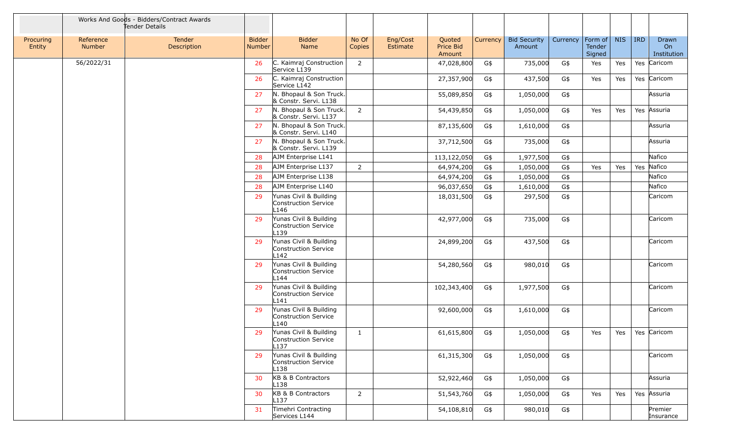|                     |                            | Works And Goods - Bidders/Contract Awards<br>Tender Details |                                |                                                                    |                 |                      |                               |          |                               |          |                             |            |         |                                        |
|---------------------|----------------------------|-------------------------------------------------------------|--------------------------------|--------------------------------------------------------------------|-----------------|----------------------|-------------------------------|----------|-------------------------------|----------|-----------------------------|------------|---------|----------------------------------------|
| Procuring<br>Entity | Reference<br><b>Number</b> | Tender<br>Description                                       | <b>Bidder</b><br><b>Number</b> | <b>Bidder</b><br>Name                                              | No Of<br>Copies | Eng/Cost<br>Estimate | Quoted<br>Price Bid<br>Amount | Currency | <b>Bid Security</b><br>Amount | Currency | Form of<br>Tender<br>Signed | <b>NIS</b> | $ $ IRD | Drawn<br>O <sub>n</sub><br>Institution |
|                     | 56/2022/31                 |                                                             | 26                             | C. Kaimraj Construction<br>Service L139                            | $\overline{2}$  |                      | 47,028,800                    | G\$      | 735,000                       | G\$      | Yes                         | Yes        |         | Yes Caricom                            |
|                     |                            |                                                             | 26                             | C. Kaimraj Construction<br>Service L142                            |                 |                      | 27,357,900                    | G\$      | 437,500                       | G\$      | Yes                         | Yes        |         | Yes Caricom                            |
|                     |                            |                                                             | 27                             | N. Bhopaul & Son Truck.<br>& Constr. Servi. L138                   |                 |                      | 55,089,850                    | G\$      | 1,050,000                     | G\$      |                             |            |         | Assuria                                |
|                     |                            |                                                             | 27                             | N. Bhopaul & Son Truck.<br>& Constr. Servi. L137                   | $\overline{2}$  |                      | 54,439,850                    | G\$      | 1,050,000                     | G\$      | Yes                         | Yes        |         | Yes Assuria                            |
|                     |                            |                                                             | 27                             | N. Bhopaul & Son Truck.<br>& Constr. Servi. L140                   |                 |                      | 87,135,600                    | G\$      | 1,610,000                     | G\$      |                             |            |         | Assuria                                |
|                     |                            |                                                             | 27                             | N. Bhopaul & Son Truck.<br>& Constr. Servi. L139                   |                 |                      | 37,712,500                    | G\$      | 735,000                       | G\$      |                             |            |         | Assuria                                |
|                     |                            |                                                             | 28                             | AJM Enterprise L141                                                |                 |                      | 113,122,050                   | G\$      | 1,977,500                     | G\$      |                             |            |         | Nafico                                 |
|                     |                            |                                                             | 28                             | AJM Enterprise L137                                                | $\overline{2}$  |                      | 64,974,200                    | G\$      | 1,050,000                     | G\$      | Yes                         | Yes        |         | Yes Nafico                             |
|                     |                            |                                                             | 28                             | AJM Enterprise L138                                                |                 |                      | 64,974,200                    | G\$      | 1,050,000                     | G\$      |                             |            |         | Nafico                                 |
|                     |                            |                                                             | 28                             | AJM Enterprise L140                                                |                 |                      | 96,037,650                    | G\$      | 1,610,000                     | G\$      |                             |            |         | Nafico                                 |
|                     |                            |                                                             | 29                             | Yunas Civil & Building<br>Construction Service<br>L146             |                 |                      | 18,031,500                    | G\$      | 297,500                       | G\$      |                             |            |         | Caricom                                |
|                     |                            |                                                             | 29                             | Yunas Civil & Building<br>Construction Service<br>L <sub>139</sub> |                 |                      | 42,977,000                    | G\$      | 735,000                       | G\$      |                             |            |         | Caricom                                |
|                     |                            |                                                             | 29                             | Yunas Civil & Building<br>Construction Service<br>L142             |                 |                      | 24,899,200                    | G\$      | 437,500                       | G\$      |                             |            |         | Caricom                                |
|                     |                            |                                                             | 29                             | Yunas Civil & Building<br>Construction Service<br>L144             |                 |                      | 54,280,560                    | G\$      | 980,010                       | G\$      |                             |            |         | Caricom                                |
|                     |                            |                                                             | 29                             | Yunas Civil & Building<br>Construction Service<br>L141             |                 |                      | 102,343,400                   | G\$      | 1,977,500                     | G\$      |                             |            |         | Caricom                                |
|                     |                            |                                                             | 29                             | Yunas Civil & Building<br>Construction Service<br>L140             |                 |                      | 92,600,000                    | G\$      | 1,610,000                     | G\$      |                             |            |         | Caricom                                |
|                     |                            |                                                             | 29                             | Yunas Civil & Building<br>Construction Service<br>L137             | $\mathbf{1}$    |                      | 61,615,800                    | G\$      | 1,050,000                     | G\$      | Yes                         | Yes        |         | Yes Caricom                            |
|                     |                            |                                                             | 29                             | Yunas Civil & Building<br>Construction Service<br>L138             |                 |                      | 61,315,300                    | G\$      | 1,050,000                     | G\$      |                             |            |         | Caricom                                |
|                     |                            |                                                             | 30                             | KB & B Contractors<br>L138                                         |                 |                      | 52,922,460                    | G\$      | 1,050,000                     | G\$      |                             |            |         | Assuria                                |
|                     |                            |                                                             | 30                             | KB & B Contractors<br>L <sub>137</sub>                             | $\overline{2}$  |                      | 51,543,760                    | G\$      | 1,050,000                     | G\$      | Yes                         | Yes        |         | Yes Assuria                            |
|                     |                            |                                                             | 31                             | Timehri Contracting<br>Services L144                               |                 |                      | 54,108,810                    | G\$      | 980,010                       | G\$      |                             |            |         | Premier<br>Insurance                   |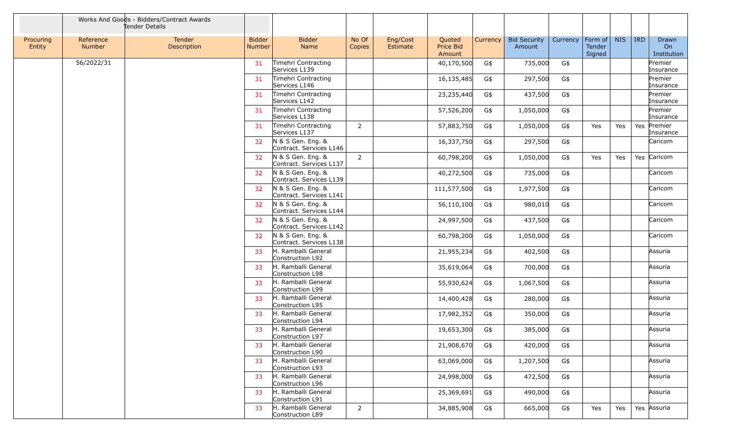|                     |                            | Works And Goods - Bidders/Contract Awards<br>Tender Details |                         |                                              |                 |                      |                               |          |                               |          |                             |            |            |                            |
|---------------------|----------------------------|-------------------------------------------------------------|-------------------------|----------------------------------------------|-----------------|----------------------|-------------------------------|----------|-------------------------------|----------|-----------------------------|------------|------------|----------------------------|
| Procuring<br>Entity | Reference<br><b>Number</b> | Tender<br>Description                                       | <b>Bidder</b><br>Number | <b>Bidder</b><br>Name                        | No Of<br>Copies | Eng/Cost<br>Estimate | Quoted<br>Price Bid<br>Amount | Currency | <b>Bid Security</b><br>Amount | Currency | Form of<br>Tender<br>Signed | <b>NIS</b> | <b>IRD</b> | Drawn<br>On<br>Institution |
|                     | 56/2022/31                 |                                                             | 31                      | Timehri Contracting<br>Services L139         |                 |                      | 40,170,500                    | G\$      | 735,000                       | G\$      |                             |            |            | Premier<br>Insurance       |
|                     |                            |                                                             | 31                      | Timehri Contracting<br>Services L146         |                 |                      | 16,135,485                    | G\$      | 297,500                       | G\$      |                             |            |            | Premier<br>Insurance       |
|                     |                            |                                                             | 31                      | Timehri Contracting<br>Services L142         |                 |                      | 23,235,440                    | G\$      | 437,500                       | G\$      |                             |            |            | Premier<br>Insurance       |
|                     |                            |                                                             | 31                      | Timehri Contracting<br>Services L138         |                 |                      | 57,526,200                    | G\$      | 1,050,000                     | G\$      |                             |            |            | Premier<br>Insurance       |
|                     |                            |                                                             | 31                      | Timehri Contracting<br>Services L137         | $\overline{2}$  |                      | 57,883,750                    | G\$      | 1,050,000                     | G\$      | Yes                         | Yes        | Yes        | Premier<br>Insurance       |
|                     |                            |                                                             | 32                      | N & S Gen. Eng. &<br>Contract. Services L146 |                 |                      | 16,337,750                    | G\$      | 297,500                       | G\$      |                             |            |            | Caricom                    |
|                     |                            |                                                             | 32 <sub>2</sub>         | N & S Gen. Eng. &<br>Contract. Services L137 | $\overline{2}$  |                      | 60,798,200                    | G\$      | 1,050,000                     | G\$      | Yes                         | Yes        |            | Yes Caricom                |
|                     |                            |                                                             | 32                      | N & S Gen. Eng. &<br>Contract. Services L139 |                 |                      | 40,272,500                    | G\$      | 735,000                       | G\$      |                             |            |            | Caricom                    |
|                     |                            |                                                             | 32                      | N & S Gen. Eng. &<br>Contract. Services L141 |                 |                      | 111,577,500                   | G\$      | 1,977,500                     | G\$      |                             |            |            | Caricom                    |
|                     |                            |                                                             | 32 <sub>2</sub>         | N & S Gen. Eng. &<br>Contract. Services L144 |                 |                      | 56,110,100                    | G\$      | 980,010                       | G\$      |                             |            |            | Caricom                    |
|                     |                            |                                                             | 32                      | N & S Gen. Eng. &<br>Contract. Services L142 |                 |                      | 24,997,500                    | G\$      | 437,500                       | G\$      |                             |            |            | Caricom                    |
|                     |                            |                                                             | 32                      | N & S Gen. Eng. &<br>Contract. Services L138 |                 |                      | 60,798,200                    | G\$      | 1,050,000                     | G\$      |                             |            |            | Caricom                    |
|                     |                            |                                                             | 33                      | H. Ramballi General<br>Construction L92      |                 |                      | 21,955,234                    | G\$      | 402,500                       | G\$      |                             |            |            | Assuria                    |
|                     |                            |                                                             | 33                      | H. Ramballi General<br>Construction L98      |                 |                      | 35,619,064                    | G\$      | 700,000                       | G\$      |                             |            |            | Assuria                    |
|                     |                            |                                                             | 33                      | H. Ramballi General<br>Construction L99      |                 |                      | 55,930,624                    | G\$      | 1,067,500                     | G\$      |                             |            |            | Assuria                    |
|                     |                            |                                                             | 33                      | H. Ramballi General<br>Construction L95      |                 |                      | 14,400,428                    | G\$      | 280,000                       | G\$      |                             |            |            | Assuria                    |
|                     |                            |                                                             | 33                      | H. Ramballi General<br>Construction L94      |                 |                      | 17,982,352                    | G\$      | 350,000                       | G\$      |                             |            |            | Assuria                    |
|                     |                            |                                                             | 33                      | H. Ramballi General<br>Construction L97      |                 |                      | 19,653,300                    | G\$      | 385,000                       | G\$      |                             |            |            | Assuria                    |
|                     |                            |                                                             | 33                      | H. Ramballi General<br>Construction L90      |                 |                      | 21,908,670                    | G\$      | 420,000                       | G\$      |                             |            |            | Assuria                    |
|                     |                            |                                                             | 33                      | H. Ramballi General<br>Construction L93      |                 |                      | 63,069,000                    | G\$      | 1,207,500                     | G\$      |                             |            |            | Assuria                    |
|                     |                            |                                                             | 33                      | H. Ramballi General<br>Construction L96      |                 |                      | 24,998,000                    | G\$      | 472,500                       | G\$      |                             |            |            | Assuria                    |
|                     |                            |                                                             | 33                      | H. Ramballi General<br>Construction L91      |                 |                      | 25,369,691                    | G\$      | 490,000                       | G\$      |                             |            |            | Assuria                    |
|                     |                            |                                                             | 33                      | H. Ramballi General<br>Construction L89      | $\overline{2}$  |                      | 34,885,908                    | G\$      | 665,000                       | G\$      | Yes                         | Yes        |            | Yes Assuria                |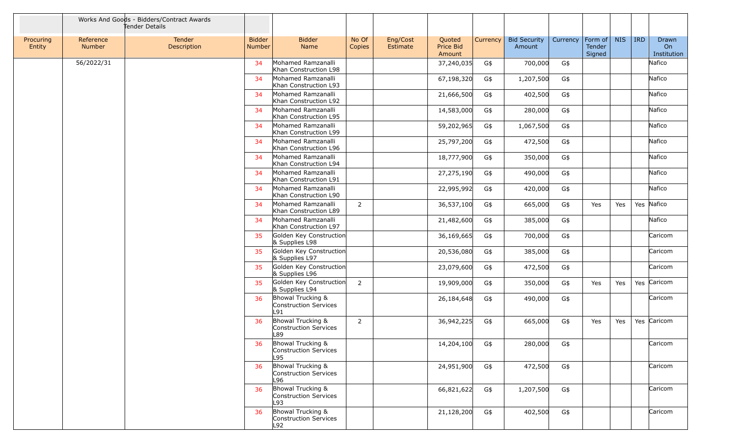|                     |                     | Works And Goods - Bidders/Contract Awards<br>Tender Details |                                |                                                   |                 |                      |                               |          |                               |          |                             |            |            |                            |
|---------------------|---------------------|-------------------------------------------------------------|--------------------------------|---------------------------------------------------|-----------------|----------------------|-------------------------------|----------|-------------------------------|----------|-----------------------------|------------|------------|----------------------------|
| Procuring<br>Entity | Reference<br>Number | <b>Tender</b><br>Description                                | <b>Bidder</b><br><b>Number</b> | <b>Bidder</b><br>Name                             | No Of<br>Copies | Eng/Cost<br>Estimate | Quoted<br>Price Bid<br>Amount | Currency | <b>Bid Security</b><br>Amount | Currency | Form of<br>Tender<br>Signed | <b>NIS</b> | <b>IRD</b> | Drawn<br>On<br>Institution |
|                     | 56/2022/31          |                                                             | 34                             | Mohamed Ramzanalli<br>Khan Construction L98       |                 |                      | 37,240,035                    | G\$      | 700,000                       | G\$      |                             |            |            | Nafico                     |
|                     |                     |                                                             | 34                             | Mohamed Ramzanalli<br>Khan Construction L93       |                 |                      | 67,198,320                    | G\$      | 1,207,500                     | G\$      |                             |            |            | Nafico                     |
|                     |                     |                                                             | 34                             | Mohamed Ramzanalli<br>Khan Construction L92       |                 |                      | 21,666,500                    | G\$      | 402,500                       | G\$      |                             |            |            | Nafico                     |
|                     |                     |                                                             | 34                             | Mohamed Ramzanalli<br>Khan Construction L95       |                 |                      | 14,583,000                    | G\$      | 280,000                       | G\$      |                             |            |            | Nafico                     |
|                     |                     |                                                             | 34                             | Mohamed Ramzanalli<br>Khan Construction L99       |                 |                      | 59,202,965                    | G\$      | 1,067,500                     | G\$      |                             |            |            | Nafico                     |
|                     |                     |                                                             | 34                             | Mohamed Ramzanalli<br>Khan Construction L96       |                 |                      | 25,797,200                    | G\$      | 472,500                       | G\$      |                             |            |            | Nafico                     |
|                     |                     |                                                             | 34                             | Mohamed Ramzanalli<br>Khan Construction L94       |                 |                      | 18,777,900                    | G\$      | 350,000                       | G\$      |                             |            |            | Nafico                     |
|                     |                     |                                                             | 34                             | Mohamed Ramzanalli<br>Khan Construction L91       |                 |                      | 27,275,190                    | G\$      | 490,000                       | G\$      |                             |            |            | Nafico                     |
|                     |                     |                                                             | 34                             | Mohamed Ramzanalli<br>Khan Construction L90       |                 |                      | 22,995,992                    | G\$      | 420,000                       | G\$      |                             |            |            | Nafico                     |
|                     |                     |                                                             | 34                             | Mohamed Ramzanalli<br>Khan Construction L89       | $\overline{2}$  |                      | 36,537,100                    | G\$      | 665,000                       | G\$      | Yes                         | Yes        | Yes Nafico |                            |
|                     |                     |                                                             | 34                             | Mohamed Ramzanalli<br>Khan Construction L97       |                 |                      | 21,482,600                    | G\$      | 385,000                       | G\$      |                             |            |            | Nafico                     |
|                     |                     |                                                             | 35                             | Golden Key Construction<br>& Supplies L98         |                 |                      | 36,169,665                    | G\$      | 700,000                       | G\$      |                             |            |            | Caricom                    |
|                     |                     |                                                             | 35                             | Golden Key Construction<br>& Supplies L97         |                 |                      | 20,536,080                    | G\$      | 385,000                       | G\$      |                             |            |            | Caricom                    |
|                     |                     |                                                             | 35                             | Golden Key Construction<br>& Supplies L96         |                 |                      | 23,079,600                    | G\$      | 472,500                       | G\$      |                             |            |            | Caricom                    |
|                     |                     |                                                             | 35                             | Golden Key Construction<br>& Supplies L94         | $\overline{2}$  |                      | 19,909,000                    | G\$      | 350,000                       | G\$      | Yes                         | Yes        |            | Yes Caricom                |
|                     |                     |                                                             | 36                             | Bhowal Trucking &<br>Construction Services<br>L91 |                 |                      | 26,184,648                    | G\$      | 490,000                       | G\$      |                             |            |            | Caricom                    |
|                     |                     |                                                             | 36                             | Bhowal Trucking &<br>Construction Services<br>L89 | $\overline{2}$  |                      | 36,942,225                    | G\$      | 665,000                       | G\$      | Yes                         | Yes        |            | Yes Caricom                |
|                     |                     |                                                             | 36                             | Bhowal Trucking &<br>Construction Services<br>L95 |                 |                      | 14,204,100                    | G\$      | 280,000                       | G\$      |                             |            |            | Caricom                    |
|                     |                     |                                                             | 36                             | Bhowal Trucking &<br>Construction Services<br>L96 |                 |                      | 24,951,900                    | G\$      | 472,500                       | G\$      |                             |            |            | Caricom                    |
|                     |                     |                                                             | 36                             | Bhowal Trucking &<br>Construction Services<br>L93 |                 |                      | 66,821,622                    | G\$      | 1,207,500                     | G\$      |                             |            |            | Caricom                    |
|                     |                     |                                                             | 36                             | Bhowal Trucking &<br>Construction Services<br>L92 |                 |                      | 21,128,200                    | G\$      | 402,500                       | G\$      |                             |            |            | Caricom                    |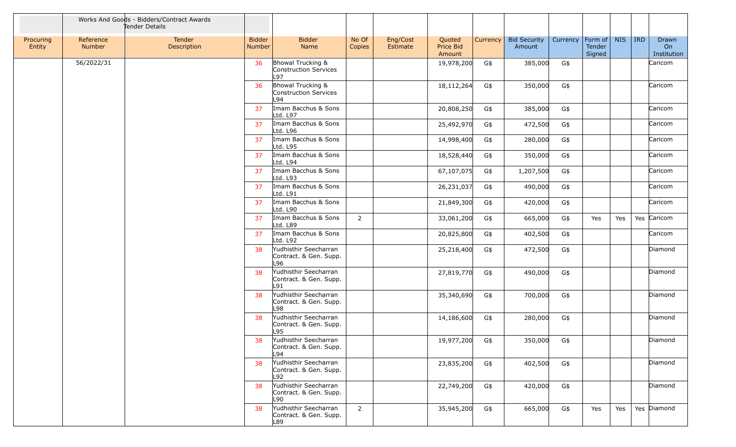|                     |                     | Works And Goods - Bidders/Contract Awards<br>Tender Details |                         |                                                        |                 |                      |                               |          |                               |          |                                     |            |            |                            |
|---------------------|---------------------|-------------------------------------------------------------|-------------------------|--------------------------------------------------------|-----------------|----------------------|-------------------------------|----------|-------------------------------|----------|-------------------------------------|------------|------------|----------------------------|
| Procuring<br>Entity | Reference<br>Number | Tender<br>Description                                       | <b>Bidder</b><br>Number | <b>Bidder</b><br>Name                                  | No Of<br>Copies | Eng/Cost<br>Estimate | Quoted<br>Price Bid<br>Amount | Currency | <b>Bid Security</b><br>Amount | Currency | Form of $\vert$<br>Tender<br>Signed | <b>NIS</b> | <b>IRD</b> | Drawn<br>On<br>Institution |
|                     | 56/2022/31          |                                                             | 36                      | Bhowal Trucking &<br>Construction Services<br>L97      |                 |                      | 19,978,200                    | G\$      | 385,000                       | G\$      |                                     |            |            | Caricom                    |
|                     |                     |                                                             | 36                      | Bhowal Trucking &<br>Construction Services<br>L94      |                 |                      | 18,112,264                    | G\$      | 350,000                       | G\$      |                                     |            |            | Caricom                    |
|                     |                     |                                                             | 37                      | Imam Bacchus & Sons<br>Ltd. L97                        |                 |                      | 20,808,250                    | G\$      | 385,000                       | G\$      |                                     |            |            | Caricom                    |
|                     |                     |                                                             | 37                      | Imam Bacchus & Sons<br>Ltd. L96                        |                 |                      | 25,492,970                    | G\$      | 472,500                       | G\$      |                                     |            |            | Caricom                    |
|                     |                     |                                                             | 37                      | Imam Bacchus & Sons<br>Ltd. L95                        |                 |                      | 14,998,400                    | G\$      | 280,000                       | G\$      |                                     |            |            | Caricom                    |
|                     |                     |                                                             | 37                      | Imam Bacchus & Sons<br>Ltd. L94                        |                 |                      | 18,528,440                    | G\$      | 350,000                       | G\$      |                                     |            |            | Caricom                    |
|                     |                     |                                                             | 37                      | Imam Bacchus & Sons<br>Ltd. L93                        |                 |                      | 67,107,075                    | G\$      | 1,207,500                     | G\$      |                                     |            |            | Caricom                    |
|                     |                     |                                                             | 37                      | Imam Bacchus & Sons<br>Ltd. L91                        |                 |                      | 26,231,037                    | G\$      | 490,000                       | G\$      |                                     |            |            | Caricom                    |
|                     |                     |                                                             | 37                      | Imam Bacchus & Sons<br>Ltd. L90                        |                 |                      | 21,849,300                    | G\$      | 420,000                       | G\$      |                                     |            |            | Caricom                    |
|                     |                     |                                                             | 37                      | Imam Bacchus & Sons<br>Ltd. L89                        | $\overline{2}$  |                      | 33,061,200                    | G\$      | 665,000                       | G\$      | Yes                                 | Yes        |            | Yes Caricom                |
|                     |                     |                                                             | 37                      | Imam Bacchus & Sons<br>Ltd. L92                        |                 |                      | 20,825,800                    | G\$      | 402,500                       | G\$      |                                     |            |            | Caricom                    |
|                     |                     |                                                             | 38                      | Yudhisthir Seecharran<br>Contract. & Gen. Supp.<br>L96 |                 |                      | 25,218,400                    | G\$      | 472,500                       | G\$      |                                     |            |            | Diamond                    |
|                     |                     |                                                             | 38                      | Yudhisthir Seecharran<br>Contract. & Gen. Supp.<br>L91 |                 |                      | 27,819,770                    | G\$      | 490,000                       | G\$      |                                     |            |            | Diamond                    |
|                     |                     |                                                             | 38                      | Yudhisthir Seecharran<br>Contract. & Gen. Supp.<br>L98 |                 |                      | 35,340,690                    | G\$      | 700,000                       | G\$      |                                     |            |            | Diamond                    |
|                     |                     |                                                             | 38                      | Yudhisthir Seecharran<br>Contract. & Gen. Supp.<br>L95 |                 |                      | 14,186,600                    | G\$      | 280,000                       | G\$      |                                     |            |            | Diamond                    |
|                     |                     |                                                             | 38                      | Yudhisthir Seecharran<br>Contract. & Gen. Supp.<br>L94 |                 |                      | 19,977,200 G\$                |          | 350,000 G\$                   |          |                                     |            |            | Diamond                    |
|                     |                     |                                                             | 38                      | Yudhisthir Seecharran<br>Contract. & Gen. Supp.<br>L92 |                 |                      | 23,835,200                    | G\$      | 402,500                       | G\$      |                                     |            |            | Diamond                    |
|                     |                     |                                                             | 38                      | Yudhisthir Seecharran<br>Contract. & Gen. Supp.<br>L90 |                 |                      | 22,749,200                    | G\$      | 420,000                       | G\$      |                                     |            |            | Diamond                    |
|                     |                     |                                                             | 38                      | Yudhisthir Seecharran<br>Contract. & Gen. Supp.<br>L89 | $\overline{2}$  |                      | 35,945,200                    | G\$      | 665,000                       | G\$      | Yes                                 | Yes        |            | Yes Diamond                |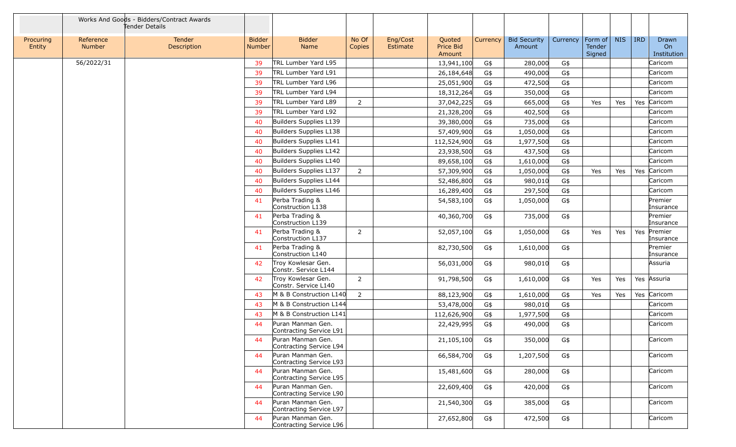|                     |                     | Works And Goods - Bidders/Contract Awards<br>Tender Details |                                |                                              |                 |                      |                               |          |                               |          |                             |            |            |                            |
|---------------------|---------------------|-------------------------------------------------------------|--------------------------------|----------------------------------------------|-----------------|----------------------|-------------------------------|----------|-------------------------------|----------|-----------------------------|------------|------------|----------------------------|
| Procuring<br>Entity | Reference<br>Number | Tender<br>Description                                       | <b>Bidder</b><br><b>Number</b> | <b>Bidder</b><br>Name                        | No Of<br>Copies | Eng/Cost<br>Estimate | Quoted<br>Price Bid<br>Amount | Currency | <b>Bid Security</b><br>Amount | Currency | Form of<br>Tender<br>Signed | <b>NIS</b> | <b>IRD</b> | Drawn<br>On<br>Institution |
|                     | 56/2022/31          |                                                             | 39                             | TRL Lumber Yard L95                          |                 |                      | 13,941,100                    | G\$      | 280,000                       | G\$      |                             |            |            | Caricom                    |
|                     |                     |                                                             | 39                             | TRL Lumber Yard L91                          |                 |                      | 26,184,648                    | G\$      | 490,000                       | G\$      |                             |            |            | Caricom                    |
|                     |                     |                                                             | 39                             | TRL Lumber Yard L96                          |                 |                      | 25,051,900                    | G\$      | 472,500                       | G\$      |                             |            |            | Caricom                    |
|                     |                     |                                                             | 39                             | TRL Lumber Yard L94                          |                 |                      | 18,312,264                    | G\$      | 350,000                       | G\$      |                             |            |            | Caricom                    |
|                     |                     |                                                             | 39                             | TRL Lumber Yard L89                          | $\overline{2}$  |                      | 37,042,225                    | G\$      | 665,000                       | G\$      | Yes                         | Yes        | Yes        | Caricom                    |
|                     |                     |                                                             | 39                             | TRL Lumber Yard L92                          |                 |                      | 21,328,200                    | G\$      | 402,500                       | G\$      |                             |            |            | Caricom                    |
|                     |                     |                                                             | 40                             | Builders Supplies L139                       |                 |                      | 39,380,000                    | G\$      | 735,000                       | G\$      |                             |            |            | Caricom                    |
|                     |                     |                                                             | 40                             | Builders Supplies L138                       |                 |                      | 57,409,900                    | G\$      | 1,050,000                     | G\$      |                             |            |            | Caricom                    |
|                     |                     |                                                             | 40                             | Builders Supplies L141                       |                 |                      | 112,524,900                   | G\$      | 1,977,500                     | G\$      |                             |            |            | Caricom                    |
|                     |                     |                                                             | 40                             | Builders Supplies L142                       |                 |                      | 23,938,500                    | G\$      | 437,500                       | G\$      |                             |            |            | Caricom                    |
|                     |                     |                                                             | 40                             | Builders Supplies L140                       |                 |                      | 89,658,100                    | G\$      | 1,610,000                     | G\$      |                             |            |            | Caricom                    |
|                     |                     |                                                             | 40                             | Builders Supplies L137                       | $\overline{2}$  |                      | 57,309,900                    | G\$      | 1,050,000                     | G\$      | Yes                         | Yes        | Yes        | Caricom                    |
|                     |                     |                                                             | 40                             | Builders Supplies L144                       |                 |                      | 52,486,800                    | G\$      | 980,010                       | G\$      |                             |            |            | Caricom                    |
|                     |                     |                                                             | 40                             | Builders Supplies L146                       |                 |                      | 16,289,400                    | G\$      | 297,500                       | G\$      |                             |            |            | Caricom                    |
|                     |                     |                                                             | 41                             | Perba Trading &<br>Construction L138         |                 |                      | 54,583,100                    | G\$      | 1,050,000                     | G\$      |                             |            |            | Premier<br>Insurance       |
|                     |                     |                                                             | 41                             | Perba Trading &<br>Construction L139         |                 |                      | 40,360,700                    | G\$      | 735,000                       | G\$      |                             |            |            | Premier<br>Insurance       |
|                     |                     |                                                             | 41                             | Perba Trading &<br>Construction L137         | $\overline{2}$  |                      | 52,057,100                    | G\$      | 1,050,000                     | G\$      | Yes                         | Yes        | Yes        | Premier<br>Insurance       |
|                     |                     |                                                             | 41                             | Perba Trading &<br>Construction L140         |                 |                      | 82,730,500                    | G\$      | 1,610,000                     | G\$      |                             |            |            | Premier<br>Insurance       |
|                     |                     |                                                             | 42                             | Troy Kowlesar Gen.<br>Constr. Service L144   |                 |                      | 56,031,000                    | G\$      | 980,010                       | G\$      |                             |            |            | Assuria                    |
|                     |                     |                                                             | 42                             | Troy Kowlesar Gen.<br>Constr. Service L140   | 2               |                      | 91,798,500                    | G\$      | 1,610,000                     | G\$      | Yes                         | Yes        |            | Yes Assuria                |
|                     |                     |                                                             | 43                             | M & B Construction L140                      | $\overline{2}$  |                      | 88,123,900                    | G\$      | 1,610,000                     | G\$      | Yes                         | Yes        | Yes        | Caricom                    |
|                     |                     |                                                             | 43                             | M & B Construction L144                      |                 |                      | 53,478,000                    | G\$      | 980,010                       | G\$      |                             |            |            | Caricom                    |
|                     |                     |                                                             | 43                             | M & B Construction L141                      |                 |                      | 112,626,900                   | G\$      | 1,977,500                     | G\$      |                             |            |            | Caricom                    |
|                     |                     |                                                             | 44                             | Puran Manman Gen.<br>Contracting Service L91 |                 |                      | 22,429,995                    | G\$      | 490,000                       | G\$      |                             |            |            | Caricom                    |
|                     |                     |                                                             | 44                             | Puran Manman Gen.<br>Contracting Service L94 |                 |                      | 21,105,100                    | G\$      | 350,000                       | G\$      |                             |            |            | Caricom                    |
|                     |                     |                                                             | 44                             | Puran Manman Gen.<br>Contracting Service L93 |                 |                      | 66,584,700                    | G\$      | 1,207,500                     | G\$      |                             |            |            | Caricom                    |
|                     |                     |                                                             | 44                             | Puran Manman Gen.<br>Contracting Service L95 |                 |                      | 15,481,600                    | G\$      | 280,000                       | G\$      |                             |            |            | Caricom                    |
|                     |                     |                                                             | 44                             | Puran Manman Gen.<br>Contracting Service L90 |                 |                      | 22,609,400                    | G\$      | 420,000                       | G\$      |                             |            |            | Caricom                    |
|                     |                     |                                                             | 44                             | Puran Manman Gen.<br>Contracting Service L97 |                 |                      | 21,540,300                    | G\$      | 385,000                       | G\$      |                             |            |            | Caricom                    |
|                     |                     |                                                             | 44                             | Puran Manman Gen.<br>Contracting Service L96 |                 |                      | 27,652,800                    | G\$      | 472,500                       | G\$      |                             |            |            | Caricom                    |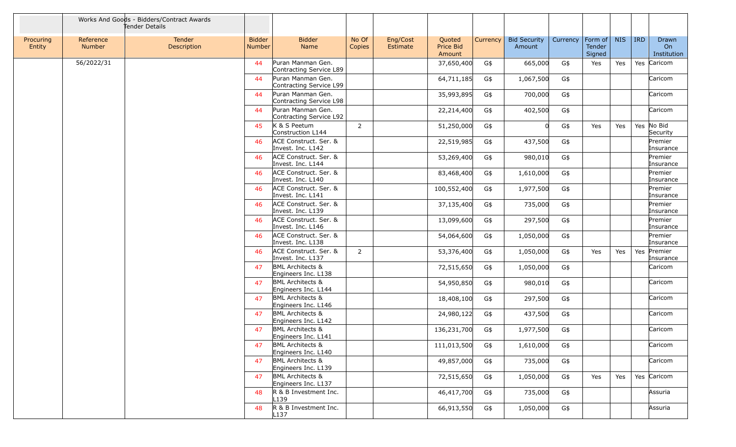|                     |                     | Works And Goods - Bidders/Contract Awards<br>Tender Details |                         |                                                    |                 |                      |                               |          |                               |          |                             |            |            |                            |
|---------------------|---------------------|-------------------------------------------------------------|-------------------------|----------------------------------------------------|-----------------|----------------------|-------------------------------|----------|-------------------------------|----------|-----------------------------|------------|------------|----------------------------|
| Procuring<br>Entity | Reference<br>Number | Tender<br>Description                                       | <b>Bidder</b><br>Number | <b>Bidder</b><br>Name                              | No Of<br>Copies | Eng/Cost<br>Estimate | Quoted<br>Price Bid<br>Amount | Currency | <b>Bid Security</b><br>Amount | Currency | Form of<br>Tender<br>Signed | <b>NIS</b> | <b>IRD</b> | Drawn<br>On<br>Institution |
|                     | 56/2022/31          |                                                             | 44                      | Puran Manman Gen.<br>Contracting Service L89       |                 |                      | 37,650,400                    | G\$      | 665,000                       | G\$      | Yes                         | Yes        |            | Yes Caricom                |
|                     |                     |                                                             | 44                      | Puran Manman Gen.<br>Contracting Service L99       |                 |                      | 64,711,185                    | G\$      | 1,067,500                     | G\$      |                             |            |            | Caricom                    |
|                     |                     |                                                             | 44                      | Puran Manman Gen.<br>Contracting Service L98       |                 |                      | 35,993,895                    | G\$      | 700,000                       | G\$      |                             |            |            | Caricom                    |
|                     |                     |                                                             | 44                      | Puran Manman Gen.<br>Contracting Service L92       |                 |                      | 22,214,400                    | G\$      | 402,500                       | G\$      |                             |            |            | Caricom                    |
|                     |                     |                                                             | 45                      | K & S Peetum<br>Construction L144                  | $\overline{2}$  |                      | 51,250,000                    | G\$      |                               | G\$      | Yes                         | Yes        |            | Yes No Bid<br>Security     |
|                     |                     |                                                             | 46                      | ACE Construct. Ser. &<br>Invest. Inc. L142         |                 |                      | 22,519,985                    | G\$      | 437,500                       | G\$      |                             |            |            | Premier<br>Insurance       |
|                     |                     |                                                             | 46                      | ACE Construct. Ser. &<br>Invest. Inc. L144         |                 |                      | 53,269,400                    | G\$      | 980,010                       | G\$      |                             |            |            | Premier<br>Insurance       |
|                     |                     |                                                             | 46                      | ACE Construct. Ser. &<br>Invest. Inc. L140         |                 |                      | 83,468,400                    | G\$      | 1,610,000                     | G\$      |                             |            |            | Premier<br>Insurance       |
|                     |                     |                                                             | 46                      | ACE Construct. Ser. &<br>Invest. Inc. L141         |                 |                      | 100,552,400                   | G\$      | 1,977,500                     | G\$      |                             |            |            | Premier<br>Insurance       |
|                     |                     |                                                             | 46                      | ACE Construct. Ser. &<br>Invest. Inc. L139         |                 |                      | 37,135,400                    | G\$      | 735,000                       | G\$      |                             |            |            | Premier<br>Insurance       |
|                     |                     |                                                             | 46                      | ACE Construct. Ser. &<br>Invest. Inc. L146         |                 |                      | 13,099,600                    | G\$      | 297,500                       | G\$      |                             |            |            | Premier<br>Insurance       |
|                     |                     |                                                             | 46                      | ACE Construct. Ser. &<br>Invest. Inc. L138         |                 |                      | 54,064,600                    | G\$      | 1,050,000                     | G\$      |                             |            |            | Premier<br>Insurance       |
|                     |                     |                                                             | 46                      | ACE Construct. Ser. &<br>Invest. Inc. L137         | $\overline{2}$  |                      | 53,376,400                    | G\$      | 1,050,000                     | G\$      | Yes                         | Yes        | Yes        | Premier<br>Insurance       |
|                     |                     |                                                             | 47                      | <b>BML Architects &amp;</b><br>Engineers Inc. L138 |                 |                      | 72,515,650                    | G\$      | 1,050,000                     | G\$      |                             |            |            | Caricom                    |
|                     |                     |                                                             | 47                      | <b>BML Architects &amp;</b><br>Engineers Inc. L144 |                 |                      | 54,950,850                    | G\$      | 980,010                       | G\$      |                             |            |            | Caricom                    |
|                     |                     |                                                             | 47                      | <b>BML Architects &amp;</b><br>Engineers Inc. L146 |                 |                      | 18,408,100                    | G\$      | 297,500                       | G\$      |                             |            |            | Caricom                    |
|                     |                     |                                                             | 47                      | <b>BML Architects &amp;</b><br>Engineers Inc. L142 |                 |                      | 24,980,122                    | G\$      | 437,500                       | G\$      |                             |            |            | Caricom                    |
|                     |                     |                                                             | 47                      | <b>BML Architects &amp;</b><br>Engineers Inc. L141 |                 |                      | 136,231,700                   | G\$      | 1,977,500                     | G\$      |                             |            |            | Caricom                    |
|                     |                     |                                                             | 47                      | <b>BML Architects &amp;</b><br>Engineers Inc. L140 |                 |                      | 111,013,500                   | G\$      | 1,610,000                     | G\$      |                             |            |            | Caricom                    |
|                     |                     |                                                             | 47                      | <b>BML Architects &amp;</b><br>Engineers Inc. L139 |                 |                      | 49,857,000                    | G\$      | 735,000                       | G\$      |                             |            |            | Caricom                    |
|                     |                     |                                                             | 47                      | <b>BML Architects &amp;</b><br>Engineers Inc. L137 |                 |                      | 72,515,650                    | G\$      | 1,050,000                     | G\$      | Yes                         | Yes        |            | Yes Caricom                |
|                     |                     |                                                             | 48                      | R & B Investment Inc.<br>L139                      |                 |                      | 46,417,700                    | G\$      | 735,000                       | G\$      |                             |            |            | Assuria                    |
|                     |                     |                                                             | 48                      | R & B Investment Inc.<br>L <sub>137</sub>          |                 |                      | 66,913,550                    | G\$      | 1,050,000                     | G\$      |                             |            |            | Assuria                    |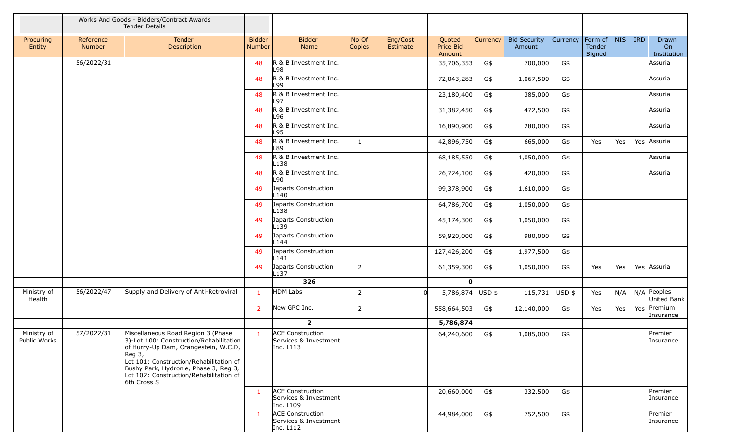|                             |                            | Works And Goods - Bidders/Contract Awards<br>Tender Details                                                                                                                                                                                                                     |                         |                                                               |                 |                      |                                      |          |                               |          |                             |            |            |                              |
|-----------------------------|----------------------------|---------------------------------------------------------------------------------------------------------------------------------------------------------------------------------------------------------------------------------------------------------------------------------|-------------------------|---------------------------------------------------------------|-----------------|----------------------|--------------------------------------|----------|-------------------------------|----------|-----------------------------|------------|------------|------------------------------|
| Procuring<br>Entity         | Reference<br><b>Number</b> | Tender<br>Description                                                                                                                                                                                                                                                           | <b>Bidder</b><br>Number | <b>Bidder</b><br>Name                                         | No Of<br>Copies | Eng/Cost<br>Estimate | Quoted<br><b>Price Bid</b><br>Amount | Currency | <b>Bid Security</b><br>Amount | Currency | Form of<br>Tender<br>Signed | <b>NIS</b> | <b>IRD</b> | Drawn<br>On<br>Institution   |
|                             | 56/2022/31                 |                                                                                                                                                                                                                                                                                 | 48                      | R & B Investment Inc.<br>L98                                  |                 |                      | 35,706,353                           | G\$      | 700,000                       | G\$      |                             |            |            | Assuria                      |
|                             |                            |                                                                                                                                                                                                                                                                                 | 48                      | R & B Investment Inc.<br>L99                                  |                 |                      | 72,043,283                           | G\$      | 1,067,500                     | G\$      |                             |            |            | Assuria                      |
|                             |                            |                                                                                                                                                                                                                                                                                 | 48                      | R & B Investment Inc.<br>L97                                  |                 |                      | 23,180,400                           | G\$      | 385,000                       | G\$      |                             |            |            | Assuria                      |
|                             |                            |                                                                                                                                                                                                                                                                                 | 48                      | R & B Investment Inc.<br>L96                                  |                 |                      | 31,382,450                           | G\$      | 472,500                       | G\$      |                             |            |            | Assuria                      |
|                             |                            |                                                                                                                                                                                                                                                                                 | 48                      | R & B Investment Inc.<br>L95                                  |                 |                      | 16,890,900                           | G\$      | 280,000                       | G\$      |                             |            |            | Assuria                      |
|                             |                            |                                                                                                                                                                                                                                                                                 | 48                      | R & B Investment Inc.<br>L89                                  | $\mathbf{1}$    |                      | 42,896,750                           | G\$      | 665,000                       | G\$      | Yes                         | Yes        |            | Yes Assuria                  |
|                             |                            |                                                                                                                                                                                                                                                                                 | 48                      | R & B Investment Inc.<br>L <sub>138</sub>                     |                 |                      | 68,185,550                           | G\$      | 1,050,000                     | G\$      |                             |            |            | Assuria                      |
|                             |                            |                                                                                                                                                                                                                                                                                 | 48                      | R & B Investment Inc.<br>L90                                  |                 |                      | 26,724,100                           | G\$      | 420,000                       | G\$      |                             |            |            | Assuria                      |
|                             |                            |                                                                                                                                                                                                                                                                                 | 49                      | Japarts Construction<br>L <sub>140</sub>                      |                 |                      | 99,378,900                           | G\$      | 1,610,000                     | G\$      |                             |            |            |                              |
|                             |                            |                                                                                                                                                                                                                                                                                 | 49                      | Japarts Construction<br>L138                                  |                 |                      | 64,786,700                           | G\$      | 1,050,000                     | G\$      |                             |            |            |                              |
|                             |                            |                                                                                                                                                                                                                                                                                 | 49                      | Japarts Construction<br>L <sub>139</sub>                      |                 |                      | 45,174,300                           | G\$      | 1,050,000                     | G\$      |                             |            |            |                              |
|                             |                            |                                                                                                                                                                                                                                                                                 | 49                      | Japarts Construction<br>L <sub>144</sub>                      |                 |                      | 59,920,000                           | G\$      | 980,000                       | G\$      |                             |            |            |                              |
|                             |                            |                                                                                                                                                                                                                                                                                 | 49                      | Japarts Construction<br>L141                                  |                 |                      | 127,426,200                          | G\$      | 1,977,500                     | G\$      |                             |            |            |                              |
|                             |                            |                                                                                                                                                                                                                                                                                 | 49                      | Japarts Construction<br>L137                                  | $\overline{2}$  |                      | 61,359,300                           | G\$      | 1,050,000                     | G\$      | Yes                         | Yes        |            | Yes Assuria                  |
|                             |                            |                                                                                                                                                                                                                                                                                 |                         | 326                                                           |                 |                      | O                                    |          |                               |          |                             |            |            |                              |
| Ministry of<br>Health       | 56/2022/47                 | Supply and Delivery of Anti-Retroviral                                                                                                                                                                                                                                          | $\mathbf{1}$            | <b>HDM Labs</b>                                               | $\overline{2}$  |                      | 5,786,874                            | $USD$ \$ | 115,731                       | USD \$   | Yes                         | N/A        |            | $N/A$ Peoples<br>United Bank |
|                             |                            |                                                                                                                                                                                                                                                                                 | $\overline{2}$          | New GPC Inc.                                                  | $\overline{2}$  |                      | 558,664,503                          | G\$      | 12,140,000                    | G\$      | Yes                         | Yes        | Yes        | Premium<br>Insurance         |
|                             |                            |                                                                                                                                                                                                                                                                                 |                         | $\overline{2}$                                                |                 |                      | 5,786,874                            |          |                               |          |                             |            |            |                              |
| Ministry of<br>Public Works | 57/2022/31                 | Miscellaneous Road Region 3 (Phase<br>3)-Lot 100: Construction/Rehabilitation<br>of Hurry-Up Dam, Orangestein, W.C.D,<br>$Req$ 3,<br>Lot 101: Construction/Rehabilitation of<br>Bushy Park, Hydronie, Phase 3, Reg 3,<br>Lot 102: Construction/Rehabilitation of<br>6th Cross S | $\mathbf{1}$            | <b>ACE Construction</b><br>Services & Investment<br>Inc. L113 |                 |                      | 64,240,600                           | G\$      | 1,085,000                     | G\$      |                             |            |            | Premier<br>µnsurance         |
|                             |                            |                                                                                                                                                                                                                                                                                 | $\mathbf{1}$            | <b>ACE Construction</b><br>Services & Investment<br>Inc. L109 |                 |                      | 20,660,000                           | G\$      | 332,500                       | G\$      |                             |            |            | Premier<br>Insurance         |
|                             |                            |                                                                                                                                                                                                                                                                                 | $\mathbf{1}$            | <b>ACE Construction</b><br>Services & Investment<br>Inc. L112 |                 |                      | 44,984,000                           | G\$      | 752,500                       | G\$      |                             |            |            | Premier<br>Insurance         |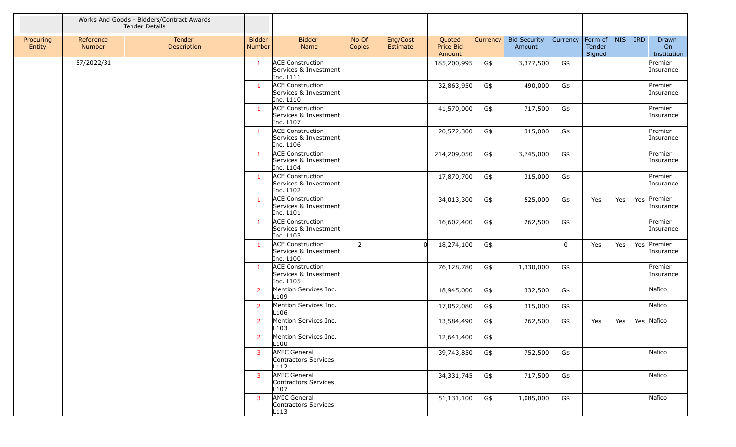|                     |                     | Works And Goods - Bidders/Contract Awards<br>Tender Details |                         |                                                               |                 |                      |                               |          |                               |                        |                  |            |            |                            |
|---------------------|---------------------|-------------------------------------------------------------|-------------------------|---------------------------------------------------------------|-----------------|----------------------|-------------------------------|----------|-------------------------------|------------------------|------------------|------------|------------|----------------------------|
| Procuring<br>Entity | Reference<br>Number | Tender<br>Description                                       | <b>Bidder</b><br>Number | <b>Bidder</b><br>Name                                         | No Of<br>Copies | Eng/Cost<br>Estimate | Quoted<br>Price Bid<br>Amount | Currency | <b>Bid Security</b><br>Amount | Currency   Form of $ $ | Tender<br>Signed | <b>NIS</b> | <b>IRD</b> | Drawn<br>On<br>Institution |
|                     | 57/2022/31          |                                                             | $\mathbf{1}$            | <b>ACE Construction</b><br>Services & Investment<br>Inc. L111 |                 |                      | 185,200,995                   | G\$      | 3,377,500                     | G\$                    |                  |            |            | Premier<br>Insurance       |
|                     |                     |                                                             | $\overline{1}$          | <b>ACE Construction</b><br>Services & Investment<br>Inc. L110 |                 |                      | 32,863,950                    | G\$      | 490,000                       | G\$                    |                  |            |            | Premier<br>Insurance       |
|                     |                     |                                                             | $\overline{1}$          | <b>ACE Construction</b><br>Services & Investment<br>Inc. L107 |                 |                      | 41,570,000                    | G\$      | 717,500                       | G\$                    |                  |            |            | Premier<br>Insurance       |
|                     |                     |                                                             | $\mathbf{1}$            | <b>ACE Construction</b><br>Services & Investment<br>Inc. L106 |                 |                      | 20,572,300                    | G\$      | 315,000                       | G\$                    |                  |            |            | Premier<br>Insurance       |
|                     |                     |                                                             | $\overline{1}$          | <b>ACE Construction</b><br>Services & Investment<br>Inc. L104 |                 |                      | 214,209,050                   | G\$      | 3,745,000                     | G\$                    |                  |            |            | Premier<br>Insurance       |
|                     |                     |                                                             | $\mathbf{1}$            | <b>ACE Construction</b><br>Services & Investment<br>Inc. L102 |                 |                      | 17,870,700                    | G\$      | 315,000                       | G\$                    |                  |            |            | Premier<br>Insurance       |
|                     |                     |                                                             | $\overline{1}$          | <b>ACE Construction</b><br>Services & Investment<br>Inc. L101 |                 |                      | 34,013,300                    | G\$      | 525,000                       | G\$                    | Yes              | Yes        | Yes        | Premier<br>Insurance       |
|                     |                     |                                                             | $\overline{1}$          | <b>ACE Construction</b><br>Services & Investment<br>Inc. L103 |                 |                      | 16,602,400                    | G\$      | 262,500                       | G\$                    |                  |            |            | Premier<br>Insurance       |
|                     |                     |                                                             | $\overline{1}$          | <b>ACE Construction</b><br>Services & Investment<br>Inc. L100 | $\overline{2}$  | $\Omega$             | 18,274,100                    | G\$      |                               | $\mathbf 0$            | Yes              | Yes        |            | Yes Premier<br>Insurance   |
|                     |                     |                                                             | -1                      | <b>ACE Construction</b><br>Services & Investment<br>Inc. L105 |                 |                      | 76,128,780                    | G\$      | 1,330,000                     | G\$                    |                  |            |            | Premier<br>Insurance       |
|                     |                     |                                                             | $\overline{2}$          | Mention Services Inc.<br>L <sub>109</sub>                     |                 |                      | 18,945,000                    | G\$      | 332,500                       | G\$                    |                  |            |            | Nafico                     |
|                     |                     |                                                             | $\overline{2}$          | Mention Services Inc.<br>L <sub>106</sub>                     |                 |                      | 17,052,080                    | G\$      | 315,000                       | G\$                    |                  |            |            | Nafico                     |
|                     |                     |                                                             | <sup>2</sup>            | Mention Services Inc.<br>L <sub>103</sub>                     |                 |                      | 13,584,490                    | G\$      | 262,500                       | G\$                    | Yes              | Yes        |            | Yes Nafico                 |
|                     |                     |                                                             | <sup>2</sup>            | Mention Services Inc.<br>L <sub>100</sub>                     |                 |                      | 12,641,400                    | G\$      |                               |                        |                  |            |            |                            |
|                     |                     |                                                             | $\overline{3}$          | AMIC General<br>Contractors Services<br>L112                  |                 |                      | 39,743,850                    | G\$      | 752,500                       | G\$                    |                  |            |            | Nafico                     |
|                     |                     |                                                             | $\overline{3}$          | AMIC General<br>Contractors Services<br>L107                  |                 |                      | 34,331,745                    | G\$      | 717,500                       | G\$                    |                  |            |            | Nafico                     |
|                     |                     |                                                             | $\overline{3}$          | AMIC General<br>Contractors Services<br>L113                  |                 |                      | 51,131,100                    | G\$      | 1,085,000                     | G\$                    |                  |            |            | Nafico                     |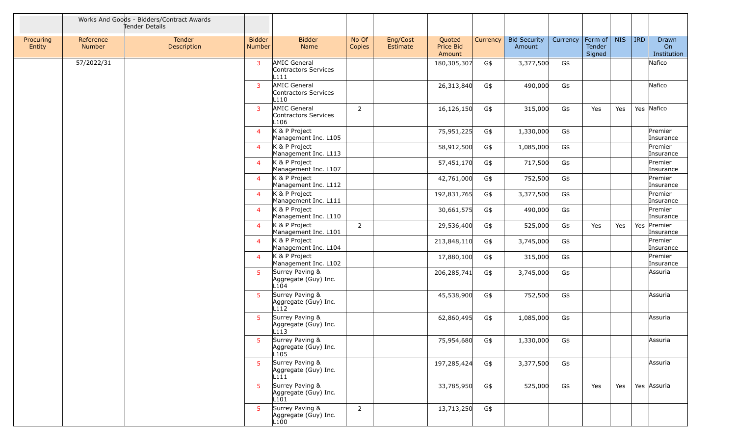|                     |                     | Works And Goods - Bidders/Contract Awards<br>Tender Details |                                |                                                     |                 |                      |                               |          |                               |          |                             |            |         |                            |
|---------------------|---------------------|-------------------------------------------------------------|--------------------------------|-----------------------------------------------------|-----------------|----------------------|-------------------------------|----------|-------------------------------|----------|-----------------------------|------------|---------|----------------------------|
| Procuring<br>Entity | Reference<br>Number | Tender<br>Description                                       | <b>Bidder</b><br><b>Number</b> | <b>Bidder</b><br>Name                               | No Of<br>Copies | Eng/Cost<br>Estimate | Quoted<br>Price Bid<br>Amount | Currency | <b>Bid Security</b><br>Amount | Currency | Form of<br>Tender<br>Signed | <b>NIS</b> | $ $ IRD | Drawn<br>On<br>Institution |
|                     | 57/2022/31          |                                                             | $\overline{3}$                 | <b>AMIC General</b><br>Contractors Services<br>L111 |                 |                      | 180,305,307                   | G\$      | 3,377,500                     | G\$      |                             |            |         | Nafico                     |
|                     |                     |                                                             | $\overline{3}$                 | <b>AMIC General</b><br>Contractors Services<br>L110 |                 |                      | 26,313,840                    | G\$      | 490,000                       | G\$      |                             |            |         | Nafico                     |
|                     |                     |                                                             | $\overline{3}$                 | AMIC General<br>Contractors Services<br>L106        | $\overline{2}$  |                      | 16,126,150                    | G\$      | 315,000                       | G\$      | Yes                         | Yes        |         | Yes Nafico                 |
|                     |                     |                                                             | $\overline{4}$                 | K & P Project<br>Management Inc. L105               |                 |                      | 75,951,225                    | G\$      | 1,330,000                     | G\$      |                             |            |         | Premier<br>Insurance       |
|                     |                     |                                                             | $\overline{4}$                 | K & P Project<br>Management Inc. L113               |                 |                      | 58,912,500                    | G\$      | 1,085,000                     | G\$      |                             |            |         | Premier<br>Insurance       |
|                     |                     |                                                             | $\overline{4}$                 | K & P Project<br>Management Inc. L107               |                 |                      | 57,451,170                    | G\$      | 717,500                       | G\$      |                             |            |         | Premier<br>Insurance       |
|                     |                     |                                                             | $\overline{4}$                 | K & P Project<br>Management Inc. L112               |                 |                      | 42,761,000                    | G\$      | 752,500                       | G\$      |                             |            |         | Premier<br>Insurance       |
|                     |                     |                                                             | $\overline{4}$                 | K & P Project<br>Management Inc. L111               |                 |                      | 192,831,765                   | G\$      | 3,377,500                     | G\$      |                             |            |         | Premier<br>Insurance       |
|                     |                     |                                                             | $\overline{4}$                 | K & P Project<br>Management Inc. L110               |                 |                      | 30,661,575                    | G\$      | 490,000                       | G\$      |                             |            |         | Premier<br>Insurance       |
|                     |                     |                                                             | $\overline{4}$                 | K & P Project<br>Management Inc. L101               | $\overline{2}$  |                      | 29,536,400                    | G\$      | 525,000                       | G\$      | Yes                         | Yes        |         | Yes Premier<br>Insurance   |
|                     |                     |                                                             | $\overline{4}$                 | K & P Project<br>Management Inc. L104               |                 |                      | 213,848,110                   | G\$      | 3,745,000                     | G\$      |                             |            |         | Premier<br>Insurance       |
|                     |                     |                                                             | $\overline{4}$                 | K & P Project<br>Management Inc. L102               |                 |                      | 17,880,100                    | G\$      | 315,000                       | G\$      |                             |            |         | Premier<br>Insurance       |
|                     |                     |                                                             | 5 <sup>1</sup>                 | Surrey Paving &<br>Aggregate (Guy) Inc.<br>L104     |                 |                      | 206,285,741                   | G\$      | 3,745,000                     | G\$      |                             |            |         | Assuria                    |
|                     |                     |                                                             | 5 <sup>1</sup>                 | Surrey Paving &<br>Aggregate (Guy) Inc.<br>L112     |                 |                      | 45,538,900                    | G\$      | 752,500                       | G\$      |                             |            |         | Assuria                    |
|                     |                     |                                                             | -51                            | Surrey Paving &<br>Aggregate (Guy) Inc.<br>L113     |                 |                      | 62,860,495                    | G\$      | 1,085,000                     | G\$      |                             |            |         | Assuria                    |
|                     |                     |                                                             | 5 <sup>2</sup>                 | Surrey Paving &<br>Aggregate (Guy) Inc.<br>L105     |                 |                      | 75,954,680 G\$                |          | 1,330,000                     | G\$      |                             |            |         | Assuria                    |
|                     |                     |                                                             | 5 <sup>1</sup>                 | Surrey Paving &<br>Aggregate (Guy) Inc.<br>L111     |                 |                      | 197,285,424                   | G\$      | 3,377,500                     | G\$      |                             |            |         | Assuria                    |
|                     |                     |                                                             | 5 <sup>1</sup>                 | Surrey Paving &<br>Aggregate (Guy) Inc.<br>L101     |                 |                      | 33,785,950                    | G\$      | 525,000                       | G\$      | Yes                         | Yes        |         | Yes Assuria                |
|                     |                     |                                                             | 5                              | Surrey Paving &<br>Aggregate (Guy) Inc.<br>L100     | $\overline{2}$  |                      | 13,713,250                    | G\$      |                               |          |                             |            |         |                            |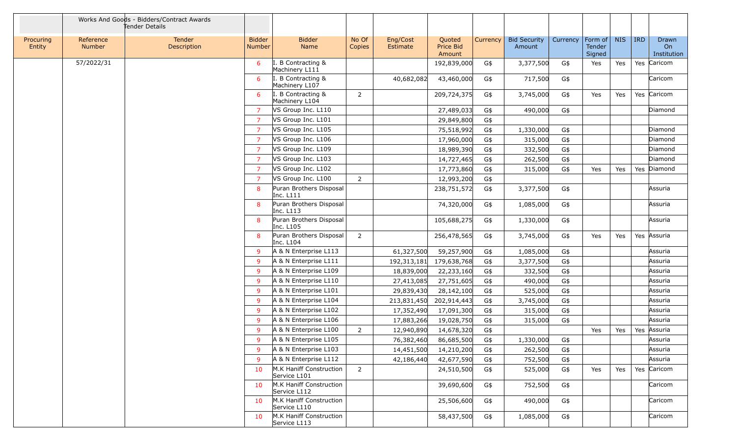|                     |                            | Works And Goods - Bidders/Contract Awards<br>Tender Details |                                |                                         |                 |                      |                               |          |                               |          |                             |            |            |                            |
|---------------------|----------------------------|-------------------------------------------------------------|--------------------------------|-----------------------------------------|-----------------|----------------------|-------------------------------|----------|-------------------------------|----------|-----------------------------|------------|------------|----------------------------|
| Procuring<br>Entity | Reference<br><b>Number</b> | Tender<br>Description                                       | <b>Bidder</b><br><b>Number</b> | <b>Bidder</b><br>Name                   | No Of<br>Copies | Eng/Cost<br>Estimate | Quoted<br>Price Bid<br>Amount | Currency | <b>Bid Security</b><br>Amount | Currency | Form of<br>Tender<br>Signed | <b>NIS</b> | <b>IRD</b> | Drawn<br>On<br>Institution |
|                     | 57/2022/31                 |                                                             | -6                             | . B Contracting &<br>Machinery L111     |                 |                      | 192,839,000                   | G\$      | 3,377,500                     | G\$      | Yes                         | Yes        |            | Yes Caricom                |
|                     |                            |                                                             | 6                              | I. B Contracting &<br>Machinery L107    |                 | 40,682,082           | 43,460,000                    | G\$      | 717,500                       | G\$      |                             |            |            | Caricom                    |
|                     |                            |                                                             | 6                              | I. B Contracting &<br>Machinery L104    | $\overline{2}$  |                      | 209,724,375                   | G\$      | 3,745,000                     | G\$      | Yes                         | Yes        |            | Yes Caricom                |
|                     |                            |                                                             | <sup>7</sup>                   | VS Group Inc. L110                      |                 |                      | 27,489,033                    | G\$      | 490,000                       | G\$      |                             |            |            | Diamond                    |
|                     |                            |                                                             | $\overline{7}$                 | VS Group Inc. L101                      |                 |                      | 29,849,800                    | G\$      |                               |          |                             |            |            |                            |
|                     |                            |                                                             | $\overline{7}$                 | VS Group Inc. L105                      |                 |                      | 75,518,992                    | G\$      | 1,330,000                     | G\$      |                             |            |            | Diamond                    |
|                     |                            |                                                             | 7                              | VS Group Inc. L106                      |                 |                      | 17,960,000                    | G\$      | 315,000                       | G\$      |                             |            |            | Diamond                    |
|                     |                            |                                                             | 7                              | VS Group Inc. L109                      |                 |                      | 18,989,390                    | G\$      | 332,500                       | G\$      |                             |            |            | Diamond                    |
|                     |                            |                                                             | $\overline{7}$                 | VS Group Inc. L103                      |                 |                      | 14,727,465                    | G\$      | 262,500                       | G\$      |                             |            |            | Diamond                    |
|                     |                            |                                                             | $\overline{7}$                 | VS Group Inc. L102                      |                 |                      | 17,773,860                    | G\$      | 315,000                       | G\$      | Yes                         | Yes        |            | Yes Diamond                |
|                     |                            |                                                             | $\overline{7}$                 | VS Group Inc. L100                      | $\overline{2}$  |                      | 12,993,200                    | G\$      |                               |          |                             |            |            |                            |
|                     |                            |                                                             | 8                              | Puran Brothers Disposal<br>Inc. L111    |                 |                      | 238,751,572                   | G\$      | 3,377,500                     | G\$      |                             |            |            | Assuria                    |
|                     |                            |                                                             | 8                              | Puran Brothers Disposal<br>Inc. L113    |                 |                      | 74,320,000                    | G\$      | 1,085,000                     | G\$      |                             |            |            | Assuria                    |
|                     |                            |                                                             | 8                              | Puran Brothers Disposal<br>Inc. L105    |                 |                      | 105,688,275                   | G\$      | 1,330,000                     | G\$      |                             |            |            | Assuria                    |
|                     |                            |                                                             | 8                              | Puran Brothers Disposal<br>Inc. L104    | $\overline{2}$  |                      | 256,478,565                   | G\$      | 3,745,000                     | G\$      | Yes                         | Yes        |            | Yes Assuria                |
|                     |                            |                                                             | 9                              | A & N Enterprise L113                   |                 | 61,327,500           | 59,257,900                    | G\$      | 1,085,000                     | G\$      |                             |            |            | Assuria                    |
|                     |                            |                                                             | 9                              | A & N Enterprise L111                   |                 | 192, 313, 181        | 179,638,768                   | G\$      | 3,377,500                     | G\$      |                             |            |            | Assuria                    |
|                     |                            |                                                             | 9                              | A & N Enterprise L109                   |                 | 18,839,000           | 22,233,160                    | G\$      | 332,500                       | G\$      |                             |            |            | Assuria                    |
|                     |                            |                                                             | -9                             | A & N Enterprise L110                   |                 | 27,413,085           | 27,751,605                    | G\$      | 490,000                       | G\$      |                             |            |            | Assuria                    |
|                     |                            |                                                             | 9                              | A & N Enterprise L101                   |                 | 29,839,430           | 28,142,100                    | G\$      | 525,000                       | G\$      |                             |            |            | Assuria                    |
|                     |                            |                                                             | 9                              | A & N Enterprise L104                   |                 | 213,831,450          | 202,914,443                   | G\$      | 3,745,000                     | G\$      |                             |            |            | Assuria                    |
|                     |                            |                                                             | 9                              | A & N Enterprise L102                   |                 | 17,352,490           | 17,091,300                    | G\$      | 315,000                       | G\$      |                             |            |            | Assuria                    |
|                     |                            |                                                             | 9                              | A & N Enterprise L106                   |                 | 17,883,266           | 19,028,750                    | G\$      | 315,000                       | G\$      |                             |            |            | Assuria                    |
|                     |                            |                                                             | 9                              | A & N Enterprise L100                   | 2               | 12,940,890           | 14,678,320                    | G\$      |                               |          | Yes                         | Yes        | Yes        | Assuria                    |
|                     |                            |                                                             | 9                              | A & N Enterprise L105                   |                 | 76,382,460           | 86,685,500                    | G\$      | 1,330,000                     | G\$      |                             |            |            | Assuria                    |
|                     |                            |                                                             | -9                             | A & N Enterprise L103                   |                 | 14,451,500           | 14,210,200                    | G\$      | 262,500                       | G\$      |                             |            |            | Assuria                    |
|                     |                            |                                                             | -9                             | A & N Enterprise L112                   |                 | 42,186,440           | 42,677,590                    | G\$      | 752,500                       | G\$      |                             |            |            | Assuria                    |
|                     |                            |                                                             | 10                             | M.K Haniff Construction<br>Service L101 | $\overline{2}$  |                      | 24,510,500                    | G\$      | 525,000                       | G\$      | Yes                         | Yes        |            | Yes Caricom                |
|                     |                            |                                                             | 10                             | M.K Haniff Construction<br>Service L112 |                 |                      | 39,690,600                    | G\$      | 752,500                       | G\$      |                             |            |            | Caricom                    |
|                     |                            |                                                             | 10                             | M.K Haniff Construction<br>Service L110 |                 |                      | 25,506,600                    | G\$      | 490,000                       | G\$      |                             |            |            | Caricom                    |
|                     |                            |                                                             | 10                             | M.K Haniff Construction<br>Service L113 |                 |                      | 58,437,500                    | G\$      | 1,085,000                     | G\$      |                             |            |            | Caricom                    |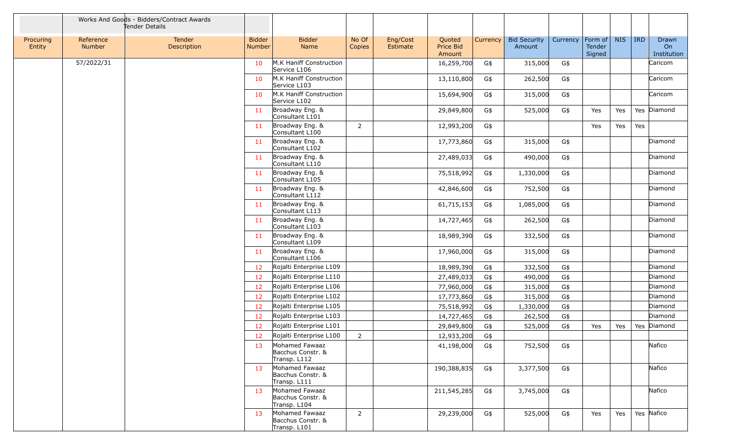|                     |                     | Works And Goods - Bidders/Contract Awards<br>Tender Details |                         |                                                     |                 |                      |                               |          |                               |          |                             |            |            |                            |
|---------------------|---------------------|-------------------------------------------------------------|-------------------------|-----------------------------------------------------|-----------------|----------------------|-------------------------------|----------|-------------------------------|----------|-----------------------------|------------|------------|----------------------------|
| Procuring<br>Entity | Reference<br>Number | Tender<br>Description                                       | <b>Bidder</b><br>Number | <b>Bidder</b><br>Name                               | No Of<br>Copies | Eng/Cost<br>Estimate | Quoted<br>Price Bid<br>Amount | Currency | <b>Bid Security</b><br>Amount | Currency | Form of<br>Tender<br>Signed | <b>NIS</b> | <b>IRD</b> | Drawn<br>On<br>Institution |
|                     | 57/2022/31          |                                                             | 10                      | M.K Haniff Construction<br>Service L106             |                 |                      | 16,259,700                    | G\$      | 315,000                       | G\$      |                             |            |            | Caricom                    |
|                     |                     |                                                             | 10                      | M.K Haniff Construction<br>Service L103             |                 |                      | 13,110,800                    | G\$      | 262,500                       | G\$      |                             |            |            | Caricom                    |
|                     |                     |                                                             | 10                      | M.K Haniff Construction<br>Service L102             |                 |                      | 15,694,900                    | G\$      | 315,000                       | G\$      |                             |            |            | Caricom                    |
|                     |                     |                                                             | 11                      | Broadway Eng. &<br>Consultant L101                  |                 |                      | 29,849,800                    | G\$      | 525,000                       | G\$      | Yes                         | Yes        |            | Yes Diamond                |
|                     |                     |                                                             | 11                      | Broadway Eng. &<br>Consultant L100                  | $\overline{2}$  |                      | 12,993,200                    | G\$      |                               |          | Yes                         | Yes        | Yes        |                            |
|                     |                     |                                                             | 11                      | Broadway Eng. &<br>Consultant L102                  |                 |                      | 17,773,860                    | G\$      | 315,000                       | G\$      |                             |            |            | Diamond                    |
|                     |                     |                                                             | 11                      | Broadway Eng. &<br>Consultant L110                  |                 |                      | 27,489,033                    | G\$      | 490,000                       | G\$      |                             |            |            | Diamond                    |
|                     |                     |                                                             | 11                      | Broadway Eng. &<br>Consultant L105                  |                 |                      | 75,518,992                    | G\$      | 1,330,000                     | G\$      |                             |            |            | Diamond                    |
|                     |                     |                                                             | 11                      | Broadway Eng. &<br>Consultant L112                  |                 |                      | 42,846,600                    | G\$      | 752,500                       | G\$      |                             |            |            | Diamond                    |
|                     |                     |                                                             | 11                      | Broadway Eng. &<br>Consultant L113                  |                 |                      | 61,715,153                    | G\$      | 1,085,000                     | G\$      |                             |            |            | Diamond                    |
|                     |                     |                                                             | 11                      | Broadway Eng. &<br>Consultant L103                  |                 |                      | 14,727,465                    | G\$      | 262,500                       | G\$      |                             |            |            | Diamond                    |
|                     |                     |                                                             | 11                      | Broadway Eng. &<br>Consultant L109                  |                 |                      | 18,989,390                    | G\$      | 332,500                       | G\$      |                             |            |            | Diamond                    |
|                     |                     |                                                             | 11                      | Broadway Eng. &<br>Consultant L106                  |                 |                      | 17,960,000                    | G\$      | 315,000                       | G\$      |                             |            |            | Diamond                    |
|                     |                     |                                                             | 12                      | Rojalti Enterprise L109                             |                 |                      | 18,989,390                    | G\$      | 332,500                       | $G\$     |                             |            |            | Diamond                    |
|                     |                     |                                                             | 12                      | Rojalti Enterprise L110                             |                 |                      | 27,489,033                    | G\$      | 490,000                       | G\$      |                             |            |            | Diamond                    |
|                     |                     |                                                             | 12                      | Rojalti Enterprise L106                             |                 |                      | 77,960,000                    | G\$      | 315,000                       | G\$      |                             |            |            | Diamond                    |
|                     |                     |                                                             | $12 \overline{ }$       | Rojalti Enterprise L102                             |                 |                      | 17,773,860                    | G\$      | 315,000                       | $G\$     |                             |            |            | Diamond                    |
|                     |                     |                                                             | 12                      | Rojalti Enterprise L105                             |                 |                      | 75,518,992                    | G\$      | 1,330,000                     | G\$      |                             |            |            | Diamond                    |
|                     |                     |                                                             | 12                      | Rojalti Enterprise L103                             |                 |                      | 14,727,465                    | G\$      | 262,500                       | G\$      |                             |            |            | Diamond                    |
|                     |                     |                                                             | 12                      | Rojalti Enterprise L101                             |                 |                      | 29,849,800                    | G\$      | 525,000                       | G\$      | Yes                         | Yes        |            | Yes Diamond                |
|                     |                     |                                                             | 12                      | Rojalti Enterprise L100                             | $\overline{2}$  |                      | 12,933,200                    | G\$      |                               |          |                             |            |            |                            |
|                     |                     |                                                             | 13                      | Mohamed Fawaaz<br>Bacchus Constr. &<br>Transp. L112 |                 |                      | 41,198,000                    | G\$      | 752,500                       | G\$      |                             |            |            | Nafico                     |
|                     |                     |                                                             | 13                      | Mohamed Fawaaz<br>Bacchus Constr. &<br>Transp. L111 |                 |                      | 190,388,835                   | G\$      | 3,377,500                     | G\$      |                             |            |            | Nafico                     |
|                     |                     |                                                             | 13                      | Mohamed Fawaaz<br>Bacchus Constr. &<br>Transp. L104 |                 |                      | 211,545,285                   | G\$      | 3,745,000                     | G\$      |                             |            |            | Nafico                     |
|                     |                     |                                                             | 13                      | Mohamed Fawaaz<br>Bacchus Constr. &<br>Transp. L101 | $\overline{2}$  |                      | 29,239,000                    | G\$      | 525,000                       | G\$      | Yes                         | Yes        |            | Yes Nafico                 |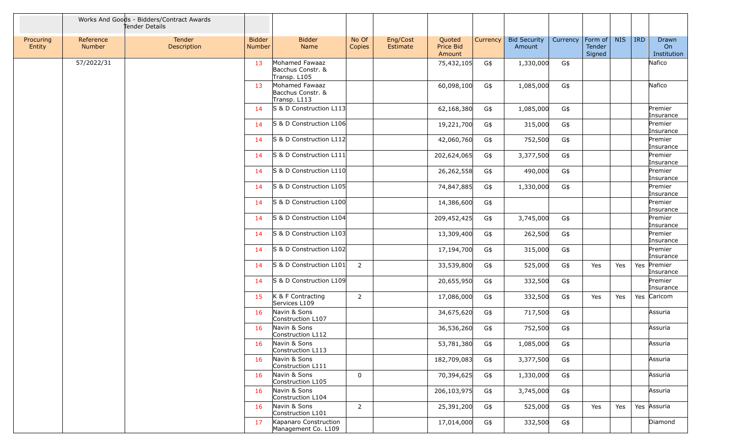|                     |                     | Works And Goods - Bidders/Contract Awards<br>Tender Details |                         |                                                     |                 |                      |                               |          |                               |          |                             |            |            |                            |
|---------------------|---------------------|-------------------------------------------------------------|-------------------------|-----------------------------------------------------|-----------------|----------------------|-------------------------------|----------|-------------------------------|----------|-----------------------------|------------|------------|----------------------------|
| Procuring<br>Entity | Reference<br>Number | Tender<br>Description                                       | <b>Bidder</b><br>Number | <b>Bidder</b><br>Name                               | No Of<br>Copies | Eng/Cost<br>Estimate | Quoted<br>Price Bid<br>Amount | Currency | <b>Bid Security</b><br>Amount | Currency | Form of<br>Tender<br>Signed | <b>NIS</b> | <b>IRD</b> | Drawn<br>On<br>Institution |
|                     | 57/2022/31          |                                                             | 13                      | Mohamed Fawaaz<br>Bacchus Constr. &<br>Transp. L105 |                 |                      | 75,432,105                    | G\$      | 1,330,000                     | G\$      |                             |            |            | Nafico                     |
|                     |                     |                                                             | 13                      | Mohamed Fawaaz<br>Bacchus Constr. &<br>Transp. L113 |                 |                      | 60,098,100                    | G\$      | 1,085,000                     | G\$      |                             |            |            | Nafico                     |
|                     |                     |                                                             | 14                      | S & D Construction L113                             |                 |                      | 62,168,380                    | G\$      | 1,085,000                     | G\$      |                             |            |            | Premier<br>Insurance       |
|                     |                     |                                                             | 14                      | S & D Construction L106                             |                 |                      | 19,221,700                    | G\$      | 315,000                       | G\$      |                             |            |            | Premier<br>Insurance       |
|                     |                     |                                                             | 14                      | S & D Construction L112                             |                 |                      | 42,060,760                    | G\$      | 752,500                       | G\$      |                             |            |            | Premier<br>Insurance       |
|                     |                     |                                                             | 14                      | S & D Construction L111                             |                 |                      | 202,624,065                   | G\$      | 3,377,500                     | G\$      |                             |            |            | Premier<br>Insurance       |
|                     |                     |                                                             | 14                      | S & D Construction L110                             |                 |                      | 26,262,558                    | G\$      | 490,000                       | G\$      |                             |            |            | Premier<br>Insurance       |
|                     |                     |                                                             | 14                      | S & D Construction L105                             |                 |                      | 74,847,885                    | G\$      | 1,330,000                     | G\$      |                             |            |            | Premier<br>Insurance       |
|                     |                     |                                                             | 14                      | S & D Construction L100                             |                 |                      | 14,386,600                    | G\$      |                               |          |                             |            |            | Premier<br>Insurance       |
|                     |                     |                                                             | 14                      | S & D Construction L104                             |                 |                      | 209,452,425                   | G\$      | 3,745,000                     | G\$      |                             |            |            | Premier<br>Insurance       |
|                     |                     |                                                             | 14                      | S & D Construction L103                             |                 |                      | 13,309,400                    | G\$      | 262,500                       | $G\$     |                             |            |            | Premier<br>Insurance       |
|                     |                     |                                                             | 14                      | S & D Construction L102                             |                 |                      | 17,194,700                    | G\$      | 315,000                       | G\$      |                             |            |            | Premier<br>Insurance       |
|                     |                     |                                                             | 14                      | S & D Construction L101                             | $\overline{2}$  |                      | 33,539,800                    | G\$      | 525,000                       | G\$      | Yes                         | Yes        | Yes        | Premier<br>Insurance       |
|                     |                     |                                                             | 14                      | S & D Construction L109                             |                 |                      | 20,655,950                    | G\$      | 332,500                       | G\$      |                             |            |            | Premier<br>Insurance       |
|                     |                     |                                                             | 15                      | K & F Contracting<br>Services L109                  | $\overline{2}$  |                      | 17,086,000                    | G\$      | 332,500                       | G\$      | Yes                         | Yes        |            | Yes Caricom                |
|                     |                     |                                                             | 16                      | Navin & Sons<br>Construction L107                   |                 |                      | 34,675,620                    | G\$      | 717,500                       | G\$      |                             |            |            | Assuria                    |
|                     |                     |                                                             | 16                      | Navin & Sons<br>Construction L112                   |                 |                      | 36,536,260                    | G\$      | 752,500                       | G\$      |                             |            |            | Assuria                    |
|                     |                     |                                                             | 16                      | Navin & Sons<br>Construction L113                   |                 |                      | 53,781,380                    | G\$      | 1,085,000                     | G\$      |                             |            |            | Assuria                    |
|                     |                     |                                                             | 16                      | Navin & Sons<br>Construction L111                   |                 |                      | 182,709,083                   | G\$      | 3,377,500                     | G\$      |                             |            |            | Assuria                    |
|                     |                     |                                                             | 16                      | Navin & Sons<br>Construction L105                   | $\mathbf 0$     |                      | 70,394,625                    | G\$      | 1,330,000                     | G\$      |                             |            |            | Assuria                    |
|                     |                     |                                                             | 16                      | Navin & Sons<br>Construction L104                   |                 |                      | 206,103,975                   | G\$      | 3,745,000                     | G\$      |                             |            |            | Assuria                    |
|                     |                     |                                                             | 16                      | Navin & Sons<br>Construction L101                   | $\overline{2}$  |                      | 25,391,200                    | G\$      | 525,000                       | G\$      | Yes                         | Yes        |            | Yes Assuria                |
|                     |                     |                                                             | 17                      | Kapanaro Construction<br>Management Co. L109        |                 |                      | 17,014,000                    | G\$      | 332,500                       | G\$      |                             |            |            | Diamond                    |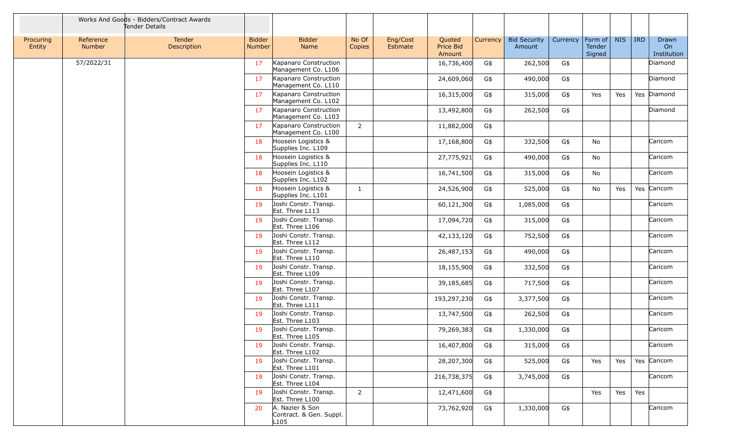|                     |                            | Works And Goods - Bidders/Contract Awards<br>Tender Details |                         |                                                    |                 |                      |                               |          |                               |          |                                     |            |            |                            |
|---------------------|----------------------------|-------------------------------------------------------------|-------------------------|----------------------------------------------------|-----------------|----------------------|-------------------------------|----------|-------------------------------|----------|-------------------------------------|------------|------------|----------------------------|
| Procuring<br>Entity | Reference<br><b>Number</b> | Tender<br>Description                                       | <b>Bidder</b><br>Number | <b>Bidder</b><br>Name                              | No Of<br>Copies | Eng/Cost<br>Estimate | Quoted<br>Price Bid<br>Amount | Currency | <b>Bid Security</b><br>Amount | Currency | Form of $\vert$<br>Tender<br>Signed | <b>NIS</b> | <b>IRD</b> | Drawn<br>On<br>Institution |
|                     | 57/2022/31                 |                                                             | 17                      | Kapanaro Construction<br>Management Co. L106       |                 |                      | 16,736,400                    | G\$      | 262,500                       | G\$      |                                     |            |            | Diamond                    |
|                     |                            |                                                             | 17                      | Kapanaro Construction<br>Management Co. L110       |                 |                      | 24,609,060                    | G\$      | 490,000                       | G\$      |                                     |            |            | Diamond                    |
|                     |                            |                                                             | 17                      | Kapanaro Construction<br>Management Co. L102       |                 |                      | 16,315,000                    | G\$      | 315,000                       | G\$      | Yes                                 | Yes        |            | Yes Diamond                |
|                     |                            |                                                             | 17                      | Kapanaro Construction<br>Management Co. L103       |                 |                      | 13,492,800                    | G\$      | 262,500                       | G\$      |                                     |            |            | Diamond                    |
|                     |                            |                                                             | 17                      | Kapanaro Construction<br>Management Co. L100       | $\overline{2}$  |                      | 11,882,000                    | G\$      |                               |          |                                     |            |            |                            |
|                     |                            |                                                             | 18                      | Hoosein Logistics &<br>Supplies Inc. L109          |                 |                      | 17,168,800                    | G\$      | 332,500                       | G\$      | No                                  |            |            | Caricom                    |
|                     |                            |                                                             | 18                      | Hoosein Logistics &<br>Supplies Inc. L110          |                 |                      | 27,775,921                    | G\$      | 490,000                       | G\$      | No                                  |            |            | Caricom                    |
|                     |                            |                                                             | 18                      | Hoosein Logistics &<br>Supplies Inc. L102          |                 |                      | 16,741,500                    | G\$      | 315,000                       | G\$      | No                                  |            |            | Caricom                    |
|                     |                            |                                                             | 18                      | Hoosein Logistics &<br>Supplies Inc. L101          | $\mathbf{1}$    |                      | 24,526,900                    | G\$      | 525,000                       | G\$      | No                                  | Yes        |            | Yes Caricom                |
|                     |                            |                                                             | 19                      | Joshi Constr. Transp.<br>Est. Three L113           |                 |                      | 60,121,300                    | G\$      | 1,085,000                     | G\$      |                                     |            |            | Caricom                    |
|                     |                            |                                                             | 19                      | Joshi Constr. Transp.<br>Est. Three L106           |                 |                      | 17,094,720                    | G\$      | 315,000                       | G\$      |                                     |            |            | Caricom                    |
|                     |                            |                                                             | 19                      | Joshi Constr. Transp.<br>Est. Three L112           |                 |                      | 42,133,120                    | G\$      | 752,500                       | G\$      |                                     |            |            | Caricom                    |
|                     |                            |                                                             | 19                      | Joshi Constr. Transp.<br>Est. Three L110           |                 |                      | 26,487,153                    | G\$      | 490,000                       | G\$      |                                     |            |            | Caricom                    |
|                     |                            |                                                             | 19                      | Joshi Constr. Transp.<br>Est. Three L109           |                 |                      | 18,155,900                    | G\$      | 332,500                       | G\$      |                                     |            |            | Caricom                    |
|                     |                            |                                                             | 19                      | Joshi Constr. Transp.<br>Est. Three L107           |                 |                      | 39,185,685                    | G\$      | 717,500                       | G\$      |                                     |            |            | Caricom                    |
|                     |                            |                                                             | 19                      | Joshi Constr. Transp.<br>Est. Three L111           |                 |                      | 193,297,230                   | G\$      | 3,377,500                     | G\$      |                                     |            |            | Caricom                    |
|                     |                            |                                                             | 19                      | Joshi Constr. Transp.<br>Est. Three L103           |                 |                      | 13,747,500                    | G\$      | 262,500                       | G\$      |                                     |            |            | Caricom                    |
|                     |                            |                                                             | 19                      | Joshi Constr. Transp.<br>Est. Three L105           |                 |                      | 79,269,383                    | G\$      | 1,330,000                     | G\$      |                                     |            |            | Caricom                    |
|                     |                            |                                                             | 19                      | Joshi Constr. Transp.<br>Est. Three L102           |                 |                      | 16,407,800                    | G\$      | 315,000                       | G\$      |                                     |            |            | Caricom                    |
|                     |                            |                                                             | 19                      | Joshi Constr. Transp.<br>Est. Three L101           |                 |                      | 28,207,300                    | G\$      | 525,000                       | G\$      | Yes                                 | Yes        |            | Yes Caricom                |
|                     |                            |                                                             | 19                      | Joshi Constr. Transp.<br>Est. Three L104           |                 |                      | 216,738,375                   | G\$      | 3,745,000                     | G\$      |                                     |            |            | Caricom                    |
|                     |                            |                                                             | 19                      | Joshi Constr. Transp.<br>Est. Three L100           | $\overline{2}$  |                      | 12,471,600                    | G\$      |                               |          | Yes                                 | Yes        | Yes        |                            |
|                     |                            |                                                             | 20                      | A. Nazier & Son<br>Contract. & Gen. Suppl.<br>L105 |                 |                      | 73,762,920                    | G\$      | 1,330,000                     | G\$      |                                     |            |            | Caricom                    |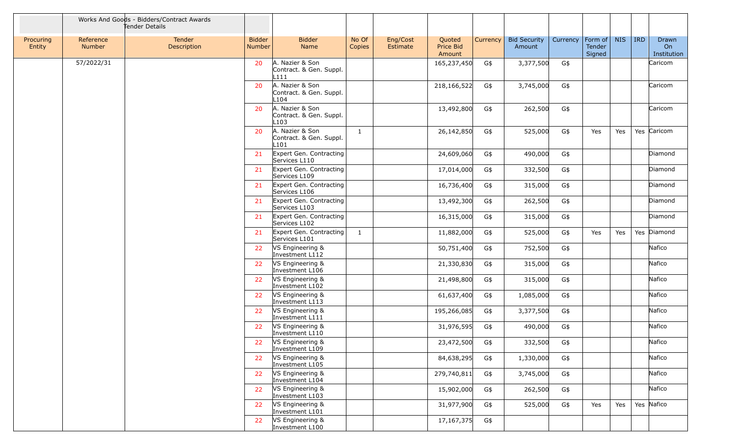|                     |                     | Works And Goods - Bidders/Contract Awards<br>Tender Details |                                |                                                    |                 |                      |                               |          |                               |          |                             |            |            |                            |
|---------------------|---------------------|-------------------------------------------------------------|--------------------------------|----------------------------------------------------|-----------------|----------------------|-------------------------------|----------|-------------------------------|----------|-----------------------------|------------|------------|----------------------------|
| Procuring<br>Entity | Reference<br>Number | <b>Tender</b><br>Description                                | <b>Bidder</b><br><b>Number</b> | <b>Bidder</b><br>Name                              | No Of<br>Copies | Eng/Cost<br>Estimate | Quoted<br>Price Bid<br>Amount | Currency | <b>Bid Security</b><br>Amount | Currency | Form of<br>Tender<br>Signed | <b>NIS</b> | <b>IRD</b> | Drawn<br>On<br>Institution |
|                     | 57/2022/31          |                                                             | 20                             | A. Nazier & Son<br>Contract. & Gen. Suppl.<br>L111 |                 |                      | 165,237,450                   | G\$      | 3,377,500                     | G\$      |                             |            |            | Caricom                    |
|                     |                     |                                                             | 20                             | A. Nazier & Son<br>Contract. & Gen. Suppl.<br>L104 |                 |                      | 218,166,522                   | G\$      | 3,745,000                     | G\$      |                             |            |            | Caricom                    |
|                     |                     |                                                             | 20                             | A. Nazier & Son<br>Contract. & Gen. Suppl.<br>L103 |                 |                      | 13,492,800                    | G\$      | 262,500                       | G\$      |                             |            |            | Caricom                    |
|                     |                     |                                                             | 20                             | A. Nazier & Son<br>Contract. & Gen. Suppl.<br>L101 | $\mathbf{1}$    |                      | 26,142,850                    | G\$      | 525,000                       | G\$      | Yes                         | Yes        |            | Yes Caricom                |
|                     |                     |                                                             | 21                             | Expert Gen. Contracting<br>Services L110           |                 |                      | 24,609,060                    | G\$      | 490,000                       | G\$      |                             |            |            | Diamond                    |
|                     |                     |                                                             | 21                             | Expert Gen. Contracting<br>Services L109           |                 |                      | 17,014,000                    | G\$      | 332,500                       | G\$      |                             |            |            | Diamond                    |
|                     |                     |                                                             | 21                             | Expert Gen. Contracting<br>Services L106           |                 |                      | 16,736,400                    | G\$      | 315,000                       | G\$      |                             |            |            | Diamond                    |
|                     |                     |                                                             | 21                             | Expert Gen. Contracting<br>Services L103           |                 |                      | 13,492,300                    | G\$      | 262,500                       | G\$      |                             |            |            | Diamond                    |
|                     |                     |                                                             | 21                             | Expert Gen. Contracting<br>Services L102           |                 |                      | 16,315,000                    | G\$      | 315,000                       | G\$      |                             |            |            | Diamond                    |
|                     |                     |                                                             | 21                             | Expert Gen. Contracting<br>Services L101           | $\mathbf{1}$    |                      | 11,882,000                    | G\$      | 525,000                       | G\$      | Yes                         | Yes        |            | Yes Diamond                |
|                     |                     |                                                             | 22                             | VS Engineering &<br>Investment L112                |                 |                      | 50,751,400                    | G\$      | 752,500                       | G\$      |                             |            |            | Nafico                     |
|                     |                     |                                                             | 22                             | VS Engineering &<br>Investment L106                |                 |                      | 21,330,830                    | G\$      | 315,000                       | G\$      |                             |            |            | Nafico                     |
|                     |                     |                                                             | 22                             | VS Engineering &<br>Investment L102                |                 |                      | 21,498,800                    | G\$      | 315,000                       | G\$      |                             |            |            | Nafico                     |
|                     |                     |                                                             | 22                             | VS Engineering &<br>Investment L113                |                 |                      | 61,637,400                    | G\$      | 1,085,000                     | G\$      |                             |            |            | Nafico                     |
|                     |                     |                                                             | 22                             | VS Engineering &<br>Investment L111                |                 |                      | 195,266,085                   | G\$      | 3,377,500                     | G\$      |                             |            |            | Nafico                     |
|                     |                     |                                                             | 22                             | VS Engineering &<br>Investment L110                |                 |                      | 31,976,595                    | G\$      | 490,000                       | G\$      |                             |            |            | Nafico                     |
|                     |                     |                                                             | 22                             | VS Engineering &<br>Investment L109                |                 |                      | 23,472,500                    | G\$      | 332,500                       | G\$      |                             |            |            | Nafico                     |
|                     |                     |                                                             | 22                             | VS Engineering &<br>Investment L105                |                 |                      | 84,638,295                    | G\$      | 1,330,000                     | G\$      |                             |            |            | Nafico                     |
|                     |                     |                                                             | 22                             | VS Engineering &<br>Investment L104                |                 |                      | 279,740,811                   | G\$      | 3,745,000                     | G\$      |                             |            |            | Nafico                     |
|                     |                     |                                                             | 22                             | VS Engineering &<br>Investment L103                |                 |                      | 15,902,000                    | G\$      | 262,500                       | G\$      |                             |            |            | Nafico                     |
|                     |                     |                                                             | 22                             | VS Engineering &<br>Investment L101                |                 |                      | 31,977,900                    | G\$      | 525,000                       | G\$      | Yes                         | Yes        |            | Yes Nafico                 |
|                     |                     |                                                             | 22                             | VS Engineering &<br>Investment L100                |                 |                      | 17, 167, 375                  | G\$      |                               |          |                             |            |            |                            |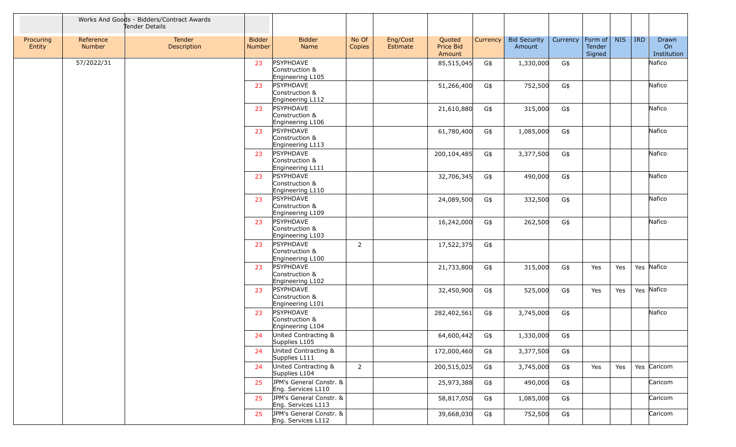|                     |                     | Works And Goods - Bidders/Contract Awards<br>Tender Details |                         |                                                        |                 |                      |                               |          |                               |          |                             |            |            |                            |
|---------------------|---------------------|-------------------------------------------------------------|-------------------------|--------------------------------------------------------|-----------------|----------------------|-------------------------------|----------|-------------------------------|----------|-----------------------------|------------|------------|----------------------------|
| Procuring<br>Entity | Reference<br>Number | Tender<br>Description                                       | <b>Bidder</b><br>Number | <b>Bidder</b><br>Name                                  | No Of<br>Copies | Eng/Cost<br>Estimate | Quoted<br>Price Bid<br>Amount | Currency | <b>Bid Security</b><br>Amount | Currency | Form of<br>Tender<br>Signed | <b>NIS</b> | <b>IRD</b> | Drawn<br>On<br>Institution |
|                     | 57/2022/31          |                                                             | 23                      | PSYPHDAVE<br>Construction &<br>Engineering L105        |                 |                      | 85,515,045                    | G\$      | 1,330,000                     | G\$      |                             |            |            | Nafico                     |
|                     |                     |                                                             | 23                      | <b>PSYPHDAVE</b><br>Construction &<br>Engineering L112 |                 |                      | 51,266,400                    | G\$      | 752,500                       | G\$      |                             |            |            | Nafico                     |
|                     |                     |                                                             | 23                      | PSYPHDAVE<br>Construction &<br>Engineering L106        |                 |                      | 21,610,880                    | G\$      | 315,000                       | G\$      |                             |            |            | Nafico                     |
|                     |                     |                                                             | 23                      | <b>PSYPHDAVE</b><br>Construction &<br>Engineering L113 |                 |                      | 61,780,400                    | G\$      | 1,085,000                     | G\$      |                             |            |            | Nafico                     |
|                     |                     |                                                             | 23                      | PSYPHDAVE<br>Construction &<br>Engineering L111        |                 |                      | 200,104,485                   | G\$      | 3,377,500                     | G\$      |                             |            |            | Nafico                     |
|                     |                     |                                                             | 23                      | PSYPHDAVE<br>Construction &<br>Engineering L110        |                 |                      | 32,706,345                    | G\$      | 490,000                       | G\$      |                             |            |            | Nafico                     |
|                     |                     |                                                             | 23                      | <b>PSYPHDAVE</b><br>Construction &<br>Engineering L109 |                 |                      | 24,089,500                    | G\$      | 332,500                       | G\$      |                             |            |            | Nafico                     |
|                     |                     |                                                             | 23                      | PSYPHDAVE<br>Construction &<br>Engineering L103        |                 |                      | 16,242,000                    | G\$      | 262,500                       | G\$      |                             |            |            | Nafico                     |
|                     |                     |                                                             | 23                      | PSYPHDAVE<br>Construction &<br>Engineering L100        | $\overline{2}$  |                      | 17,522,375                    | G\$      |                               |          |                             |            |            |                            |
|                     |                     |                                                             | 23                      | PSYPHDAVE<br>Construction &<br>Engineering L102        |                 |                      | 21,733,800                    | G\$      | 315,000                       | G\$      | Yes                         | Yes        |            | Yes Nafico                 |
|                     |                     |                                                             | 23                      | PSYPHDAVE<br>Construction &<br>Engineering L101        |                 |                      | 32,450,900                    | G\$      | 525,000                       | G\$      | Yes                         | Yes        |            | Yes Nafico                 |
|                     |                     |                                                             | 23                      | <b>PSYPHDAVE</b><br>Construction &<br>Engineering L104 |                 |                      | 282,402,561                   | G\$      | 3,745,000                     | G\$      |                             |            |            | Nafico                     |
|                     |                     |                                                             | 24                      | United Contracting &<br>Supplies L105                  |                 |                      | 64,600,442                    | G\$      | 1,330,000                     | G\$      |                             |            |            |                            |
|                     |                     |                                                             | 24                      | United Contracting &<br>Supplies L111                  |                 |                      | 172,000,460                   | G\$      | 3,377,500                     | G\$      |                             |            |            |                            |
|                     |                     |                                                             | 24                      | United Contracting &<br>Supplies L104                  | $\overline{2}$  |                      | 200,515,025                   | G\$      | 3,745,000                     | G\$      | Yes                         | Yes        |            | Yes Caricom                |
|                     |                     |                                                             | 25                      | JPM's General Constr. &<br>Eng. Services L110          |                 |                      | 25,973,388                    | G\$      | 490,000                       | G\$      |                             |            |            | Caricom                    |
|                     |                     |                                                             | 25                      | JPM's General Constr. &<br>Eng. Services L113          |                 |                      | 58,817,050                    | G\$      | 1,085,000                     | G\$      |                             |            |            | Caricom                    |
|                     |                     |                                                             | 25                      | JPM's General Constr. &<br>Eng. Services L112          |                 |                      | 39,668,030                    | G\$      | 752,500                       | G\$      |                             |            |            | Caricom                    |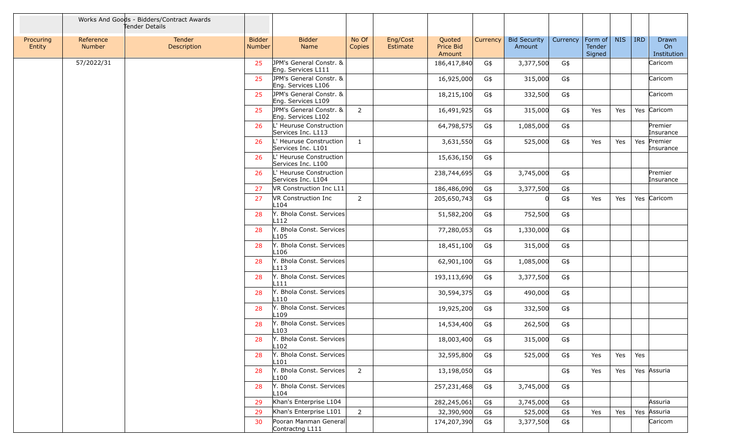|                     |                     | Works And Goods - Bidders/Contract Awards<br>Tender Details |                         |                                                 |                 |                      |                               |            |                               |            |                             |            |            |                            |
|---------------------|---------------------|-------------------------------------------------------------|-------------------------|-------------------------------------------------|-----------------|----------------------|-------------------------------|------------|-------------------------------|------------|-----------------------------|------------|------------|----------------------------|
| Procuring<br>Entity | Reference<br>Number | Tender<br>Description                                       | <b>Bidder</b><br>Number | <b>Bidder</b><br>Name                           | No Of<br>Copies | Eng/Cost<br>Estimate | Quoted<br>Price Bid<br>Amount | Currency   | <b>Bid Security</b><br>Amount | Currency   | Form of<br>Tender<br>Signed | <b>NIS</b> | <b>IRD</b> | Drawn<br>On<br>Institution |
|                     | 57/2022/31          |                                                             | 25                      | JPM's General Constr. &<br>Eng. Services L111   |                 |                      | 186,417,840                   | G\$        | 3,377,500                     | G\$        |                             |            |            | Caricom                    |
|                     |                     |                                                             | 25                      | JPM's General Constr. &<br>Eng. Services L106   |                 |                      | 16,925,000                    | G\$        | 315,000                       | G\$        |                             |            |            | Caricom                    |
|                     |                     |                                                             | 25                      | JPM's General Constr. &<br>Eng. Services L109   |                 |                      | 18,215,100                    | G\$        | 332,500                       | G\$        |                             |            |            | Caricom                    |
|                     |                     |                                                             | 25                      | JPM's General Constr. &<br>Eng. Services L102   | $\overline{2}$  |                      | 16,491,925                    | G\$        | 315,000                       | G\$        | Yes                         | Yes        |            | Yes Caricom                |
|                     |                     |                                                             | 26                      | L' Heuruse Construction<br>Services Inc. L113   |                 |                      | 64,798,575                    | G\$        | 1,085,000                     | G\$        |                             |            |            | Premier<br>Insurance       |
|                     |                     |                                                             | 26                      | L' Heuruse Construction<br>Services Inc. L101   | $\mathbf{1}$    |                      | 3,631,550                     | G\$        | 525,000                       | G\$        | Yes                         | Yes        | Yes        | Premier<br>Insurance       |
|                     |                     |                                                             | 26                      | L' Heuruse Construction<br>Services Inc. L100   |                 |                      | 15,636,150                    | G\$        |                               |            |                             |            |            |                            |
|                     |                     |                                                             | 26                      | L' Heuruse Construction<br>Services Inc. L104   |                 |                      | 238,744,695                   | G\$        | 3,745,000                     | G\$        |                             |            |            | Premier<br>Insurance       |
|                     |                     |                                                             | 27                      | VR Construction Inc L11                         |                 |                      | 186,486,090                   | G\$        | 3,377,500                     | G\$        |                             |            |            |                            |
|                     |                     |                                                             | 27                      | <b>VR Construction Inc.</b><br>L <sub>104</sub> | $\overline{2}$  |                      | 205,650,743                   | G\$        |                               | G\$        | Yes                         | Yes        |            | Yes Caricom                |
|                     |                     |                                                             | 28                      | Y. Bhola Const. Services<br>L112                |                 |                      | 51,582,200                    | G\$        | 752,500                       | G\$        |                             |            |            |                            |
|                     |                     |                                                             | 28                      | Y. Bhola Const. Services<br>L105                |                 |                      | 77,280,053                    | G\$        | 1,330,000                     | G\$        |                             |            |            |                            |
|                     |                     |                                                             | 28                      | Y. Bhola Const. Services<br>L106                |                 |                      | 18,451,100                    | G\$        | 315,000                       | G\$        |                             |            |            |                            |
|                     |                     |                                                             | 28                      | Y. Bhola Const. Services<br>L113                |                 |                      | 62,901,100                    | G\$        | 1,085,000                     | G\$        |                             |            |            |                            |
|                     |                     |                                                             | 28                      | Y. Bhola Const. Services                        |                 |                      | 193,113,690                   | G\$        | 3,377,500                     | G\$        |                             |            |            |                            |
|                     |                     |                                                             | 28                      | L111<br>Y. Bhola Const. Services<br>L110        |                 |                      | 30,594,375                    | G\$        | 490,000                       | G\$        |                             |            |            |                            |
|                     |                     |                                                             | 28                      | Y. Bhola Const. Services                        |                 |                      | 19,925,200                    | G\$        | 332,500                       | G\$        |                             |            |            |                            |
|                     |                     |                                                             | 28                      | L109<br>Y. Bhola Const. Services                |                 |                      | 14,534,400                    | G\$        | 262,500                       | G\$        |                             |            |            |                            |
|                     |                     |                                                             | 28                      | L103<br>Y. Bhola Const. Services                |                 |                      | 18,003,400                    | G\$        | 315,000                       | G\$        |                             |            |            |                            |
|                     |                     |                                                             | 28                      | L <sub>102</sub><br>Y. Bhola Const. Services    |                 |                      | 32,595,800                    | G\$        | 525,000                       | G\$        | Yes                         | Yes        | Yes        |                            |
|                     |                     |                                                             | 28                      | L101<br>Y. Bhola Const. Services                | $\overline{2}$  |                      | 13,198,050                    | G\$        |                               | G\$        | Yes                         | Yes        |            | Yes Assuria                |
|                     |                     |                                                             | 28                      | L100<br>Y. Bhola Const. Services                |                 |                      | 257,231,468                   | G\$        | 3,745,000                     | G\$        |                             |            |            |                            |
|                     |                     |                                                             |                         | L104<br>Khan's Enterprise L104                  |                 |                      |                               |            |                               |            |                             |            |            | Assuria                    |
|                     |                     |                                                             | 29<br>29                | Khan's Enterprise L101                          | $\overline{2}$  |                      | 282,245,061<br>32,390,900     | G\$        | 3,745,000<br>525,000          | G\$        |                             |            |            | Yes Assuria                |
|                     |                     |                                                             | 30                      | Pooran Manman General                           |                 |                      | 174,207,390                   | G\$<br>G\$ | 3,377,500                     | G\$<br>G\$ | Yes                         | Yes        |            | Caricom                    |
|                     |                     |                                                             |                         | Contractng L111                                 |                 |                      |                               |            |                               |            |                             |            |            |                            |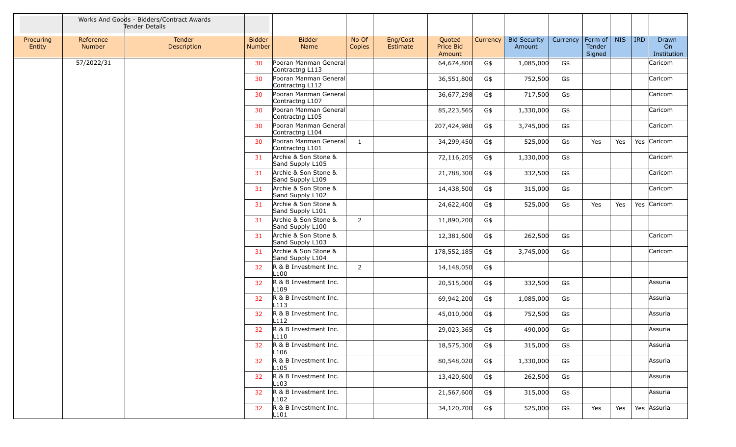|                     |                     | Works And Goods - Bidders/Contract Awards<br>Tender Details |                                |                                           |                 |                      |                               |          |                               |          |                                     |            |            |                            |
|---------------------|---------------------|-------------------------------------------------------------|--------------------------------|-------------------------------------------|-----------------|----------------------|-------------------------------|----------|-------------------------------|----------|-------------------------------------|------------|------------|----------------------------|
| Procuring<br>Entity | Reference<br>Number | Tender<br>Description                                       | <b>Bidder</b><br><b>Number</b> | <b>Bidder</b><br>Name                     | No Of<br>Copies | Eng/Cost<br>Estimate | Quoted<br>Price Bid<br>Amount | Currency | <b>Bid Security</b><br>Amount | Currency | $ $ Form of $ $<br>Tender<br>Signed | <b>NIS</b> | <b>IRD</b> | Drawn<br>On<br>Institution |
|                     | 57/2022/31          |                                                             | 30                             | Pooran Manman General<br>Contractng L113  |                 |                      | 64,674,800                    | G\$      | 1,085,000                     | G\$      |                                     |            |            | Caricom                    |
|                     |                     |                                                             | 30                             | Pooran Manman General<br>Contractng L112  |                 |                      | 36,551,800                    | G\$      | 752,500                       | G\$      |                                     |            |            | Caricom                    |
|                     |                     |                                                             | 30                             | Pooran Manman General<br>Contractng L107  |                 |                      | 36,677,298                    | G\$      | 717,500                       | G\$      |                                     |            |            | Caricom                    |
|                     |                     |                                                             | 30 <sup>°</sup>                | Pooran Manman General<br>Contractng L105  |                 |                      | 85,223,565                    | G\$      | 1,330,000                     | G\$      |                                     |            |            | Caricom                    |
|                     |                     |                                                             | 30                             | Pooran Manman General<br>Contractng L104  |                 |                      | 207,424,980                   | G\$      | 3,745,000                     | G\$      |                                     |            |            | Caricom                    |
|                     |                     |                                                             | 30                             | Pooran Manman General<br>Contractng L101  | $\mathbf{1}$    |                      | 34,299,450                    | G\$      | 525,000                       | G\$      | Yes                                 | Yes        |            | Yes Caricom                |
|                     |                     |                                                             | 31                             | Archie & Son Stone &<br>Sand Supply L105  |                 |                      | 72,116,205                    | G\$      | 1,330,000                     | G\$      |                                     |            |            | Caricom                    |
|                     |                     |                                                             | 31                             | Archie & Son Stone &<br>Sand Supply L109  |                 |                      | 21,788,300                    | G\$      | 332,500                       | G\$      |                                     |            |            | Caricom                    |
|                     |                     |                                                             | 31                             | Archie & Son Stone &<br>Sand Supply L102  |                 |                      | 14,438,500                    | G\$      | 315,000                       | G\$      |                                     |            |            | Caricom                    |
|                     |                     |                                                             | 31                             | Archie & Son Stone &<br>Sand Supply L101  |                 |                      | 24,622,400                    | G\$      | 525,000                       | G\$      | Yes                                 | Yes        |            | Yes Caricom                |
|                     |                     |                                                             | 31                             | Archie & Son Stone &<br>Sand Supply L100  | $\overline{2}$  |                      | 11,890,200                    | G\$      |                               |          |                                     |            |            |                            |
|                     |                     |                                                             | 31                             | Archie & Son Stone &<br>Sand Supply L103  |                 |                      | 12,381,600                    | G\$      | 262,500                       | G\$      |                                     |            |            | Caricom                    |
|                     |                     |                                                             | 31                             | Archie & Son Stone &<br>Sand Supply L104  |                 |                      | 178,552,185                   | G\$      | 3,745,000                     | G\$      |                                     |            |            | Caricom                    |
|                     |                     |                                                             | 32                             | R & B Investment Inc.<br>L <sub>100</sub> | $\overline{2}$  |                      | 14,148,050                    | G\$      |                               |          |                                     |            |            |                            |
|                     |                     |                                                             | 32                             | R & B Investment Inc.<br>L <sub>109</sub> |                 |                      | 20,515,000                    | G\$      | 332,500                       | G\$      |                                     |            |            | Assuria                    |
|                     |                     |                                                             | 32                             | R & B Investment Inc.<br>L113             |                 |                      | 69,942,200                    | G\$      | 1,085,000                     | G\$      |                                     |            |            | Assuria                    |
|                     |                     |                                                             | 32                             | R & B Investment Inc.<br>L112             |                 |                      | 45,010,000                    | G\$      | 752,500                       | G\$      |                                     |            |            | Assuria                    |
|                     |                     |                                                             | 32                             | R & B Investment Inc.<br>L110             |                 |                      | 29,023,365                    | G\$      | 490,000                       | G\$      |                                     |            |            | Assuria                    |
|                     |                     |                                                             | 32                             | R & B Investment Inc.<br>L106             |                 |                      | 18,575,300                    | G\$      | 315,000                       | G\$      |                                     |            |            | Assuria                    |
|                     |                     |                                                             | 32 <sup>2</sup>                | R & B Investment Inc.<br>L105             |                 |                      | 80,548,020                    | G\$      | 1,330,000                     | G\$      |                                     |            |            | Assuria                    |
|                     |                     |                                                             | 32                             | R & B Investment Inc.<br>L103             |                 |                      | 13,420,600                    | G\$      | 262,500                       | G\$      |                                     |            |            | Assuria                    |
|                     |                     |                                                             | 32 <sup>2</sup>                | R & B Investment Inc.<br>L102             |                 |                      | 21,567,600                    | G\$      | 315,000                       | G\$      |                                     |            |            | Assuria                    |
|                     |                     |                                                             | 32                             | R & B Investment Inc.<br>L101             |                 |                      | 34,120,700                    | G\$      | 525,000                       | G\$      | Yes                                 | Yes        |            | Yes Assuria                |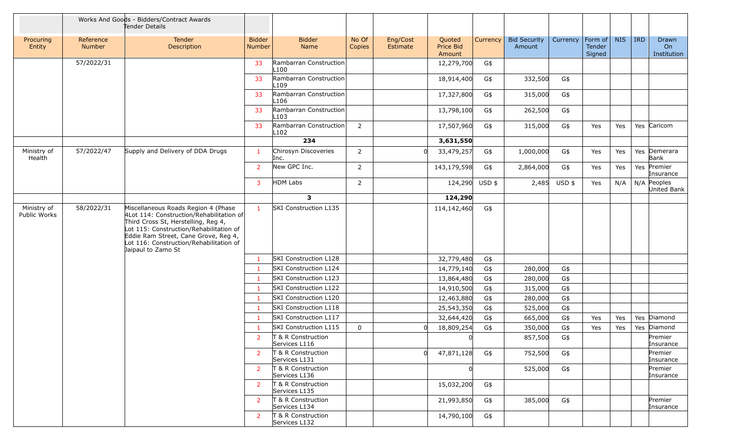|                             |                     | Works And Goods - Bidders/Contract Awards<br>Tender Details                                                                                                                                                                                                                |                         |                                     |                 |                      |                               |          |                               |          |                             |            |            |                                        |
|-----------------------------|---------------------|----------------------------------------------------------------------------------------------------------------------------------------------------------------------------------------------------------------------------------------------------------------------------|-------------------------|-------------------------------------|-----------------|----------------------|-------------------------------|----------|-------------------------------|----------|-----------------------------|------------|------------|----------------------------------------|
| Procuring<br>Entity         | Reference<br>Number | Tender<br>Description                                                                                                                                                                                                                                                      | <b>Bidder</b><br>Number | <b>Bidder</b><br><b>Name</b>        | No Of<br>Copies | Eng/Cost<br>Estimate | Quoted<br>Price Bid<br>Amount | Currency | <b>Bid Security</b><br>Amount | Currency | Form of<br>Tender<br>Signed | <b>NIS</b> | <b>IRD</b> | Drawn<br>O <sub>n</sub><br>Institution |
|                             | 57/2022/31          |                                                                                                                                                                                                                                                                            | 33                      | Rambarran Construction<br>L100      |                 |                      | 12,279,700                    | G\$      |                               |          |                             |            |            |                                        |
|                             |                     |                                                                                                                                                                                                                                                                            | 33                      | Rambarran Construction<br>L109      |                 |                      | 18,914,400                    | G\$      | 332,500                       | G\$      |                             |            |            |                                        |
|                             |                     |                                                                                                                                                                                                                                                                            | 33                      | Rambarran Construction<br>L106      |                 |                      | 17,327,800                    | G\$      | 315,000                       | G\$      |                             |            |            |                                        |
|                             |                     |                                                                                                                                                                                                                                                                            | 33                      | Rambarran Construction<br>L103      |                 |                      | 13,798,100                    | G\$      | 262,500                       | G\$      |                             |            |            |                                        |
|                             |                     |                                                                                                                                                                                                                                                                            | 33                      | Rambarran Construction<br>L102      | $\overline{2}$  |                      | 17,507,960                    | G\$      | 315,000                       | G\$      | Yes                         | Yes        |            | Yes Caricom                            |
|                             |                     |                                                                                                                                                                                                                                                                            |                         | 234                                 |                 |                      | 3,631,550                     |          |                               |          |                             |            |            |                                        |
| Ministry of<br>Health       | 57/2022/47          | Supply and Delivery of DDA Drugs                                                                                                                                                                                                                                           | $\mathbf{1}$            | Chirosyn Discoveries<br>Inc.        | $\overline{2}$  |                      | 33,479,257                    | G\$      | 1,000,000                     | G\$      | Yes                         | Yes        |            | Yes Demerara<br>Bank                   |
|                             |                     |                                                                                                                                                                                                                                                                            | $\overline{2}$          | New GPC Inc.                        | $\overline{2}$  |                      | 143,179,598                   | G\$      | 2,864,000                     | G\$      | Yes                         | Yes        |            | Yes Premier<br>Insurance               |
|                             |                     |                                                                                                                                                                                                                                                                            | $\mathbf{3}$            | <b>HDM Labs</b>                     | $\overline{2}$  |                      | 124,290 USD \$                |          | 2,485                         | USD \$   | Yes                         | N/A        |            | $N/A$ Peoples<br>United Bank           |
|                             |                     |                                                                                                                                                                                                                                                                            |                         | $\mathbf{3}$                        |                 |                      | 124,290                       |          |                               |          |                             |            |            |                                        |
| Ministry of<br>Public Works | 58/2022/31          | Miscellaneous Roads Region 4 (Phase<br>4Lot 114: Construction/Rehabilitation of<br>Third Cross St, Herstelling, Reg 4,<br>Lot 115: Construction/Rehabilitation of<br>Eddie Ram Street, Cane Grove, Reg 4,<br>Lot 116: Construction/Rehabilitation of<br>Jaipaul to Zamo St | $\mathbf{1}$            | <b>SKI Construction L135</b>        |                 |                      | 114,142,460                   | G\$      |                               |          |                             |            |            |                                        |
|                             |                     |                                                                                                                                                                                                                                                                            | -1                      | SKI Construction L128               |                 |                      | 32,779,480                    | G\$      |                               |          |                             |            |            |                                        |
|                             |                     |                                                                                                                                                                                                                                                                            | $\mathbf{1}$            | <b>SKI Construction L124</b>        |                 |                      | 14,779,140                    | G\$      | 280,000                       | G\$      |                             |            |            |                                        |
|                             |                     |                                                                                                                                                                                                                                                                            |                         | SKI Construction L123               |                 |                      | 13,864,480                    | G\$      | 280,000                       | G\$      |                             |            |            |                                        |
|                             |                     |                                                                                                                                                                                                                                                                            |                         | SKI Construction L122               |                 |                      | 14,910,500                    | G\$      | 315,000                       | G\$      |                             |            |            |                                        |
|                             |                     |                                                                                                                                                                                                                                                                            |                         | <b>SKI Construction L120</b>        |                 |                      | 12,463,880                    | G\$      | 280,000                       | G\$      |                             |            |            |                                        |
|                             |                     |                                                                                                                                                                                                                                                                            |                         | <b>SKI Construction L118</b>        |                 |                      | 25,543,350                    | G\$      | 525,000                       | G\$      |                             |            |            |                                        |
|                             |                     |                                                                                                                                                                                                                                                                            |                         | SKI Construction L117               |                 |                      | 32,644,420                    | G\$      | 665,000                       | G\$      | Yes                         | Yes        |            | Yes Diamond                            |
|                             |                     |                                                                                                                                                                                                                                                                            |                         | <b>SKI Construction L115</b>        | $\mathbf 0$     |                      | 18,809,254                    | G\$      | 350,000                       | G\$      | Yes                         | Yes        |            | Yes Diamond                            |
|                             |                     |                                                                                                                                                                                                                                                                            | 2                       | T & R Construction<br>Services L116 |                 |                      | $\Omega$                      |          | 857,500                       | G\$      |                             |            |            | Premier<br>Insurance                   |
|                             |                     |                                                                                                                                                                                                                                                                            | $\overline{2}$          | T & R Construction<br>Services L131 |                 |                      | 47,871,128<br>Ωl              | G\$      | 752,500                       | G\$      |                             |            |            | Premier<br>Insurance                   |
|                             |                     |                                                                                                                                                                                                                                                                            | $\overline{2}$          | T & R Construction<br>Services L136 |                 |                      |                               |          | 525,000                       | G\$      |                             |            |            | Premier<br>Insurance                   |
|                             |                     |                                                                                                                                                                                                                                                                            | 2                       | T & R Construction<br>Services L135 |                 |                      | 15,032,200                    | G\$      |                               |          |                             |            |            |                                        |
|                             |                     |                                                                                                                                                                                                                                                                            | $\overline{2}$          | T & R Construction<br>Services L134 |                 |                      | 21,993,850                    | G\$      | 385,000                       | G\$      |                             |            |            | Premier<br>Insurance                   |
|                             |                     |                                                                                                                                                                                                                                                                            | $\overline{2}$          | T & R Construction<br>Services L132 |                 |                      | 14,790,100                    | G\$      |                               |          |                             |            |            |                                        |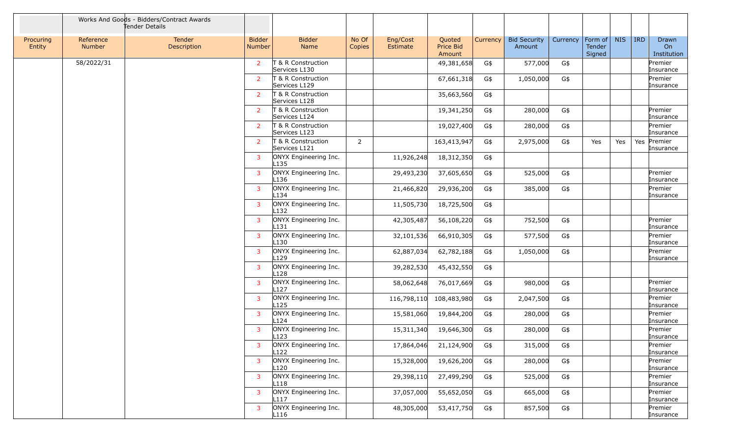|                     |                            | Works And Goods - Bidders/Contract Awards<br>Tender Details |                         |                                           |                 |                      |                               |          |                               |          |                             |            |            |                            |
|---------------------|----------------------------|-------------------------------------------------------------|-------------------------|-------------------------------------------|-----------------|----------------------|-------------------------------|----------|-------------------------------|----------|-----------------------------|------------|------------|----------------------------|
| Procuring<br>Entity | Reference<br><b>Number</b> | Tender<br>Description                                       | <b>Bidder</b><br>Number | <b>Bidder</b><br>Name                     | No Of<br>Copies | Eng/Cost<br>Estimate | Quoted<br>Price Bid<br>Amount | Currency | <b>Bid Security</b><br>Amount | Currency | Form of<br>Tender<br>Signed | <b>NIS</b> | <b>IRD</b> | Drawn<br>On<br>Institution |
|                     | 58/2022/31                 |                                                             | 2                       | T & R Construction<br>Services L130       |                 |                      | 49,381,658                    | G\$      | 577,000                       | G\$      |                             |            |            | Premier<br>Insurance       |
|                     |                            |                                                             | 2                       | T & R Construction<br>Services L129       |                 |                      | 67,661,318                    | G\$      | 1,050,000                     | G\$      |                             |            |            | Premier<br>Insurance       |
|                     |                            |                                                             | <sup>2</sup>            | T & R Construction<br>Services L128       |                 |                      | 35,663,560                    | G\$      |                               |          |                             |            |            |                            |
|                     |                            |                                                             | $\overline{2}$          | T & R Construction<br>Services L124       |                 |                      | 19,341,250                    | G\$      | 280,000                       | G\$      |                             |            |            | Premier<br>Insurance       |
|                     |                            |                                                             | <sup>2</sup>            | T & R Construction<br>Services L123       |                 |                      | 19,027,400                    | G\$      | 280,000                       | G\$      |                             |            |            | Premier<br>Insurance       |
|                     |                            |                                                             | 2                       | T & R Construction<br>Services L121       | $\overline{2}$  |                      | 163,413,947                   | G\$      | 2,975,000                     | G\$      | Yes                         | Yes        | Yes        | Premier<br>Insurance       |
|                     |                            |                                                             | 3                       | ONYX Engineering Inc.<br>L <sub>135</sub> |                 | 11,926,248           | 18,312,350                    | G\$      |                               |          |                             |            |            |                            |
|                     |                            |                                                             | 3                       | ONYX Engineering Inc.<br>L136             |                 | 29,493,230           | 37,605,650                    | G\$      | 525,000                       | G\$      |                             |            |            | Premier<br>Insurance       |
|                     |                            |                                                             | 3                       | ONYX Engineering Inc.<br>L134             |                 | 21,466,820           | 29,936,200                    | G\$      | 385,000                       | G\$      |                             |            |            | Premier<br>Insurance       |
|                     |                            |                                                             | $\overline{3}$          | ONYX Engineering Inc.<br>L132             |                 | 11,505,730           | 18,725,500                    | G\$      |                               |          |                             |            |            |                            |
|                     |                            |                                                             | $\overline{3}$          | ONYX Engineering Inc.<br>L131             |                 | 42,305,487           | 56,108,220                    | G\$      | 752,500                       | G\$      |                             |            |            | Premier<br>Insurance       |
|                     |                            |                                                             | $\overline{3}$          | ONYX Engineering Inc.<br>L130             |                 | 32,101,536           | 66,910,305                    | G\$      | 577,500                       | G\$      |                             |            |            | Premier<br>Insurance       |
|                     |                            |                                                             | 3                       | ONYX Engineering Inc.<br>L129             |                 | 62,887,034           | 62,782,188                    | G\$      | 1,050,000                     | G\$      |                             |            |            | Premier<br>Insurance       |
|                     |                            |                                                             | 3                       | ONYX Engineering Inc.<br>L128             |                 | 39,282,530           | 45,432,550                    | G\$      |                               |          |                             |            |            |                            |
|                     |                            |                                                             | $\overline{3}$          | ONYX Engineering Inc.<br>L127             |                 | 58,062,648           | 76,017,669                    | G\$      | 980,000                       | G\$      |                             |            |            | Premier<br>Insurance       |
|                     |                            |                                                             | $\overline{3}$          | ONYX Engineering Inc.<br>L125             |                 | 116,798,110          | 108,483,980                   | G\$      | 2,047,500                     | G\$      |                             |            |            | Premier<br>Insurance       |
|                     |                            |                                                             | 3                       | ONYX Engineering Inc.<br>L124             |                 | 15,581,060           | 19,844,200                    | G\$      | 280,000                       | G\$      |                             |            |            | Premier<br>Insurance       |
|                     |                            |                                                             | 3                       | ONYX Engineering Inc.<br>L123             |                 | 15,311,340           | 19,646,300                    | G\$      | 280,000                       | G\$      |                             |            |            | Premier<br>Insurance       |
|                     |                            |                                                             | 3                       | ONYX Engineering Inc.<br>L122             |                 | 17,864,046           | 21,124,900                    | G\$      | 315,000                       | G\$      |                             |            |            | Premier<br>Insurance       |
|                     |                            |                                                             | 3                       | ONYX Engineering Inc.<br>L120             |                 | 15,328,000           | 19,626,200                    | G\$      | 280,000                       | G\$      |                             |            |            | Premier<br>Insurance       |
|                     |                            |                                                             | 3                       | ONYX Engineering Inc.<br>L118             |                 | 29,398,110           | 27,499,290                    | G\$      | 525,000                       | G\$      |                             |            |            | Premier<br>Insurance       |
|                     |                            |                                                             | $\overline{3}$          | ONYX Engineering Inc.<br>L117             |                 | 37,057,000           | 55,652,050                    | G\$      | 665,000                       | G\$      |                             |            |            | Premier<br>Insurance       |
|                     |                            |                                                             | 3                       | ONYX Engineering Inc.<br>L116             |                 | 48,305,000           | 53,417,750                    | G\$      | 857,500                       | G\$      |                             |            |            | Premier<br>Insurance       |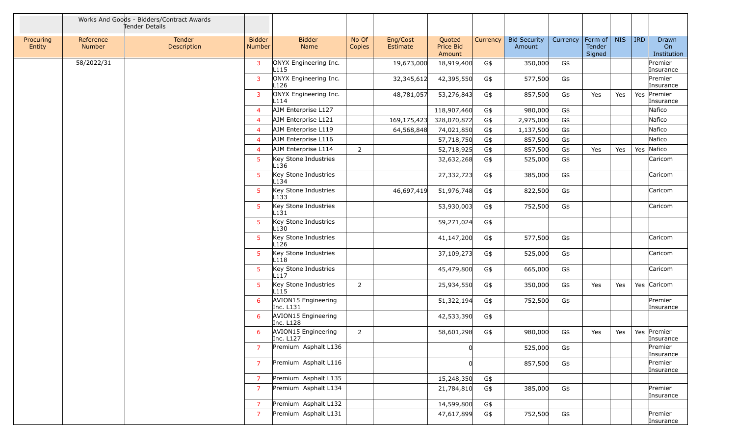|                     |                     | Works And Goods - Bidders/Contract Awards<br>Tender Details |                         |                                          |                 |                      |                                      |          |                               |          |                                     |            |            |                            |
|---------------------|---------------------|-------------------------------------------------------------|-------------------------|------------------------------------------|-----------------|----------------------|--------------------------------------|----------|-------------------------------|----------|-------------------------------------|------------|------------|----------------------------|
| Procuring<br>Entity | Reference<br>Number | Tender<br>Description                                       | <b>Bidder</b><br>Number | <b>Bidder</b><br>Name                    | No Of<br>Copies | Eng/Cost<br>Estimate | Quoted<br><b>Price Bid</b><br>Amount | Currency | <b>Bid Security</b><br>Amount | Currency | Form of $\vert$<br>Tender<br>Signed | <b>NIS</b> | <b>IRD</b> | Drawn<br>On<br>Institution |
|                     | 58/2022/31          |                                                             | $\mathbf{3}$            | ONYX Engineering Inc.<br>L115            |                 | 19,673,000           | 18,919,400                           | G\$      | 350,000                       | G\$      |                                     |            |            | Premier<br>Insurance       |
|                     |                     |                                                             | 3                       | ONYX Engineering Inc.<br>L126            |                 | 32,345,612           | 42,395,550                           | G\$      | 577,500                       | G\$      |                                     |            |            | Premier<br>Insurance       |
|                     |                     |                                                             | $\overline{3}$          | ONYX Engineering Inc.<br>L114            |                 | 48,781,057           | 53,276,843                           | G\$      | 857,500                       | G\$      | Yes                                 | Yes        |            | Yes Premier<br>Insurance   |
|                     |                     |                                                             | $\overline{4}$          | AJM Enterprise L127                      |                 |                      | 118,907,460                          | G\$      | 980,000                       | G\$      |                                     |            |            | Nafico                     |
|                     |                     |                                                             | $\overline{4}$          | AJM Enterprise L121                      |                 | 169,175,423          | 328,070,872                          | G\$      | 2,975,000                     | G\$      |                                     |            |            | Nafico                     |
|                     |                     |                                                             | $\overline{4}$          | AJM Enterprise L119                      |                 | 64,568,848           | 74,021,850                           | G\$      | 1,137,500                     | G\$      |                                     |            |            | Nafico                     |
|                     |                     |                                                             | $\overline{4}$          | AJM Enterprise L116                      |                 |                      | 57,718,750                           | G\$      | 857,500                       | $G\$     |                                     |            |            | Nafico                     |
|                     |                     |                                                             | $\overline{4}$          | AJM Enterprise L114                      | $\overline{2}$  |                      | 52,718,925                           | G\$      | 857,500                       | G\$      | Yes                                 | Yes        |            | Yes Nafico                 |
|                     |                     |                                                             | 5                       | Key Stone Industries<br>L136             |                 |                      | 32,632,268                           | G\$      | 525,000                       | G\$      |                                     |            |            | Caricom                    |
|                     |                     |                                                             | $5^{\circ}$             | Key Stone Industries<br>L134             |                 |                      | 27,332,723                           | G\$      | 385,000                       | G\$      |                                     |            |            | Caricom                    |
|                     |                     |                                                             | -5                      | Key Stone Industries<br>L133             |                 | 46,697,419           | 51,976,748                           | G\$      | 822,500                       | $G\$     |                                     |            |            | Caricom                    |
|                     |                     |                                                             | $5^{\circ}$             | Key Stone Industries<br>L131             |                 |                      | 53,930,003                           | G\$      | 752,500                       | G\$      |                                     |            |            | Caricom                    |
|                     |                     |                                                             | 5 <sup>5</sup>          | Key Stone Industries<br>L130             |                 |                      | 59,271,024                           | G\$      |                               |          |                                     |            |            |                            |
|                     |                     |                                                             | 5 <sup>5</sup>          | Key Stone Industries<br>L126             |                 |                      | 41,147,200                           | G\$      | 577,500                       | G\$      |                                     |            |            | Caricom                    |
|                     |                     |                                                             | 5 <sup>1</sup>          | Key Stone Industries<br>L118             |                 |                      | 37,109,273                           | G\$      | 525,000                       | G\$      |                                     |            |            | Caricom                    |
|                     |                     |                                                             | 5                       | Key Stone Industries<br>L <sub>117</sub> |                 |                      | 45,479,800                           | G\$      | 665,000                       | G\$      |                                     |            |            | Caricom                    |
|                     |                     |                                                             | $5^{\circ}$             | Key Stone Industries<br>L115             | $\overline{2}$  |                      | 25,934,550                           | G\$      | 350,000                       | G\$      | Yes                                 | Yes        |            | Yes Caricom                |
|                     |                     |                                                             | 6                       | AVION15 Engineering<br>Inc. L131         |                 |                      | 51,322,194                           | G\$      | 752,500                       | G\$      |                                     |            |            | Premier<br>Insurance       |
|                     |                     |                                                             | 6                       | AVION15 Engineering<br>Inc. L128         |                 |                      | 42,533,390                           | G\$      |                               |          |                                     |            |            |                            |
|                     |                     |                                                             | 6                       | AVION15 Engineering<br>Inc. L127         | $\overline{2}$  |                      | 58,601,298                           | G\$      | 980,000                       | G\$      | Yes                                 | Yes        |            | Yes Premier<br>Insurance   |
|                     |                     |                                                             | 7                       | Premium Asphalt L136                     |                 |                      |                                      |          | 525,000                       | G\$      |                                     |            |            | Premier<br>Insurance       |
|                     |                     |                                                             | $\overline{7}$          | Premium Asphalt L116                     |                 |                      |                                      |          | 857,500                       | G\$      |                                     |            |            | Premier<br>Insurance       |
|                     |                     |                                                             | $\overline{7}$          | Premium Asphalt L135                     |                 |                      | 15,248,350                           | G\$      |                               |          |                                     |            |            |                            |
|                     |                     |                                                             | $\overline{7}$          | Premium Asphalt L134                     |                 |                      | 21,784,810                           | G\$      | 385,000                       | G\$      |                                     |            |            | Premier<br>Insurance       |
|                     |                     |                                                             | 7                       | Premium Asphalt L132                     |                 |                      | 14,599,800                           | G\$      |                               |          |                                     |            |            |                            |
|                     |                     |                                                             | $\overline{7}$          | Premium Asphalt L131                     |                 |                      | 47,617,899                           | G\$      | 752,500                       | G\$      |                                     |            |            | Premier<br>Insurance       |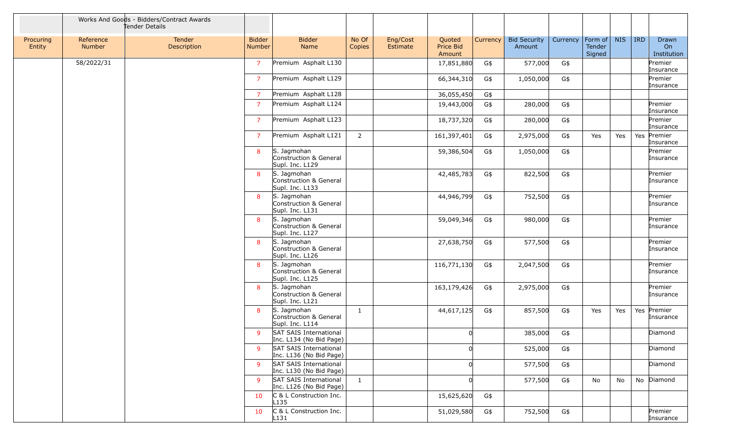|                     |                     | Works And Goods - Bidders/Contract Awards<br>Tender Details |                                |                                                          |                 |                      |                               |          |                               |          |                             |            |            |                            |
|---------------------|---------------------|-------------------------------------------------------------|--------------------------------|----------------------------------------------------------|-----------------|----------------------|-------------------------------|----------|-------------------------------|----------|-----------------------------|------------|------------|----------------------------|
| Procuring<br>Entity | Reference<br>Number | Tender<br>Description                                       | <b>Bidder</b><br><b>Number</b> | <b>Bidder</b><br>Name                                    | No Of<br>Copies | Eng/Cost<br>Estimate | Quoted<br>Price Bid<br>Amount | Currency | <b>Bid Security</b><br>Amount | Currency | Form of<br>Tender<br>Signed | <b>NIS</b> | <b>IRD</b> | Drawn<br>On<br>Institution |
|                     | 58/2022/31          |                                                             | $\overline{7}$                 | Premium Asphalt L130                                     |                 |                      | 17,851,880                    | G\$      | 577,000                       | G\$      |                             |            |            | Premier<br>Insurance       |
|                     |                     |                                                             | $\overline{7}$                 | Premium Asphalt L129                                     |                 |                      | 66,344,310                    | G\$      | 1,050,000                     | G\$      |                             |            |            | Premier<br>Insurance       |
|                     |                     |                                                             | $\overline{7}$                 | Premium Asphalt L128                                     |                 |                      | 36,055,450                    | G\$      |                               |          |                             |            |            |                            |
|                     |                     |                                                             | $\overline{7}$                 | Premium Asphalt L124                                     |                 |                      | 19,443,000                    | G\$      | 280,000                       | G\$      |                             |            |            | Premier<br>Insurance       |
|                     |                     |                                                             | $\overline{7}$                 | Premium Asphalt L123                                     |                 |                      | 18,737,320                    | G\$      | 280,000                       | G\$      |                             |            |            | Premier<br>Insurance       |
|                     |                     |                                                             | $\overline{7}$                 | Premium Asphalt L121                                     | $\overline{2}$  |                      | 161,397,401                   | G\$      | 2,975,000                     | G\$      | Yes                         | Yes        | Yes        | Premier<br>Insurance       |
|                     |                     |                                                             | 8                              | S. Jagmohan<br>Construction & General<br>Supl. Inc. L129 |                 |                      | 59,386,504                    | G\$      | 1,050,000                     | G\$      |                             |            |            | Premier<br>Insurance       |
|                     |                     |                                                             | 8                              | S. Jagmohan<br>Construction & General<br>Supl. Inc. L133 |                 |                      | 42,485,783                    | G\$      | 822,500                       | G\$      |                             |            |            | Premier<br>Insurance       |
|                     |                     |                                                             | 8                              | S. Jagmohan<br>Construction & General<br>Supl. Inc. L131 |                 |                      | 44,946,799                    | G\$      | 752,500                       | G\$      |                             |            |            | Premier<br>Insurance       |
|                     |                     |                                                             | 8                              | S. Jagmohan<br>Construction & General<br>Supl. Inc. L127 |                 |                      | 59,049,346                    | G\$      | 980,000                       | G\$      |                             |            |            | Premier<br>Insurance       |
|                     |                     |                                                             | 8                              | S. Jagmohan<br>Construction & General<br>Supl. Inc. L126 |                 |                      | 27,638,750                    | G\$      | 577,500                       | G\$      |                             |            |            | Premier<br>Insurance       |
|                     |                     |                                                             | 8                              | S. Jagmohan<br>Construction & General<br>Supl. Inc. L125 |                 |                      | 116,771,130                   | G\$      | 2,047,500                     | G\$      |                             |            |            | Premier<br>Insurance       |
|                     |                     |                                                             | 8                              | S. Jagmohan<br>Construction & General<br>Supl. Inc. L121 |                 |                      | 163,179,426                   | G\$      | 2,975,000                     | G\$      |                             |            |            | Premier<br>Insurance       |
|                     |                     |                                                             | 8                              | S. Jagmohan<br>Construction & General<br>Supl. Inc. L114 | $\mathbf{1}$    |                      | 44,617,125                    | G\$      | 857,500                       | G\$      | Yes                         | Yes        |            | Yes Premier<br>Insurance   |
|                     |                     |                                                             | 9                              | SAT SAIS International<br>Inc. L134 (No Bid Page)        |                 |                      |                               |          | 385,000                       | G\$      |                             |            |            | Diamond                    |
|                     |                     |                                                             | 9                              | SAT SAIS International<br>Inc. L136 (No Bid Page)        |                 |                      |                               |          | 525,000                       | G\$      |                             |            |            | Diamond                    |
|                     |                     |                                                             | 9                              | SAT SAIS International<br>Inc. L130 (No Bid Page)        |                 |                      |                               |          | 577,500                       | G\$      |                             |            |            | Diamond                    |
|                     |                     |                                                             | -9                             | SAT SAIS International<br>Inc. L126 (No Bid Page)        | $\mathbf{1}$    |                      | <sup>0</sup>                  |          | 577,500                       | G\$      | No                          | No         |            | No Diamond                 |
|                     |                     |                                                             | 10                             | C & L Construction Inc.<br>L135                          |                 |                      | 15,625,620                    | G\$      |                               |          |                             |            |            |                            |
|                     |                     |                                                             | 10                             | C & L Construction Inc.<br>L <sub>131</sub>              |                 |                      | 51,029,580                    | G\$      | 752,500                       | G\$      |                             |            |            | Premier<br>Insurance       |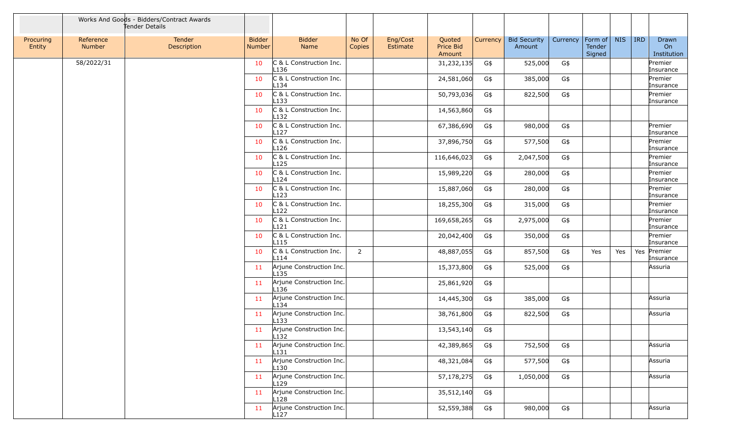|                     |                     | Works And Goods - Bidders/Contract Awards<br>Tender Details |                         |                                              |                 |                      |                               |          |                               |          |                             |            |            |                            |
|---------------------|---------------------|-------------------------------------------------------------|-------------------------|----------------------------------------------|-----------------|----------------------|-------------------------------|----------|-------------------------------|----------|-----------------------------|------------|------------|----------------------------|
| Procuring<br>Entity | Reference<br>Number | Tender<br>Description                                       | <b>Bidder</b><br>Number | <b>Bidder</b><br>Name                        | No Of<br>Copies | Eng/Cost<br>Estimate | Quoted<br>Price Bid<br>Amount | Currency | <b>Bid Security</b><br>Amount | Currency | Form of<br>Tender<br>Signed | <b>NIS</b> | <b>IRD</b> | Drawn<br>On<br>Institution |
|                     | 58/2022/31          |                                                             | 10                      | C & L Construction Inc.<br>L136              |                 |                      | 31,232,135                    | G\$      | 525,000                       | G\$      |                             |            |            | Premier<br>Insurance       |
|                     |                     |                                                             | 10                      | C & L Construction Inc.<br>L <sub>134</sub>  |                 |                      | 24,581,060                    | G\$      | 385,000                       | G\$      |                             |            |            | Premier<br>Insurance       |
|                     |                     |                                                             | 10                      | C & L Construction Inc.<br>L133              |                 |                      | 50,793,036                    | G\$      | 822,500                       | G\$      |                             |            |            | Premier<br>Insurance       |
|                     |                     |                                                             | 10                      | C & L Construction Inc.<br>L132              |                 |                      | 14,563,860                    | G\$      |                               |          |                             |            |            |                            |
|                     |                     |                                                             | 10                      | C & L Construction Inc.<br>L <sub>127</sub>  |                 |                      | 67,386,690                    | G\$      | 980,000                       | G\$      |                             |            |            | Premier<br>Insurance       |
|                     |                     |                                                             | 10                      | C & L Construction Inc.<br>L126              |                 |                      | 37,896,750                    | G\$      | 577,500                       | G\$      |                             |            |            | Premier<br>Insurance       |
|                     |                     |                                                             | 10                      | C & L Construction Inc.<br>L <sub>125</sub>  |                 |                      | 116,646,023                   | G\$      | 2,047,500                     | G\$      |                             |            |            | Premier<br>Insurance       |
|                     |                     |                                                             | 10                      | C & L Construction Inc.<br>L124              |                 |                      | 15,989,220                    | G\$      | 280,000                       | G\$      |                             |            |            | Premier<br>Insurance       |
|                     |                     |                                                             | 10                      | C & L Construction Inc.<br>L123              |                 |                      | 15,887,060                    | G\$      | 280,000                       | G\$      |                             |            |            | Premier<br>Insurance       |
|                     |                     |                                                             | 10                      | C & L Construction Inc.<br>L122              |                 |                      | 18,255,300                    | G\$      | 315,000                       | G\$      |                             |            |            | Premier<br>Insurance       |
|                     |                     |                                                             | 10                      | C & L Construction Inc.<br>L121              |                 |                      | 169,658,265                   | G\$      | 2,975,000                     | G\$      |                             |            |            | Premier<br>Insurance       |
|                     |                     |                                                             | 10                      | C & L Construction Inc.<br>L115              |                 |                      | 20,042,400                    | G\$      | 350,000                       | G\$      |                             |            |            | Premier<br>Insurance       |
|                     |                     |                                                             | 10                      | C & L Construction Inc.<br>L114              | $\overline{2}$  |                      | 48,887,055                    | G\$      | 857,500                       | G\$      | Yes                         | Yes        | Yes        | Premier<br>Insurance       |
|                     |                     |                                                             | 11                      | Arjune Construction Inc.<br>L <sub>135</sub> |                 |                      | 15,373,800                    | G\$      | 525,000                       | G\$      |                             |            |            | Assuria                    |
|                     |                     |                                                             | 11                      | Arjune Construction Inc.<br>L136             |                 |                      | 25,861,920                    | G\$      |                               |          |                             |            |            |                            |
|                     |                     |                                                             | 11                      | Arjune Construction Inc.<br>L134             |                 |                      | 14,445,300                    | G\$      | 385,000                       | G\$      |                             |            |            | Assuria                    |
|                     |                     |                                                             | 11                      | Arjune Construction Inc.<br>L <sub>133</sub> |                 |                      | 38,761,800                    | G\$      | 822,500                       | G\$      |                             |            |            | Assuria                    |
|                     |                     |                                                             | 11                      | Arjune Construction Inc.<br>L132             |                 |                      | 13,543,140                    | G\$      |                               |          |                             |            |            |                            |
|                     |                     |                                                             | 11                      | Arjune Construction Inc.<br>L131             |                 |                      | 42,389,865                    | G\$      | 752,500                       | G\$      |                             |            |            | Assuria                    |
|                     |                     |                                                             | 11                      | Arjune Construction Inc.<br>L130             |                 |                      | 48,321,084                    | G\$      | 577,500                       | G\$      |                             |            |            | Assuria                    |
|                     |                     |                                                             | 11                      | Arjune Construction Inc.<br>L129             |                 |                      | 57,178,275                    | G\$      | 1,050,000                     | G\$      |                             |            |            | Assuria                    |
|                     |                     |                                                             | 11                      | Arjune Construction Inc.<br>L128             |                 |                      | 35,512,140                    | G\$      |                               |          |                             |            |            |                            |
|                     |                     |                                                             | 11                      | Arjune Construction Inc.<br>L127             |                 |                      | 52,559,388                    | G\$      | 980,000                       | G\$      |                             |            |            | Assuria                    |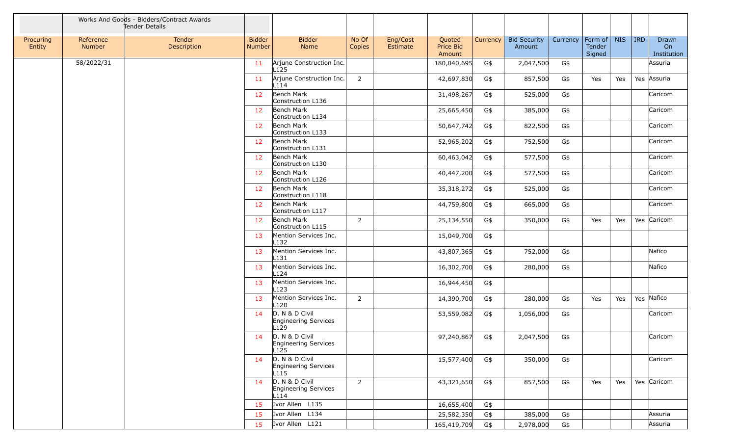|                     |                            | Works And Goods - Bidders/Contract Awards<br>Tender Details |                         |                                                |                 |                      |                               |          |                               |                        |                  |            |            |                            |
|---------------------|----------------------------|-------------------------------------------------------------|-------------------------|------------------------------------------------|-----------------|----------------------|-------------------------------|----------|-------------------------------|------------------------|------------------|------------|------------|----------------------------|
| Procuring<br>Entity | Reference<br><b>Number</b> | Tender<br>Description                                       | <b>Bidder</b><br>Number | <b>Bidder</b><br>Name                          | No Of<br>Copies | Eng/Cost<br>Estimate | Quoted<br>Price Bid<br>Amount | Currency | <b>Bid Security</b><br>Amount | Currency   Form of $ $ | Tender<br>Signed | <b>NIS</b> | <b>IRD</b> | Drawn<br>On<br>Institution |
|                     | 58/2022/31                 |                                                             | 11                      | Arjune Construction Inc.<br>L125               |                 |                      | 180,040,695                   | G\$      | 2,047,500                     | G\$                    |                  |            |            | Assuria                    |
|                     |                            |                                                             | 11                      | Arjune Construction Inc.<br>L114               | $\overline{2}$  |                      | 42,697,830                    | G\$      | 857,500                       | G\$                    | Yes              | Yes        |            | Yes Assuria                |
|                     |                            |                                                             | 12 <sup>2</sup>         | Bench Mark<br>Construction L136                |                 |                      | 31,498,267                    | G\$      | 525,000                       | G\$                    |                  |            |            | Caricom                    |
|                     |                            |                                                             | 12                      | Bench Mark<br>Construction L134                |                 |                      | 25,665,450                    | G\$      | 385,000                       | G\$                    |                  |            |            | Caricom                    |
|                     |                            |                                                             | 12                      | Bench Mark<br>Construction L133                |                 |                      | 50,647,742                    | G\$      | 822,500                       | G\$                    |                  |            |            | Caricom                    |
|                     |                            |                                                             | 12                      | Bench Mark<br>Construction L131                |                 |                      | 52,965,202                    | G\$      | 752,500                       | G\$                    |                  |            |            | Caricom                    |
|                     |                            |                                                             | 12                      | Bench Mark<br>Construction L130                |                 |                      | 60,463,042                    | G\$      | 577,500                       | G\$                    |                  |            |            | Caricom                    |
|                     |                            |                                                             | 12                      | Bench Mark<br>Construction L126                |                 |                      | 40,447,200                    | G\$      | 577,500                       | G\$                    |                  |            |            | Caricom                    |
|                     |                            |                                                             | 12                      | Bench Mark<br>Construction L118                |                 |                      | 35,318,272                    | G\$      | 525,000                       | G\$                    |                  |            |            | Caricom                    |
|                     |                            |                                                             | 12                      | Bench Mark<br>Construction L117                |                 |                      | 44,759,800                    | G\$      | 665,000                       | G\$                    |                  |            |            | Caricom                    |
|                     |                            |                                                             | 12                      | Bench Mark<br>Construction L115                | 2               |                      | 25,134,550                    | G\$      | 350,000                       | G\$                    | Yes              | Yes        |            | Yes Caricom                |
|                     |                            |                                                             | 13                      | Mention Services Inc.<br>L <sub>132</sub>      |                 |                      | 15,049,700                    | G\$      |                               |                        |                  |            |            |                            |
|                     |                            |                                                             | 13                      | Mention Services Inc.<br>L131                  |                 |                      | 43,807,365                    | G\$      | 752,000                       | G\$                    |                  |            |            | Nafico                     |
|                     |                            |                                                             | 13                      | Mention Services Inc.<br>L124                  |                 |                      | 16,302,700                    | G\$      | 280,000                       | G\$                    |                  |            |            | Nafico                     |
|                     |                            |                                                             | 13                      | Mention Services Inc.<br>L123                  |                 |                      | 16,944,450                    | G\$      |                               |                        |                  |            |            |                            |
|                     |                            |                                                             | 13                      | Mention Services Inc.<br>L120                  | $\overline{2}$  |                      | 14,390,700                    | G\$      | 280,000                       | G\$                    | Yes              | Yes        |            | Yes Nafico                 |
|                     |                            |                                                             | 14                      | D. N & D Civil<br>Engineering Services<br>L129 |                 |                      | 53,559,082                    | G\$      | 1,056,000                     | G\$                    |                  |            |            | Caricom                    |
|                     |                            |                                                             | 14                      | D. N & D Civil<br>Engineering Services<br>L125 |                 |                      | 97,240,867                    | G\$      | 2,047,500                     | G\$                    |                  |            |            | Caricom                    |
|                     |                            |                                                             | 14                      | D. N & D Civil<br>Engineering Services<br>L115 |                 |                      | 15,577,400                    | G\$      | 350,000                       | G\$                    |                  |            |            | Caricom                    |
|                     |                            |                                                             | 14                      | D. N & D Civil<br>Engineering Services<br>L114 | $\overline{2}$  |                      | 43,321,650                    | G\$      | 857,500                       | G\$                    | Yes              | Yes        |            | Yes Caricom                |
|                     |                            |                                                             | 15                      | Ivor Allen L135                                |                 |                      | 16,655,400                    | G\$      |                               |                        |                  |            |            |                            |
|                     |                            |                                                             | 15                      | Ivor Allen L134                                |                 |                      | 25,582,350                    | G\$      | 385,000                       | G\$                    |                  |            |            | Assuria                    |
|                     |                            |                                                             | 15                      | Ivor Allen L121                                |                 |                      | 165,419,709                   | G\$      | 2,978,000                     | G\$                    |                  |            |            | Assuria                    |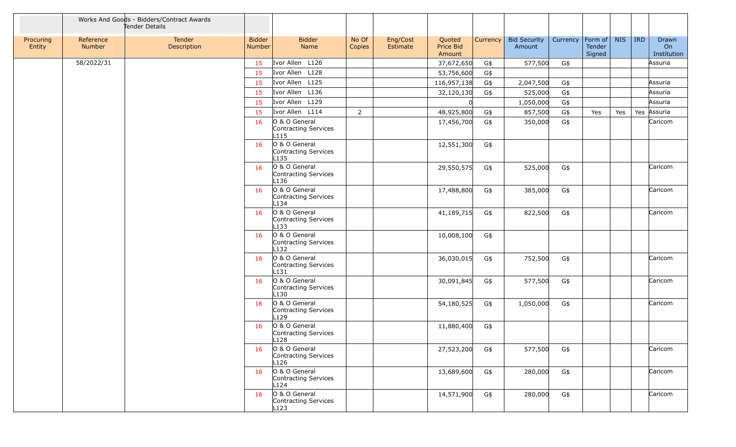|                     |                     | Works And Goods - Bidders/Contract Awards<br>Tender Details |                                |                                                           |                 |                      |                               |          |                               |          |                                     |            |         |                            |
|---------------------|---------------------|-------------------------------------------------------------|--------------------------------|-----------------------------------------------------------|-----------------|----------------------|-------------------------------|----------|-------------------------------|----------|-------------------------------------|------------|---------|----------------------------|
| Procuring<br>Entity | Reference<br>Number | Tender<br>Description                                       | <b>Bidder</b><br><b>Number</b> | <b>Bidder</b><br>Name                                     | No Of<br>Copies | Eng/Cost<br>Estimate | Quoted<br>Price Bid<br>Amount | Currency | <b>Bid Security</b><br>Amount | Currency | Form of $\vert$<br>Tender<br>Signed | <b>NIS</b> | $ $ IRD | Drawn<br>On<br>Institution |
|                     | 58/2022/31          |                                                             | 15                             | Ivor Allen L126                                           |                 |                      | 37,672,650                    | G\$      | 577,500                       | G\$      |                                     |            |         | Assuria                    |
|                     |                     |                                                             | 15                             | Ivor Allen L128                                           |                 |                      | 53,756,600                    | G\$      |                               |          |                                     |            |         |                            |
|                     |                     |                                                             | 15                             | Ivor Allen L125                                           |                 |                      | 116,957,138                   | G\$      | 2,047,500                     | G\$      |                                     |            |         | Assuria                    |
|                     |                     |                                                             | 15                             | Ivor Allen L136                                           |                 |                      | 32,120,130                    | G\$      | 525,000                       | G\$      |                                     |            |         | Assuria                    |
|                     |                     |                                                             | 15                             | Ivor Allen L129                                           |                 |                      | $\Omega$                      |          | 1,050,000                     | G\$      |                                     |            |         | Assuria                    |
|                     |                     |                                                             | 15                             | Ivor Allen L114                                           | $\overline{2}$  |                      | 48,925,800                    | G\$      | 857,500                       | G\$      | Yes                                 | Yes        | Yes     | Assuria                    |
|                     |                     |                                                             | 16                             | O & O General<br>Contracting Services<br>L115             |                 |                      | 17,456,700                    | G\$      | 350,000                       | G\$      |                                     |            |         | Caricom                    |
|                     |                     |                                                             | 16                             | O & O General<br>Contracting Services<br>L <sub>135</sub> |                 |                      | 12,551,300                    | G\$      |                               |          |                                     |            |         |                            |
|                     |                     |                                                             | 16                             | O & O General<br>Contracting Services<br>L136             |                 |                      | 29,550,575                    | G\$      | 525,000                       | G\$      |                                     |            |         | Caricom                    |
|                     |                     |                                                             | 16                             | O & O General<br>Contracting Services<br>L134             |                 |                      | 17,488,800                    | G\$      | 385,000                       | G\$      |                                     |            |         | Caricom                    |
|                     |                     |                                                             | 16                             | O & O General<br>Contracting Services<br>L133             |                 |                      | 41,189,715                    | G\$      | 822,500                       | G\$      |                                     |            |         | Caricom                    |
|                     |                     |                                                             | 16                             | O & O General<br>Contracting Services<br>L <sub>132</sub> |                 |                      | 10,008,100                    | G\$      |                               |          |                                     |            |         |                            |
|                     |                     |                                                             | 16                             | O & O General<br>Contracting Services<br>L131             |                 |                      | 36,030,015                    | G\$      | 752,500                       | G\$      |                                     |            |         | Caricom                    |
|                     |                     |                                                             | 16                             | O & O General<br>Contracting Services<br>L130             |                 |                      | 30,091,845                    | G\$      | 577,500                       | G\$      |                                     |            |         | Caricom                    |
|                     |                     |                                                             | 16                             | O & O General<br>Contracting Services<br>L129             |                 |                      | 54,180,525                    | G\$      | 1,050,000                     | G\$      |                                     |            |         | Caricom                    |
|                     |                     |                                                             | 16                             | O & O General<br>Contracting Services<br>L128             |                 |                      | 11,880,400                    | G\$      |                               |          |                                     |            |         |                            |
|                     |                     |                                                             | 16                             | O & O General<br>Contracting Services<br>L126             |                 |                      | 27,523,200                    | G\$      | 577,500                       | G\$      |                                     |            |         | Caricom                    |
|                     |                     |                                                             | 16                             | O & O General<br>Contracting Services<br>L124             |                 |                      | 13,689,600                    | G\$      | 280,000                       | G\$      |                                     |            |         | Caricom                    |
|                     |                     |                                                             | 16                             | O & O General<br>Contracting Services<br>L123             |                 |                      | 14,571,900                    | G\$      | 280,000                       | G\$      |                                     |            |         | Caricom                    |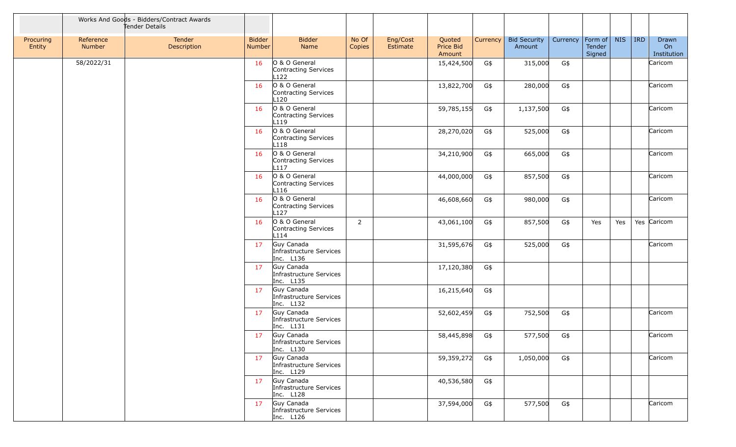|                     |                     | Works And Goods - Bidders/Contract Awards<br>Tender Details |                         |                                                           |                 |                      |                               |          |                               |          |                             |            |            |                            |
|---------------------|---------------------|-------------------------------------------------------------|-------------------------|-----------------------------------------------------------|-----------------|----------------------|-------------------------------|----------|-------------------------------|----------|-----------------------------|------------|------------|----------------------------|
| Procuring<br>Entity | Reference<br>Number | Tender<br>Description                                       | <b>Bidder</b><br>Number | <b>Bidder</b><br>Name                                     | No Of<br>Copies | Eng/Cost<br>Estimate | Quoted<br>Price Bid<br>Amount | Currency | <b>Bid Security</b><br>Amount | Currency | Form of<br>Tender<br>Signed | <b>NIS</b> | <b>IRD</b> | Drawn<br>On<br>Institution |
|                     | 58/2022/31          |                                                             | 16                      | O & O General<br>Contracting Services<br>L <sub>122</sub> |                 |                      | 15,424,500                    | G\$      | 315,000                       | G\$      |                             |            |            | Caricom                    |
|                     |                     |                                                             | 16                      | O & O General<br>Contracting Services<br>L120             |                 |                      | 13,822,700                    | G\$      | 280,000                       | G\$      |                             |            |            | Caricom                    |
|                     |                     |                                                             | 16                      | O & O General<br>Contracting Services<br>L119             |                 |                      | 59,785,155                    | G\$      | 1,137,500                     | G\$      |                             |            |            | Caricom                    |
|                     |                     |                                                             | 16                      | O & O General<br>Contracting Services<br>L118             |                 |                      | 28,270,020                    | G\$      | 525,000                       | G\$      |                             |            |            | Caricom                    |
|                     |                     |                                                             | 16                      | O & O General<br>Contracting Services<br>L <sub>117</sub> |                 |                      | 34,210,900                    | G\$      | 665,000                       | G\$      |                             |            |            | Caricom                    |
|                     |                     |                                                             | 16                      | O & O General<br>Contracting Services<br>L116             |                 |                      | 44,000,000                    | G\$      | 857,500                       | G\$      |                             |            |            | Caricom                    |
|                     |                     |                                                             | 16                      | O & O General<br>Contracting Services<br>L127             |                 |                      | 46,608,660                    | G\$      | 980,000                       | G\$      |                             |            |            | Caricom                    |
|                     |                     |                                                             | 16                      | O & O General<br>Contracting Services<br>L114             | $\overline{2}$  |                      | 43,061,100                    | G\$      | 857,500                       | G\$      | Yes                         | Yes        |            | Yes Caricom                |
|                     |                     |                                                             | 17                      | Guy Canada<br>Infrastructure Services<br>Inc. L136        |                 |                      | 31,595,676                    | G\$      | 525,000                       | G\$      |                             |            |            | Caricom                    |
|                     |                     |                                                             | 17 <sup>2</sup>         | Guy Canada<br>Infrastructure Services<br>Inc. L135        |                 |                      | 17,120,380                    | G\$      |                               |          |                             |            |            |                            |
|                     |                     |                                                             | 17                      | Guy Canada<br>Infrastructure Services<br>Inc. L132        |                 |                      | 16,215,640                    | G\$      |                               |          |                             |            |            |                            |
|                     |                     |                                                             | 17                      | Guy Canada<br>Infrastructure Services<br>Inc. L131        |                 |                      | 52,602,459                    | G\$      | 752,500                       | G\$      |                             |            |            | Caricom                    |
|                     |                     |                                                             | 17                      | Guy Canada<br>Infrastructure Services<br>Inc. L130        |                 |                      | 58,445,898                    | G\$      | 577,500                       | G\$      |                             |            |            | Caricom                    |
|                     |                     |                                                             | 17                      | Guy Canada<br>Infrastructure Services<br>Inc. L129        |                 |                      | 59,359,272                    | G\$      | 1,050,000                     | G\$      |                             |            |            | Caricom                    |
|                     |                     |                                                             | 17                      | Guy Canada<br>Infrastructure Services<br>Inc. L128        |                 |                      | 40,536,580                    | G\$      |                               |          |                             |            |            |                            |
|                     |                     |                                                             | 17                      | Guy Canada<br>Infrastructure Services<br>Inc. L126        |                 |                      | 37,594,000                    | G\$      | 577,500                       | G\$      |                             |            |            | Caricom                    |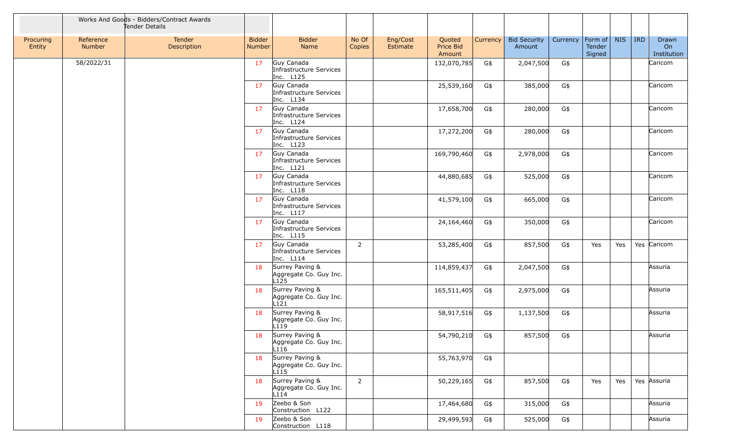|                     |                     | Works And Goods - Bidders/Contract Awards<br>Tender Details |                         |                                                               |                 |                      |                               |          |                               |          |                             |            |            |                            |
|---------------------|---------------------|-------------------------------------------------------------|-------------------------|---------------------------------------------------------------|-----------------|----------------------|-------------------------------|----------|-------------------------------|----------|-----------------------------|------------|------------|----------------------------|
| Procuring<br>Entity | Reference<br>Number | Tender<br>Description                                       | <b>Bidder</b><br>Number | <b>Bidder</b><br>Name                                         | No Of<br>Copies | Eng/Cost<br>Estimate | Quoted<br>Price Bid<br>Amount | Currency | <b>Bid Security</b><br>Amount | Currency | Form of<br>Tender<br>Signed | <b>NIS</b> | <b>IRD</b> | Drawn<br>On<br>Institution |
|                     | 58/2022/31          |                                                             | 17                      | Guy Canada<br>Infrastructure Services<br>Inc. L125            |                 |                      | 132,070,785                   | G\$      | 2,047,500                     | G\$      |                             |            |            | Caricom                    |
|                     |                     |                                                             | 17                      | Guy Canada<br>Infrastructure Services<br>Inc. L134            |                 |                      | 25,539,160                    | G\$      | 385,000                       | G\$      |                             |            |            | Caricom                    |
|                     |                     |                                                             | 17                      | Guy Canada<br>Infrastructure Services<br>Inc. L124            |                 |                      | 17,658,700                    | G\$      | 280,000                       | G\$      |                             |            |            | Caricom                    |
|                     |                     |                                                             | 17                      | Guy Canada<br>Infrastructure Services<br>Inc. L123            |                 |                      | 17,272,200                    | G\$      | 280,000                       | G\$      |                             |            |            | Caricom                    |
|                     |                     |                                                             | 17                      | Guy Canada<br>Infrastructure Services<br>Inc. L121            |                 |                      | 169,790,460                   | G\$      | 2,978,000                     | G\$      |                             |            |            | Caricom                    |
|                     |                     |                                                             | 17                      | Guy Canada<br>Infrastructure Services<br>Inc. L118            |                 |                      | 44,880,685                    | G\$      | 525,000                       | G\$      |                             |            |            | Caricom                    |
|                     |                     |                                                             | 17                      | Guy Canada<br>Infrastructure Services<br>Inc. L117            |                 |                      | 41,579,100                    | G\$      | 665,000                       | G\$      |                             |            |            | Caricom                    |
|                     |                     |                                                             | 17                      | Guy Canada<br>Infrastructure Services<br>Inc. L115            |                 |                      | 24,164,460                    | G\$      | 350,000                       | G\$      |                             |            |            | Caricom                    |
|                     |                     |                                                             | 17                      | Guy Canada<br>Infrastructure Services<br>Inc. L114            | 2               |                      | 53,285,400                    | G\$      | 857,500                       | G\$      | Yes                         | Yes        |            | Yes Caricom                |
|                     |                     |                                                             | 18                      | Surrey Paving &<br>Aggregate Co. Guy Inc.<br>L <sub>125</sub> |                 |                      | 114,859,437                   | G\$      | 2,047,500                     | G\$      |                             |            |            | Assuria                    |
|                     |                     |                                                             | 18                      | Surrey Paving &<br>Aggregate Co. Guy Inc.<br>L121             |                 |                      | 165,511,405                   | G\$      | 2,975,000                     | G\$      |                             |            |            | Assuria                    |
|                     |                     |                                                             | 18                      | Surrey Paving &<br>Aggregate Co. Guy Inc.<br>L119             |                 |                      | 58,917,516                    | G\$      | 1,137,500                     | G\$      |                             |            |            | Assuria                    |
|                     |                     |                                                             | 18                      | Surrey Paving &<br>Aggregate Co. Guy Inc.<br>L116             |                 |                      | 54,790,210                    | G\$      | 857,500                       | G\$      |                             |            |            | Assuria                    |
|                     |                     |                                                             | 18                      | Surrey Paving &<br>Aggregate Co. Guy Inc.<br>L115             |                 |                      | 55,763,970                    | G\$      |                               |          |                             |            |            |                            |
|                     |                     |                                                             | 18                      | Surrey Paving &<br>Aggregate Co. Guy Inc.<br>L114             | $\overline{2}$  |                      | 50,229,165                    | G\$      | 857,500                       | G\$      | Yes                         | Yes        |            | Yes Assuria                |
|                     |                     |                                                             | 19                      | Zeebo & Son<br>Construction L122                              |                 |                      | 17,464,680                    | G\$      | 315,000                       | G\$      |                             |            |            | Assuria                    |
|                     |                     |                                                             | 19                      | Zeebo & Son<br>Construction L118                              |                 |                      | 29,499,593                    | G\$      | 525,000                       | G\$      |                             |            |            | Assuria                    |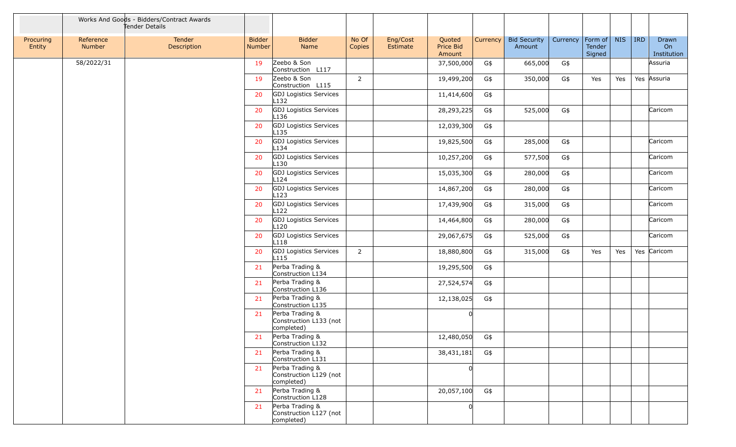|                     |                     | Works And Goods - Bidders/Contract Awards<br>Tender Details |                                |                                                         |                 |                      |                               |          |                               |          |                                     |            |         |                            |
|---------------------|---------------------|-------------------------------------------------------------|--------------------------------|---------------------------------------------------------|-----------------|----------------------|-------------------------------|----------|-------------------------------|----------|-------------------------------------|------------|---------|----------------------------|
| Procuring<br>Entity | Reference<br>Number | Tender<br>Description                                       | <b>Bidder</b><br><b>Number</b> | <b>Bidder</b><br>Name                                   | No Of<br>Copies | Eng/Cost<br>Estimate | Quoted<br>Price Bid<br>Amount | Currency | <b>Bid Security</b><br>Amount | Currency | Form of $\vert$<br>Tender<br>Signed | <b>NIS</b> | $ $ IRD | Drawn<br>On<br>Institution |
|                     | 58/2022/31          |                                                             | 19                             | Zeebo & Son<br>Construction L117                        |                 |                      | 37,500,000                    | G\$      | 665,000                       | G\$      |                                     |            |         | Assuria                    |
|                     |                     |                                                             | 19                             | Zeebo & Son<br>Construction L115                        | $\overline{2}$  |                      | 19,499,200                    | G\$      | 350,000                       | G\$      | Yes                                 | Yes        |         | Yes Assuria                |
|                     |                     |                                                             | 20                             | <b>GDJ</b> Logistics Services<br>L132                   |                 |                      | 11,414,600                    | G\$      |                               |          |                                     |            |         |                            |
|                     |                     |                                                             | 20                             | <b>GDJ</b> Logistics Services<br>L136                   |                 |                      | 28,293,225                    | G\$      | 525,000                       | G\$      |                                     |            |         | Caricom                    |
|                     |                     |                                                             | 20                             | GDJ Logistics Services<br>L <sub>135</sub>              |                 |                      | 12,039,300                    | G\$      |                               |          |                                     |            |         |                            |
|                     |                     |                                                             | 20                             | <b>GDJ</b> Logistics Services<br>L134                   |                 |                      | 19,825,500                    | G\$      | 285,000                       | G\$      |                                     |            |         | Caricom                    |
|                     |                     |                                                             | 20                             | GDJ Logistics Services<br>L130                          |                 |                      | 10,257,200                    | G\$      | 577,500                       | G\$      |                                     |            |         | Caricom                    |
|                     |                     |                                                             | 20                             | GDJ Logistics Services<br>L124                          |                 |                      | 15,035,300                    | G\$      | 280,000                       | G\$      |                                     |            |         | Caricom                    |
|                     |                     |                                                             | 20                             | GDJ Logistics Services<br>L123                          |                 |                      | 14,867,200                    | G\$      | 280,000                       | G\$      |                                     |            |         | Caricom                    |
|                     |                     |                                                             | 20                             | <b>GDJ</b> Logistics Services<br>L122                   |                 |                      | 17,439,900                    | G\$      | 315,000                       | G\$      |                                     |            |         | Caricom                    |
|                     |                     |                                                             | 20                             | GDJ Logistics Services<br>L120                          |                 |                      | 14,464,800                    | G\$      | 280,000                       | G\$      |                                     |            |         | Caricom                    |
|                     |                     |                                                             | 20                             | GDJ Logistics Services<br>L118                          |                 |                      | 29,067,675                    | G\$      | 525,000                       | G\$      |                                     |            |         | Caricom                    |
|                     |                     |                                                             | 20                             | <b>GDJ</b> Logistics Services<br>L115                   | $\overline{2}$  |                      | 18,880,800                    | G\$      | 315,000                       | G\$      | Yes                                 | Yes        |         | Yes Caricom                |
|                     |                     |                                                             | 21                             | Perba Trading &<br>Construction L134                    |                 |                      | 19,295,500                    | G\$      |                               |          |                                     |            |         |                            |
|                     |                     |                                                             | 21                             | Perba Trading &<br>Construction L136                    |                 |                      | 27,524,574                    | G\$      |                               |          |                                     |            |         |                            |
|                     |                     |                                                             | 21                             | Perba Trading &<br>Construction L135                    |                 |                      | 12,138,025                    | G\$      |                               |          |                                     |            |         |                            |
|                     |                     |                                                             | 21                             | Perba Trading &<br>Construction L133 (not<br>completed) |                 |                      | <sup>0</sup>                  |          |                               |          |                                     |            |         |                            |
|                     |                     |                                                             | 21                             | Perba Trading &<br>Construction L132                    |                 |                      | 12,480,050                    | G\$      |                               |          |                                     |            |         |                            |
|                     |                     |                                                             | 21                             | Perba Trading &<br>Construction L131                    |                 |                      | 38,431,181                    | G\$      |                               |          |                                     |            |         |                            |
|                     |                     |                                                             | 21                             | Perba Trading &<br>Construction L129 (not<br>completed) |                 |                      | <sup>0</sup>                  |          |                               |          |                                     |            |         |                            |
|                     |                     |                                                             | 21                             | Perba Trading &<br>Construction L128                    |                 |                      | 20,057,100                    | G\$      |                               |          |                                     |            |         |                            |
|                     |                     |                                                             | 21                             | Perba Trading &<br>Construction L127 (not<br>completed) |                 |                      | 0                             |          |                               |          |                                     |            |         |                            |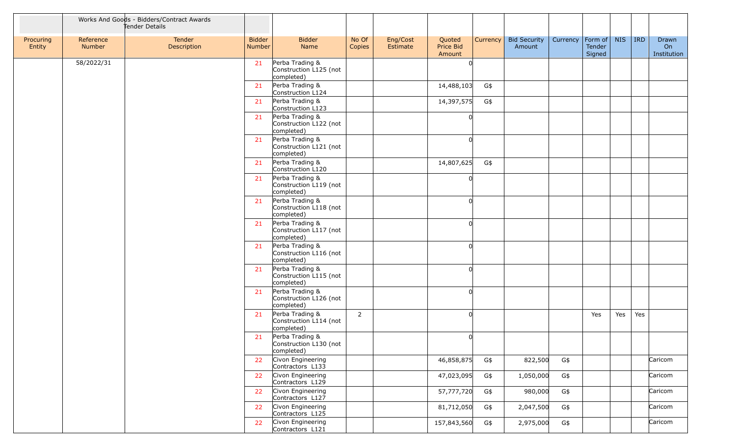|                     |                     | Works And Goods - Bidders/Contract Awards<br>Tender Details |                                |                                                         |                 |                      |                               |          |                               |          |                             |            |         |                            |
|---------------------|---------------------|-------------------------------------------------------------|--------------------------------|---------------------------------------------------------|-----------------|----------------------|-------------------------------|----------|-------------------------------|----------|-----------------------------|------------|---------|----------------------------|
| Procuring<br>Entity | Reference<br>Number | Tender<br>Description                                       | <b>Bidder</b><br><b>Number</b> | <b>Bidder</b><br>Name                                   | No Of<br>Copies | Eng/Cost<br>Estimate | Quoted<br>Price Bid<br>Amount | Currency | <b>Bid Security</b><br>Amount | Currency | Form of<br>Tender<br>Signed | <b>NIS</b> | $ $ IRD | Drawn<br>On<br>Institution |
|                     | 58/2022/31          |                                                             | 21                             | Perba Trading &<br>Construction L125 (not<br>completed) |                 |                      | <sup>n</sup>                  |          |                               |          |                             |            |         |                            |
|                     |                     |                                                             | 21                             | Perba Trading &<br>Construction L124                    |                 |                      | 14,488,103                    | G\$      |                               |          |                             |            |         |                            |
|                     |                     |                                                             | 21                             | Perba Trading &<br>Construction L123                    |                 |                      | 14,397,575                    | G\$      |                               |          |                             |            |         |                            |
|                     |                     |                                                             | 21                             | Perba Trading &<br>Construction L122 (not<br>completed) |                 |                      | <sup>0</sup>                  |          |                               |          |                             |            |         |                            |
|                     |                     |                                                             | 21                             | Perba Trading &<br>Construction L121 (not<br>completed) |                 |                      | 0                             |          |                               |          |                             |            |         |                            |
|                     |                     |                                                             | 21                             | Perba Trading &<br>Construction L120                    |                 |                      | 14,807,625                    | G\$      |                               |          |                             |            |         |                            |
|                     |                     |                                                             | 21                             | Perba Trading &<br>Construction L119 (not<br>completed) |                 |                      | <sup>0</sup>                  |          |                               |          |                             |            |         |                            |
|                     |                     |                                                             | 21                             | Perba Trading &<br>Construction L118 (not<br>completed) |                 |                      | $\Omega$                      |          |                               |          |                             |            |         |                            |
|                     |                     |                                                             | 21                             | Perba Trading &<br>Construction L117 (not<br>completed) |                 |                      | 0                             |          |                               |          |                             |            |         |                            |
|                     |                     |                                                             | 21                             | Perba Trading &<br>Construction L116 (not<br>completed) |                 |                      | $\Omega$                      |          |                               |          |                             |            |         |                            |
|                     |                     |                                                             | 21                             | Perba Trading &<br>Construction L115 (not<br>completed) |                 |                      | <sup>n</sup>                  |          |                               |          |                             |            |         |                            |
|                     |                     |                                                             | 21                             | Perba Trading &<br>Construction L126 (not<br>completed) |                 |                      | 0l                            |          |                               |          |                             |            |         |                            |
|                     |                     |                                                             | 21                             | Perba Trading &<br>Construction L114 (not<br>completed) | $\overline{2}$  |                      | $\Omega$                      |          |                               |          | Yes                         | Yes        | Yes     |                            |
|                     |                     |                                                             | 21                             | Perba Trading &<br>Construction L130 (not<br>completed) |                 |                      | <sup>0</sup>                  |          |                               |          |                             |            |         |                            |
|                     |                     |                                                             | 22                             | Civon Engineering<br>Contractors L133                   |                 |                      | 46,858,875                    | G\$      | 822,500                       | G\$      |                             |            |         | Caricom                    |
|                     |                     |                                                             | 22                             | Civon Engineering<br>Contractors L129                   |                 |                      | 47,023,095                    | G\$      | 1,050,000                     | G\$      |                             |            |         | Caricom                    |
|                     |                     |                                                             | 22                             | Civon Engineering<br>Contractors L127                   |                 |                      | 57,777,720                    | G\$      | 980,000                       | G\$      |                             |            |         | Caricom                    |
|                     |                     |                                                             | 22                             | Civon Engineering<br>Contractors L125                   |                 |                      | 81,712,050                    | G\$      | 2,047,500                     | G\$      |                             |            |         | Caricom                    |
|                     |                     |                                                             | 22                             | Civon Engineering<br>Contractors L121                   |                 |                      | 157,843,560                   | G\$      | 2,975,000                     | G\$      |                             |            |         | Caricom                    |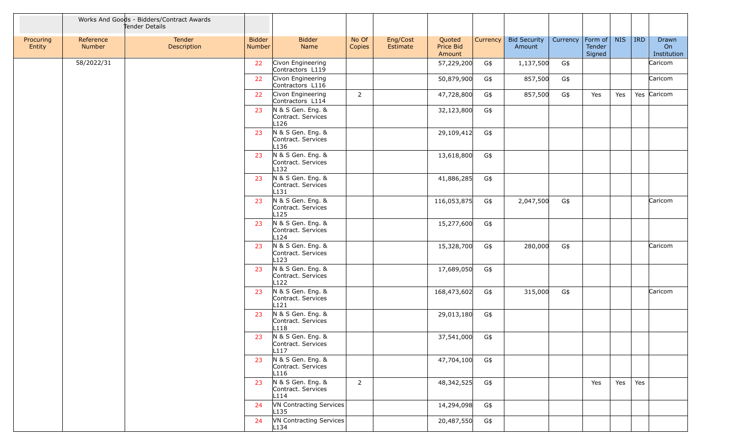|                     |                     | Works And Goods - Bidders/Contract Awards<br>Tender Details |                                |                                                             |                 |                      |                               |          |                               |          |                             |            |     |                            |
|---------------------|---------------------|-------------------------------------------------------------|--------------------------------|-------------------------------------------------------------|-----------------|----------------------|-------------------------------|----------|-------------------------------|----------|-----------------------------|------------|-----|----------------------------|
| Procuring<br>Entity | Reference<br>Number | Tender<br>Description                                       | <b>Bidder</b><br><b>Number</b> | <b>Bidder</b><br>Name                                       | No Of<br>Copies | Eng/Cost<br>Estimate | Quoted<br>Price Bid<br>Amount | Currency | <b>Bid Security</b><br>Amount | Currency | Form of<br>Tender<br>Signed | <b>NIS</b> | IRD | Drawn<br>On<br>Institution |
|                     | 58/2022/31          |                                                             | 22                             | Civon Engineering<br>Contractors L119                       |                 |                      | 57,229,200                    | G\$      | 1,137,500                     | G\$      |                             |            |     | Caricom                    |
|                     |                     |                                                             | 22                             | Civon Engineering<br>Contractors L116                       |                 |                      | 50,879,900                    | G\$      | 857,500                       | G\$      |                             |            |     | Caricom                    |
|                     |                     |                                                             | 22                             | Civon Engineering<br>Contractors L114                       | $\overline{2}$  |                      | 47,728,800                    | G\$      | 857,500                       | G\$      | Yes                         | Yes        |     | Yes Caricom                |
|                     |                     |                                                             | 23                             | N & S Gen. Eng. &<br>Contract. Services<br>L126             |                 |                      | 32,123,800                    | G\$      |                               |          |                             |            |     |                            |
|                     |                     |                                                             | 23                             | N & S Gen. Eng. &<br>Contract. Services<br>L <sub>136</sub> |                 |                      | 29,109,412                    | G\$      |                               |          |                             |            |     |                            |
|                     |                     |                                                             | 23                             | N & S Gen. Eng. &<br>Contract. Services<br>L132             |                 |                      | 13,618,800                    | G\$      |                               |          |                             |            |     |                            |
|                     |                     |                                                             | 23                             | N & S Gen. Eng. &<br>Contract. Services<br>L131             |                 |                      | 41,886,285                    | G\$      |                               |          |                             |            |     |                            |
|                     |                     |                                                             | 23                             | N & S Gen. Eng. &<br>Contract. Services<br>L <sub>125</sub> |                 |                      | 116,053,875                   | G\$      | 2,047,500                     | G\$      |                             |            |     | Caricom                    |
|                     |                     |                                                             | 23                             | N & S Gen. Eng. &<br>Contract. Services<br>L <sub>124</sub> |                 |                      | 15,277,600                    | G\$      |                               |          |                             |            |     |                            |
|                     |                     |                                                             | 23                             | N & S Gen. Eng. &<br>Contract. Services<br>L <sub>123</sub> |                 |                      | 15,328,700                    | G\$      | 280,000                       | G\$      |                             |            |     | Caricom                    |
|                     |                     |                                                             | 23                             | N & S Gen. Eng. &<br>Contract. Services<br>L <sub>122</sub> |                 |                      | 17,689,050                    | G\$      |                               |          |                             |            |     |                            |
|                     |                     |                                                             | 23                             | N & S Gen. Eng. &<br>Contract. Services<br>L121             |                 |                      | 168,473,602                   | G\$      | 315,000                       | G\$      |                             |            |     | Caricom                    |
|                     |                     |                                                             | 23                             | N & S Gen. Eng. &<br>Contract. Services<br>L <sub>118</sub> |                 |                      | 29,013,180                    | G\$      |                               |          |                             |            |     |                            |
|                     |                     |                                                             | 23                             | N & S Gen. Eng. &<br>Contract. Services<br>L <sub>117</sub> |                 |                      | 37,541,000                    | G\$      |                               |          |                             |            |     |                            |
|                     |                     |                                                             | 23                             | N & S Gen. Eng. &<br>Contract. Services<br>L116             |                 |                      | 47,704,100                    | G\$      |                               |          |                             |            |     |                            |
|                     |                     |                                                             | 23                             | N & S Gen. Eng. &<br>Contract. Services<br>L114             | $2^{\circ}$     |                      | 48,342,525                    | G\$      |                               |          | Yes                         | Yes        | Yes |                            |
|                     |                     |                                                             | 24                             | VN Contracting Services<br>$L$ 135                          |                 |                      | 14,294,098                    | G\$      |                               |          |                             |            |     |                            |
|                     |                     |                                                             | 24                             | VN Contracting Services<br>L134                             |                 |                      | 20,487,550                    | G\$      |                               |          |                             |            |     |                            |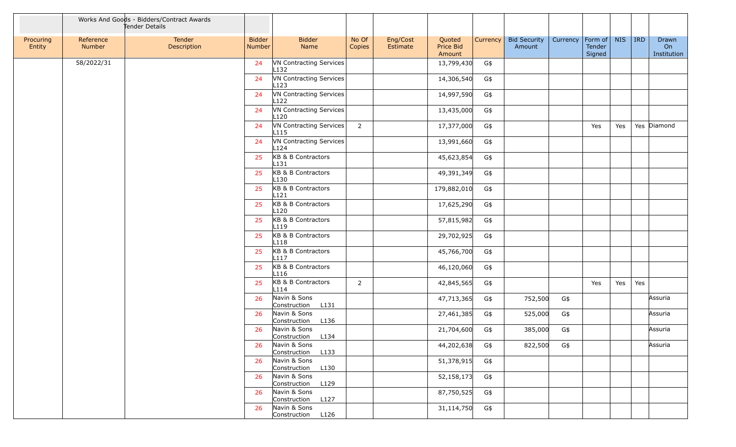|                     |                     | Works And Goods - Bidders/Contract Awards<br>Tender Details |                         |                                             |                 |                      |                               |          |                               |          |                                     |            |     |                            |
|---------------------|---------------------|-------------------------------------------------------------|-------------------------|---------------------------------------------|-----------------|----------------------|-------------------------------|----------|-------------------------------|----------|-------------------------------------|------------|-----|----------------------------|
| Procuring<br>Entity | Reference<br>Number | Tender<br>Description                                       | <b>Bidder</b><br>Number | <b>Bidder</b><br>Name                       | No Of<br>Copies | Eng/Cost<br>Estimate | Quoted<br>Price Bid<br>Amount | Currency | <b>Bid Security</b><br>Amount | Currency | Form of $\vert$<br>Tender<br>Signed | <b>NIS</b> | IRD | Drawn<br>On<br>Institution |
|                     | 58/2022/31          |                                                             | 24                      | VN Contracting Services<br>L132             |                 |                      | 13,799,430                    | G\$      |                               |          |                                     |            |     |                            |
|                     |                     |                                                             | 24                      | VN Contracting Services<br>L <sub>123</sub> |                 |                      | 14,306,540                    | G\$      |                               |          |                                     |            |     |                            |
|                     |                     |                                                             | 24                      | VN Contracting Services<br>L122             |                 |                      | 14,997,590                    | G\$      |                               |          |                                     |            |     |                            |
|                     |                     |                                                             | 24                      | VN Contracting Services<br>L <sub>120</sub> |                 |                      | 13,435,000                    | G\$      |                               |          |                                     |            |     |                            |
|                     |                     |                                                             | 24                      | VN Contracting Services<br>L <sub>115</sub> | $\overline{2}$  |                      | 17,377,000                    | G\$      |                               |          | Yes                                 | Yes        |     | Yes Diamond                |
|                     |                     |                                                             | 24                      | VN Contracting Services<br>L124             |                 |                      | 13,991,660                    | G\$      |                               |          |                                     |            |     |                            |
|                     |                     |                                                             | 25                      | KB & B Contractors<br>L <sub>131</sub>      |                 |                      | 45,623,854                    | G\$      |                               |          |                                     |            |     |                            |
|                     |                     |                                                             | 25                      | KB & B Contractors<br>L130                  |                 |                      | 49,391,349                    | G\$      |                               |          |                                     |            |     |                            |
|                     |                     |                                                             | 25                      | KB & B Contractors<br>L121                  |                 |                      | 179,882,010                   | G\$      |                               |          |                                     |            |     |                            |
|                     |                     |                                                             | 25                      | KB & B Contractors<br>L120                  |                 |                      | 17,625,290                    | G\$      |                               |          |                                     |            |     |                            |
|                     |                     |                                                             | 25                      | KB & B Contractors<br>L <sub>119</sub>      |                 |                      | 57,815,982                    | G\$      |                               |          |                                     |            |     |                            |
|                     |                     |                                                             | 25                      | KB & B Contractors<br>L <sub>118</sub>      |                 |                      | 29,702,925                    | G\$      |                               |          |                                     |            |     |                            |
|                     |                     |                                                             | 25                      | KB & B Contractors<br>L117                  |                 |                      | 45,766,700                    | G\$      |                               |          |                                     |            |     |                            |
|                     |                     |                                                             | 25                      | KB & B Contractors<br>L116                  |                 |                      | 46,120,060                    | G\$      |                               |          |                                     |            |     |                            |
|                     |                     |                                                             | 25                      | KB & B Contractors<br>L114                  | $\overline{2}$  |                      | 42,845,565                    | G\$      |                               |          | Yes                                 | Yes        | Yes |                            |
|                     |                     |                                                             | 26                      | Navin & Sons<br>L131<br>Construction        |                 |                      | 47,713,365                    | G\$      | 752,500                       | G\$      |                                     |            |     | Assuria                    |
|                     |                     |                                                             | 26                      | Navin & Sons<br>Construction<br>L136        |                 |                      | 27,461,385                    | G\$      | 525,000                       | G\$      |                                     |            |     | Assuria                    |
|                     |                     |                                                             | 26                      | Navin & Sons<br>Construction L134           |                 |                      | 21,704,600                    | G\$      | 385,000                       | G\$      |                                     |            |     | Assuria                    |
|                     |                     |                                                             | 26                      | Navin & Sons<br>Construction L133           |                 |                      | 44,202,638                    | G\$      | 822,500                       | G\$      |                                     |            |     | Assuria                    |
|                     |                     |                                                             | 26                      | Navin & Sons<br>Construction L130           |                 |                      | 51,378,915                    | G\$      |                               |          |                                     |            |     |                            |
|                     |                     |                                                             | 26                      | Navin & Sons<br>Construction L129           |                 |                      | 52,158,173                    | G\$      |                               |          |                                     |            |     |                            |
|                     |                     |                                                             | 26                      | Navin & Sons<br>Construction L127           |                 |                      | 87,750,525                    | G\$      |                               |          |                                     |            |     |                            |
|                     |                     |                                                             | 26                      | Navin & Sons<br>Construction L126           |                 |                      | 31,114,750                    | G\$      |                               |          |                                     |            |     |                            |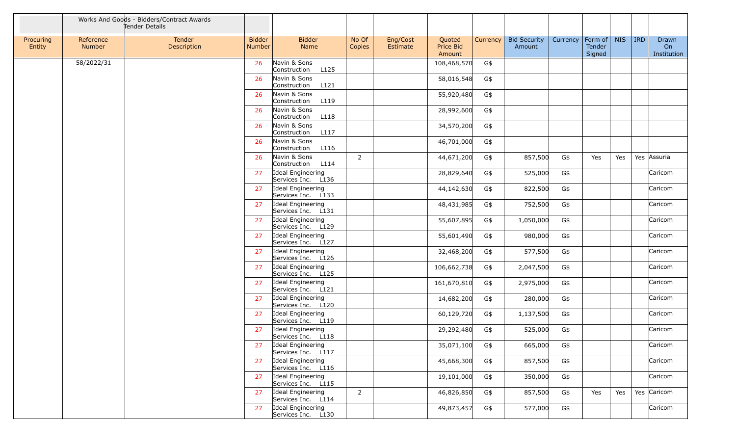|                     |                     | Works And Goods - Bidders/Contract Awards<br>Tender Details |                                |                                         |                 |                      |                               |          |                               |          |                                     |            |     |                            |
|---------------------|---------------------|-------------------------------------------------------------|--------------------------------|-----------------------------------------|-----------------|----------------------|-------------------------------|----------|-------------------------------|----------|-------------------------------------|------------|-----|----------------------------|
| Procuring<br>Entity | Reference<br>Number | Tender<br>Description                                       | <b>Bidder</b><br><b>Number</b> | <b>Bidder</b><br><b>Name</b>            | No Of<br>Copies | Eng/Cost<br>Estimate | Quoted<br>Price Bid<br>Amount | Currency | <b>Bid Security</b><br>Amount | Currency | Form of $\vert$<br>Tender<br>Signed | <b>NIS</b> | IRD | Drawn<br>On<br>Institution |
|                     | 58/2022/31          |                                                             | 26                             | Navin & Sons<br>Construction<br>L125    |                 |                      | 108,468,570                   | G\$      |                               |          |                                     |            |     |                            |
|                     |                     |                                                             | 26                             | Navin & Sons<br>L121<br>Construction    |                 |                      | 58,016,548                    | G\$      |                               |          |                                     |            |     |                            |
|                     |                     |                                                             | 26                             | Navin & Sons<br>Construction<br>L119    |                 |                      | 55,920,480                    | G\$      |                               |          |                                     |            |     |                            |
|                     |                     |                                                             | 26                             | Navin & Sons<br>Construction<br>L118    |                 |                      | 28,992,600                    | G\$      |                               |          |                                     |            |     |                            |
|                     |                     |                                                             | 26                             | Navin & Sons<br>Construction<br>L117    |                 |                      | 34,570,200                    | G\$      |                               |          |                                     |            |     |                            |
|                     |                     |                                                             | 26                             | Navin & Sons<br>Construction<br>L116    |                 |                      | 46,701,000                    | G\$      |                               |          |                                     |            |     |                            |
|                     |                     |                                                             | 26                             | Navin & Sons<br>Construction<br>L114    | $\overline{2}$  |                      | 44,671,200                    | G\$      | 857,500                       | G\$      | Yes                                 | Yes        |     | Yes Assuria                |
|                     |                     |                                                             | 27                             | Ideal Engineering<br>Services Inc. L136 |                 |                      | 28,829,640                    | G\$      | 525,000                       | G\$      |                                     |            |     | Caricom                    |
|                     |                     |                                                             | 27                             | Ideal Engineering<br>Services Inc. L133 |                 |                      | 44,142,630                    | G\$      | 822,500                       | G\$      |                                     |            |     | Caricom                    |
|                     |                     |                                                             | 27                             | Ideal Engineering<br>Services Inc. L131 |                 |                      | 48,431,985                    | G\$      | 752,500                       | G\$      |                                     |            |     | Caricom                    |
|                     |                     |                                                             | 27                             | Ideal Engineering<br>Services Inc. L129 |                 |                      | 55,607,895                    | G\$      | 1,050,000                     | G\$      |                                     |            |     | Caricom                    |
|                     |                     |                                                             | 27                             | Ideal Engineering<br>Services Inc. L127 |                 |                      | 55,601,490                    | G\$      | 980,000                       | G\$      |                                     |            |     | Caricom                    |
|                     |                     |                                                             | 27                             | Ideal Engineering<br>Services Inc. L126 |                 |                      | 32,468,200                    | G\$      | 577,500                       | G\$      |                                     |            |     | Caricom                    |
|                     |                     |                                                             | 27                             | Ideal Engineering<br>Services Inc. L125 |                 |                      | 106,662,738                   | G\$      | 2,047,500                     | G\$      |                                     |            |     | Caricom                    |
|                     |                     |                                                             | 27                             | Ideal Engineering<br>Services Inc. L121 |                 |                      | 161,670,810                   | G\$      | 2,975,000                     | G\$      |                                     |            |     | Caricom                    |
|                     |                     |                                                             | 27                             | Ideal Engineering<br>Services Inc. L120 |                 |                      | 14,682,200                    | G\$      | 280,000                       | G\$      |                                     |            |     | Caricom                    |
|                     |                     |                                                             | 27                             | Ideal Engineering<br>Services Inc. L119 |                 |                      | 60,129,720                    | G\$      | 1,137,500                     | G\$      |                                     |            |     | Caricom                    |
|                     |                     |                                                             | 27                             | Ideal Engineering<br>Services Inc. L118 |                 |                      | 29,292,480                    | G\$      | 525,000                       | G\$      |                                     |            |     | Caricom                    |
|                     |                     |                                                             | 27                             | Ideal Engineering<br>Services Inc. L117 |                 |                      | 35,071,100                    | G\$      | 665,000                       | G\$      |                                     |            |     | Caricom                    |
|                     |                     |                                                             | 27                             | Ideal Engineering<br>Services Inc. L116 |                 |                      | 45,668,300                    | G\$      | 857,500                       | G\$      |                                     |            |     | Caricom                    |
|                     |                     |                                                             | 27                             | Ideal Engineering<br>Services Inc. L115 |                 |                      | 19,101,000                    | G\$      | 350,000                       | G\$      |                                     |            |     | Caricom                    |
|                     |                     |                                                             | 27                             | Ideal Engineering<br>Services Inc. L114 | $\overline{2}$  |                      | 46,826,850                    | G\$      | 857,500                       | G\$      | Yes                                 | Yes        |     | Yes Caricom                |
|                     |                     |                                                             | 27                             | Ideal Engineering<br>Services Inc. L130 |                 |                      | 49,873,457                    | G\$      | 577,000                       | G\$      |                                     |            |     | Caricom                    |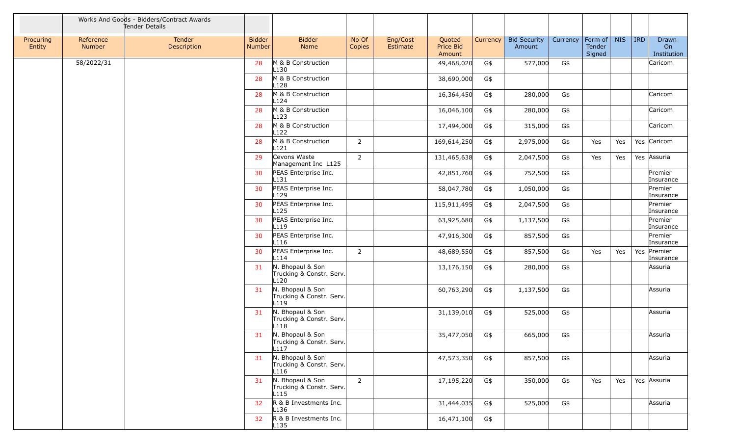|                     |                     | Works And Goods - Bidders/Contract Awards<br>Tender Details |                                |                                                       |                 |                      |                               |          |                               |          |                                     |            |            |                            |
|---------------------|---------------------|-------------------------------------------------------------|--------------------------------|-------------------------------------------------------|-----------------|----------------------|-------------------------------|----------|-------------------------------|----------|-------------------------------------|------------|------------|----------------------------|
| Procuring<br>Entity | Reference<br>Number | Tender<br>Description                                       | <b>Bidder</b><br><b>Number</b> | <b>Bidder</b><br>Name                                 | No Of<br>Copies | Eng/Cost<br>Estimate | Quoted<br>Price Bid<br>Amount | Currency | <b>Bid Security</b><br>Amount | Currency | Form of $\vert$<br>Tender<br>Signed | <b>NIS</b> | <b>IRD</b> | Drawn<br>On<br>Institution |
|                     | 58/2022/31          |                                                             | 28                             | M & B Construction<br>L130                            |                 |                      | 49,468,020                    | G\$      | 577,000                       | G\$      |                                     |            |            | Caricom                    |
|                     |                     |                                                             | 28                             | M & B Construction<br>L128                            |                 |                      | 38,690,000                    | G\$      |                               |          |                                     |            |            |                            |
|                     |                     |                                                             | 28                             | M & B Construction<br>L <sub>124</sub>                |                 |                      | 16,364,450                    | G\$      | 280,000                       | G\$      |                                     |            |            | Caricom                    |
|                     |                     |                                                             | 28                             | M & B Construction<br>L123                            |                 |                      | 16,046,100                    | G\$      | 280,000                       | G\$      |                                     |            |            | Caricom                    |
|                     |                     |                                                             | 28                             | M & B Construction<br>L <sub>122</sub>                |                 |                      | 17,494,000                    | G\$      | 315,000                       | G\$      |                                     |            |            | Caricom                    |
|                     |                     |                                                             | 28                             | M & B Construction<br>L121                            | $\overline{2}$  |                      | 169,614,250                   | G\$      | 2,975,000                     | G\$      | Yes                                 | Yes        |            | Yes Caricom                |
|                     |                     |                                                             | 29                             | Cevons Waste<br>Management Inc L125                   | $\overline{2}$  |                      | 131,465,638                   | G\$      | 2,047,500                     | G\$      | Yes                                 | Yes        |            | Yes Assuria                |
|                     |                     |                                                             | 30                             | PEAS Enterprise Inc.<br>L131                          |                 |                      | 42,851,760                    | G\$      | 752,500                       | G\$      |                                     |            |            | Premier<br>Insurance       |
|                     |                     |                                                             | 30                             | PEAS Enterprise Inc.<br>L129                          |                 |                      | 58,047,780                    | G\$      | 1,050,000                     | G\$      |                                     |            |            | Premier<br>Insurance       |
|                     |                     |                                                             | 30                             | PEAS Enterprise Inc.<br>L <sub>125</sub>              |                 |                      | 115,911,495                   | G\$      | 2,047,500                     | G\$      |                                     |            |            | Premier<br>Insurance       |
|                     |                     |                                                             | 30                             | PEAS Enterprise Inc.<br>L119                          |                 |                      | 63,925,680                    | G\$      | 1,137,500                     | G\$      |                                     |            |            | Premier<br>Insurance       |
|                     |                     |                                                             | 30                             | PEAS Enterprise Inc.<br>L116                          |                 |                      | 47,916,300                    | G\$      | 857,500                       | G\$      |                                     |            |            | Premier<br>Insurance       |
|                     |                     |                                                             | 30                             | PEAS Enterprise Inc.<br>L114                          | $\overline{2}$  |                      | 48,689,550                    | G\$      | 857,500                       | G\$      | Yes                                 | Yes        | Yes        | Premier<br>Insurance       |
|                     |                     |                                                             | 31                             | N. Bhopaul & Son<br>Trucking & Constr. Serv.<br>L120  |                 |                      | 13,176,150                    | G\$      | 280,000                       | G\$      |                                     |            |            | Assuria                    |
|                     |                     |                                                             | 31                             | N. Bhopaul & Son<br>Trucking & Constr. Serv.<br>L119  |                 |                      | 60,763,290                    | G\$      | 1,137,500                     | G\$      |                                     |            |            | Assuria                    |
|                     |                     |                                                             | 31                             | N. Bhopaul & Son<br>Trucking & Constr. Serv.<br>L118  |                 |                      | 31,139,010                    | G\$      | 525,000                       | G\$      |                                     |            |            | Assuria                    |
|                     |                     |                                                             | 31                             | N. Bhopaul & Son<br>Trucking & Constr. Serv. <br>L117 |                 |                      | 35,477,050                    | G\$      | 665,000                       | G\$      |                                     |            |            | Assuria                    |
|                     |                     |                                                             | 31                             | N. Bhopaul & Son<br>Trucking & Constr. Serv.<br>L116  |                 |                      | 47,573,350                    | G\$      | 857,500                       | G\$      |                                     |            |            | Assuria                    |
|                     |                     |                                                             | 31                             | N. Bhopaul & Son<br>Trucking & Constr. Serv.<br>L115  | $2^{\circ}$     |                      | 17,195,220                    | G\$      | 350,000                       | G\$      | Yes                                 | Yes        |            | Yes Assuria                |
|                     |                     |                                                             | 32 <sup>2</sup>                | R & B Investments Inc.<br>L136                        |                 |                      | 31,444,035                    | G\$      | 525,000                       | G\$      |                                     |            |            | Assuria                    |
|                     |                     |                                                             | 32                             | R & B Investments Inc.<br>L <sub>135</sub>            |                 |                      | 16,471,100                    | G\$      |                               |          |                                     |            |            |                            |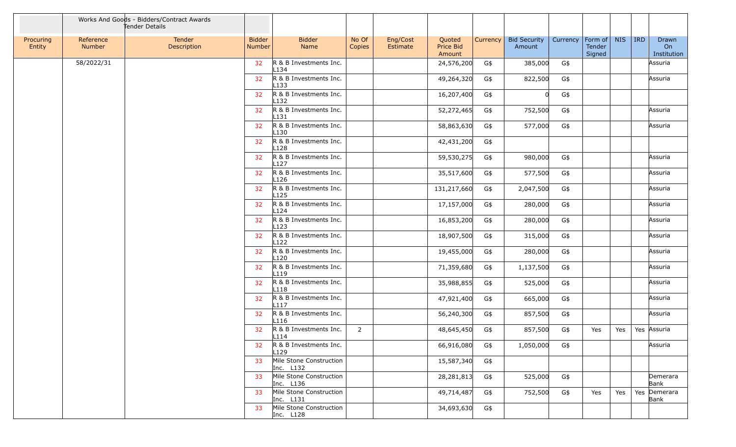|                     |                     | Works And Goods - Bidders/Contract Awards<br>Tender Details |                         |                                            |                 |                      |                               |          |                               |          |                             |            |            |                            |
|---------------------|---------------------|-------------------------------------------------------------|-------------------------|--------------------------------------------|-----------------|----------------------|-------------------------------|----------|-------------------------------|----------|-----------------------------|------------|------------|----------------------------|
| Procuring<br>Entity | Reference<br>Number | Tender<br>Description                                       | <b>Bidder</b><br>Number | <b>Bidder</b><br>Name                      | No Of<br>Copies | Eng/Cost<br>Estimate | Quoted<br>Price Bid<br>Amount | Currency | <b>Bid Security</b><br>Amount | Currency | Form of<br>Tender<br>Signed | <b>NIS</b> | <b>IRD</b> | Drawn<br>On<br>Institution |
|                     | 58/2022/31          |                                                             | 32                      | R & B Investments Inc.<br>L134             |                 |                      | 24,576,200                    | G\$      | 385,000                       | G\$      |                             |            |            | Assuria                    |
|                     |                     |                                                             | 32                      | R & B Investments Inc.<br>L <sub>133</sub> |                 |                      | 49,264,320                    | G\$      | 822,500                       | G\$      |                             |            |            | Assuria                    |
|                     |                     |                                                             | 32                      | R & B Investments Inc.<br>L132             |                 |                      | 16,207,400                    | G\$      | 0l                            | G\$      |                             |            |            |                            |
|                     |                     |                                                             | 32 <sub>2</sub>         | R & B Investments Inc.<br>L131             |                 |                      | 52,272,465                    | G\$      | 752,500                       | G\$      |                             |            |            | Assuria                    |
|                     |                     |                                                             | 32                      | R & B Investments Inc.<br>L130             |                 |                      | 58,863,630                    | G\$      | 577,000                       | G\$      |                             |            |            | Assuria                    |
|                     |                     |                                                             | 32                      | R & B Investments Inc.<br>L128             |                 |                      | 42,431,200                    | G\$      |                               |          |                             |            |            |                            |
|                     |                     |                                                             | 32 <sub>2</sub>         | R & B Investments Inc.<br>L <sub>127</sub> |                 |                      | 59,530,275                    | G\$      | 980,000                       | G\$      |                             |            |            | Assuria                    |
|                     |                     |                                                             | 32                      | R & B Investments Inc.<br>L126             |                 |                      | 35,517,600                    | G\$      | 577,500                       | G\$      |                             |            |            | Assuria                    |
|                     |                     |                                                             | 32                      | R & B Investments Inc.<br>L125             |                 |                      | 131,217,660                   | G\$      | 2,047,500                     | G\$      |                             |            |            | Assuria                    |
|                     |                     |                                                             | 32 <sub>2</sub>         | R & B Investments Inc.<br>L124             |                 |                      | 17,157,000                    | G\$      | 280,000                       | G\$      |                             |            |            | Assuria                    |
|                     |                     |                                                             | 32                      | R & B Investments Inc.<br>L <sub>123</sub> |                 |                      | 16,853,200                    | G\$      | 280,000                       | G\$      |                             |            |            | Assuria                    |
|                     |                     |                                                             | 32                      | R & B Investments Inc.<br>L122             |                 |                      | 18,907,500                    | G\$      | 315,000                       | G\$      |                             |            |            | Assuria                    |
|                     |                     |                                                             | 32 <sub>2</sub>         | R & B Investments Inc.<br>L120             |                 |                      | 19,455,000                    | G\$      | 280,000                       | G\$      |                             |            |            | Assuria                    |
|                     |                     |                                                             | 32                      | R & B Investments Inc.<br>L119             |                 |                      | 71,359,680                    | G\$      | 1,137,500                     | G\$      |                             |            |            | Assuria                    |
|                     |                     |                                                             | 32 <sub>2</sub>         | R & B Investments Inc.<br>L118             |                 |                      | 35,988,855                    | G\$      | 525,000                       | G\$      |                             |            |            | Assuria                    |
|                     |                     |                                                             | 32 <sup>2</sup>         | R & B Investments Inc.<br>L <sub>117</sub> |                 |                      | 47,921,400                    | G\$      | 665,000                       | G\$      |                             |            |            | Assuria                    |
|                     |                     |                                                             | 32                      | R & B Investments Inc.<br>L <sub>116</sub> |                 |                      | 56,240,300                    | G\$      | 857,500                       | G\$      |                             |            |            | Assuria                    |
|                     |                     |                                                             | 32                      | R & B Investments Inc.<br>L114             | 2               |                      | 48,645,450                    | G\$      | 857,500                       | G\$      | Yes                         | Yes        |            | Yes Assuria                |
|                     |                     |                                                             | 32                      | R & B Investments Inc.<br>L129             |                 |                      | 66,916,080                    | G\$      | 1,050,000                     | G\$      |                             |            |            | Assuria                    |
|                     |                     |                                                             | 33                      | Mile Stone Construction<br>Inc. L132       |                 |                      | 15,587,340                    | G\$      |                               |          |                             |            |            |                            |
|                     |                     |                                                             | 33                      | Mile Stone Construction<br>Inc. L136       |                 |                      | 28, 281, 813                  | G\$      | 525,000                       | G\$      |                             |            |            | Demerara<br>Bank           |
|                     |                     |                                                             | 33                      | Mile Stone Construction<br>Inc. L131       |                 |                      | 49,714,487                    | G\$      | 752,500                       | G\$      | Yes                         | Yes        |            | Yes Demerara<br>Bank       |
|                     |                     |                                                             | 33                      | Mile Stone Construction<br>Inc. L128       |                 |                      | 34,693,630                    | G\$      |                               |          |                             |            |            |                            |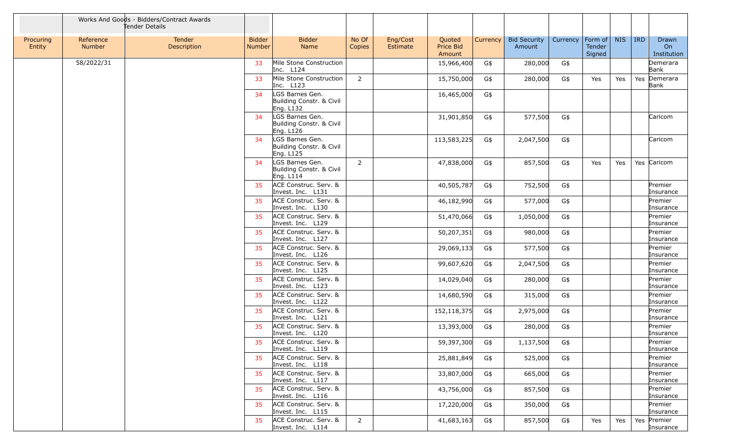|                     |                            | Works And Goods - Bidders/Contract Awards<br>Tender Details |                                |                                                          |                 |                      |                                      |          |                               |          |                              |            |            |                            |
|---------------------|----------------------------|-------------------------------------------------------------|--------------------------------|----------------------------------------------------------|-----------------|----------------------|--------------------------------------|----------|-------------------------------|----------|------------------------------|------------|------------|----------------------------|
| Procuring<br>Entity | Reference<br><b>Number</b> | <b>Tender</b><br>Description                                | <b>Bidder</b><br><b>Number</b> | <b>Bidder</b><br>Name                                    | No Of<br>Copies | Eng/Cost<br>Estimate | Quoted<br><b>Price Bid</b><br>Amount | Currency | <b>Bid Security</b><br>Amount | Currency | Form of <br>Tender<br>Signed | <b>NIS</b> | <b>IRD</b> | Drawn<br>On<br>Institution |
|                     | 58/2022/31                 |                                                             | 33                             | Mile Stone Construction<br>Inc. L124                     |                 |                      | 15,966,400                           | G\$      | 280,000                       | G\$      |                              |            |            | Demerara<br>Bank           |
|                     |                            |                                                             | 33                             | Mile Stone Construction<br>Inc. L123                     | $\overline{2}$  |                      | 15,750,000                           | G\$      | 280,000                       | G\$      | Yes                          | Yes        |            | Yes Demerara<br>Bank       |
|                     |                            |                                                             | 34                             | LGS Barnes Gen.<br>Building Constr. & Civil<br>Eng. L132 |                 |                      | 16,465,000                           | G\$      |                               |          |                              |            |            |                            |
|                     |                            |                                                             | 34                             | LGS Barnes Gen.<br>Building Constr. & Civil<br>Eng. L126 |                 |                      | 31,901,850                           | G\$      | 577,500                       | G\$      |                              |            |            | Caricom                    |
|                     |                            |                                                             | 34                             | LGS Barnes Gen.<br>Building Constr. & Civil<br>Eng. L125 |                 |                      | 113,583,225                          | G\$      | 2,047,500                     | G\$      |                              |            |            | Caricom                    |
|                     |                            |                                                             | 34                             | LGS Barnes Gen.<br>Building Constr. & Civil<br>Eng. L114 | $\overline{2}$  |                      | 47,838,000                           | G\$      | 857,500                       | G\$      | Yes                          | Yes        |            | Yes Caricom                |
|                     |                            |                                                             | 35                             | ACE Construc. Serv. &<br>Invest. Inc. L131               |                 |                      | 40,505,787                           | G\$      | 752,500                       | G\$      |                              |            |            | Premier<br>Insurance       |
|                     |                            |                                                             | 35                             | ACE Construc. Serv. &<br>Invest. Inc. L130               |                 |                      | 46,182,990                           | G\$      | 577,000                       | G\$      |                              |            |            | Premier<br>Insurance       |
|                     |                            |                                                             | 35                             | ACE Construc. Serv. &<br>Invest. Inc. L129               |                 |                      | 51,470,066                           | G\$      | 1,050,000                     | G\$      |                              |            |            | Premier<br>Insurance       |
|                     |                            |                                                             | 35                             | ACE Construc. Serv. &<br>Invest. Inc. L127               |                 |                      | 50,207,351                           | G\$      | 980,000                       | G\$      |                              |            |            | Premier<br>Insurance       |
|                     |                            |                                                             | 35                             | ACE Construc. Serv. &<br>Invest. Inc. L126               |                 |                      | 29,069,133                           | G\$      | 577,500                       | G\$      |                              |            |            | Premier<br>Insurance       |
|                     |                            |                                                             | 35                             | ACE Construc. Serv. &<br>Invest. Inc. L125               |                 |                      | 99,607,620                           | G\$      | 2,047,500                     | G\$      |                              |            |            | Premier<br>Insurance       |
|                     |                            |                                                             | 35                             | ACE Construc. Serv. &<br>Invest. Inc. L123               |                 |                      | 14,029,040                           | G\$      | 280,000                       | G\$      |                              |            |            | Premier<br>Insurance       |
|                     |                            |                                                             | 35                             | ACE Construc. Serv. &<br>Invest. Inc. L122               |                 |                      | 14,680,590                           | G\$      | 315,000                       | G\$      |                              |            |            | Premier<br>Insurance       |
|                     |                            |                                                             | 35                             | ACE Construc. Serv. &<br>Invest. Inc. L121               |                 |                      | 152,118,375                          | G\$      | 2,975,000                     | G\$      |                              |            |            | Premier<br>Insurance       |
|                     |                            |                                                             | 35                             | ACE Construc. Serv. &<br>Invest. Inc. L120               |                 |                      | 13,393,000                           | G\$      | 280,000                       | G\$      |                              |            |            | Premier<br>Insurance       |
|                     |                            |                                                             |                                | ACE Construc. Serv. &<br>Invest. Inc. L119               |                 |                      | 59,397,300                           | G\$      | 1,137,500                     | G\$      |                              |            |            | Premier<br>Insurance       |
|                     |                            |                                                             | 35                             | ACE Construc. Serv. &<br>Invest. Inc. L118               |                 |                      | 25,881,849                           | G\$      | 525,000                       | G\$      |                              |            |            | Premier<br>Insurance       |
|                     |                            |                                                             | 35                             | ACE Construc. Serv. &<br>Invest. Inc. L117               |                 |                      | 33,807,000                           | G\$      | 665,000                       | G\$      |                              |            |            | Premier<br>Insurance       |
|                     |                            |                                                             | 35                             | ACE Construc. Serv. &<br>Invest. Inc. L116               |                 |                      | 43,756,000                           | G\$      | 857,500                       | G\$      |                              |            |            | Premier<br>Insurance       |
|                     |                            |                                                             | 35                             | ACE Construc. Serv. &<br>Invest. Inc. L115               |                 |                      | 17,220,000                           | G\$      | 350,000                       | G\$      |                              |            |            | Premier<br>Insurance       |
|                     |                            |                                                             | 35                             | ACE Construc. Serv. &<br>Invest. Inc. L114               | $\overline{2}$  |                      | 41,683,163                           | G\$      | 857,500                       | G\$      | Yes                          | Yes        |            | Yes Premier<br>Insurance   |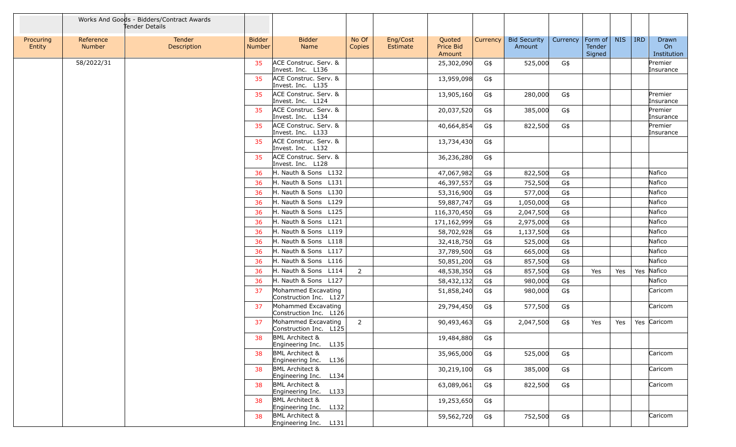|                     |                            | Works And Goods - Bidders/Contract Awards<br>Tender Details |                                |                                                        |                 |                      |                               |          |                               |          |                             |            |            |                            |
|---------------------|----------------------------|-------------------------------------------------------------|--------------------------------|--------------------------------------------------------|-----------------|----------------------|-------------------------------|----------|-------------------------------|----------|-----------------------------|------------|------------|----------------------------|
| Procuring<br>Entity | Reference<br><b>Number</b> | Tender<br>Description                                       | <b>Bidder</b><br><b>Number</b> | <b>Bidder</b><br>Name                                  | No Of<br>Copies | Eng/Cost<br>Estimate | Quoted<br>Price Bid<br>Amount | Currency | <b>Bid Security</b><br>Amount | Currency | Form of<br>Tender<br>Signed | <b>NIS</b> | <b>IRD</b> | Drawn<br>On<br>Institution |
|                     | 58/2022/31                 |                                                             | 35                             | ACE Construc. Serv. &<br>Invest. Inc. L136             |                 |                      | 25,302,090                    | G\$      | 525,000                       | G\$      |                             |            |            | Premier<br>Insurance       |
|                     |                            |                                                             | 35                             | ACE Construc. Serv. &<br>Invest. Inc. L135             |                 |                      | 13,959,098                    | G\$      |                               |          |                             |            |            |                            |
|                     |                            |                                                             | 35                             | ACE Construc. Serv. &<br>Invest. Inc. L124             |                 |                      | 13,905,160                    | G\$      | 280,000                       | G\$      |                             |            |            | Premier<br>Insurance       |
|                     |                            |                                                             | 35                             | ACE Construc. Serv. &<br>Invest. Inc. L134             |                 |                      | 20,037,520                    | G\$      | 385,000                       | G\$      |                             |            |            | Premier<br>Insurance       |
|                     |                            |                                                             | 35                             | ACE Construc. Serv. &<br>Invest. Inc. L133             |                 |                      | 40,664,854                    | G\$      | 822,500                       | G\$      |                             |            |            | Premier<br>Insurance       |
|                     |                            |                                                             | 35                             | ACE Construc. Serv. &<br>Invest. Inc. L132             |                 |                      | 13,734,430                    | G\$      |                               |          |                             |            |            |                            |
|                     |                            |                                                             | 35                             | ACE Construc. Serv. &<br>Invest. Inc. L128             |                 |                      | 36,236,280                    | G\$      |                               |          |                             |            |            |                            |
|                     |                            |                                                             | 36                             | H. Nauth & Sons L132                                   |                 |                      | 47,067,982                    | G\$      | 822,500                       | G\$      |                             |            |            | Nafico                     |
|                     |                            |                                                             | 36                             | H. Nauth & Sons L131                                   |                 |                      | 46,397,557                    | G\$      | 752,500                       | G\$      |                             |            |            | Nafico                     |
|                     |                            |                                                             | 36                             | H. Nauth & Sons L130                                   |                 |                      | 53,316,900                    | G\$      | 577,000                       | G\$      |                             |            |            | Nafico                     |
|                     |                            |                                                             | 36                             | H. Nauth & Sons L129                                   |                 |                      | 59,887,747                    | G\$      | 1,050,000                     | G\$      |                             |            |            | Nafico                     |
|                     |                            |                                                             | 36                             | H. Nauth & Sons L125                                   |                 |                      | 116,370,450                   | G\$      | 2,047,500                     | G\$      |                             |            |            | Nafico                     |
|                     |                            |                                                             | 36                             | H. Nauth & Sons L121                                   |                 |                      | 171,162,999                   | G\$      | 2,975,000                     | G\$      |                             |            |            | Nafico                     |
|                     |                            |                                                             | 36                             | H. Nauth & Sons L119                                   |                 |                      | 58,702,928                    | G\$      | 1,137,500                     | G\$      |                             |            |            | Nafico                     |
|                     |                            |                                                             | 36                             | H. Nauth & Sons L118                                   |                 |                      | 32,418,750                    | G\$      | 525,000                       | G\$      |                             |            |            | Nafico                     |
|                     |                            |                                                             | 36                             | H. Nauth & Sons L117                                   |                 |                      | 37,789,500                    | G\$      | 665,000                       | G\$      |                             |            |            | Nafico                     |
|                     |                            |                                                             | 36                             | H. Nauth & Sons L116                                   |                 |                      | 50,851,200                    | G\$      | 857,500                       | G\$      |                             |            |            | Nafico                     |
|                     |                            |                                                             | 36                             | H. Nauth & Sons L114                                   | $\overline{2}$  |                      | 48,538,350                    | G\$      | 857,500                       | G\$      | Yes                         | Yes        | Yes        | Nafico                     |
|                     |                            |                                                             | 36                             | H. Nauth & Sons L127                                   |                 |                      | 58,432,132                    | G\$      | 980,000                       | G\$      |                             |            |            | Nafico                     |
|                     |                            |                                                             | 37                             | Mohammed Excavating<br>Construction Inc. L127          |                 |                      | 51,858,240                    | G\$      | 980,000                       | G\$      |                             |            |            | Caricom                    |
|                     |                            |                                                             | 37                             | Mohammed Excavating<br>Construction Inc. L126          |                 |                      | 29,794,450                    | G\$      | 577,500                       | G\$      |                             |            |            | Caricom                    |
|                     |                            |                                                             | 37                             | Mohammed Excavating<br>Construction Inc. L125          | $\overline{2}$  |                      | 90,493,463                    | G\$      | 2,047,500                     | G\$      | Yes                         | Yes        |            | Yes Caricom                |
|                     |                            |                                                             | 38                             | <b>BML Architect &amp;</b><br>L135<br>Engineering Inc. |                 |                      | 19,484,880                    | G\$      |                               |          |                             |            |            |                            |
|                     |                            |                                                             | 38                             | <b>BML Architect &amp;</b><br>L136<br>Engineering Inc. |                 |                      | 35,965,000                    | G\$      | 525,000                       | G\$      |                             |            |            | Caricom                    |
|                     |                            |                                                             | 38                             | <b>BML Architect &amp;</b><br>L134<br>Engineering Inc. |                 |                      | 30,219,100                    | G\$      | 385,000                       | G\$      |                             |            |            | Caricom                    |
|                     |                            |                                                             | 38                             | <b>BML Architect &amp;</b><br>Engineering Inc.<br>L133 |                 |                      | 63,089,061                    | G\$      | 822,500                       | G\$      |                             |            |            | Caricom                    |
|                     |                            |                                                             | 38                             | <b>BML Architect &amp;</b><br>Engineering Inc.<br>L132 |                 |                      | 19,253,650                    | G\$      |                               |          |                             |            |            |                            |
|                     |                            |                                                             | 38                             | <b>BML Architect &amp;</b><br>L131<br>Engineering Inc. |                 |                      | 59,562,720                    | G\$      | 752,500                       | G\$      |                             |            |            | Caricom                    |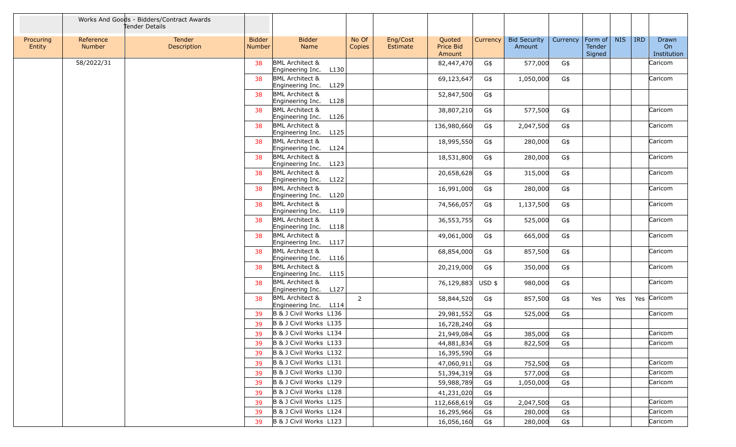|                     |                     | Works And Goods - Bidders/Contract Awards<br>Tender Details |                         |                                                        |                 |                      |                                      |          |                               |          |                                     |            |            |                            |
|---------------------|---------------------|-------------------------------------------------------------|-------------------------|--------------------------------------------------------|-----------------|----------------------|--------------------------------------|----------|-------------------------------|----------|-------------------------------------|------------|------------|----------------------------|
| Procuring<br>Entity | Reference<br>Number | Tender<br>Description                                       | <b>Bidder</b><br>Number | <b>Bidder</b><br>Name                                  | No Of<br>Copies | Eng/Cost<br>Estimate | Quoted<br><b>Price Bid</b><br>Amount | Currency | <b>Bid Security</b><br>Amount | Currency | Form of $\vert$<br>Tender<br>Signed | <b>NIS</b> | <b>IRD</b> | Drawn<br>On<br>Institution |
|                     | 58/2022/31          |                                                             | 38                      | <b>BML Architect &amp;</b>                             |                 |                      | 82,447,470                           | G\$      | 577,000                       | G\$      |                                     |            |            | Caricom                    |
|                     |                     |                                                             | 38                      | Engineering Inc.<br>L130<br><b>BML Architect &amp;</b> |                 |                      | 69,123,647                           | G\$      | 1,050,000                     | G\$      |                                     |            |            | Caricom                    |
|                     |                     |                                                             |                         | Engineering Inc.<br>L129                               |                 |                      |                                      |          |                               |          |                                     |            |            |                            |
|                     |                     |                                                             | 38                      | <b>BML Architect &amp;</b><br>Engineering Inc. L128    |                 |                      | 52,847,500                           | G\$      |                               |          |                                     |            |            |                            |
|                     |                     |                                                             | 38                      | <b>BML Architect &amp;</b><br>Engineering Inc.<br>L126 |                 |                      | 38,807,210                           | G\$      | 577,500                       | G\$      |                                     |            |            | Caricom                    |
|                     |                     |                                                             | 38                      | <b>BML Architect &amp;</b><br>Engineering Inc. L125    |                 |                      | 136,980,660                          | G\$      | 2,047,500                     | G\$      |                                     |            |            | Caricom                    |
|                     |                     |                                                             | 38                      | <b>BML Architect &amp;</b><br>L124<br>Engineering Inc. |                 |                      | 18,995,550                           | G\$      | 280,000                       | G\$      |                                     |            |            | Caricom                    |
|                     |                     |                                                             | 38                      | <b>BML Architect &amp;</b><br>L123                     |                 |                      | 18,531,800                           | G\$      | 280,000                       | G\$      |                                     |            |            | Caricom                    |
|                     |                     |                                                             | 38                      | Engineering Inc.<br><b>BML Architect &amp;</b>         |                 |                      | 20,658,628                           | G\$      | 315,000                       | G\$      |                                     |            |            | Caricom                    |
|                     |                     |                                                             | 38                      | Engineering Inc.<br>L122<br><b>BML Architect &amp;</b> |                 |                      | 16,991,000                           | G\$      | 280,000                       | G\$      |                                     |            |            | Caricom                    |
|                     |                     |                                                             | 38                      | Engineering Inc.<br>L120<br><b>BML Architect &amp;</b> |                 |                      | 74,566,057                           | G\$      | 1,137,500                     | G\$      |                                     |            |            | Caricom                    |
|                     |                     |                                                             | 38                      | Engineering Inc. L119<br><b>BML Architect &amp;</b>    |                 |                      | 36,553,755                           |          | 525,000                       | G\$      |                                     |            |            | Caricom                    |
|                     |                     |                                                             |                         | Engineering Inc.<br>L118                               |                 |                      |                                      | G\$      |                               |          |                                     |            |            |                            |
|                     |                     |                                                             | 38                      | <b>BML Architect &amp;</b><br>Engineering Inc.<br>L117 |                 |                      | 49,061,000                           | G\$      | 665,000                       | G\$      |                                     |            |            | Caricom                    |
|                     |                     |                                                             | 38                      | <b>BML Architect &amp;</b><br>L116<br>Engineering Inc. |                 |                      | 68,854,000                           | G\$      | 857,500                       | G\$      |                                     |            |            | Caricom                    |
|                     |                     |                                                             | 38                      | <b>BML Architect &amp;</b><br>L115<br>Engineering Inc. |                 |                      | 20,219,000                           | G\$      | 350,000                       | G\$      |                                     |            |            | Caricom                    |
|                     |                     |                                                             | 38                      | <b>BML Architect &amp;</b><br>Engineering Inc. L127    |                 |                      | 76,129,883                           | USD \$   | 980,000                       | G\$      |                                     |            |            | Caricom                    |
|                     |                     |                                                             | 38                      | <b>BML Architect &amp;</b><br>Engineering Inc. L114    | $\overline{2}$  |                      | 58,844,520                           | G\$      | 857,500                       | G\$      | Yes                                 | Yes        |            | Yes Caricom                |
|                     |                     |                                                             | 39                      | B & J Civil Works L136                                 |                 |                      | 29,981,552                           | G\$      | 525,000                       | G\$      |                                     |            |            | Caricom                    |
|                     |                     |                                                             | 39                      | B & J Civil Works L135                                 |                 |                      | 16,728,240                           | G\$      |                               |          |                                     |            |            |                            |
|                     |                     |                                                             | 39                      | B & J Civil Works L134                                 |                 |                      | 21,949,084                           | G\$      | 385,000                       | G\$      |                                     |            |            | Caricom                    |
|                     |                     |                                                             | 39                      | B & J Civil Works L133                                 |                 |                      | 44,881,834                           | G\$      | 822,500                       | G\$      |                                     |            |            | Caricom                    |
|                     |                     |                                                             | 39                      | B & J Civil Works L132                                 |                 |                      | 16,395,590                           | G\$      |                               |          |                                     |            |            |                            |
|                     |                     |                                                             | 39                      | B & J Civil Works L131                                 |                 |                      | 47,060,911                           | G\$      | 752,500                       | G\$      |                                     |            |            | Caricom                    |
|                     |                     |                                                             | 39                      | B & J Civil Works L130                                 |                 |                      | 51,394,319                           | G\$      | 577,000                       | G\$      |                                     |            |            | Caricom                    |
|                     |                     |                                                             | 39                      | B & J Civil Works L129                                 |                 |                      | 59,988,789                           | G\$      | 1,050,000                     | G\$      |                                     |            |            | Caricom                    |
|                     |                     |                                                             | 39                      | B & J Civil Works L128                                 |                 |                      | 41,231,020                           | G\$      |                               |          |                                     |            |            |                            |
|                     |                     |                                                             | 39                      | B & J Civil Works L125                                 |                 |                      | 112,668,619                          | G\$      | 2,047,500                     | G\$      |                                     |            |            | Caricom                    |
|                     |                     |                                                             | 39                      | B & J Civil Works L124                                 |                 |                      | 16,295,966                           | G\$      | 280,000                       | G\$      |                                     |            |            | Caricom                    |
|                     |                     |                                                             | 39                      | B & J Civil Works L123                                 |                 |                      | 16,056,160                           | G\$      | 280,000                       | G\$      |                                     |            |            | Caricom                    |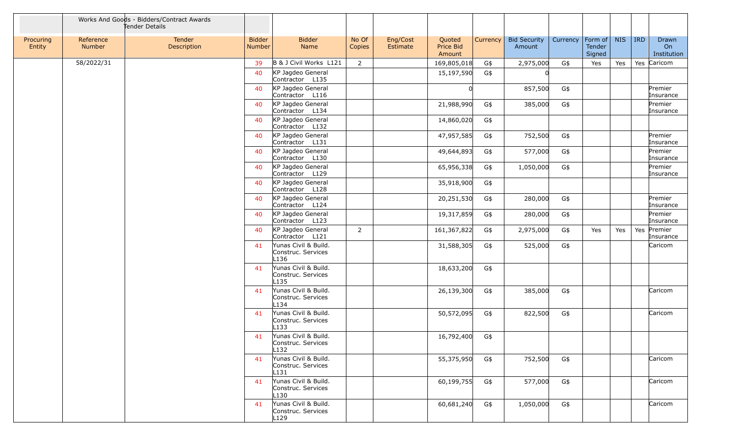|                     |                     | Works And Goods - Bidders/Contract Awards<br>Tender Details |                         |                                                                |                 |                      |                               |          |                               |          |                             |            |            |                            |
|---------------------|---------------------|-------------------------------------------------------------|-------------------------|----------------------------------------------------------------|-----------------|----------------------|-------------------------------|----------|-------------------------------|----------|-----------------------------|------------|------------|----------------------------|
| Procuring<br>Entity | Reference<br>Number | Tender<br>Description                                       | <b>Bidder</b><br>Number | <b>Bidder</b><br>Name                                          | No Of<br>Copies | Eng/Cost<br>Estimate | Quoted<br>Price Bid<br>Amount | Currency | <b>Bid Security</b><br>Amount | Currency | Form of<br>Tender<br>Signed | <b>NIS</b> | <b>IRD</b> | Drawn<br>On<br>Institution |
|                     | 58/2022/31          |                                                             | 39                      | B & J Civil Works L121                                         | 2               |                      | 169,805,018                   | G\$      | 2,975,000                     | G\$      | Yes                         | Yes        |            | Yes Caricom                |
|                     |                     |                                                             | 40                      | KP Jagdeo General<br>Contractor L135                           |                 |                      | 15,197,590                    | G\$      |                               |          |                             |            |            |                            |
|                     |                     |                                                             | 40                      | KP Jagdeo General<br>Contractor L116                           |                 |                      |                               |          | 857,500                       | G\$      |                             |            |            | Premier<br>Insurance       |
|                     |                     |                                                             | 40                      | KP Jagdeo General<br>Contractor L134                           |                 |                      | 21,988,990                    | G\$      | 385,000                       | G\$      |                             |            |            | Premier<br>Insurance       |
|                     |                     |                                                             | 40                      | KP Jagdeo General<br>Contractor L132                           |                 |                      | 14,860,020                    | G\$      |                               |          |                             |            |            |                            |
|                     |                     |                                                             | 40                      | KP Jagdeo General<br>Contractor L131                           |                 |                      | 47,957,585                    | G\$      | 752,500                       | G\$      |                             |            |            | Premier<br>Insurance       |
|                     |                     |                                                             | 40                      | KP Jagdeo General<br>Contractor L130                           |                 |                      | 49,644,893                    | G\$      | 577,000                       | G\$      |                             |            |            | Premier<br>Insurance       |
|                     |                     |                                                             | 40                      | KP Jagdeo General<br>Contractor L129                           |                 |                      | 65,956,338                    | G\$      | 1,050,000                     | G\$      |                             |            |            | Premier<br>Insurance       |
|                     |                     |                                                             | 40                      | KP Jagdeo General<br>Contractor L128                           |                 |                      | 35,918,900                    | G\$      |                               |          |                             |            |            |                            |
|                     |                     |                                                             | 40                      | KP Jagdeo General<br>Contractor L124                           |                 |                      | 20,251,530                    | G\$      | 280,000                       | G\$      |                             |            |            | Premier<br>Insurance       |
|                     |                     |                                                             | 40                      | KP Jagdeo General<br>Contractor L123                           |                 |                      | 19,317,859                    | G\$      | 280,000                       | G\$      |                             |            |            | Premier<br>Insurance       |
|                     |                     |                                                             | 40                      | KP Jagdeo General<br>Contractor L121                           | $\overline{2}$  |                      | 161,367,822                   | G\$      | 2,975,000                     | G\$      | Yes                         | Yes        |            | Yes Premier<br>Insurance   |
|                     |                     |                                                             | 41                      | Yunas Civil & Build.<br>Construc. Services<br>L <sub>136</sub> |                 |                      | 31,588,305                    | G\$      | 525,000                       | G\$      |                             |            |            | Caricom                    |
|                     |                     |                                                             | 41                      | Yunas Civil & Build.<br>Construc. Services<br>L <sub>135</sub> |                 |                      | 18,633,200                    | G\$      |                               |          |                             |            |            |                            |
|                     |                     |                                                             | 41                      | Yunas Civil & Build.<br>Construc. Services<br>L134             |                 |                      | 26,139,300                    | G\$      | 385,000                       | G\$      |                             |            |            | Caricom                    |
|                     |                     |                                                             | 41                      | Yunas Civil & Build.<br>Construc. Services<br>L133             |                 |                      | 50,572,095                    | G\$      | 822,500                       | G\$      |                             |            |            | Caricom                    |
|                     |                     |                                                             | 41                      | Yunas Civil & Build.<br>Construc. Services<br>L132             |                 |                      | 16,792,400                    | G\$      |                               |          |                             |            |            |                            |
|                     |                     |                                                             | 41                      | Yunas Civil & Build.<br>Construc. Services<br>L131             |                 |                      | 55,375,950                    | G\$      | 752,500                       | G\$      |                             |            |            | Caricom                    |
|                     |                     |                                                             | 41                      | Yunas Civil & Build.<br>Construc. Services<br>L130             |                 |                      | 60,199,755                    | G\$      | 577,000                       | G\$      |                             |            |            | Caricom                    |
|                     |                     |                                                             | 41                      | Yunas Civil & Build.<br>Construc. Services<br>L129             |                 |                      | 60,681,240                    | G\$      | 1,050,000                     | G\$      |                             |            |            | Caricom                    |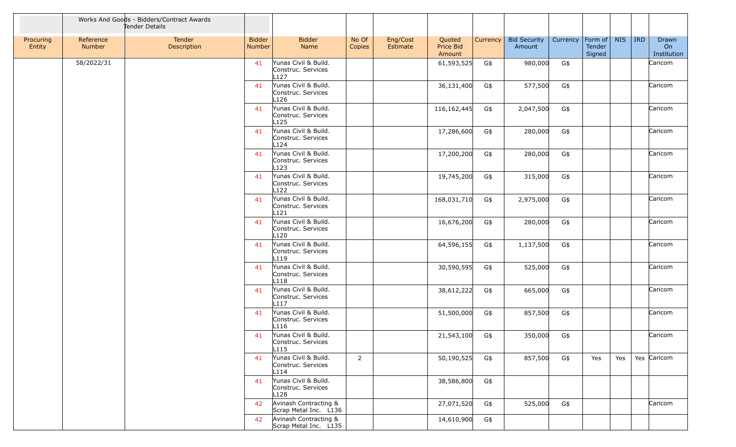|                     |                     | Works And Goods - Bidders/Contract Awards<br>Tender Details |                         |                                                                |                 |                      |                               |          |                               |          |                             |            |            |                            |
|---------------------|---------------------|-------------------------------------------------------------|-------------------------|----------------------------------------------------------------|-----------------|----------------------|-------------------------------|----------|-------------------------------|----------|-----------------------------|------------|------------|----------------------------|
| Procuring<br>Entity | Reference<br>Number | Tender<br>Description                                       | <b>Bidder</b><br>Number | <b>Bidder</b><br>Name                                          | No Of<br>Copies | Eng/Cost<br>Estimate | Quoted<br>Price Bid<br>Amount | Currency | <b>Bid Security</b><br>Amount | Currency | Form of<br>Tender<br>Signed | <b>NIS</b> | <b>IRD</b> | Drawn<br>On<br>Institution |
|                     | 58/2022/31          |                                                             | 41                      | Yunas Civil & Build.<br>Construc. Services<br>L127             |                 |                      | 61,593,525                    | G\$      | 980,000                       | G\$      |                             |            |            | Caricom                    |
|                     |                     |                                                             | 41                      | Yunas Civil & Build.<br>Construc. Services<br>L126             |                 |                      | 36,131,400                    | G\$      | 577,500                       | G\$      |                             |            |            | Caricom                    |
|                     |                     |                                                             | 41                      | Yunas Civil & Build.<br>Construc. Services<br>L125             |                 |                      | 116, 162, 445                 | G\$      | 2,047,500                     | G\$      |                             |            |            | Caricom                    |
|                     |                     |                                                             | 41                      | Yunas Civil & Build.<br>Construc. Services<br>L124             |                 |                      | 17,286,600                    | G\$      | 280,000                       | G\$      |                             |            |            | Caricom                    |
|                     |                     |                                                             | 41                      | Yunas Civil & Build.<br>Construc. Services<br>L123             |                 |                      | 17,200,200                    | G\$      | 280,000                       | G\$      |                             |            |            | Caricom                    |
|                     |                     |                                                             | 41                      | Yunas Civil & Build.<br>Construc. Services<br>L122             |                 |                      | 19,745,200                    | G\$      | 315,000                       | G\$      |                             |            |            | Caricom                    |
|                     |                     |                                                             | 41                      | Yunas Civil & Build.<br>Construc. Services<br>L121             |                 |                      | 168,031,710                   | G\$      | 2,975,000                     | G\$      |                             |            |            | Caricom                    |
|                     |                     |                                                             | 41                      | Yunas Civil & Build.<br>Construc. Services<br>L120             |                 |                      | 16,676,200                    | G\$      | 280,000                       | G\$      |                             |            |            | Caricom                    |
|                     |                     |                                                             | 41                      | Yunas Civil & Build.<br>Construc. Services<br>L119             |                 |                      | 64,596,155                    | G\$      | 1,137,500                     | G\$      |                             |            |            | Caricom                    |
|                     |                     |                                                             | 41                      | Yunas Civil & Build.<br>Construc. Services<br>L118             |                 |                      | 30,590,595                    | G\$      | 525,000                       | G\$      |                             |            |            | Caricom                    |
|                     |                     |                                                             | 41                      | Yunas Civil & Build.<br>Construc. Services<br>L <sub>117</sub> |                 |                      | 38,612,222                    | G\$      | 665,000                       | G\$      |                             |            |            | Caricom                    |
|                     |                     |                                                             | 41                      | Yunas Civil & Build.<br>Construc. Services<br>L116             |                 |                      | 51,500,000                    | G\$      | 857,500                       | G\$      |                             |            |            | Caricom                    |
|                     |                     |                                                             | 41                      | Yunas Civil & Build.<br>Construc. Services<br>L115             |                 |                      | 21,543,100                    | G\$      | 350,000                       | G\$      |                             |            |            | Caricom                    |
|                     |                     |                                                             | 41                      | Yunas Civil & Build.<br>Construc. Services<br>L114             | $\overline{2}$  |                      | 50,190,525                    | G\$      | 857,500                       | G\$      | Yes                         | Yes        |            | Yes Caricom                |
|                     |                     |                                                             | 41                      | Yunas Civil & Build.<br>Construc. Services<br>L128             |                 |                      | 38,586,800                    | G\$      |                               |          |                             |            |            |                            |
|                     |                     |                                                             | 42                      | Avinash Contracting &<br>Scrap Metal Inc. L136                 |                 |                      | 27,071,520                    | G\$      | 525,000                       | G\$      |                             |            |            | Caricom                    |
|                     |                     |                                                             | 42                      | Avinash Contracting &<br>Scrap Metal Inc. L135                 |                 |                      | 14,610,900                    | G\$      |                               |          |                             |            |            |                            |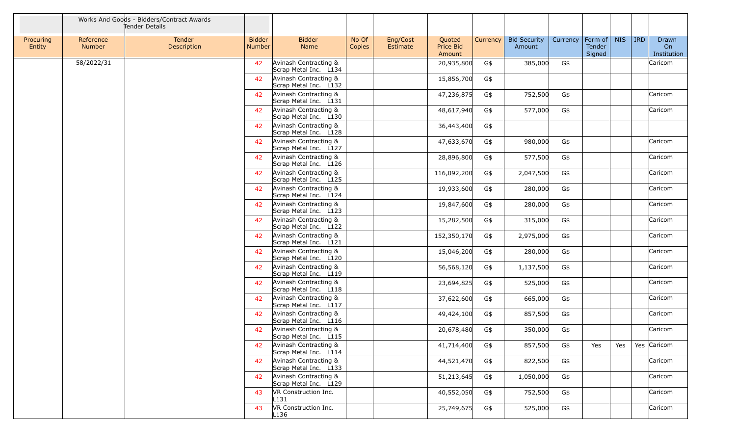|                     |                            | Works And Goods - Bidders/Contract Awards<br>Tender Details |                                |                                                |                 |                      |                               |          |                               |          |                                     |            |            |                            |
|---------------------|----------------------------|-------------------------------------------------------------|--------------------------------|------------------------------------------------|-----------------|----------------------|-------------------------------|----------|-------------------------------|----------|-------------------------------------|------------|------------|----------------------------|
| Procuring<br>Entity | Reference<br><b>Number</b> | Tender<br>Description                                       | <b>Bidder</b><br><b>Number</b> | <b>Bidder</b><br><b>Name</b>                   | No Of<br>Copies | Eng/Cost<br>Estimate | Quoted<br>Price Bid<br>Amount | Currency | <b>Bid Security</b><br>Amount | Currency | Form of $\vert$<br>Tender<br>Signed | <b>NIS</b> | <b>IRD</b> | Drawn<br>On<br>Institution |
|                     | 58/2022/31                 |                                                             | 42                             | Avinash Contracting &<br>Scrap Metal Inc. L134 |                 |                      | 20,935,800                    | G\$      | 385,000                       | G\$      |                                     |            |            | Caricom                    |
|                     |                            |                                                             | 42                             | Avinash Contracting &<br>Scrap Metal Inc. L132 |                 |                      | 15,856,700                    | G\$      |                               |          |                                     |            |            |                            |
|                     |                            |                                                             | 42                             | Avinash Contracting &<br>Scrap Metal Inc. L131 |                 |                      | 47,236,875                    | G\$      | 752,500                       | G\$      |                                     |            |            | Caricom                    |
|                     |                            |                                                             | 42                             | Avinash Contracting &<br>Scrap Metal Inc. L130 |                 |                      | 48,617,940                    | G\$      | 577,000                       | G\$      |                                     |            |            | Caricom                    |
|                     |                            |                                                             | 42                             | Avinash Contracting &<br>Scrap Metal Inc. L128 |                 |                      | 36,443,400                    | G\$      |                               |          |                                     |            |            |                            |
|                     |                            |                                                             | 42                             | Avinash Contracting &<br>Scrap Metal Inc. L127 |                 |                      | 47,633,670                    | G\$      | 980,000                       | G\$      |                                     |            |            | Caricom                    |
|                     |                            |                                                             | 42                             | Avinash Contracting &<br>Scrap Metal Inc. L126 |                 |                      | 28,896,800                    | G\$      | 577,500                       | G\$      |                                     |            |            | Caricom                    |
|                     |                            |                                                             | 42                             | Avinash Contracting &<br>Scrap Metal Inc. L125 |                 |                      | 116,092,200                   | G\$      | 2,047,500                     | G\$      |                                     |            |            | Caricom                    |
|                     |                            |                                                             | 42                             | Avinash Contracting &<br>Scrap Metal Inc. L124 |                 |                      | 19,933,600                    | G\$      | 280,000                       | G\$      |                                     |            |            | Caricom                    |
|                     |                            |                                                             | 42                             | Avinash Contracting &<br>Scrap Metal Inc. L123 |                 |                      | 19,847,600                    | G\$      | 280,000                       | G\$      |                                     |            |            | Caricom                    |
|                     |                            |                                                             | 42                             | Avinash Contracting &<br>Scrap Metal Inc. L122 |                 |                      | 15,282,500                    | G\$      | 315,000                       | G\$      |                                     |            |            | Caricom                    |
|                     |                            |                                                             | 42                             | Avinash Contracting &<br>Scrap Metal Inc. L121 |                 |                      | 152,350,170                   | G\$      | 2,975,000                     | G\$      |                                     |            |            | Caricom                    |
|                     |                            |                                                             | 42                             | Avinash Contracting &<br>Scrap Metal Inc. L120 |                 |                      | 15,046,200                    | G\$      | 280,000                       | G\$      |                                     |            |            | Caricom                    |
|                     |                            |                                                             | 42                             | Avinash Contracting &<br>Scrap Metal Inc. L119 |                 |                      | 56,568,120                    | G\$      | 1,137,500                     | G\$      |                                     |            |            | Caricom                    |
|                     |                            |                                                             | 42                             | Avinash Contracting &<br>Scrap Metal Inc. L118 |                 |                      | 23,694,825                    | G\$      | 525,000                       | G\$      |                                     |            |            | Caricom                    |
|                     |                            |                                                             | 42                             | Avinash Contracting &<br>Scrap Metal Inc. L117 |                 |                      | 37,622,600                    | G\$      | 665,000                       | G\$      |                                     |            |            | Caricom                    |
|                     |                            |                                                             | 42                             | Avinash Contracting &<br>Scrap Metal Inc. L116 |                 |                      | 49,424,100                    | G\$      | 857,500                       | G\$      |                                     |            |            | Caricom                    |
|                     |                            |                                                             | 42                             | Avinash Contracting &<br>Scrap Metal Inc. L115 |                 |                      | 20,678,480                    | G\$      | 350,000                       | G\$      |                                     |            |            | Caricom                    |
|                     |                            |                                                             | 42                             | Avinash Contracting &<br>Scrap Metal Inc. L114 |                 |                      | 41,714,400                    | G\$      | 857,500                       | G\$      | Yes                                 | Yes        |            | Yes Caricom                |
|                     |                            |                                                             | 42                             | Avinash Contracting &<br>Scrap Metal Inc. L133 |                 |                      | 44,521,470                    | G\$      | 822,500                       | G\$      |                                     |            |            | Caricom                    |
|                     |                            |                                                             | 42                             | Avinash Contracting &<br>Scrap Metal Inc. L129 |                 |                      | 51,213,645                    | G\$      | 1,050,000                     | G\$      |                                     |            |            | Caricom                    |
|                     |                            |                                                             | 43                             | VR Construction Inc.<br>L131                   |                 |                      | 40,552,050                    | G\$      | 752,500                       | G\$      |                                     |            |            | Caricom                    |
|                     |                            |                                                             | 43                             | VR Construction Inc.<br>L136                   |                 |                      | 25,749,675                    | G\$      | 525,000                       | G\$      |                                     |            |            | Caricom                    |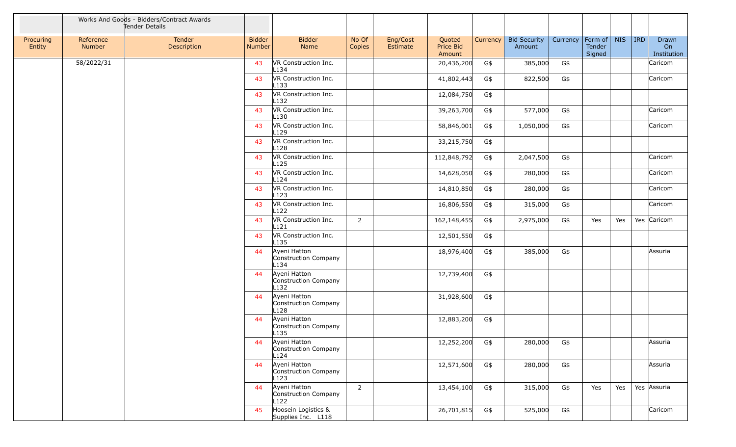|                     |                     | Works And Goods - Bidders/Contract Awards<br>Tender Details |                         |                                                          |                 |                      |                               |          |                               |          |                             |            |            |                            |
|---------------------|---------------------|-------------------------------------------------------------|-------------------------|----------------------------------------------------------|-----------------|----------------------|-------------------------------|----------|-------------------------------|----------|-----------------------------|------------|------------|----------------------------|
| Procuring<br>Entity | Reference<br>Number | Tender<br>Description                                       | <b>Bidder</b><br>Number | <b>Bidder</b><br>Name                                    | No Of<br>Copies | Eng/Cost<br>Estimate | Quoted<br>Price Bid<br>Amount | Currency | <b>Bid Security</b><br>Amount | Currency | Form of<br>Tender<br>Signed | <b>NIS</b> | <b>IRD</b> | Drawn<br>On<br>Institution |
|                     | 58/2022/31          |                                                             | 43                      | VR Construction Inc.<br>L134                             |                 |                      | 20,436,200                    | G\$      | 385,000                       | G\$      |                             |            |            | Caricom                    |
|                     |                     |                                                             | 43                      | VR Construction Inc.<br>L <sub>133</sub>                 |                 |                      | 41,802,443                    | G\$      | 822,500                       | G\$      |                             |            |            | Caricom                    |
|                     |                     |                                                             | 43                      | VR Construction Inc.<br>L <sub>132</sub>                 |                 |                      | 12,084,750                    | G\$      |                               |          |                             |            |            |                            |
|                     |                     |                                                             | 43                      | VR Construction Inc.<br>L130                             |                 |                      | 39,263,700                    | G\$      | 577,000                       | G\$      |                             |            |            | Caricom                    |
|                     |                     |                                                             | 43                      | VR Construction Inc.<br>L129                             |                 |                      | 58,846,001                    | G\$      | 1,050,000                     | G\$      |                             |            |            | Caricom                    |
|                     |                     |                                                             | 43                      | VR Construction Inc.<br>L128                             |                 |                      | 33,215,750                    | G\$      |                               |          |                             |            |            |                            |
|                     |                     |                                                             | 43                      | VR Construction Inc.<br>L <sub>125</sub>                 |                 |                      | 112,848,792                   | G\$      | 2,047,500                     | G\$      |                             |            |            | Caricom                    |
|                     |                     |                                                             | 43                      | VR Construction Inc.<br>L124                             |                 |                      | 14,628,050                    | G\$      | 280,000                       | G\$      |                             |            |            | Caricom                    |
|                     |                     |                                                             | 43                      | VR Construction Inc.<br>L123                             |                 |                      | 14,810,850                    | G\$      | 280,000                       | G\$      |                             |            |            | Caricom                    |
|                     |                     |                                                             | 43                      | VR Construction Inc.<br>L122                             |                 |                      | 16,806,550                    | G\$      | 315,000                       | G\$      |                             |            |            | Caricom                    |
|                     |                     |                                                             | 43                      | VR Construction Inc.<br>L121                             | $\overline{2}$  |                      | 162,148,455                   | G\$      | 2,975,000                     | G\$      | Yes                         | Yes        |            | Yes Caricom                |
|                     |                     |                                                             | 43                      | VR Construction Inc.<br>L <sub>135</sub>                 |                 |                      | 12,501,550                    | G\$      |                               |          |                             |            |            |                            |
|                     |                     |                                                             | 44                      | Ayeni Hatton<br>Construction Company<br>L134             |                 |                      | 18,976,400                    | G\$      | 385,000                       | G\$      |                             |            |            | Assuria                    |
|                     |                     |                                                             | 44                      | Ayeni Hatton<br>Construction Company<br>L <sub>132</sub> |                 |                      | 12,739,400                    | G\$      |                               |          |                             |            |            |                            |
|                     |                     |                                                             | 44                      | Ayeni Hatton<br>Construction Company<br>L128             |                 |                      | 31,928,600                    | G\$      |                               |          |                             |            |            |                            |
|                     |                     |                                                             | 44                      | Ayeni Hatton<br>Construction Company<br>L135             |                 |                      | 12,883,200                    | G\$      |                               |          |                             |            |            |                            |
|                     |                     |                                                             | 44                      | Ayeni Hatton<br>Construction Company<br>L124             |                 |                      | 12,252,200                    | G\$      | 280,000                       | G\$      |                             |            |            | Assuria                    |
|                     |                     |                                                             | 44                      | Ayeni Hatton<br>Construction Company<br>L123             |                 |                      | 12,571,600                    | G\$      | 280,000                       | G\$      |                             |            |            | Assuria                    |
|                     |                     |                                                             | 44                      | Ayeni Hatton<br>Construction Company<br>L122             | $\overline{2}$  |                      | 13,454,100                    | G\$      | 315,000                       | G\$      | Yes                         | Yes        |            | Yes Assuria                |
|                     |                     |                                                             | 45                      | Hoosein Logistics &<br>Supplies Inc. L118                |                 |                      | 26,701,815                    | G\$      | 525,000                       | G\$      |                             |            |            | Caricom                    |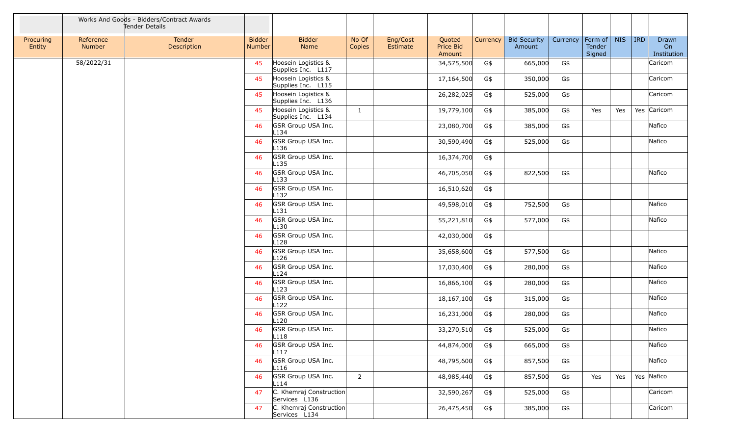|                     |                     | Works And Goods - Bidders/Contract Awards<br>Tender Details |                         |                                           |                 |                      |                               |          |                               |          |                                     |            |            |                            |
|---------------------|---------------------|-------------------------------------------------------------|-------------------------|-------------------------------------------|-----------------|----------------------|-------------------------------|----------|-------------------------------|----------|-------------------------------------|------------|------------|----------------------------|
| Procuring<br>Entity | Reference<br>Number | Tender<br>Description                                       | <b>Bidder</b><br>Number | <b>Bidder</b><br>Name                     | No Of<br>Copies | Eng/Cost<br>Estimate | Quoted<br>Price Bid<br>Amount | Currency | <b>Bid Security</b><br>Amount | Currency | Form of $\vert$<br>Tender<br>Signed | <b>NIS</b> | <b>IRD</b> | Drawn<br>On<br>Institution |
|                     | 58/2022/31          |                                                             | 45                      | Hoosein Logistics &<br>Supplies Inc. L117 |                 |                      | 34,575,500                    | G\$      | 665,000                       | G\$      |                                     |            |            | Caricom                    |
|                     |                     |                                                             | 45                      | Hoosein Logistics &<br>Supplies Inc. L115 |                 |                      | 17,164,500                    | G\$      | 350,000                       | G\$      |                                     |            |            | Caricom                    |
|                     |                     |                                                             | 45                      | Hoosein Logistics &<br>Supplies Inc. L136 |                 |                      | 26,282,025                    | G\$      | 525,000                       | G\$      |                                     |            |            | Caricom                    |
|                     |                     |                                                             | 45                      | Hoosein Logistics &<br>Supplies Inc. L134 | $\mathbf{1}$    |                      | 19,779,100                    | G\$      | 385,000                       | G\$      | Yes                                 | Yes        |            | Yes Caricom                |
|                     |                     |                                                             | 46                      | GSR Group USA Inc.<br>L <sub>134</sub>    |                 |                      | 23,080,700                    | G\$      | 385,000                       | G\$      |                                     |            |            | Nafico                     |
|                     |                     |                                                             | 46                      | GSR Group USA Inc.<br>L136                |                 |                      | 30,590,490                    | G\$      | 525,000                       | G\$      |                                     |            |            | Nafico                     |
|                     |                     |                                                             | 46                      | GSR Group USA Inc.<br>L <sub>135</sub>    |                 |                      | 16,374,700                    | G\$      |                               |          |                                     |            |            |                            |
|                     |                     |                                                             | 46                      | GSR Group USA Inc.<br>$L$ 133             |                 |                      | 46,705,050                    | G\$      | 822,500                       | G\$      |                                     |            |            | Nafico                     |
|                     |                     |                                                             | 46                      | GSR Group USA Inc.<br>L132                |                 |                      | 16,510,620                    | G\$      |                               |          |                                     |            |            |                            |
|                     |                     |                                                             | 46                      | GSR Group USA Inc.<br>L <sub>131</sub>    |                 |                      | 49,598,010                    | G\$      | 752,500                       | G\$      |                                     |            |            | Nafico                     |
|                     |                     |                                                             | 46                      | GSR Group USA Inc.<br>L <sub>130</sub>    |                 |                      | 55,221,810                    | G\$      | 577,000                       | G\$      |                                     |            |            | Nafico                     |
|                     |                     |                                                             | 46                      | GSR Group USA Inc.<br>L <sub>128</sub>    |                 |                      | 42,030,000                    | G\$      |                               |          |                                     |            |            |                            |
|                     |                     |                                                             | 46                      | GSR Group USA Inc.<br>L126                |                 |                      | 35,658,600                    | G\$      | 577,500                       | G\$      |                                     |            |            | Nafico                     |
|                     |                     |                                                             | 46                      | GSR Group USA Inc.<br>L <sub>124</sub>    |                 |                      | 17,030,400                    | G\$      | 280,000                       | G\$      |                                     |            |            | Nafico                     |
|                     |                     |                                                             | 46                      | GSR Group USA Inc.<br>L123                |                 |                      | 16,866,100                    | G\$      | 280,000                       | G\$      |                                     |            |            | Nafico                     |
|                     |                     |                                                             | 46                      | GSR Group USA Inc.<br>L <sub>122</sub>    |                 |                      | 18,167,100                    | G\$      | 315,000                       | G\$      |                                     |            |            | Nafico                     |
|                     |                     |                                                             | 46                      | GSR Group USA Inc.<br>L <sub>120</sub>    |                 |                      | 16,231,000                    | G\$      | 280,000                       | G\$      |                                     |            |            | Nafico                     |
|                     |                     |                                                             | 46                      | GSR Group USA Inc.<br>L <sub>118</sub>    |                 |                      | 33,270,510                    | G\$      | 525,000                       | G\$      |                                     |            |            | Nafico                     |
|                     |                     |                                                             | 46                      | GSR Group USA Inc.<br>L <sub>117</sub>    |                 |                      | 44,874,000                    | G\$      | 665,000                       | G\$      |                                     |            |            | Nafico                     |
|                     |                     |                                                             | 46                      | GSR Group USA Inc.<br>L116                |                 |                      | 48,795,600                    | G\$      | 857,500                       | G\$      |                                     |            |            | Nafico                     |
|                     |                     |                                                             | 46                      | GSR Group USA Inc.<br>L114                | $\overline{2}$  |                      | 48,985,440                    | G\$      | 857,500                       | G\$      | Yes                                 | Yes        |            | Yes Nafico                 |
|                     |                     |                                                             | 47                      | C. Khemraj Construction<br>Services L136  |                 |                      | 32,590,267                    | G\$      | 525,000                       | G\$      |                                     |            |            | Caricom                    |
|                     |                     |                                                             | 47                      | C. Khemraj Construction<br>Services L134  |                 |                      | 26,475,450                    | G\$      | 385,000                       | G\$      |                                     |            |            | Caricom                    |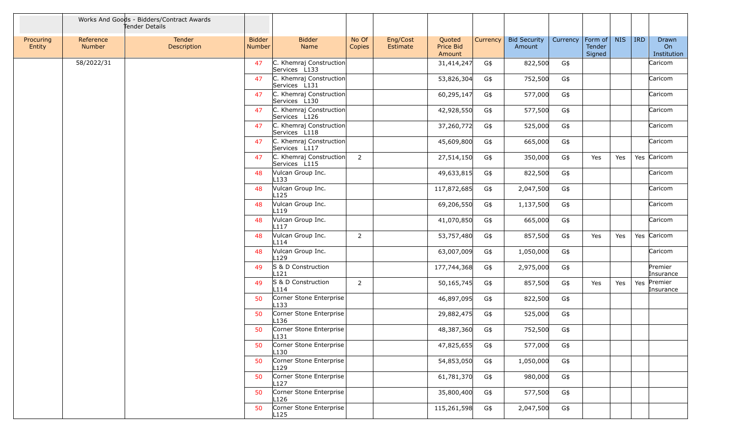|                     |                     | Works And Goods - Bidders/Contract Awards<br>Tender Details |                                |                                             |                 |                      |                               |          |                               |          |                                     |            |            |                            |
|---------------------|---------------------|-------------------------------------------------------------|--------------------------------|---------------------------------------------|-----------------|----------------------|-------------------------------|----------|-------------------------------|----------|-------------------------------------|------------|------------|----------------------------|
| Procuring<br>Entity | Reference<br>Number | Tender<br>Description                                       | <b>Bidder</b><br><b>Number</b> | <b>Bidder</b><br>Name                       | No Of<br>Copies | Eng/Cost<br>Estimate | Quoted<br>Price Bid<br>Amount | Currency | <b>Bid Security</b><br>Amount | Currency | $ $ Form of $ $<br>Tender<br>Signed | <b>NIS</b> | <b>IRD</b> | Drawn<br>On<br>Institution |
|                     | 58/2022/31          |                                                             | 47                             | C. Khemraj Construction<br>Services L133    |                 |                      | 31,414,247                    | G\$      | 822,500                       | G\$      |                                     |            |            | Caricom                    |
|                     |                     |                                                             | 47                             | C. Khemraj Construction<br>Services L131    |                 |                      | 53,826,304                    | G\$      | 752,500                       | G\$      |                                     |            |            | Caricom                    |
|                     |                     |                                                             | 47                             | C. Khemraj Construction<br>Services L130    |                 |                      | 60,295,147                    | G\$      | 577,000                       | G\$      |                                     |            |            | Caricom                    |
|                     |                     |                                                             | 47                             | C. Khemraj Construction<br>Services L126    |                 |                      | 42,928,550                    | G\$      | 577,500                       | G\$      |                                     |            |            | Caricom                    |
|                     |                     |                                                             | 47                             | C. Khemraj Construction<br>Services L118    |                 |                      | 37,260,772                    | G\$      | 525,000                       | G\$      |                                     |            |            | Caricom                    |
|                     |                     |                                                             | 47                             | C. Khemraj Construction<br>Services L117    |                 |                      | 45,609,800                    | G\$      | 665,000                       | G\$      |                                     |            |            | Caricom                    |
|                     |                     |                                                             | 47                             | C. Khemraj Construction<br>Services L115    | $\overline{2}$  |                      | 27,514,150                    | G\$      | 350,000                       | G\$      | Yes                                 | Yes        |            | Yes Caricom                |
|                     |                     |                                                             | 48                             | Vulcan Group Inc.<br>L133                   |                 |                      | 49,633,815                    | G\$      | 822,500                       | G\$      |                                     |            |            | Caricom                    |
|                     |                     |                                                             | 48                             | Vulcan Group Inc.<br>L <sub>125</sub>       |                 |                      | 117,872,685                   | G\$      | 2,047,500                     | G\$      |                                     |            |            | Caricom                    |
|                     |                     |                                                             | 48                             | Vulcan Group Inc.<br>L119                   |                 |                      | 69,206,550                    | G\$      | 1,137,500                     | G\$      |                                     |            |            | Caricom                    |
|                     |                     |                                                             | 48                             | Vulcan Group Inc.<br>L <sub>117</sub>       |                 |                      | 41,070,850                    | G\$      | 665,000                       | G\$      |                                     |            |            | Caricom                    |
|                     |                     |                                                             | 48                             | Vulcan Group Inc.<br>L114                   | $\overline{2}$  |                      | 53,757,480                    | G\$      | 857,500                       | G\$      | Yes                                 | Yes        |            | Yes Caricom                |
|                     |                     |                                                             | 48                             | Vulcan Group Inc.<br>L129                   |                 |                      | 63,007,009                    | G\$      | 1,050,000                     | G\$      |                                     |            |            | Caricom                    |
|                     |                     |                                                             | 49                             | S & D Construction<br>L121                  |                 |                      | 177,744,368                   | G\$      | 2,975,000                     | G\$      |                                     |            |            | Premier<br>Insurance       |
|                     |                     |                                                             | 49                             | S & D Construction<br>L114                  | $\overline{2}$  |                      | 50,165,745                    | G\$      | 857,500                       | G\$      | Yes                                 | Yes        | Yes        | Premier<br>Insurance       |
|                     |                     |                                                             | 50                             | Corner Stone Enterprise<br>L <sub>133</sub> |                 |                      | 46,897,095                    | G\$      | 822,500                       | G\$      |                                     |            |            |                            |
|                     |                     |                                                             | 50                             | Corner Stone Enterprise<br>L136             |                 |                      | 29,882,475                    | G\$      | 525,000                       | G\$      |                                     |            |            |                            |
|                     |                     |                                                             | 50                             | Corner Stone Enterprise<br>L131             |                 |                      | 48,387,360                    | G\$      | 752,500                       | G\$      |                                     |            |            |                            |
|                     |                     |                                                             | 50                             | Corner Stone Enterprise<br>L130             |                 |                      | 47,825,655                    | G\$      | 577,000                       | G\$      |                                     |            |            |                            |
|                     |                     |                                                             | 50                             | Corner Stone Enterprise<br>L129             |                 |                      | 54,853,050                    | G\$      | 1,050,000                     | G\$      |                                     |            |            |                            |
|                     |                     |                                                             | 50                             | Corner Stone Enterprise<br>L <sub>127</sub> |                 |                      | 61,781,370                    | G\$      | 980,000                       | G\$      |                                     |            |            |                            |
|                     |                     |                                                             | 50                             | Corner Stone Enterprise<br>L126             |                 |                      | 35,800,400                    | G\$      | 577,500                       | G\$      |                                     |            |            |                            |
|                     |                     |                                                             | 50                             | Corner Stone Enterprise<br>L125             |                 |                      | 115,261,598                   | G\$      | 2,047,500                     | G\$      |                                     |            |            |                            |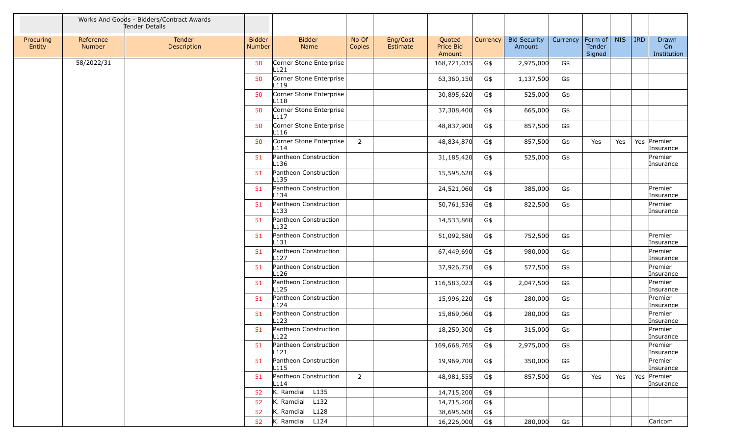|                     |                     | Works And Goods - Bidders/Contract Awards<br>Tender Details |                         |                                             |                 |                      |                               |          |                               |          |                                     |            |            |                            |
|---------------------|---------------------|-------------------------------------------------------------|-------------------------|---------------------------------------------|-----------------|----------------------|-------------------------------|----------|-------------------------------|----------|-------------------------------------|------------|------------|----------------------------|
| Procuring<br>Entity | Reference<br>Number | Tender<br>Description                                       | <b>Bidder</b><br>Number | <b>Bidder</b><br>Name                       | No Of<br>Copies | Eng/Cost<br>Estimate | Quoted<br>Price Bid<br>Amount | Currency | <b>Bid Security</b><br>Amount | Currency | $ $ Form of $ $<br>Tender<br>Signed | <b>NIS</b> | <b>IRD</b> | Drawn<br>On<br>Institution |
|                     | 58/2022/31          |                                                             | 50                      | Corner Stone Enterprise<br>L121             |                 |                      | 168,721,035                   | G\$      | 2,975,000                     | G\$      |                                     |            |            |                            |
|                     |                     |                                                             | 50                      | Corner Stone Enterprise<br>L <sub>119</sub> |                 |                      | 63,360,150                    | G\$      | 1,137,500                     | G\$      |                                     |            |            |                            |
|                     |                     |                                                             | 50                      | Corner Stone Enterprise<br>L118             |                 |                      | 30,895,620                    | G\$      | 525,000                       | G\$      |                                     |            |            |                            |
|                     |                     |                                                             | 50                      | Corner Stone Enterprise<br>L117             |                 |                      | 37,308,400                    | G\$      | 665,000                       | G\$      |                                     |            |            |                            |
|                     |                     |                                                             | 50                      | Corner Stone Enterprise<br>L116             |                 |                      | 48,837,900                    | G\$      | 857,500                       | G\$      |                                     |            |            |                            |
|                     |                     |                                                             | 50                      | Corner Stone Enterprise<br>L114             | $\overline{2}$  |                      | 48,834,870                    | G\$      | 857,500                       | G\$      | Yes                                 | Yes        |            | Yes Premier<br>Insurance   |
|                     |                     |                                                             | 51                      | Pantheon Construction<br>L136               |                 |                      | 31,185,420                    | G\$      | 525,000                       | G\$      |                                     |            |            | Premier<br>Insurance       |
|                     |                     |                                                             | 51                      | Pantheon Construction<br>L135               |                 |                      | 15,595,620                    | G\$      |                               |          |                                     |            |            |                            |
|                     |                     |                                                             | 51                      | Pantheon Construction<br>L134               |                 |                      | 24,521,060                    | G\$      | 385,000                       | G\$      |                                     |            |            | Premier<br>Insurance       |
|                     |                     |                                                             | 51                      | Pantheon Construction<br>L133               |                 |                      | 50,761,536                    | G\$      | 822,500                       | G\$      |                                     |            |            | Premier<br>Insurance       |
|                     |                     |                                                             | 51                      | Pantheon Construction<br>L132               |                 |                      | 14,533,860                    | G\$      |                               |          |                                     |            |            |                            |
|                     |                     |                                                             | 51                      | Pantheon Construction<br>L131               |                 |                      | 51,092,580                    | G\$      | 752,500                       | G\$      |                                     |            |            | Premier<br>Insurance       |
|                     |                     |                                                             | 51                      | Pantheon Construction<br>L127               |                 |                      | 67,449,690                    | G\$      | 980,000                       | G\$      |                                     |            |            | Premier<br>Insurance       |
|                     |                     |                                                             | 51                      | Pantheon Construction<br>L126               |                 |                      | 37,926,750                    | G\$      | 577,500                       | G\$      |                                     |            |            | Premier<br>Insurance       |
|                     |                     |                                                             | 51                      | Pantheon Construction<br>L125               |                 |                      | 116,583,023                   | G\$      | 2,047,500                     | $G\$     |                                     |            |            | Premier<br>Insurance       |
|                     |                     |                                                             | 51                      | Pantheon Construction<br>L124               |                 |                      | 15,996,220                    | G\$      | 280,000                       | G\$      |                                     |            |            | Premier<br>Insurance       |
|                     |                     |                                                             | 51                      | Pantheon Construction<br>L123               |                 |                      | 15,869,060                    | G\$      | 280,000                       | G\$      |                                     |            |            | Premier<br>Insurance       |
|                     |                     |                                                             | 51                      | Pantheon Construction<br>L122               |                 |                      | 18,250,300                    | G\$      | 315,000                       | G\$      |                                     |            |            | Premier<br>Insurance       |
|                     |                     |                                                             | 51                      | Pantheon Construction<br>L121               |                 |                      | 169,668,765                   | G\$      | 2,975,000                     | G\$      |                                     |            |            | Premier<br>Insurance       |
|                     |                     |                                                             | 51                      | Pantheon Construction<br>L <sub>115</sub>   |                 |                      | 19,969,700                    | G\$      | 350,000                       | G\$      |                                     |            |            | Premier<br>Insurance       |
|                     |                     |                                                             | 51                      | Pantheon Construction<br>L114               | $\overline{2}$  |                      | 48,981,555                    | G\$      | 857,500                       | G\$      | Yes                                 | Yes        |            | Yes Premier<br>Insurance   |
|                     |                     |                                                             | 52                      | K. Ramdial L135                             |                 |                      | 14,715,200                    | G\$      |                               |          |                                     |            |            |                            |
|                     |                     |                                                             | 52                      | $K.$ Ramdial $L132$                         |                 |                      | 14,715,200                    | G\$      |                               |          |                                     |            |            |                            |
|                     |                     |                                                             | 52                      | K. Ramdial L128                             |                 |                      | 38,695,600                    | G\$      |                               |          |                                     |            |            |                            |
|                     |                     |                                                             | 52                      | K. Ramdial L124                             |                 |                      | 16,226,000                    | G\$      | 280,000                       | G\$      |                                     |            |            | Caricom                    |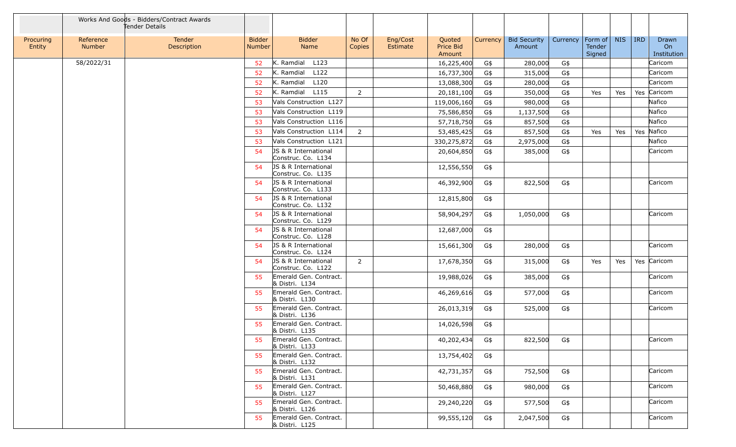|                     |                     | Works And Goods - Bidders/Contract Awards<br>Tender Details |                                |                                                       |                 |                      |                                      |          |                               |          |                             |            |         |                            |
|---------------------|---------------------|-------------------------------------------------------------|--------------------------------|-------------------------------------------------------|-----------------|----------------------|--------------------------------------|----------|-------------------------------|----------|-----------------------------|------------|---------|----------------------------|
| Procuring<br>Entity | Reference<br>Number | Tender<br>Description                                       | <b>Bidder</b><br><b>Number</b> | <b>Bidder</b><br>Name                                 | No Of<br>Copies | Eng/Cost<br>Estimate | Quoted<br><b>Price Bid</b><br>Amount | Currency | <b>Bid Security</b><br>Amount | Currency | Form of<br>Tender<br>Signed | <b>NIS</b> | $ $ IRD | Drawn<br>On<br>Institution |
|                     | 58/2022/31          |                                                             | 52                             | K. Ramdial L123                                       |                 |                      | 16,225,400                           | G\$      | 280,000                       | G\$      |                             |            |         | Caricom                    |
|                     |                     |                                                             | 52                             | K. Ramdial<br>L122                                    |                 |                      | 16,737,300                           | G\$      | 315,000                       | G\$      |                             |            |         | Caricom                    |
|                     |                     |                                                             | 52                             | K. Ramdial L120                                       |                 |                      | 13,088,300                           | G\$      | 280,000                       | G\$      |                             |            |         | Caricom                    |
|                     |                     |                                                             | 52                             | K. Ramdial L115                                       | $\overline{2}$  |                      | 20,181,100                           | G\$      | 350,000                       | G\$      | Yes                         | Yes        |         | Yes Caricom                |
|                     |                     |                                                             | 53                             | Vals Construction L127                                |                 |                      | 119,006,160                          | G\$      | 980,000                       | G\$      |                             |            |         | Nafico                     |
|                     |                     |                                                             | 53                             | Vals Construction L119                                |                 |                      | 75,586,850                           | G\$      | 1,137,500                     | G\$      |                             |            |         | Nafico                     |
|                     |                     |                                                             | 53                             | Vals Construction L116                                |                 |                      | 57,718,750                           | G\$      | 857,500                       | G\$      |                             |            |         | Nafico                     |
|                     |                     |                                                             | 53                             | Vals Construction L114                                | $\overline{2}$  |                      | 53,485,425                           | G\$      | 857,500                       | G\$      | Yes                         | Yes        |         | Yes Nafico                 |
|                     |                     |                                                             | 53                             | Vals Construction L121                                |                 |                      | 330,275,872                          | G\$      | 2,975,000                     | G\$      |                             |            |         | Nafico                     |
|                     |                     |                                                             | 54                             | JS & R International<br>Construc. Co. L134            |                 |                      | 20,604,850                           | G\$      | 385,000                       | G\$      |                             |            |         | Caricom                    |
|                     |                     |                                                             | 54                             | JS & R International<br>Construc. Co. L135            |                 |                      | 12,556,550                           | G\$      |                               |          |                             |            |         |                            |
|                     |                     |                                                             | 54                             | JS & R International<br>Construc. Co. L133            |                 |                      | 46,392,900                           | G\$      | 822,500                       | G\$      |                             |            |         | Caricom                    |
|                     |                     |                                                             | 54                             | JS & R International<br>Construc. Co. L132            |                 |                      | 12,815,800                           | G\$      |                               |          |                             |            |         |                            |
|                     |                     |                                                             | 54                             | JS & R International<br>Construc. Co. L129            |                 |                      | 58,904,297                           | G\$      | 1,050,000                     | G\$      |                             |            |         | Caricom                    |
|                     |                     |                                                             | 54                             | JS & R International<br>Construc. Co. L128            |                 |                      | 12,687,000                           | G\$      |                               |          |                             |            |         |                            |
|                     |                     |                                                             | 54                             | JS & R International<br>Construc. Co. L124            |                 |                      | 15,661,300                           | G\$      | 280,000                       | G\$      |                             |            |         | Caricom                    |
|                     |                     |                                                             | 54                             | <b>JS &amp; R International</b><br>Construc. Co. L122 | $\overline{2}$  |                      | 17,678,350                           | G\$      | 315,000                       | G\$      | Yes                         | Yes        |         | Yes Caricom                |
|                     |                     |                                                             | 55                             | Emerald Gen. Contract.<br>& Distri. L134              |                 |                      | 19,988,026                           | G\$      | 385,000                       | G\$      |                             |            |         | Caricom                    |
|                     |                     |                                                             | 55                             | Emerald Gen. Contract.<br>& Distri. L130              |                 |                      | 46,269,616                           | G\$      | 577,000                       | G\$      |                             |            |         | Caricom                    |
|                     |                     |                                                             | 55                             | Emerald Gen. Contract.<br>& Distri. L136              |                 |                      | 26,013,319                           | G\$      | 525,000                       | G\$      |                             |            |         | Caricom                    |
|                     |                     |                                                             | 55                             | Emerald Gen. Contract.<br>& Distri. L135              |                 |                      | 14,026,598                           | G\$      |                               |          |                             |            |         |                            |
|                     |                     |                                                             | 55                             | Emerald Gen. Contract.<br>& Distri. L133              |                 |                      | 40,202,434                           | G\$      | 822,500                       | G\$      |                             |            |         | Caricom                    |
|                     |                     |                                                             | 55                             | Emerald Gen. Contract.<br>& Distri. L132              |                 |                      | 13,754,402                           | G\$      |                               |          |                             |            |         |                            |
|                     |                     |                                                             | 55                             | Emerald Gen. Contract.<br>& Distri. L131              |                 |                      | 42,731,357                           | G\$      | 752,500                       | G\$      |                             |            |         | Caricom                    |
|                     |                     |                                                             | 55                             | Emerald Gen. Contract.<br>& Distri. L127              |                 |                      | 50,468,880                           | G\$      | 980,000                       | G\$      |                             |            |         | Caricom                    |
|                     |                     |                                                             | 55                             | Emerald Gen. Contract.<br>& Distri. L126              |                 |                      | 29,240,220                           | G\$      | 577,500                       | G\$      |                             |            |         | Caricom                    |
|                     |                     |                                                             | 55                             | Emerald Gen. Contract.<br>& Distri. L125              |                 |                      | 99,555,120                           | G\$      | 2,047,500                     | G\$      |                             |            |         | Caricom                    |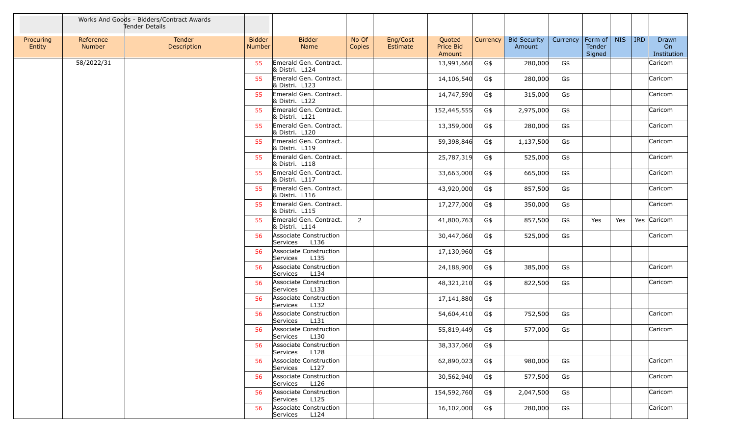|                     |                     | Works And Goods - Bidders/Contract Awards<br>Tender Details |                                |                                            |                 |                      |                               |          |                               |          |                             |            |            |                            |
|---------------------|---------------------|-------------------------------------------------------------|--------------------------------|--------------------------------------------|-----------------|----------------------|-------------------------------|----------|-------------------------------|----------|-----------------------------|------------|------------|----------------------------|
| Procuring<br>Entity | Reference<br>Number | Tender<br>Description                                       | <b>Bidder</b><br><b>Number</b> | <b>Bidder</b><br>Name                      | No Of<br>Copies | Eng/Cost<br>Estimate | Quoted<br>Price Bid<br>Amount | Currency | <b>Bid Security</b><br>Amount | Currency | Form of<br>Tender<br>Signed | <b>NIS</b> | <b>IRD</b> | Drawn<br>On<br>Institution |
|                     | 58/2022/31          |                                                             | 55                             | Emerald Gen. Contract.<br>& Distri. L124   |                 |                      | 13,991,660                    | G\$      | 280,000                       | G\$      |                             |            |            | Caricom                    |
|                     |                     |                                                             | 55                             | Emerald Gen. Contract.<br>& Distri. L123   |                 |                      | 14,106,540                    | G\$      | 280,000                       | G\$      |                             |            |            | Caricom                    |
|                     |                     |                                                             | 55                             | Emerald Gen. Contract.<br>& Distri. L122   |                 |                      | 14,747,590                    | G\$      | 315,000                       | G\$      |                             |            |            | Caricom                    |
|                     |                     |                                                             | 55                             | Emerald Gen. Contract.<br>& Distri. L121   |                 |                      | 152,445,555                   | G\$      | 2,975,000                     | G\$      |                             |            |            | Caricom                    |
|                     |                     |                                                             | 55                             | Emerald Gen. Contract.<br>& Distri. L120   |                 |                      | 13,359,000                    | G\$      | 280,000                       | G\$      |                             |            |            | Caricom                    |
|                     |                     |                                                             | 55                             | Emerald Gen. Contract.<br>& Distri. L119   |                 |                      | 59,398,846                    | G\$      | 1,137,500                     | G\$      |                             |            |            | Caricom                    |
|                     |                     |                                                             | 55                             | Emerald Gen. Contract.<br>& Distri. L118   |                 |                      | 25,787,319                    | G\$      | 525,000                       | G\$      |                             |            |            | Caricom                    |
|                     |                     |                                                             | 55                             | Emerald Gen. Contract.<br>& Distri. L117   |                 |                      | 33,663,000                    | G\$      | 665,000                       | G\$      |                             |            |            | Caricom                    |
|                     |                     |                                                             | 55                             | Emerald Gen. Contract.<br>& Distri. L116   |                 |                      | 43,920,000                    | G\$      | 857,500                       | G\$      |                             |            |            | Caricom                    |
|                     |                     |                                                             | 55                             | Emerald Gen. Contract.<br>& Distri. L115   |                 |                      | 17,277,000                    | G\$      | 350,000                       | G\$      |                             |            |            | Caricom                    |
|                     |                     |                                                             | 55                             | Emerald Gen. Contract.<br>& Distri. L114   | 2               |                      | 41,800,763                    | G\$      | 857,500                       | G\$      | Yes                         | Yes        |            | Yes Caricom                |
|                     |                     |                                                             | 56                             | Associate Construction<br>L136<br>Services |                 |                      | 30,447,060                    | G\$      | 525,000                       | G\$      |                             |            |            | Caricom                    |
|                     |                     |                                                             | 56                             | Associate Construction<br>L135<br>Services |                 |                      | 17,130,960                    | G\$      |                               |          |                             |            |            |                            |
|                     |                     |                                                             | 56                             | Associate Construction<br>L134<br>Services |                 |                      | 24,188,900                    | G\$      | 385,000                       | G\$      |                             |            |            | Caricom                    |
|                     |                     |                                                             | 56                             | Associate Construction<br>Services<br>L133 |                 |                      | 48,321,210                    | G\$      | 822,500                       | G\$      |                             |            |            | Caricom                    |
|                     |                     |                                                             | 56                             | Associate Construction<br>Services<br>L132 |                 |                      | 17,141,880                    | G\$      |                               |          |                             |            |            |                            |
|                     |                     |                                                             | 56                             | Associate Construction<br>L131<br>Services |                 |                      | 54,604,410                    | G\$      | 752,500                       | G\$      |                             |            |            | Caricom                    |
|                     |                     |                                                             | 56                             | Associate Construction<br>Services<br>L130 |                 |                      | 55,819,449                    | G\$      | 577,000                       | G\$      |                             |            |            | Caricom                    |
|                     |                     |                                                             | 56                             | Associate Construction<br>Services<br>L128 |                 |                      | 38,337,060                    | G\$      |                               |          |                             |            |            |                            |
|                     |                     |                                                             | 56                             | Associate Construction<br>L127<br>Services |                 |                      | 62,890,023                    | G\$      | 980,000                       | G\$      |                             |            |            | Caricom                    |
|                     |                     |                                                             | 56                             | Associate Construction<br>Services<br>L126 |                 |                      | 30,562,940                    | G\$      | 577,500                       | G\$      |                             |            |            | Caricom                    |
|                     |                     |                                                             | 56                             | Associate Construction<br>Services<br>L125 |                 |                      | 154,592,760                   | G\$      | 2,047,500                     | G\$      |                             |            |            | Caricom                    |
|                     |                     |                                                             | 56                             | Associate Construction<br>Services<br>L124 |                 |                      | 16,102,000                    | G\$      | 280,000                       | G\$      |                             |            |            | Caricom                    |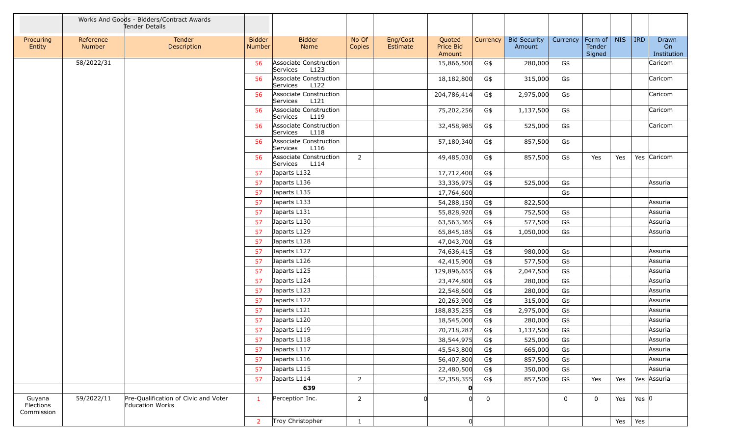|                                   |                     | Works And Goods - Bidders/Contract Awards<br>Tender Details |                                |                                            |                 |                      |                                      |             |                               |          |                             |            |                 |                            |
|-----------------------------------|---------------------|-------------------------------------------------------------|--------------------------------|--------------------------------------------|-----------------|----------------------|--------------------------------------|-------------|-------------------------------|----------|-----------------------------|------------|-----------------|----------------------------|
| Procuring<br>Entity               | Reference<br>Number | Tender<br>Description                                       | <b>Bidder</b><br><b>Number</b> | <b>Bidder</b><br>Name                      | No Of<br>Copies | Eng/Cost<br>Estimate | Quoted<br><b>Price Bid</b><br>Amount | Currency    | <b>Bid Security</b><br>Amount | Currency | Form of<br>Tender<br>Signed | <b>NIS</b> | <b>IRD</b>      | Drawn<br>On<br>Institution |
|                                   | 58/2022/31          |                                                             | 56                             | Associate Construction<br>L123<br>Services |                 |                      | 15,866,500                           | G\$         | 280,000                       | G\$      |                             |            |                 | Caricom                    |
|                                   |                     |                                                             | 56                             | Associate Construction<br>Services<br>L122 |                 |                      | 18,182,800                           | G\$         | 315,000                       | G\$      |                             |            |                 | Caricom                    |
|                                   |                     |                                                             | 56                             | Associate Construction<br>L121<br>Services |                 |                      | 204,786,414                          | G\$         | 2,975,000                     | G\$      |                             |            |                 | Caricom                    |
|                                   |                     |                                                             | 56                             | Associate Construction<br>Services<br>L119 |                 |                      | 75,202,256                           | G\$         | 1,137,500                     | G\$      |                             |            |                 | Caricom                    |
|                                   |                     |                                                             | 56                             | Associate Construction<br>Services<br>L118 |                 |                      | 32,458,985                           | G\$         | 525,000                       | G\$      |                             |            |                 | Caricom                    |
|                                   |                     |                                                             | 56                             | Associate Construction<br>L116<br>Services |                 |                      | 57,180,340                           | G\$         | 857,500                       | G\$      |                             |            |                 |                            |
|                                   |                     |                                                             | 56                             | Associate Construction<br>L114<br>Services | 2               |                      | 49,485,030                           | G\$         | 857,500                       | G\$      | Yes                         | Yes        |                 | Yes Caricom                |
|                                   |                     |                                                             | 57                             | Japarts L132                               |                 |                      | 17,712,400                           | G\$         |                               |          |                             |            |                 |                            |
|                                   |                     |                                                             | -57                            | Japarts L136                               |                 |                      | 33,336,975                           | G\$         | 525,000                       | G\$      |                             |            |                 | Assuria                    |
|                                   |                     |                                                             | 57                             | Japarts L135                               |                 |                      | 17,764,600                           |             |                               | G\$      |                             |            |                 |                            |
|                                   |                     |                                                             | 57                             | Japarts L133                               |                 |                      | 54,288,150                           | G\$         | 822,500                       |          |                             |            |                 | Assuria                    |
|                                   |                     |                                                             | 57                             | Japarts L131                               |                 |                      | 55,828,920                           | G\$         | 752,500                       | G\$      |                             |            |                 | Assuria                    |
|                                   |                     |                                                             | 57                             | Japarts L130                               |                 |                      | 63,563,365                           | G\$         | 577,500                       | G\$      |                             |            |                 | Assuria                    |
|                                   |                     |                                                             | 57                             | Japarts L129                               |                 |                      | 65,845,185                           | G\$         | 1,050,000                     | G\$      |                             |            |                 | Assuria                    |
|                                   |                     |                                                             | 57                             | Japarts L128                               |                 |                      | 47,043,700                           | G\$         |                               |          |                             |            |                 |                            |
|                                   |                     |                                                             | 57                             | Japarts L127                               |                 |                      | 74,636,415                           | G\$         | 980,000                       | G\$      |                             |            |                 | Assuria                    |
|                                   |                     |                                                             | 57                             | Japarts L126                               |                 |                      | 42,415,900                           | G\$         | 577,500                       | G\$      |                             |            |                 | Assuria                    |
|                                   |                     |                                                             | 57                             | Japarts L125                               |                 |                      | 129,896,655                          | G\$         | 2,047,500                     | G\$      |                             |            |                 | Assuria                    |
|                                   |                     |                                                             | -57                            | Japarts L124                               |                 |                      | 23,474,800                           | G\$         | 280,000                       | G\$      |                             |            |                 | Assuria                    |
|                                   |                     |                                                             | 57                             | Japarts L123                               |                 |                      | 22,548,600                           | G\$         | 280,000                       | G\$      |                             |            |                 | Assuria                    |
|                                   |                     |                                                             | 57                             | Japarts L122                               |                 |                      | 20,263,900                           | G\$         | 315,000                       | G\$      |                             |            |                 | Assuria                    |
|                                   |                     |                                                             | 57                             | Japarts L121                               |                 |                      | 188,835,255                          | G\$         | 2,975,000                     | G\$      |                             |            |                 | Assuria                    |
|                                   |                     |                                                             | 57                             | Japarts L120                               |                 |                      | 18,545,000                           | G\$         | 280,000                       | G\$      |                             |            |                 | Assuria                    |
|                                   |                     |                                                             | 57                             | Japarts L119                               |                 |                      | 70,718,287                           | G\$         | 1,137,500                     | G\$      |                             |            |                 | Assuria                    |
|                                   |                     |                                                             | 57                             | Japarts L118                               |                 |                      | 38,544,975                           | G\$         | 525,000                       | G\$      |                             |            |                 | Assuria                    |
|                                   |                     |                                                             | 57                             | Japarts L117                               |                 |                      | 45,543,800                           | G\$         | 665,000                       | G\$      |                             |            |                 | Assuria                    |
|                                   |                     |                                                             | 57                             | Japarts L116                               |                 |                      | 56,407,800                           | G\$         | 857,500                       | G\$      |                             |            |                 | Assuria                    |
|                                   |                     |                                                             | 57                             | Japarts L115                               |                 |                      | 22,480,500                           | G\$         | 350,000                       | G\$      |                             |            |                 | Assuria                    |
|                                   |                     |                                                             | 57                             | Japarts L114                               | $\overline{2}$  |                      | 52,358,355                           | G\$         | 857,500                       | G\$      | Yes                         | Yes        |                 | Yes Assuria                |
|                                   |                     |                                                             |                                | 639                                        |                 |                      | O                                    |             |                               |          |                             |            |                 |                            |
| Guyana<br>Elections<br>Commission | 59/2022/11          | Pre-Qualification of Civic and Voter<br>Education Works     | $\mathbf{1}$                   | Perception Inc.                            | $\overline{2}$  |                      | 0                                    | $\mathbf 0$ |                               | 0        | $\mathbf 0$                 | Yes        | Yes $ 0 $       |                            |
|                                   |                     |                                                             | $\overline{2}$                 | Troy Christopher                           | $\mathbf{1}$    |                      | 0                                    |             |                               |          |                             |            | Yes $\vert$ Yes |                            |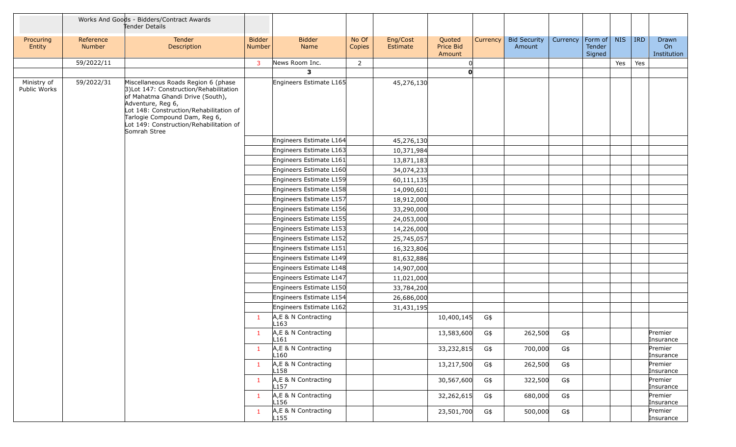|                             |                     | Works And Goods - Bidders/Contract Awards<br>Tender Details                                                                                                                                                                                                                    |                                |                                         |                 |                      |                               |          |                               |          |                                     |            |         |                            |
|-----------------------------|---------------------|--------------------------------------------------------------------------------------------------------------------------------------------------------------------------------------------------------------------------------------------------------------------------------|--------------------------------|-----------------------------------------|-----------------|----------------------|-------------------------------|----------|-------------------------------|----------|-------------------------------------|------------|---------|----------------------------|
| Procuring<br>Entity         | Reference<br>Number | Tender<br>Description                                                                                                                                                                                                                                                          | <b>Bidder</b><br><b>Number</b> | <b>Bidder</b><br>Name                   | No Of<br>Copies | Eng/Cost<br>Estimate | Quoted<br>Price Bid<br>Amount | Currency | <b>Bid Security</b><br>Amount | Currency | Form of $\vert$<br>Tender<br>Signed | <b>NIS</b> | $ $ IRD | Drawn<br>On<br>Institution |
|                             | 59/2022/11          |                                                                                                                                                                                                                                                                                | 3                              | News Room Inc.                          | $\overline{2}$  |                      |                               |          |                               |          |                                     | Yes        | Yes     |                            |
|                             |                     |                                                                                                                                                                                                                                                                                |                                | 3                                       |                 |                      | <sub>0</sub>                  |          |                               |          |                                     |            |         |                            |
| Ministry of<br>Public Works | 59/2022/31          | Miscellaneous Roads Region 6 (phase<br>3) Lot 147: Construction/Rehabilitation<br>of Mahatma Ghandi Drive (South),<br>Adventure, Reg 6,<br>Lot 148: Construction/Rehabilitation of<br>Tarlogie Compound Dam, Reg 6,<br>Lot 149: Construction/Rehabilitation of<br>Somrah Stree |                                | Engineers Estimate L165                 |                 | 45,276,130           |                               |          |                               |          |                                     |            |         |                            |
|                             |                     |                                                                                                                                                                                                                                                                                |                                | Engineers Estimate L164                 |                 | 45,276,130           |                               |          |                               |          |                                     |            |         |                            |
|                             |                     |                                                                                                                                                                                                                                                                                |                                | Engineers Estimate L163                 |                 | 10,371,984           |                               |          |                               |          |                                     |            |         |                            |
|                             |                     |                                                                                                                                                                                                                                                                                |                                | Engineers Estimate L161                 |                 | 13,871,183           |                               |          |                               |          |                                     |            |         |                            |
|                             |                     |                                                                                                                                                                                                                                                                                |                                | Engineers Estimate L160                 |                 | 34,074,233           |                               |          |                               |          |                                     |            |         |                            |
|                             |                     |                                                                                                                                                                                                                                                                                |                                | Engineers Estimate L159                 |                 | 60,111,135           |                               |          |                               |          |                                     |            |         |                            |
|                             |                     |                                                                                                                                                                                                                                                                                |                                | Engineers Estimate L158                 |                 | 14,090,601           |                               |          |                               |          |                                     |            |         |                            |
|                             |                     |                                                                                                                                                                                                                                                                                |                                | Engineers Estimate L157                 |                 | 18,912,000           |                               |          |                               |          |                                     |            |         |                            |
|                             |                     |                                                                                                                                                                                                                                                                                |                                | Engineers Estimate L156                 |                 | 33,290,000           |                               |          |                               |          |                                     |            |         |                            |
|                             |                     |                                                                                                                                                                                                                                                                                |                                | Engineers Estimate L155                 |                 | 24,053,000           |                               |          |                               |          |                                     |            |         |                            |
|                             |                     |                                                                                                                                                                                                                                                                                |                                | Engineers Estimate L153                 |                 | 14,226,000           |                               |          |                               |          |                                     |            |         |                            |
|                             |                     |                                                                                                                                                                                                                                                                                |                                | Engineers Estimate L152                 |                 | 25,745,057           |                               |          |                               |          |                                     |            |         |                            |
|                             |                     |                                                                                                                                                                                                                                                                                |                                | Engineers Estimate L151                 |                 | 16,323,806           |                               |          |                               |          |                                     |            |         |                            |
|                             |                     |                                                                                                                                                                                                                                                                                |                                | Engineers Estimate L149                 |                 | 81,632,886           |                               |          |                               |          |                                     |            |         |                            |
|                             |                     |                                                                                                                                                                                                                                                                                |                                | Engineers Estimate L148                 |                 | 14,907,000           |                               |          |                               |          |                                     |            |         |                            |
|                             |                     |                                                                                                                                                                                                                                                                                |                                | Engineers Estimate L147                 |                 | 11,021,000           |                               |          |                               |          |                                     |            |         |                            |
|                             |                     |                                                                                                                                                                                                                                                                                |                                | Engineers Estimate L150                 |                 | 33,784,200           |                               |          |                               |          |                                     |            |         |                            |
|                             |                     |                                                                                                                                                                                                                                                                                |                                | Engineers Estimate L154                 |                 | 26,686,000           |                               |          |                               |          |                                     |            |         |                            |
|                             |                     |                                                                                                                                                                                                                                                                                |                                | Engineers Estimate L162                 |                 | 31,431,195           |                               |          |                               |          |                                     |            |         |                            |
|                             |                     |                                                                                                                                                                                                                                                                                | 1                              | A,E & N Contracting<br>L163             |                 |                      | 10,400,145                    | G\$      |                               |          |                                     |            |         |                            |
|                             |                     |                                                                                                                                                                                                                                                                                |                                | A,E & N Contracting<br>L161             |                 |                      | 13,583,600                    | G\$      | 262,500                       | G\$      |                                     |            |         | Premier<br>Insurance       |
|                             |                     |                                                                                                                                                                                                                                                                                | $\mathbf{1}$                   | A,E & N Contracting<br>L160             |                 |                      | 33,232,815                    | G\$      | 700,000                       | G\$      |                                     |            |         | Premier<br>Insurance       |
|                             |                     |                                                                                                                                                                                                                                                                                | $\mathbf{1}$                   | A,E & N Contracting<br>L158             |                 |                      | 13,217,500                    | G\$      | 262,500                       | G\$      |                                     |            |         | Premier<br>Insurance       |
|                             |                     |                                                                                                                                                                                                                                                                                | $\mathbf{1}$                   | A,E & N Contracting<br>L <sub>157</sub> |                 |                      | 30,567,600                    | G\$      | 322,500                       | G\$      |                                     |            |         | Premier<br>Insurance       |
|                             |                     |                                                                                                                                                                                                                                                                                | $\mathbf{1}$                   | A,E & N Contracting<br>L <sub>156</sub> |                 |                      | 32,262,615                    | G\$      | 680,000                       | G\$      |                                     |            |         | Premier<br>Insurance       |
|                             |                     |                                                                                                                                                                                                                                                                                | $\mathbf{1}$                   | A,E & N Contracting<br>L <sub>155</sub> |                 |                      | 23,501,700                    | G\$      | 500,000                       | G\$      |                                     |            |         | Premier<br>Insurance       |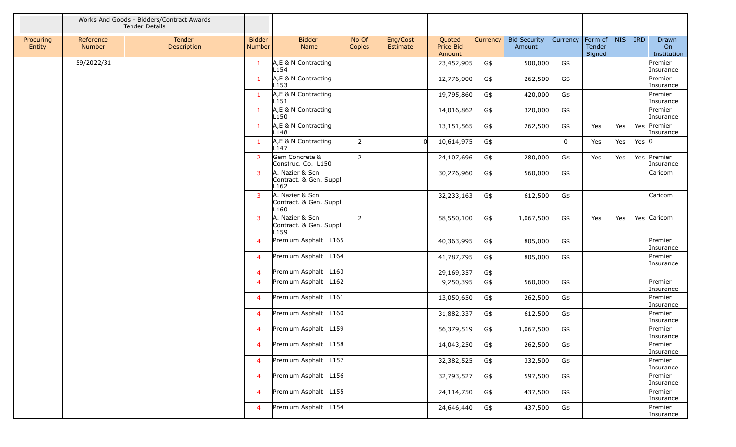|                     |                     | Works And Goods - Bidders/Contract Awards<br>Tender Details |                         |                                                    |                 |                      |                                      |          |                               |             |                                     |            |            |                            |
|---------------------|---------------------|-------------------------------------------------------------|-------------------------|----------------------------------------------------|-----------------|----------------------|--------------------------------------|----------|-------------------------------|-------------|-------------------------------------|------------|------------|----------------------------|
| Procuring<br>Entity | Reference<br>Number | Tender<br>Description                                       | <b>Bidder</b><br>Number | <b>Bidder</b><br>Name                              | No Of<br>Copies | Eng/Cost<br>Estimate | Quoted<br><b>Price Bid</b><br>Amount | Currency | <b>Bid Security</b><br>Amount | Currency    | $ $ Form of $ $<br>Tender<br>Signed | <b>NIS</b> | <b>IRD</b> | Drawn<br>On<br>Institution |
|                     | 59/2022/31          |                                                             | $\mathbf{1}$            | A,E & N Contracting<br>L154                        |                 |                      | 23,452,905                           | G\$      | 500,000                       | G\$         |                                     |            |            | Premier<br>Insurance       |
|                     |                     |                                                             | $\mathbf{1}$            | A,E & N Contracting<br>L153                        |                 |                      | 12,776,000                           | G\$      | 262,500                       | G\$         |                                     |            |            | Premier<br>Insurance       |
|                     |                     |                                                             | $\mathbf{1}$            | A,E & N Contracting<br>L151                        |                 |                      | 19,795,860                           | G\$      | 420,000                       | G\$         |                                     |            |            | Premier<br>Insurance       |
|                     |                     |                                                             | $\mathbf{1}$            | A, E & N Contracting<br>L150                       |                 |                      | 14,016,862                           | G\$      | 320,000                       | G\$         |                                     |            |            | Premier<br>Insurance       |
|                     |                     |                                                             | $\mathbf{1}$            | A,E & N Contracting<br>L148                        |                 |                      | 13,151,565                           | G\$      | 262,500                       | G\$         | Yes                                 | Yes        |            | Yes Premier<br>Insurance   |
|                     |                     |                                                             | $\mathbf{1}$            | A,E & N Contracting<br>L <sub>147</sub>            | $\overline{2}$  |                      | 10,614,975                           | G\$      |                               | $\mathbf 0$ | Yes                                 | Yes        | Yes $ 0 $  |                            |
|                     |                     |                                                             | $\overline{2}$          | Gem Concrete &<br>Construc. Co. L150               | $\overline{2}$  |                      | 24,107,696                           | G\$      | 280,000                       | G\$         | Yes                                 | Yes        |            | Yes Premier<br>Insurance   |
|                     |                     |                                                             | 3                       | A. Nazier & Son<br>Contract. & Gen. Suppl.<br>L162 |                 |                      | 30,276,960                           | G\$      | 560,000                       | G\$         |                                     |            |            | Caricom                    |
|                     |                     |                                                             | $\overline{3}$          | A. Nazier & Son<br>Contract. & Gen. Suppl.<br>L160 |                 |                      | 32,233,163                           | G\$      | 612,500                       | G\$         |                                     |            |            | Caricom                    |
|                     |                     |                                                             | $\overline{3}$          | A. Nazier & Son<br>Contract. & Gen. Suppl.<br>L159 | $\overline{2}$  |                      | 58,550,100                           | G\$      | 1,067,500                     | G\$         | Yes                                 | Yes        |            | Yes Caricom                |
|                     |                     |                                                             | $\overline{4}$          | Premium Asphalt L165                               |                 |                      | 40,363,995                           | G\$      | 805,000                       | G\$         |                                     |            |            | Premier<br>Insurance       |
|                     |                     |                                                             | $\overline{4}$          | Premium Asphalt L164                               |                 |                      | 41,787,795                           | G\$      | 805,000                       | G\$         |                                     |            |            | Premier<br>Insurance       |
|                     |                     |                                                             | $\overline{4}$          | Premium Asphalt L163                               |                 |                      | 29,169,357                           | G\$      |                               |             |                                     |            |            |                            |
|                     |                     |                                                             | $\overline{4}$          | Premium Asphalt L162                               |                 |                      | 9,250,395                            | G\$      | 560,000                       | G\$         |                                     |            |            | Premier<br>Insurance       |
|                     |                     |                                                             | $\overline{4}$          | Premium Asphalt L161                               |                 |                      | 13,050,650                           | G\$      | 262,500                       | G\$         |                                     |            |            | Premier<br>Insurance       |
|                     |                     |                                                             | $\overline{4}$          | Premium Asphalt L160                               |                 |                      | 31,882,337                           | G\$      | 612,500                       | G\$         |                                     |            |            | Premier<br>Insurance       |
|                     |                     |                                                             | $\overline{4}$          | Premium Asphalt L159                               |                 |                      | 56,379,519                           | G\$      | 1,067,500                     | G\$         |                                     |            |            | Premier<br>Insurance       |
|                     |                     |                                                             | $\overline{4}$          | Premium Asphalt L158                               |                 |                      | 14,043,250                           | G\$      | 262,500                       | G\$         |                                     |            |            | Premier<br>Insurance       |
|                     |                     |                                                             | $\overline{4}$          | Premium Asphalt L157                               |                 |                      | 32,382,525                           | G\$      | 332,500                       | G\$         |                                     |            |            | Premier<br>Insurance       |
|                     |                     |                                                             | $\overline{4}$          | Premium Asphalt L156                               |                 |                      | 32,793,527                           | G\$      | 597,500                       | G\$         |                                     |            |            | Premier<br>Insurance       |
|                     |                     |                                                             | $\overline{4}$          | Premium Asphalt L155                               |                 |                      | 24,114,750                           | G\$      | 437,500                       | G\$         |                                     |            |            | Premier<br>Insurance       |
|                     |                     |                                                             | $\overline{4}$          | Premium Asphalt L154                               |                 |                      | 24,646,440                           | G\$      | 437,500                       | G\$         |                                     |            |            | Premier<br>Insurance       |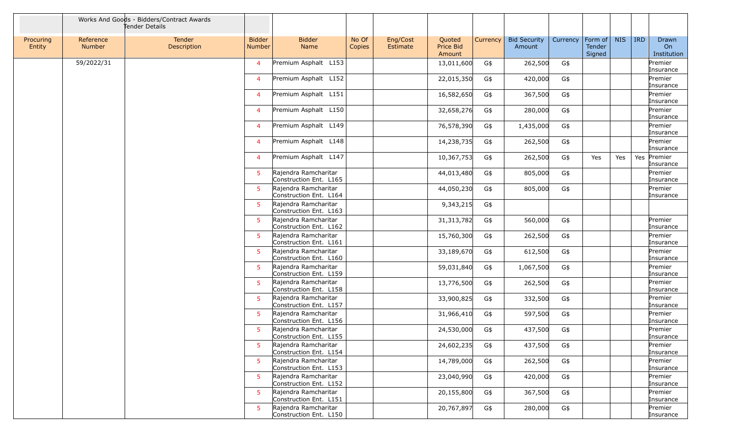|                     |                     | Works And Goods - Bidders/Contract Awards<br>Tender Details |                         |                                                |                 |                      |                                      |          |                               |          |                                    |            |            |                            |
|---------------------|---------------------|-------------------------------------------------------------|-------------------------|------------------------------------------------|-----------------|----------------------|--------------------------------------|----------|-------------------------------|----------|------------------------------------|------------|------------|----------------------------|
| Procuring<br>Entity | Reference<br>Number | Tender<br>Description                                       | <b>Bidder</b><br>Number | <b>Bidder</b><br>Name                          | No Of<br>Copies | Eng/Cost<br>Estimate | Quoted<br><b>Price Bid</b><br>Amount | Currency | <b>Bid Security</b><br>Amount | Currency | Form of<br><b>Tender</b><br>Signed | <b>NIS</b> | <b>IRD</b> | Drawn<br>On<br>Institution |
|                     | 59/2022/31          |                                                             | $\overline{4}$          | Premium Asphalt L153                           |                 |                      | 13,011,600                           | G\$      | 262,500                       | G\$      |                                    |            |            | Premier<br>Insurance       |
|                     |                     |                                                             | $\overline{4}$          | Premium Asphalt L152                           |                 |                      | 22,015,350                           | G\$      | 420,000                       | G\$      |                                    |            |            | Premier<br>Insurance       |
|                     |                     |                                                             | $\overline{4}$          | Premium Asphalt L151                           |                 |                      | 16,582,650                           | G\$      | 367,500                       | G\$      |                                    |            |            | Premier<br>Insurance       |
|                     |                     |                                                             | $\overline{4}$          | Premium Asphalt L150                           |                 |                      | 32,658,276                           | G\$      | 280,000                       | G\$      |                                    |            |            | Premier<br>Insurance       |
|                     |                     |                                                             | $\overline{4}$          | Premium Asphalt L149                           |                 |                      | 76,578,390                           | G\$      | 1,435,000                     | G\$      |                                    |            |            | Premier<br>Insurance       |
|                     |                     |                                                             | $\overline{4}$          | Premium Asphalt L148                           |                 |                      | 14,238,735                           | G\$      | 262,500                       | G\$      |                                    |            |            | Premier<br>Insurance       |
|                     |                     |                                                             | $\overline{4}$          | Premium Asphalt L147                           |                 |                      | 10,367,753                           | G\$      | 262,500                       | G\$      | Yes                                | Yes        |            | Yes Premier<br>Insurance   |
|                     |                     |                                                             | $5^{\circ}$             | Rajendra Ramcharitar<br>Construction Ent. L165 |                 |                      | 44,013,480                           | G\$      | 805,000                       | G\$      |                                    |            |            | Premier<br>Insurance       |
|                     |                     |                                                             | $5^{\circ}$             | Rajendra Ramcharitar<br>Construction Ent. L164 |                 |                      | 44,050,230                           | G\$      | 805,000                       | G\$      |                                    |            |            | Premier<br>Insurance       |
|                     |                     |                                                             | -5                      | Rajendra Ramcharitar<br>Construction Ent. L163 |                 |                      | 9,343,215                            | G\$      |                               |          |                                    |            |            |                            |
|                     |                     |                                                             | 5                       | Rajendra Ramcharitar<br>Construction Ent. L162 |                 |                      | 31, 313, 782                         | G\$      | 560,000                       | G\$      |                                    |            |            | Premier<br>Insurance       |
|                     |                     |                                                             | -5.                     | Rajendra Ramcharitar<br>Construction Ent. L161 |                 |                      | 15,760,300                           | G\$      | 262,500                       | G\$      |                                    |            |            | Premier<br>Insurance       |
|                     |                     |                                                             | -5                      | Rajendra Ramcharitar<br>Construction Ent. L160 |                 |                      | 33,189,670                           | G\$      | 612,500                       | G\$      |                                    |            |            | Premier<br>Insurance       |
|                     |                     |                                                             | $5^{\circ}$             | Rajendra Ramcharitar<br>Construction Ent. L159 |                 |                      | 59,031,840                           | G\$      | 1,067,500                     | G\$      |                                    |            |            | Premier<br>Insurance       |
|                     |                     |                                                             | -5                      | Rajendra Ramcharitar<br>Construction Ent. L158 |                 |                      | 13,776,500                           | G\$      | 262,500                       | G\$      |                                    |            |            | Premier<br>Insurance       |
|                     |                     |                                                             | -5                      | Raiendra Ramcharitar<br>Construction Ent. L157 |                 |                      | 33,900,825                           | G\$      | 332,500                       | G\$      |                                    |            |            | Premier<br>Insurance       |
|                     |                     |                                                             | -5                      | Rajendra Ramcharitar<br>Construction Ent. L156 |                 |                      | 31,966,410                           | G\$      | 597,500                       | G\$      |                                    |            |            | Premier<br>Insurance       |
|                     |                     |                                                             | 5                       | Rajendra Ramcharitar<br>Construction Ent. L155 |                 |                      | 24,530,000                           | G\$      | 437,500                       | G\$      |                                    |            |            | Premier<br>Insurance       |
|                     |                     |                                                             | 5                       | Rajendra Ramcharitar<br>Construction Ent. L154 |                 |                      | 24,602,235                           | G\$      | 437,500                       | G\$      |                                    |            |            | Premier<br>Insurance       |
|                     |                     |                                                             | -5                      | Rajendra Ramcharitar<br>Construction Ent. L153 |                 |                      | 14,789,000                           | G\$      | 262,500                       | G\$      |                                    |            |            | Premier<br>Insurance       |
|                     |                     |                                                             | 5.                      | Rajendra Ramcharitar<br>Construction Ent. L152 |                 |                      | 23,040,990                           | G\$      | 420,000                       | $G\$     |                                    |            |            | Premier<br>Insurance       |
|                     |                     |                                                             | 5 <sup>5</sup>          | Rajendra Ramcharitar<br>Construction Ent. L151 |                 |                      | 20,155,800                           | G\$      | 367,500                       | G\$      |                                    |            |            | Premier<br>Insurance       |
|                     |                     |                                                             | -5                      | Rajendra Ramcharitar<br>Construction Ent. L150 |                 |                      | 20,767,897                           | G\$      | 280,000                       | G\$      |                                    |            |            | Premier<br>Insurance       |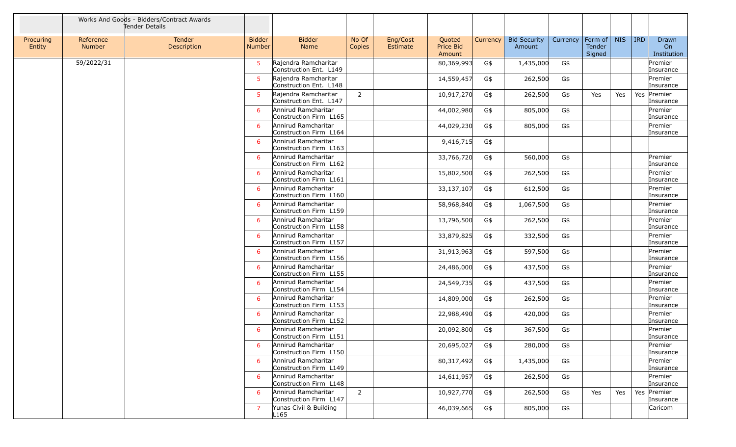|                     |                            | Works And Goods - Bidders/Contract Awards<br>Tender Details |                                |                                                |                 |                             |                                      |          |                               |          |                                     |            |            |                            |
|---------------------|----------------------------|-------------------------------------------------------------|--------------------------------|------------------------------------------------|-----------------|-----------------------------|--------------------------------------|----------|-------------------------------|----------|-------------------------------------|------------|------------|----------------------------|
| Procuring<br>Entity | Reference<br><b>Number</b> | Tender<br>Description                                       | <b>Bidder</b><br><b>Number</b> | <b>Bidder</b><br>Name                          | No Of<br>Copies | Eng/Cost<br><b>Estimate</b> | Quoted<br><b>Price Bid</b><br>Amount | Currency | <b>Bid Security</b><br>Amount | Currency | $ $ Form of $ $<br>Tender<br>Signed | <b>NIS</b> | <b>IRD</b> | Drawn<br>On<br>Institution |
|                     | 59/2022/31                 |                                                             | 5                              | Rajendra Ramcharitar<br>Construction Ent. L149 |                 |                             | 80,369,993                           | G\$      | 1,435,000                     | G\$      |                                     |            |            | Premier<br>Insurance       |
|                     |                            |                                                             | 5                              | Rajendra Ramcharitar<br>Construction Ent. L148 |                 |                             | 14,559,457                           | G\$      | 262,500                       | G\$      |                                     |            |            | Premier<br>Insurance       |
|                     |                            |                                                             | 5                              | Rajendra Ramcharitar<br>Construction Ent. L147 | $\overline{2}$  |                             | 10,917,270                           | G\$      | 262,500                       | G\$      | Yes                                 | Yes        |            | Yes Premier<br>Insurance   |
|                     |                            |                                                             | 6                              | Annirud Ramcharitar<br>Construction Firm L165  |                 |                             | 44,002,980                           | G\$      | 805,000                       | G\$      |                                     |            |            | Premier<br>Insurance       |
|                     |                            |                                                             | -6                             | Annirud Ramcharitar<br>Construction Firm L164  |                 |                             | 44,029,230                           | G\$      | 805,000                       | G\$      |                                     |            |            | Premier<br>Insurance       |
|                     |                            |                                                             | 6                              | Annirud Ramcharitar<br>Construction Firm L163  |                 |                             | 9,416,715                            | G\$      |                               |          |                                     |            |            |                            |
|                     |                            |                                                             | 6                              | Annirud Ramcharitar<br>Construction Firm L162  |                 |                             | 33,766,720                           | G\$      | 560,000                       | G\$      |                                     |            |            | Premier<br>Insurance       |
|                     |                            |                                                             | 6                              | Annirud Ramcharitar<br>Construction Firm L161  |                 |                             | 15,802,500                           | G\$      | 262,500                       | G\$      |                                     |            |            | Premier<br>Insurance       |
|                     |                            |                                                             | -6                             | Annirud Ramcharitar<br>Construction Firm L160  |                 |                             | 33,137,107                           | G\$      | 612,500                       | G\$      |                                     |            |            | Premier<br>Insurance       |
|                     |                            |                                                             | 6                              | Annirud Ramcharitar<br>Construction Firm L159  |                 |                             | 58,968,840                           | G\$      | 1,067,500                     | G\$      |                                     |            |            | Premier<br>Insurance       |
|                     |                            |                                                             | 6                              | Annirud Ramcharitar<br>Construction Firm L158  |                 |                             | 13,796,500                           | G\$      | 262,500                       | G\$      |                                     |            |            | Premier<br>Insurance       |
|                     |                            |                                                             | 6                              | Annirud Ramcharitar<br>Construction Firm L157  |                 |                             | 33,879,825                           | G\$      | 332,500                       | G\$      |                                     |            |            | Premier<br>Insurance       |
|                     |                            |                                                             | 6                              | Annirud Ramcharitar<br>Construction Firm L156  |                 |                             | 31,913,963                           | G\$      | 597,500                       | G\$      |                                     |            |            | Premier<br>Insurance       |
|                     |                            |                                                             | 6                              | Annirud Ramcharitar<br>Construction Firm L155  |                 |                             | 24,486,000                           | G\$      | 437,500                       | G\$      |                                     |            |            | Premier<br>Insurance       |
|                     |                            |                                                             | 6                              | Annirud Ramcharitar<br>Construction Firm L154  |                 |                             | 24,549,735                           | G\$      | 437,500                       | G\$      |                                     |            |            | Premier<br>Insurance       |
|                     |                            |                                                             | 6                              | Annirud Ramcharitar<br>Construction Firm L153  |                 |                             | 14,809,000                           | G\$      | 262,500                       | G\$      |                                     |            |            | Premier<br>Insurance       |
|                     |                            |                                                             | 6                              | Annirud Ramcharitar<br>Construction Firm L152  |                 |                             | 22,988,490                           | G\$      | 420,000                       | G\$      |                                     |            |            | Premier<br>Insurance       |
|                     |                            |                                                             | 6                              | Annirud Ramcharitar<br>Construction Firm L151  |                 |                             | 20,092,800                           | G\$      | 367,500                       | G\$      |                                     |            |            | Premier<br>Insurance       |
|                     |                            |                                                             | 6                              | Annirud Ramcharitar<br>Construction Firm L150  |                 |                             | 20,695,027                           | G\$      | 280,000                       | G\$      |                                     |            |            | Premier<br>Insurance       |
|                     |                            |                                                             | 6                              | Annirud Ramcharitar<br>Construction Firm L149  |                 |                             | 80,317,492                           | G\$      | 1,435,000                     | G\$      |                                     |            |            | Premier<br>Insurance       |
|                     |                            |                                                             | -6                             | Annirud Ramcharitar<br>Construction Firm L148  |                 |                             | 14,611,957                           | G\$      | 262,500                       | G\$      |                                     |            |            | Premier<br>Insurance       |
|                     |                            |                                                             | -6                             | Annirud Ramcharitar<br>Construction Firm L147  | $\overline{2}$  |                             | 10,927,770                           | G\$      | 262,500                       | G\$      | Yes                                 | Yes        |            | Yes Premier<br>Insurance   |
|                     |                            |                                                             | 7                              | Yunas Civil & Building<br>L165                 |                 |                             | 46,039,665                           | G\$      | 805,000                       | G\$      |                                     |            |            | Caricom                    |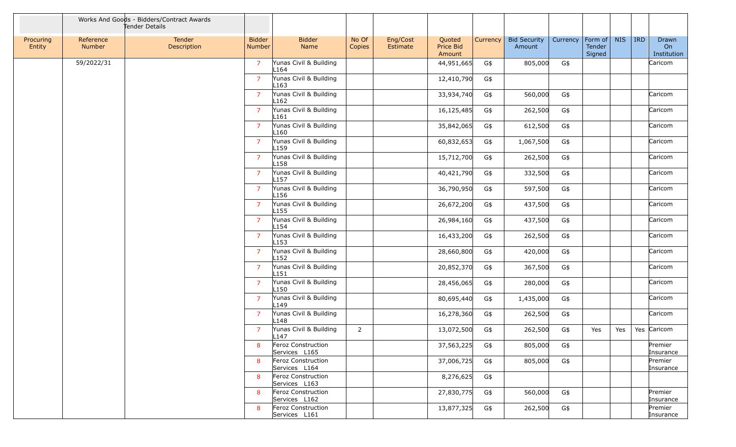|                     |                     | Works And Goods - Bidders/Contract Awards<br>Tender Details |                         |                                            |                 |                      |                               |          |                               |          |                             |            |            |                            |
|---------------------|---------------------|-------------------------------------------------------------|-------------------------|--------------------------------------------|-----------------|----------------------|-------------------------------|----------|-------------------------------|----------|-----------------------------|------------|------------|----------------------------|
| Procuring<br>Entity | Reference<br>Number | Tender<br>Description                                       | <b>Bidder</b><br>Number | <b>Bidder</b><br>Name                      | No Of<br>Copies | Eng/Cost<br>Estimate | Quoted<br>Price Bid<br>Amount | Currency | <b>Bid Security</b><br>Amount | Currency | Form of<br>Tender<br>Signed | <b>NIS</b> | <b>IRD</b> | Drawn<br>On<br>Institution |
|                     | 59/2022/31          |                                                             | $\overline{7}$          | Yunas Civil & Building<br>L164             |                 |                      | 44,951,665                    | G\$      | 805,000                       | G\$      |                             |            |            | Caricom                    |
|                     |                     |                                                             | $\overline{7}$          | Yunas Civil & Building<br>L <sub>163</sub> |                 |                      | 12,410,790                    | G\$      |                               |          |                             |            |            |                            |
|                     |                     |                                                             | $\overline{7}$          | Yunas Civil & Building<br>L162             |                 |                      | 33,934,740                    | G\$      | 560,000                       | G\$      |                             |            |            | Caricom                    |
|                     |                     |                                                             | $\overline{7}$          | Yunas Civil & Building<br>L161             |                 |                      | 16,125,485                    | G\$      | 262,500                       | G\$      |                             |            |            | Caricom                    |
|                     |                     |                                                             | $\overline{7}$          | Yunas Civil & Building<br>L <sub>160</sub> |                 |                      | 35,842,065                    | G\$      | 612,500                       | G\$      |                             |            |            | Caricom                    |
|                     |                     |                                                             | $\overline{7}$          | Yunas Civil & Building<br>L159             |                 |                      | 60,832,653                    | G\$      | 1,067,500                     | G\$      |                             |            |            | Caricom                    |
|                     |                     |                                                             | $\overline{7}$          | Yunas Civil & Building<br>L158             |                 |                      | 15,712,700                    | G\$      | 262,500                       | G\$      |                             |            |            | Caricom                    |
|                     |                     |                                                             | $\overline{7}$          | Yunas Civil & Building<br>L157             |                 |                      | 40,421,790                    | G\$      | 332,500                       | G\$      |                             |            |            | Caricom                    |
|                     |                     |                                                             | $\overline{7}$          | Yunas Civil & Building<br>L156             |                 |                      | 36,790,950                    | G\$      | 597,500                       | G\$      |                             |            |            | Caricom                    |
|                     |                     |                                                             | $\overline{7}$          | Yunas Civil & Building<br>L <sub>155</sub> |                 |                      | 26,672,200                    | G\$      | 437,500                       | G\$      |                             |            |            | Caricom                    |
|                     |                     |                                                             | $\overline{7}$          | Yunas Civil & Building<br>L <sub>154</sub> |                 |                      | 26,984,160                    | G\$      | 437,500                       | G\$      |                             |            |            | Caricom                    |
|                     |                     |                                                             | $\overline{7}$          | Yunas Civil & Building<br>L <sub>153</sub> |                 |                      | 16,433,200                    | G\$      | 262,500                       | G\$      |                             |            |            | Caricom                    |
|                     |                     |                                                             | $\overline{7}$          | Yunas Civil & Building<br>L152             |                 |                      | 28,660,800                    | G\$      | 420,000                       | G\$      |                             |            |            | Caricom                    |
|                     |                     |                                                             | $\overline{7}$          | Yunas Civil & Building<br>L151             |                 |                      | 20,852,370                    | G\$      | 367,500                       | G\$      |                             |            |            | Caricom                    |
|                     |                     |                                                             | $\overline{7}$          | Yunas Civil & Building<br>L150             |                 |                      | 28,456,065                    | G\$      | 280,000                       | G\$      |                             |            |            | Caricom                    |
|                     |                     |                                                             | $\overline{7}$          | Yunas Civil & Building<br>L <sub>149</sub> |                 |                      | 80,695,440                    | G\$      | 1,435,000                     | G\$      |                             |            |            | Caricom                    |
|                     |                     |                                                             | $\overline{7}$          | Yunas Civil & Building<br>L <sub>148</sub> |                 |                      | 16,278,360                    | G\$      | 262,500                       | G\$      |                             |            |            | Caricom                    |
|                     |                     |                                                             | $\overline{7}$          | Yunas Civil & Building<br>L <sub>147</sub> | $\overline{2}$  |                      | 13,072,500                    | G\$      | 262,500                       | G\$      | Yes                         | Yes        |            | Yes Caricom                |
|                     |                     |                                                             | 8                       | Feroz Construction<br>Services L165        |                 |                      | 37,563,225                    | G\$      | 805,000                       | G\$      |                             |            |            | Premier<br>Insurance       |
|                     |                     |                                                             | 8                       | Feroz Construction<br>Services L164        |                 |                      | 37,006,725                    | G\$      | 805,000                       | G\$      |                             |            |            | Premier<br>Insurance       |
|                     |                     |                                                             | 8                       | Feroz Construction<br>Services L163        |                 |                      | 8,276,625                     | G\$      |                               |          |                             |            |            |                            |
|                     |                     |                                                             | 8                       | Feroz Construction<br>Services L162        |                 |                      | 27,830,775                    | G\$      | 560,000                       | G\$      |                             |            |            | Premier<br>Insurance       |
|                     |                     |                                                             | 8                       | Feroz Construction<br>Services L161        |                 |                      | 13,877,325                    | G\$      | 262,500                       | G\$      |                             |            |            | Premier<br>Insurance       |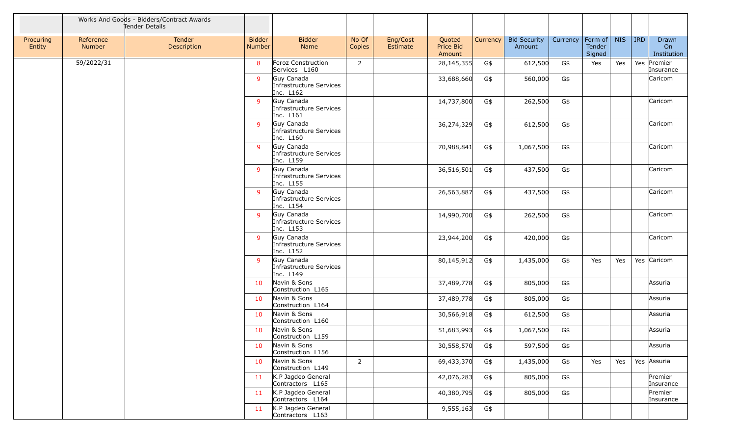|                     |                     | Works And Goods - Bidders/Contract Awards<br>Tender Details |                         |                                                    |                 |                      |                               |          |                               |          |                             |            |            |                            |
|---------------------|---------------------|-------------------------------------------------------------|-------------------------|----------------------------------------------------|-----------------|----------------------|-------------------------------|----------|-------------------------------|----------|-----------------------------|------------|------------|----------------------------|
| Procuring<br>Entity | Reference<br>Number | Tender<br>Description                                       | <b>Bidder</b><br>Number | <b>Bidder</b><br>Name                              | No Of<br>Copies | Eng/Cost<br>Estimate | Quoted<br>Price Bid<br>Amount | Currency | <b>Bid Security</b><br>Amount | Currency | Form of<br>Tender<br>Signed | <b>NIS</b> | <b>IRD</b> | Drawn<br>On<br>Institution |
|                     | 59/2022/31          |                                                             | 8                       | Feroz Construction<br>Services L160                | $\overline{2}$  |                      | 28,145,355                    | G\$      | 612,500                       | G\$      | Yes                         | Yes        |            | Yes Premier<br>Insurance   |
|                     |                     |                                                             | $\mathsf{q}$            | Guy Canada<br>Infrastructure Services<br>Inc. L162 |                 |                      | 33,688,660                    | G\$      | 560,000                       | G\$      |                             |            |            | Caricom                    |
|                     |                     |                                                             | -9                      | Guy Canada<br>Infrastructure Services<br>Inc. L161 |                 |                      | 14,737,800                    | G\$      | 262,500                       | G\$      |                             |            |            | Caricom                    |
|                     |                     |                                                             | -9                      | Guy Canada<br>Infrastructure Services<br>Inc. L160 |                 |                      | 36,274,329                    | G\$      | 612,500                       | G\$      |                             |            |            | Caricom                    |
|                     |                     |                                                             | -9                      | Guy Canada<br>Infrastructure Services<br>Inc. L159 |                 |                      | 70,988,841                    | G\$      | 1,067,500                     | G\$      |                             |            |            | Caricom                    |
|                     |                     |                                                             | -9                      | Guy Canada<br>Infrastructure Services<br>Inc. L155 |                 |                      | 36,516,501                    | G\$      | 437,500                       | G\$      |                             |            |            | Caricom                    |
|                     |                     |                                                             | -9                      | Guy Canada<br>Infrastructure Services<br>Inc. L154 |                 |                      | 26,563,887                    | G\$      | 437,500                       | G\$      |                             |            |            | Caricom                    |
|                     |                     |                                                             | -9                      | Guy Canada<br>Infrastructure Services<br>Inc. L153 |                 |                      | 14,990,700                    | G\$      | 262,500                       | G\$      |                             |            |            | Caricom                    |
|                     |                     |                                                             | -9                      | Guy Canada<br>Infrastructure Services<br>Inc. L152 |                 |                      | 23,944,200                    | G\$      | 420,000                       | G\$      |                             |            |            | Caricom                    |
|                     |                     |                                                             | -9                      | Guy Canada<br>Infrastructure Services<br>Inc. L149 |                 |                      | 80,145,912                    | G\$      | 1,435,000                     | G\$      | Yes                         | Yes        |            | Yes Caricom                |
|                     |                     |                                                             | 10                      | Navin & Sons<br>Construction L165                  |                 |                      | 37,489,778                    | G\$      | 805,000                       | G\$      |                             |            |            | Assuria                    |
|                     |                     |                                                             | 10                      | Navin & Sons<br>Construction L164                  |                 |                      | 37,489,778                    | G\$      | 805,000                       | G\$      |                             |            |            | Assuria                    |
|                     |                     |                                                             | 10                      | Navin & Sons<br>Construction L160                  |                 |                      | 30,566,918                    | G\$      | 612,500                       | G\$      |                             |            |            | Assuria                    |
|                     |                     |                                                             | 10                      | Navin & Sons<br>Construction L159                  |                 |                      | 51,683,993                    | G\$      | 1,067,500                     | G\$      |                             |            |            | Assuria                    |
|                     |                     |                                                             | 10                      | Navin & Sons<br>Construction L156                  |                 |                      | 30,558,570                    | G\$      | 597,500                       | G\$      |                             |            |            | Assuria                    |
|                     |                     |                                                             | 10                      | Navin & Sons<br>Construction L149                  | $\overline{2}$  |                      | 69,433,370                    | G\$      | 1,435,000                     | G\$      | Yes                         | Yes        |            | Yes Assuria                |
|                     |                     |                                                             | 11                      | K.P Jagdeo General<br>Contractors L165             |                 |                      | 42,076,283                    | G\$      | 805,000                       | G\$      |                             |            |            | Premier<br>Insurance       |
|                     |                     |                                                             | 11                      | K.P Jagdeo General<br>Contractors L164             |                 |                      | 40,380,795                    | G\$      | 805,000                       | G\$      |                             |            |            | Premier<br>Insurance       |
|                     |                     |                                                             | 11                      | K.P Jagdeo General<br>Contractors L163             |                 |                      | 9,555,163                     | G\$      |                               |          |                             |            |            |                            |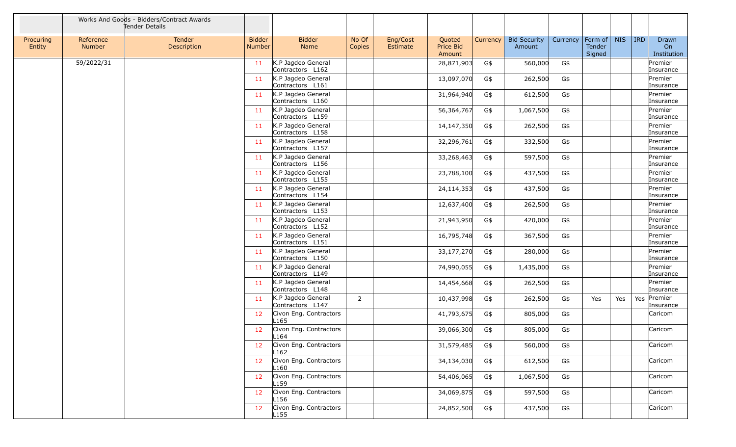|                     |                     | Works And Goods - Bidders/Contract Awards<br>Tender Details |                                |                                            |                 |                      |                               |          |                               |          |                                     |            |            |                            |
|---------------------|---------------------|-------------------------------------------------------------|--------------------------------|--------------------------------------------|-----------------|----------------------|-------------------------------|----------|-------------------------------|----------|-------------------------------------|------------|------------|----------------------------|
| Procuring<br>Entity | Reference<br>Number | Tender<br>Description                                       | <b>Bidder</b><br><b>Number</b> | <b>Bidder</b><br>Name                      | No Of<br>Copies | Eng/Cost<br>Estimate | Quoted<br>Price Bid<br>Amount | Currency | <b>Bid Security</b><br>Amount | Currency | $ $ Form of $ $<br>Tender<br>Signed | <b>NIS</b> | <b>IRD</b> | Drawn<br>On<br>Institution |
|                     | 59/2022/31          |                                                             | 11                             | K.P Jagdeo General<br>Contractors L162     |                 |                      | 28,871,903                    | G\$      | 560,000                       | G\$      |                                     |            |            | Premier<br>Insurance       |
|                     |                     |                                                             | 11                             | K.P Jagdeo General<br>Contractors L161     |                 |                      | 13,097,070                    | G\$      | 262,500                       | G\$      |                                     |            |            | Premier<br>Insurance       |
|                     |                     |                                                             | 11                             | K.P Jagdeo General<br>Contractors L160     |                 |                      | 31,964,940                    | G\$      | 612,500                       | G\$      |                                     |            |            | Premier<br>Insurance       |
|                     |                     |                                                             | 11                             | K.P Jagdeo General<br>Contractors L159     |                 |                      | 56,364,767                    | G\$      | 1,067,500                     | G\$      |                                     |            |            | Premier<br>Insurance       |
|                     |                     |                                                             | 11                             | K.P Jagdeo General<br>Contractors L158     |                 |                      | 14,147,350                    | G\$      | 262,500                       | G\$      |                                     |            |            | Premier<br>Insurance       |
|                     |                     |                                                             | 11                             | K.P Jagdeo General<br>Contractors L157     |                 |                      | 32,296,761                    | G\$      | 332,500                       | G\$      |                                     |            |            | Premier<br>Insurance       |
|                     |                     |                                                             | 11                             | K.P Jagdeo General<br>Contractors L156     |                 |                      | 33,268,463                    | G\$      | 597,500                       | G\$      |                                     |            |            | Premier<br>Insurance       |
|                     |                     |                                                             | 11                             | K.P Jagdeo General<br>Contractors L155     |                 |                      | 23,788,100                    | G\$      | 437,500                       | G\$      |                                     |            |            | Premier<br>Insurance       |
|                     |                     |                                                             | 11                             | K.P Jagdeo General<br>Contractors L154     |                 |                      | 24,114,353                    | G\$      | 437,500                       | G\$      |                                     |            |            | Premier<br>Insurance       |
|                     |                     |                                                             | 11                             | K.P Jagdeo General<br>Contractors L153     |                 |                      | 12,637,400                    | G\$      | 262,500                       | G\$      |                                     |            |            | Premier<br>Insurance       |
|                     |                     |                                                             | 11                             | K.P Jagdeo General<br>Contractors L152     |                 |                      | 21,943,950                    | G\$      | 420,000                       | G\$      |                                     |            |            | Premier<br>Insurance       |
|                     |                     |                                                             | 11                             | K.P Jagdeo General<br>Contractors L151     |                 |                      | 16,795,748                    | G\$      | 367,500                       | G\$      |                                     |            |            | Premier<br>Insurance       |
|                     |                     |                                                             | 11                             | K.P Jagdeo General<br>Contractors L150     |                 |                      | 33,177,270                    | G\$      | 280,000                       | G\$      |                                     |            |            | Premier<br>Insurance       |
|                     |                     |                                                             | 11                             | K.P Jagdeo General<br>Contractors L149     |                 |                      | 74,990,055                    | G\$      | 1,435,000                     | G\$      |                                     |            |            | Premier<br>Insurance       |
|                     |                     |                                                             | 11                             | K.P Jagdeo General<br>Contractors L148     |                 |                      | 14,454,668                    | G\$      | 262,500                       | G\$      |                                     |            |            | Premier<br>Insurance       |
|                     |                     |                                                             | 11                             | K.P Jagdeo General<br>Contractors L147     | $\overline{2}$  |                      | 10,437,998                    | G\$      | 262,500                       | G\$      | Yes                                 | Yes        |            | Yes Premier<br>Insurance   |
|                     |                     |                                                             | 12                             | Civon Eng. Contractors<br>L <sub>165</sub> |                 |                      | 41,793,675                    | G\$      | 805,000                       | G\$      |                                     |            |            | Caricom                    |
|                     |                     |                                                             | 12                             | Civon Eng. Contractors<br>L <sub>164</sub> |                 |                      | 39,066,300                    | G\$      | 805,000                       | G\$      |                                     |            |            | Caricom                    |
|                     |                     |                                                             | 12                             | Civon Eng. Contractors<br>L162             |                 |                      | 31,579,485                    | G\$      | 560,000                       | G\$      |                                     |            |            | Caricom                    |
|                     |                     |                                                             | 12                             | Civon Eng. Contractors<br>L160             |                 |                      | 34,134,030                    | G\$      | 612,500                       | G\$      |                                     |            |            | Caricom                    |
|                     |                     |                                                             | 12                             | Civon Eng. Contractors<br>L <sub>159</sub> |                 |                      | 54,406,065                    | G\$      | 1,067,500                     | G\$      |                                     |            |            | Caricom                    |
|                     |                     |                                                             | 12 <sub>2</sub>                | Civon Eng. Contractors<br>L156             |                 |                      | 34,069,875                    | G\$      | 597,500                       | G\$      |                                     |            |            | Caricom                    |
|                     |                     |                                                             | 12 <sub>2</sub>                | Civon Eng. Contractors<br>L <sub>155</sub> |                 |                      | 24,852,500                    | G\$      | 437,500                       | G\$      |                                     |            |            | Caricom                    |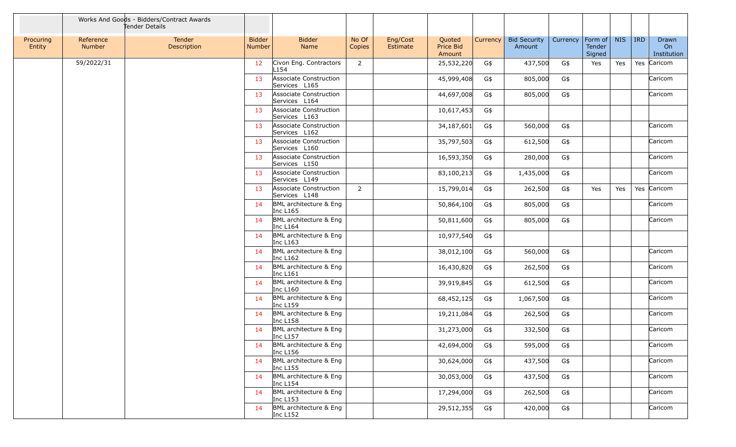|                     |                            | Works And Goods - Bidders/Contract Awards<br>Tender Details |                                |                                         |                 |                      |                               |          |                               |          |                             |            |            |                            |
|---------------------|----------------------------|-------------------------------------------------------------|--------------------------------|-----------------------------------------|-----------------|----------------------|-------------------------------|----------|-------------------------------|----------|-----------------------------|------------|------------|----------------------------|
| Procuring<br>Entity | Reference<br><b>Number</b> | Tender<br>Description                                       | <b>Bidder</b><br><b>Number</b> | <b>Bidder</b><br>Name                   | No Of<br>Copies | Eng/Cost<br>Estimate | Quoted<br>Price Bid<br>Amount | Currency | <b>Bid Security</b><br>Amount | Currency | Form of<br>Tender<br>Signed | <b>NIS</b> | <b>IRD</b> | Drawn<br>On<br>Institution |
|                     | 59/2022/31                 |                                                             | 12                             | Civon Eng. Contractors<br>L154          | $\overline{2}$  |                      | 25,532,220                    | G\$      | 437,500                       | G\$      | Yes                         | Yes        |            | Yes Caricom                |
|                     |                            |                                                             | 13                             | Associate Construction<br>Services L165 |                 |                      | 45,999,408                    | G\$      | 805,000                       | G\$      |                             |            |            | Caricom                    |
|                     |                            |                                                             | 13                             | Associate Construction<br>Services L164 |                 |                      | 44,697,008                    | G\$      | 805,000                       | G\$      |                             |            |            | Caricom                    |
|                     |                            |                                                             | 13                             | Associate Construction<br>Services L163 |                 |                      | 10,617,453                    | G\$      |                               |          |                             |            |            |                            |
|                     |                            |                                                             | 13                             | Associate Construction<br>Services L162 |                 |                      | 34,187,601                    | G\$      | 560,000                       | G\$      |                             |            |            | Caricom                    |
|                     |                            |                                                             | 13                             | Associate Construction<br>Services L160 |                 |                      | 35,797,503                    | G\$      | 612,500                       | G\$      |                             |            |            | Caricom                    |
|                     |                            |                                                             | 13                             | Associate Construction<br>Services L150 |                 |                      | 16,593,350                    | G\$      | 280,000                       | G\$      |                             |            |            | Caricom                    |
|                     |                            |                                                             | 13                             | Associate Construction<br>Services L149 |                 |                      | 83,100,213                    | G\$      | 1,435,000                     | G\$      |                             |            |            | Caricom                    |
|                     |                            |                                                             | 13                             | Associate Construction<br>Services L148 | $\overline{2}$  |                      | 15,799,014                    | G\$      | 262,500                       | G\$      | Yes                         | Yes        |            | Yes Caricom                |
|                     |                            |                                                             | 14                             | BML architecture & Eng<br>Inc L165      |                 |                      | 50,864,100                    | G\$      | 805,000                       | G\$      |                             |            |            | Caricom                    |
|                     |                            |                                                             | 14                             | BML architecture & Eng<br>Inc L164      |                 |                      | 50,811,600                    | G\$      | 805,000                       | G\$      |                             |            |            | Caricom                    |
|                     |                            |                                                             | 14                             | BML architecture & Eng<br>Inc L163      |                 |                      | 10,977,540                    | G\$      |                               |          |                             |            |            |                            |
|                     |                            |                                                             | 14                             | BML architecture & Eng<br>Inc L162      |                 |                      | 38,012,100                    | G\$      | 560,000                       | G\$      |                             |            |            | Caricom                    |
|                     |                            |                                                             | 14                             | BML architecture & Eng<br>Inc L161      |                 |                      | 16,430,820                    | G\$      | 262,500                       | G\$      |                             |            |            | Caricom                    |
|                     |                            |                                                             | 14                             | BML architecture & Eng<br>Inc L160      |                 |                      | 39,919,845                    | G\$      | 612,500                       | G\$      |                             |            |            | Caricom                    |
|                     |                            |                                                             | 14                             | BML architecture & Eng<br>Inc L159      |                 |                      | 68,452,125                    | G\$      | 1,067,500                     | G\$      |                             |            |            | Caricom                    |
|                     |                            |                                                             | 14                             | BML architecture & Eng<br>Inc L158      |                 |                      | 19,211,084                    | G\$      | 262,500                       | G\$      |                             |            |            | Caricom                    |
|                     |                            |                                                             | 14                             | BML architecture & Eng<br>Inc L157      |                 |                      | 31,273,000                    | G\$      | 332,500                       | G\$      |                             |            |            | Caricom                    |
|                     |                            |                                                             | 14                             | BML architecture & Eng<br>Inc L156      |                 |                      | 42,694,000                    | G\$      | 595,000                       | G\$      |                             |            |            | Caricom                    |
|                     |                            |                                                             | 14                             | BML architecture & Eng<br>Inc L155      |                 |                      | 30,624,000                    | G\$      | 437,500                       | G\$      |                             |            |            | Caricom                    |
|                     |                            |                                                             | 14                             | BML architecture & Eng<br>Inc L154      |                 |                      | 30,053,000                    | G\$      | 437,500                       | G\$      |                             |            |            | Caricom                    |
|                     |                            |                                                             | 14                             | BML architecture & Eng<br>Inc L153      |                 |                      | 17,294,000                    | G\$      | 262,500                       | G\$      |                             |            |            | Caricom                    |
|                     |                            |                                                             | 14                             | BML architecture & Eng<br>Inc L152      |                 |                      | 29,512,355                    | G\$      | 420,000                       | G\$      |                             |            |            | Caricom                    |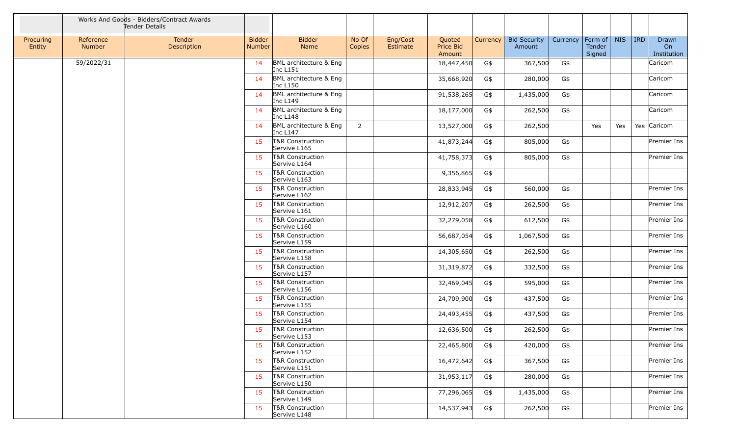|                     |                     | Works And Goods - Bidders/Contract Awards<br>Tender Details |                                |                                             |                 |                             |                               |          |                               |          |                             |            |            |                            |
|---------------------|---------------------|-------------------------------------------------------------|--------------------------------|---------------------------------------------|-----------------|-----------------------------|-------------------------------|----------|-------------------------------|----------|-----------------------------|------------|------------|----------------------------|
| Procuring<br>Entity | Reference<br>Number | Tender<br>Description                                       | <b>Bidder</b><br><b>Number</b> | <b>Bidder</b><br>Name                       | No Of<br>Copies | Eng/Cost<br><b>Estimate</b> | Quoted<br>Price Bid<br>Amount | Currency | <b>Bid Security</b><br>Amount | Currency | Form of<br>Tender<br>Signed | <b>NIS</b> | <b>IRD</b> | Drawn<br>On<br>Institution |
|                     | 59/2022/31          |                                                             | 14                             | BML architecture & Eng<br>Inc L151          |                 |                             | 18,447,450                    | G\$      | 367,500                       | G\$      |                             |            |            | Caricom                    |
|                     |                     |                                                             | 14                             | BML architecture & Eng<br>Inc L150          |                 |                             | 35,668,920                    | G\$      | 280,000                       | G\$      |                             |            |            | Caricom                    |
|                     |                     |                                                             | 14                             | BML architecture & Eng<br>Inc L149          |                 |                             | 91,538,265                    | G\$      | 1,435,000                     | G\$      |                             |            |            | Caricom                    |
|                     |                     |                                                             | 14                             | BML architecture & Eng<br>Inc L148          |                 |                             | 18,177,000                    | G\$      | 262,500                       | G\$      |                             |            |            | Caricom                    |
|                     |                     |                                                             | 14                             | BML architecture & Eng<br>Inc L147          | $\overline{2}$  |                             | 13,527,000                    | G\$      | 262,500                       |          | Yes                         | Yes        |            | Yes Caricom                |
|                     |                     |                                                             | 15                             | T&R Construction<br>Servive L165            |                 |                             | 41,873,244                    | G\$      | 805,000                       | G\$      |                             |            |            | Premier Ins                |
|                     |                     |                                                             | 15                             | T&R Construction<br>Servive L164            |                 |                             | 41,758,373                    | G\$      | 805,000                       | G\$      |                             |            |            | Premier Ins                |
|                     |                     |                                                             | 15                             | T&R Construction<br>Servive L163            |                 |                             | 9,356,865                     | G\$      |                               |          |                             |            |            |                            |
|                     |                     |                                                             | 15                             | T&R Construction<br>Servive L162            |                 |                             | 28,833,945                    | G\$      | 560,000                       | G\$      |                             |            |            | Premier Ins                |
|                     |                     |                                                             | 15                             | T&R Construction<br>Servive L161            |                 |                             | 12,912,207                    | G\$      | 262,500                       | G\$      |                             |            |            | Premier Ins                |
|                     |                     |                                                             | 15                             | T&R Construction<br>Servive L160            |                 |                             | 32,279,058                    | G\$      | 612,500                       | G\$      |                             |            |            | Premier Ins                |
|                     |                     |                                                             | 15                             | <b>T&amp;R Construction</b><br>Servive L159 |                 |                             | 56,687,054                    | G\$      | 1,067,500                     | G\$      |                             |            |            | Premier Ins                |
|                     |                     |                                                             | 15                             | T&R Construction<br>Servive L158            |                 |                             | 14,305,650                    | G\$      | 262,500                       | G\$      |                             |            |            | Premier Ins                |
|                     |                     |                                                             | 15                             | <b>T&amp;R Construction</b><br>Servive L157 |                 |                             | 31,319,872                    | G\$      | 332,500                       | G\$      |                             |            |            | Premier Ins                |
|                     |                     |                                                             | 15                             | T&R Construction<br>Servive L156            |                 |                             | 32,469,045                    | G\$      | 595,000                       | G\$      |                             |            |            | Premier Ins                |
|                     |                     |                                                             | 15                             | T&R Construction<br>Servive L155            |                 |                             | 24,709,900                    | G\$      | 437,500                       | G\$      |                             |            |            | Premier Ins                |
|                     |                     |                                                             | 15                             | <b>T&amp;R Construction</b><br>Servive L154 |                 |                             | 24,493,455                    | G\$      | 437,500                       | G\$      |                             |            |            | Premier Ins                |
|                     |                     |                                                             | 15                             | T&R Construction<br>Servive L153            |                 |                             | 12,636,500                    | G\$      | 262,500                       | G\$      |                             |            |            | Premier Ins                |
|                     |                     |                                                             | 15                             | T&R Construction<br>Servive L152            |                 |                             | 22,465,800                    | G\$      | 420,000                       | G\$      |                             |            |            | Premier Ins                |
|                     |                     |                                                             | 15                             | <b>T&amp;R Construction</b><br>Servive L151 |                 |                             | 16,472,642                    | G\$      | 367,500                       | G\$      |                             |            |            | Premier Ins                |
|                     |                     |                                                             | 15                             | T&R Construction<br>Servive L150            |                 |                             | 31,953,117                    | G\$      | 280,000                       | G\$      |                             |            |            | Premier Ins                |
|                     |                     |                                                             | 15                             | T&R Construction<br>Servive L149            |                 |                             | 77,296,065                    | G\$      | 1,435,000                     | G\$      |                             |            |            | Premier Ins                |
|                     |                     |                                                             | 15                             | T&R Construction<br>Servive L148            |                 |                             | 14,537,943                    | G\$      | 262,500                       | G\$      |                             |            |            | Premier Ins                |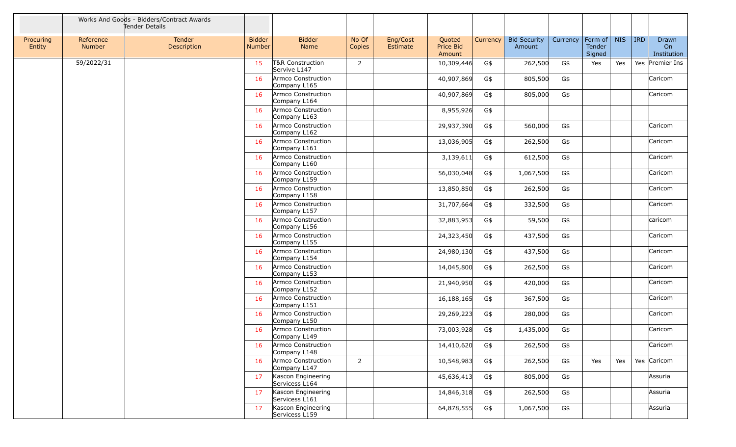|                     |                     | Works And Goods - Bidders/Contract Awards<br>Tender Details |                                |                                             |                 |                      |                               |          |                               |          |                                     |            |            |                            |
|---------------------|---------------------|-------------------------------------------------------------|--------------------------------|---------------------------------------------|-----------------|----------------------|-------------------------------|----------|-------------------------------|----------|-------------------------------------|------------|------------|----------------------------|
| Procuring<br>Entity | Reference<br>Number | Tender<br>Description                                       | <b>Bidder</b><br><b>Number</b> | <b>Bidder</b><br>Name                       | No Of<br>Copies | Eng/Cost<br>Estimate | Quoted<br>Price Bid<br>Amount | Currency | <b>Bid Security</b><br>Amount | Currency | Form of $\vert$<br>Tender<br>Signed | <b>NIS</b> | <b>IRD</b> | Drawn<br>On<br>Institution |
|                     | 59/2022/31          |                                                             | 15                             | <b>T&amp;R Construction</b><br>Servive L147 | $\overline{2}$  |                      | 10,309,446                    | G\$      | 262,500                       | G\$      | Yes                                 | Yes        |            | Yes Premier Ins            |
|                     |                     |                                                             | 16                             | Armco Construction<br>Company L165          |                 |                      | 40,907,869                    | G\$      | 805,500                       | G\$      |                                     |            |            | Caricom                    |
|                     |                     |                                                             | 16                             | Armco Construction<br>Company L164          |                 |                      | 40,907,869                    | G\$      | 805,000                       | G\$      |                                     |            |            | Caricom                    |
|                     |                     |                                                             | 16                             | Armco Construction<br>Company L163          |                 |                      | 8,955,926                     | G\$      |                               |          |                                     |            |            |                            |
|                     |                     |                                                             | 16                             | Armco Construction<br>Company L162          |                 |                      | 29,937,390                    | G\$      | 560,000                       | G\$      |                                     |            |            | Caricom                    |
|                     |                     |                                                             | 16                             | Armco Construction<br>Company L161          |                 |                      | 13,036,905                    | G\$      | 262,500                       | G\$      |                                     |            |            | Caricom                    |
|                     |                     |                                                             | 16                             | Armco Construction<br>Company L160          |                 |                      | 3,139,611                     | G\$      | 612,500                       | G\$      |                                     |            |            | Caricom                    |
|                     |                     |                                                             | 16                             | Armco Construction<br>Company L159          |                 |                      | 56,030,048                    | G\$      | 1,067,500                     | G\$      |                                     |            |            | Caricom                    |
|                     |                     |                                                             | 16                             | Armco Construction<br>Company L158          |                 |                      | 13,850,850                    | G\$      | 262,500                       | G\$      |                                     |            |            | Caricom                    |
|                     |                     |                                                             | 16                             | Armco Construction<br>Company L157          |                 |                      | 31,707,664                    | G\$      | 332,500                       | G\$      |                                     |            |            | Caricom                    |
|                     |                     |                                                             | 16                             | Armco Construction<br>Company L156          |                 |                      | 32,883,953                    | G\$      | 59,500                        | G\$      |                                     |            |            | caricom                    |
|                     |                     |                                                             | 16                             | Armco Construction<br>Company L155          |                 |                      | 24,323,450                    | G\$      | 437,500                       | G\$      |                                     |            |            | Caricom                    |
|                     |                     |                                                             | 16                             | Armco Construction<br>Company L154          |                 |                      | 24,980,130                    | G\$      | 437,500                       | G\$      |                                     |            |            | Caricom                    |
|                     |                     |                                                             | 16                             | Armco Construction<br>Company L153          |                 |                      | 14,045,800                    | G\$      | 262,500                       | G\$      |                                     |            |            | Caricom                    |
|                     |                     |                                                             | 16                             | Armco Construction<br>Company L152          |                 |                      | 21,940,950                    | G\$      | 420,000                       | G\$      |                                     |            |            | Caricom                    |
|                     |                     |                                                             | 16                             | Armco Construction<br>Company L151          |                 |                      | 16,188,165                    | G\$      | 367,500                       | G\$      |                                     |            |            | Caricom                    |
|                     |                     |                                                             | 16                             | Armco Construction<br>Company L150          |                 |                      | 29,269,223                    | G\$      | 280,000                       | G\$      |                                     |            |            | Caricom                    |
|                     |                     |                                                             | 16                             | Armco Construction<br>Company L149          |                 |                      | 73,003,928                    | G\$      | 1,435,000                     | G\$      |                                     |            |            | Caricom                    |
|                     |                     |                                                             | 16                             | Armco Construction<br>Company L148          |                 |                      | 14,410,620                    | G\$      | 262,500                       | G\$      |                                     |            |            | Caricom                    |
|                     |                     |                                                             | 16                             | Armco Construction<br>Company L147          | $\overline{2}$  |                      | 10,548,983                    | G\$      | 262,500                       | G\$      | Yes                                 | Yes        |            | Yes Caricom                |
|                     |                     |                                                             | 17                             | Kascon Engineering<br>Servicess L164        |                 |                      | 45,636,413                    | G\$      | 805,000                       | G\$      |                                     |            |            | Assuria                    |
|                     |                     |                                                             | 17                             | Kascon Engineering<br>Servicess L161        |                 |                      | 14,846,318                    | G\$      | 262,500                       | G\$      |                                     |            |            | Assuria                    |
|                     |                     |                                                             | 17                             | Kascon Engineering<br>Servicess L159        |                 |                      | 64,878,555                    | G\$      | 1,067,500                     | G\$      |                                     |            |            | Assuria                    |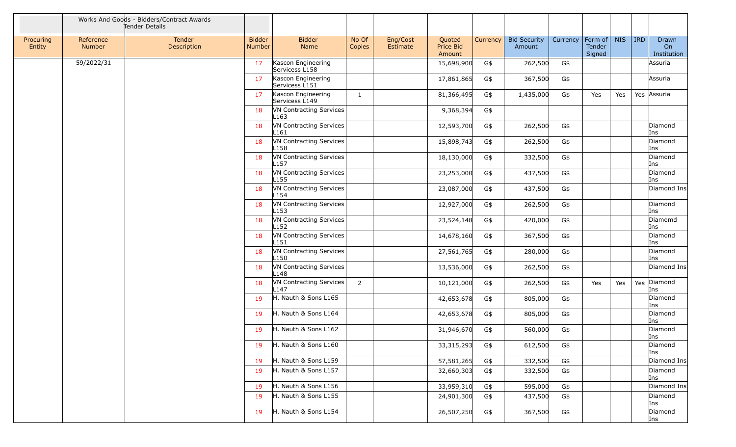|                     |                     | Works And Goods - Bidders/Contract Awards<br>Tender Details |                         |                                             |                 |                      |                               |          |                               |          |                             |            |            |                            |
|---------------------|---------------------|-------------------------------------------------------------|-------------------------|---------------------------------------------|-----------------|----------------------|-------------------------------|----------|-------------------------------|----------|-----------------------------|------------|------------|----------------------------|
| Procuring<br>Entity | Reference<br>Number | Tender<br><b>Description</b>                                | <b>Bidder</b><br>Number | <b>Bidder</b><br>Name                       | No Of<br>Copies | Eng/Cost<br>Estimate | Quoted<br>Price Bid<br>Amount | Currency | <b>Bid Security</b><br>Amount | Currency | Form of<br>Tender<br>Signed | <b>NIS</b> | <b>IRD</b> | Drawn<br>On<br>Institution |
|                     | 59/2022/31          |                                                             | 17                      | Kascon Engineering<br>Servicess L158        |                 |                      | 15,698,900                    | G\$      | 262,500                       | G\$      |                             |            |            | Assuria                    |
|                     |                     |                                                             | 17                      | Kascon Engineering<br>Servicess L151        |                 |                      | 17,861,865                    | G\$      | 367,500                       | G\$      |                             |            |            | Assuria                    |
|                     |                     |                                                             | 17                      | Kascon Engineering<br>Servicess L149        | $\mathbf{1}$    |                      | 81,366,495                    | G\$      | 1,435,000                     | G\$      | Yes                         | Yes        |            | Yes Assuria                |
|                     |                     |                                                             | 18                      | VN Contracting Services<br>L163             |                 |                      | 9,368,394                     | G\$      |                               |          |                             |            |            |                            |
|                     |                     |                                                             | 18                      | VN Contracting Services<br>L <sub>161</sub> |                 |                      | 12,593,700                    | G\$      | 262,500                       | G\$      |                             |            |            | Diamond<br>Ins             |
|                     |                     |                                                             | 18                      | VN Contracting Services<br>L158             |                 |                      | 15,898,743                    | G\$      | 262,500                       | G\$      |                             |            |            | Diamond<br>Ins             |
|                     |                     |                                                             | 18                      | VN Contracting Services<br>L <sub>157</sub> |                 |                      | 18,130,000                    | G\$      | 332,500                       | G\$      |                             |            |            | Diamond<br>Ins             |
|                     |                     |                                                             | 18                      | VN Contracting Services<br>L <sub>155</sub> |                 |                      | 23,253,000                    | G\$      | 437,500                       | G\$      |                             |            |            | Diamond<br>Ins             |
|                     |                     |                                                             | 18                      | VN Contracting Services<br>L <sub>154</sub> |                 |                      | 23,087,000                    | G\$      | 437,500                       | G\$      |                             |            |            | Diamond Ins                |
|                     |                     |                                                             | 18                      | VN Contracting Services<br>L <sub>153</sub> |                 |                      | 12,927,000                    | G\$      | 262,500                       | G\$      |                             |            |            | Diamond<br>Ins             |
|                     |                     |                                                             | 18                      | VN Contracting Services<br>L <sub>152</sub> |                 |                      | 23,524,148                    | G\$      | 420,000                       | G\$      |                             |            |            | Diamomd<br>Ins             |
|                     |                     |                                                             | 18                      | VN Contracting Services<br>L <sub>151</sub> |                 |                      | 14,678,160                    | G\$      | 367,500                       | G\$      |                             |            |            | Diamond<br>Ins             |
|                     |                     |                                                             | 18                      | VN Contracting Services<br>L150             |                 |                      | 27,561,765                    | G\$      | 280,000                       | G\$      |                             |            |            | Diamond<br>Ins             |
|                     |                     |                                                             | 18                      | VN Contracting Services<br>L148             |                 |                      | 13,536,000                    | G\$      | 262,500                       | G\$      |                             |            |            | Diamond Ins                |
|                     |                     |                                                             | 18                      | VN Contracting Services<br>L <sub>147</sub> | $\overline{2}$  |                      | 10,121,000                    | G\$      | 262,500                       | G\$      | Yes                         | Yes        |            | Yes Diamond<br>Ins         |
|                     |                     |                                                             | 19                      | H. Nauth & Sons L165                        |                 |                      | 42,653,678                    | G\$      | 805,000                       | G\$      |                             |            |            | Diamond<br>Ins             |
|                     |                     |                                                             | 19                      | H. Nauth & Sons L164                        |                 |                      | 42,653,678                    | G\$      | 805,000                       | G\$      |                             |            |            | Diamond<br>Ins             |
|                     |                     |                                                             | 19                      | H. Nauth & Sons L162                        |                 |                      | 31,946,670                    | G\$      | 560,000                       | $G\$     |                             |            |            | Diamond<br>Ins             |
|                     |                     |                                                             | 19                      | H. Nauth & Sons L160                        |                 |                      | 33, 315, 293                  | G\$      | 612,500                       | G\$      |                             |            |            | Diamond<br>Ins             |
|                     |                     |                                                             | 19                      | H. Nauth & Sons L159                        |                 |                      | 57,581,265                    | G\$      | 332,500                       | G\$      |                             |            |            | Diamond Ins                |
|                     |                     |                                                             | 19                      | H. Nauth & Sons L157                        |                 |                      | 32,660,303                    | G\$      | 332,500                       | G\$      |                             |            |            | Diamond<br>Ins             |
|                     |                     |                                                             | 19                      | H. Nauth & Sons L156                        |                 |                      | 33,959,310                    | G\$      | 595,000                       | G\$      |                             |            |            | Diamond Ins                |
|                     |                     |                                                             | 19                      | H. Nauth & Sons L155                        |                 |                      | 24,901,300                    | G\$      | 437,500                       | G\$      |                             |            |            | Diamond<br>Ins             |
|                     |                     |                                                             | 19                      | H. Nauth & Sons L154                        |                 |                      | 26,507,250                    | G\$      | 367,500                       | G\$      |                             |            |            | Diamond<br>Ins             |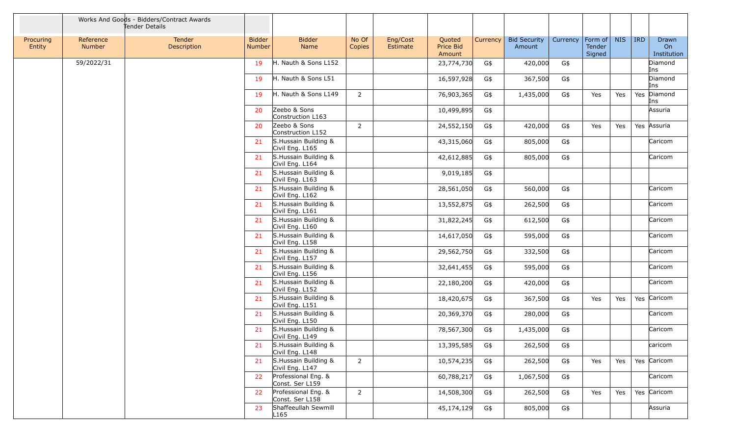|                     |                            | Works And Goods - Bidders/Contract Awards<br>Tender Details |                         |                                          |                 |                      |                               |          |                               |          |                             |            |            |                            |
|---------------------|----------------------------|-------------------------------------------------------------|-------------------------|------------------------------------------|-----------------|----------------------|-------------------------------|----------|-------------------------------|----------|-----------------------------|------------|------------|----------------------------|
| Procuring<br>Entity | Reference<br><b>Number</b> | Tender<br>Description                                       | <b>Bidder</b><br>Number | <b>Bidder</b><br>Name                    | No Of<br>Copies | Eng/Cost<br>Estimate | Quoted<br>Price Bid<br>Amount | Currency | <b>Bid Security</b><br>Amount | Currency | Form of<br>Tender<br>Signed | <b>NIS</b> | <b>IRD</b> | Drawn<br>On<br>Institution |
|                     | 59/2022/31                 |                                                             | 19                      | H. Nauth & Sons L152                     |                 |                      | 23,774,730                    | G\$      | 420,000                       | G\$      |                             |            |            | Diamond<br>Ins             |
|                     |                            |                                                             | 19                      | H. Nauth & Sons L51                      |                 |                      | 16,597,928                    | G\$      | 367,500                       | G\$      |                             |            |            | Diamond<br>Ins             |
|                     |                            |                                                             | 19                      | H. Nauth & Sons L149                     | $\overline{2}$  |                      | 76,903,365                    | G\$      | 1,435,000                     | G\$      | Yes                         | Yes        | Yes        | Diamond<br>Ins             |
|                     |                            |                                                             | 20                      | Zeebo & Sons<br>Construction L163        |                 |                      | 10,499,895                    | G\$      |                               |          |                             |            |            | Assuria                    |
|                     |                            |                                                             | 20                      | Zeebo & Sons<br>Construction L152        | $\overline{2}$  |                      | 24,552,150                    | G\$      | 420,000                       | G\$      | Yes                         | Yes        |            | Yes Assuria                |
|                     |                            |                                                             | 21                      | S. Hussain Building &<br>Civil Eng. L165 |                 |                      | 43,315,060                    | G\$      | 805,000                       | G\$      |                             |            |            | Caricom                    |
|                     |                            |                                                             | 21                      | S.Hussain Building &<br>Civil Eng. L164  |                 |                      | 42,612,885                    | G\$      | 805,000                       | G\$      |                             |            |            | Caricom                    |
|                     |                            |                                                             | 21                      | S. Hussain Building &<br>Civil Eng. L163 |                 |                      | 9,019,185                     | G\$      |                               |          |                             |            |            |                            |
|                     |                            |                                                             | 21                      | S.Hussain Building &<br>Civil Eng. L162  |                 |                      | 28,561,050                    | G\$      | 560,000                       | G\$      |                             |            |            | Caricom                    |
|                     |                            |                                                             | 21                      | S. Hussain Building &<br>Civil Eng. L161 |                 |                      | 13,552,875                    | G\$      | 262,500                       | G\$      |                             |            |            | Caricom                    |
|                     |                            |                                                             | 21                      | S.Hussain Building &<br>Civil Eng. L160  |                 |                      | 31,822,245                    | G\$      | 612,500                       | G\$      |                             |            |            | Caricom                    |
|                     |                            |                                                             | 21                      | S. Hussain Building &<br>Civil Eng. L158 |                 |                      | 14,617,050                    | G\$      | 595,000                       | G\$      |                             |            |            | Caricom                    |
|                     |                            |                                                             | 21                      | S. Hussain Building &<br>Civil Eng. L157 |                 |                      | 29,562,750                    | G\$      | 332,500                       | G\$      |                             |            |            | Caricom                    |
|                     |                            |                                                             | 21                      | S. Hussain Building &<br>Civil Eng. L156 |                 |                      | 32,641,455                    | G\$      | 595,000                       | G\$      |                             |            |            | Caricom                    |
|                     |                            |                                                             | 21                      | S. Hussain Building &<br>Civil Eng. L152 |                 |                      | 22,180,200                    | G\$      | 420,000                       | G\$      |                             |            |            | Caricom                    |
|                     |                            |                                                             | 21                      | S.Hussain Building &<br>Civil Eng. L151  |                 |                      | 18,420,675                    | G\$      | 367,500                       | G\$      | Yes                         | Yes        |            | Yes Caricom                |
|                     |                            |                                                             | 21                      | S. Hussain Building &<br>Civil Eng. L150 |                 |                      | 20,369,370                    | G\$      | 280,000                       | G\$      |                             |            |            | Caricom                    |
|                     |                            |                                                             | 21                      | S. Hussain Building &<br>Civil Eng. L149 |                 |                      | 78,567,300                    | G\$      | 1,435,000                     | G\$      |                             |            |            | Caricom                    |
|                     |                            |                                                             | 21                      | S. Hussain Building &<br>Civil Eng. L148 |                 |                      | 13,395,585                    | G\$      | 262,500                       | G\$      |                             |            |            | caricom                    |
|                     |                            |                                                             | 21                      | S.Hussain Building &<br>Civil Eng. L147  | $\overline{2}$  |                      | 10,574,235                    | G\$      | 262,500                       | G\$      | Yes                         | Yes        |            | Yes Caricom                |
|                     |                            |                                                             | 22                      | Professional Eng. &<br>Const. Ser L159   |                 |                      | 60,788,217                    | G\$      | 1,067,500                     | G\$      |                             |            |            | Caricom                    |
|                     |                            |                                                             | 22                      | Professional Eng. &<br>Const. Ser L158   | $\overline{2}$  |                      | 14,508,300                    | G\$      | 262,500                       | G\$      | Yes                         | Yes        |            | Yes Caricom                |
|                     |                            |                                                             | 23                      | Shaffeeullah Sewmill<br>L165             |                 |                      | 45,174,129                    | G\$      | 805,000                       | G\$      |                             |            |            | Assuria                    |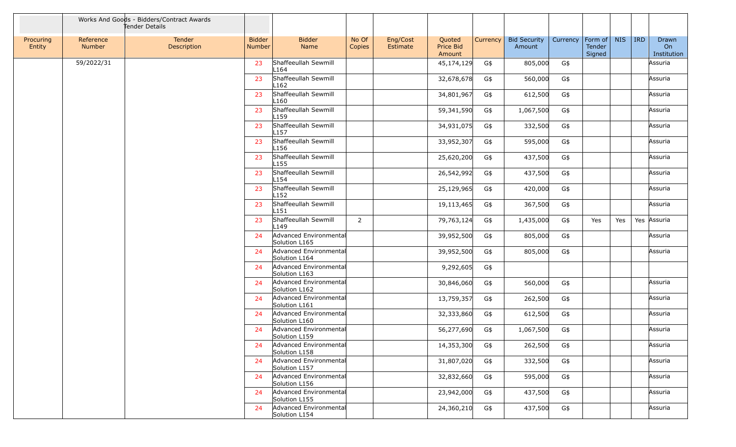|                     |                     | Works And Goods - Bidders/Contract Awards<br>Tender Details |                                |                                          |                 |                      |                               |          |                               |          |                             |            |            |                            |
|---------------------|---------------------|-------------------------------------------------------------|--------------------------------|------------------------------------------|-----------------|----------------------|-------------------------------|----------|-------------------------------|----------|-----------------------------|------------|------------|----------------------------|
| Procuring<br>Entity | Reference<br>Number | Tender<br>Description                                       | <b>Bidder</b><br><b>Number</b> | <b>Bidder</b><br>Name                    | No Of<br>Copies | Eng/Cost<br>Estimate | Quoted<br>Price Bid<br>Amount | Currency | <b>Bid Security</b><br>Amount | Currency | Form of<br>Tender<br>Signed | <b>NIS</b> | <b>IRD</b> | Drawn<br>On<br>Institution |
|                     | 59/2022/31          |                                                             | 23                             | Shaffeeullah Sewmill<br>L164             |                 |                      | 45,174,129                    | G\$      | 805,000                       | G\$      |                             |            |            | Assuria                    |
|                     |                     |                                                             | 23                             | Shaffeeullah Sewmill<br>L <sub>162</sub> |                 |                      | 32,678,678                    | G\$      | 560,000                       | G\$      |                             |            |            | Assuria                    |
|                     |                     |                                                             | 23                             | Shaffeeullah Sewmill<br>L <sub>160</sub> |                 |                      | 34,801,967                    | G\$      | 612,500                       | G\$      |                             |            |            | Assuria                    |
|                     |                     |                                                             | 23                             | Shaffeeullah Sewmill<br>L159             |                 |                      | 59,341,590                    | G\$      | 1,067,500                     | G\$      |                             |            |            | Assuria                    |
|                     |                     |                                                             | 23                             | Shaffeeullah Sewmill<br>L <sub>157</sub> |                 |                      | 34,931,075                    | G\$      | 332,500                       | G\$      |                             |            |            | Assuria                    |
|                     |                     |                                                             | 23                             | Shaffeeullah Sewmill<br>L156             |                 |                      | 33,952,307                    | G\$      | 595,000                       | G\$      |                             |            |            | Assuria                    |
|                     |                     |                                                             | 23                             | Shaffeeullah Sewmill<br>L <sub>155</sub> |                 |                      | 25,620,200                    | G\$      | 437,500                       | G\$      |                             |            |            | Assuria                    |
|                     |                     |                                                             | 23                             | Shaffeeullah Sewmill<br>L154             |                 |                      | 26,542,992                    | G\$      | 437,500                       | G\$      |                             |            |            | Assuria                    |
|                     |                     |                                                             | 23                             | Shaffeeullah Sewmill<br>L152             |                 |                      | 25,129,965                    | G\$      | 420,000                       | G\$      |                             |            |            | Assuria                    |
|                     |                     |                                                             | 23                             | Shaffeeullah Sewmill<br>L <sub>151</sub> |                 |                      | 19,113,465                    | G\$      | 367,500                       | G\$      |                             |            |            | Assuria                    |
|                     |                     |                                                             | 23                             | Shaffeeullah Sewmill<br>L <sub>149</sub> | 2               |                      | 79,763,124                    | G\$      | 1,435,000                     | G\$      | Yes                         | Yes        |            | Yes Assuria                |
|                     |                     |                                                             | 24                             | Advanced Environmental<br>Solution L165  |                 |                      | 39,952,500                    | G\$      | 805,000                       | G\$      |                             |            |            | Assuria                    |
|                     |                     |                                                             | 24                             | Advanced Environmental<br>Solution L164  |                 |                      | 39,952,500                    | G\$      | 805,000                       | G\$      |                             |            |            | Assuria                    |
|                     |                     |                                                             | 24                             | Advanced Environmental<br>Solution L163  |                 |                      | 9,292,605                     | G\$      |                               |          |                             |            |            |                            |
|                     |                     |                                                             | 24                             | Advanced Environmental<br>Solution L162  |                 |                      | 30,846,060                    | G\$      | 560,000                       | G\$      |                             |            |            | Assuria                    |
|                     |                     |                                                             | 24                             | Advanced Environmental<br>Solution L161  |                 |                      | 13,759,357                    | G\$      | 262,500                       | G\$      |                             |            |            | Assuria                    |
|                     |                     |                                                             | 24                             | Advanced Environmental<br>Solution L160  |                 |                      | 32,333,860                    | G\$      | 612,500                       | G\$      |                             |            |            | Assuria                    |
|                     |                     |                                                             | 24                             | Advanced Environmental<br>Solution L159  |                 |                      | 56,277,690                    | G\$      | 1,067,500                     | G\$      |                             |            |            | Assuria                    |
|                     |                     |                                                             | 24                             | Advanced Environmental<br>Solution L158  |                 |                      | 14,353,300                    | G\$      | 262,500                       | G\$      |                             |            |            | Assuria                    |
|                     |                     |                                                             | 24                             | Advanced Environmental<br>Solution L157  |                 |                      | 31,807,020                    | G\$      | 332,500                       | G\$      |                             |            |            | Assuria                    |
|                     |                     |                                                             | 24                             | Advanced Environmental<br>Solution L156  |                 |                      | 32,832,660                    | G\$      | 595,000                       | G\$      |                             |            |            | Assuria                    |
|                     |                     |                                                             | 24                             | Advanced Environmental<br>Solution L155  |                 |                      | 23,942,000                    | G\$      | 437,500                       | G\$      |                             |            |            | Assuria                    |
|                     |                     |                                                             | 24                             | Advanced Environmental<br>Solution L154  |                 |                      | 24,360,210                    | G\$      | 437,500                       | G\$      |                             |            |            | Assuria                    |